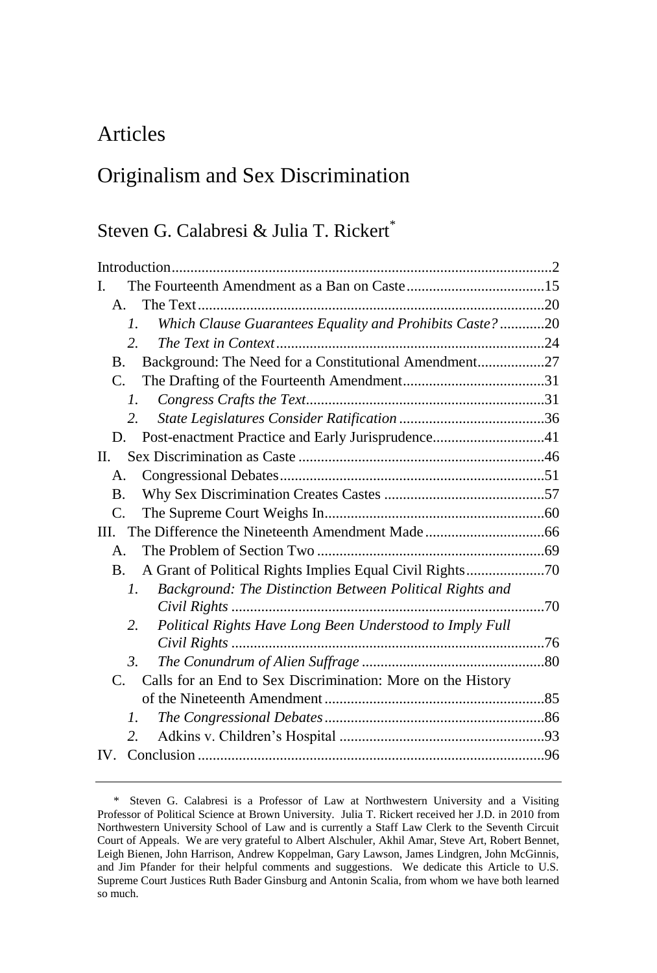# Articles

# Originalism and Sex Discrimination

### Steven G. Calabresi & Julia T. Rickert\*

| L                                                                             |     |
|-------------------------------------------------------------------------------|-----|
| A.                                                                            |     |
| Which Clause Guarantees Equality and Prohibits Caste? 20<br>$\mathcal{I}$ .   |     |
| 2.                                                                            |     |
| Background: The Need for a Constitutional Amendment27<br>$\mathbf{B}$ .       |     |
| $C_{\cdot}$                                                                   |     |
| 1.                                                                            |     |
| 2.                                                                            |     |
| Post-enactment Practice and Early Jurisprudence41<br>D.                       |     |
| $\Pi$ .                                                                       |     |
| $\mathsf{A}$ .                                                                |     |
| $\mathbf{B}$ .                                                                |     |
| $\mathcal{C}$ .                                                               |     |
| III.                                                                          |     |
| $\mathsf{A}$ .                                                                |     |
| $\mathbf{B}$ .                                                                |     |
| Background: The Distinction Between Political Rights and<br>$\mathcal{I}$ .   |     |
|                                                                               | .70 |
| Political Rights Have Long Been Understood to Imply Full<br>2.                |     |
|                                                                               |     |
| 3.                                                                            |     |
| Calls for an End to Sex Discrimination: More on the History<br>$\mathsf{C}$ . |     |
|                                                                               |     |
| $\mathcal{I}$ .                                                               |     |
| 2.                                                                            |     |
| $IV_{-}$                                                                      |     |

<sup>\*</sup> Steven G. Calabresi is a Professor of Law at Northwestern University and a Visiting Professor of Political Science at Brown University. Julia T. Rickert received her J.D. in 2010 from Northwestern University School of Law and is currently a Staff Law Clerk to the Seventh Circuit Court of Appeals. We are very grateful to Albert Alschuler, Akhil Amar, Steve Art, Robert Bennet, Leigh Bienen, John Harrison, Andrew Koppelman, Gary Lawson, James Lindgren, John McGinnis, and Jim Pfander for their helpful comments and suggestions. We dedicate this Article to U.S. Supreme Court Justices Ruth Bader Ginsburg and Antonin Scalia, from whom we have both learned so much.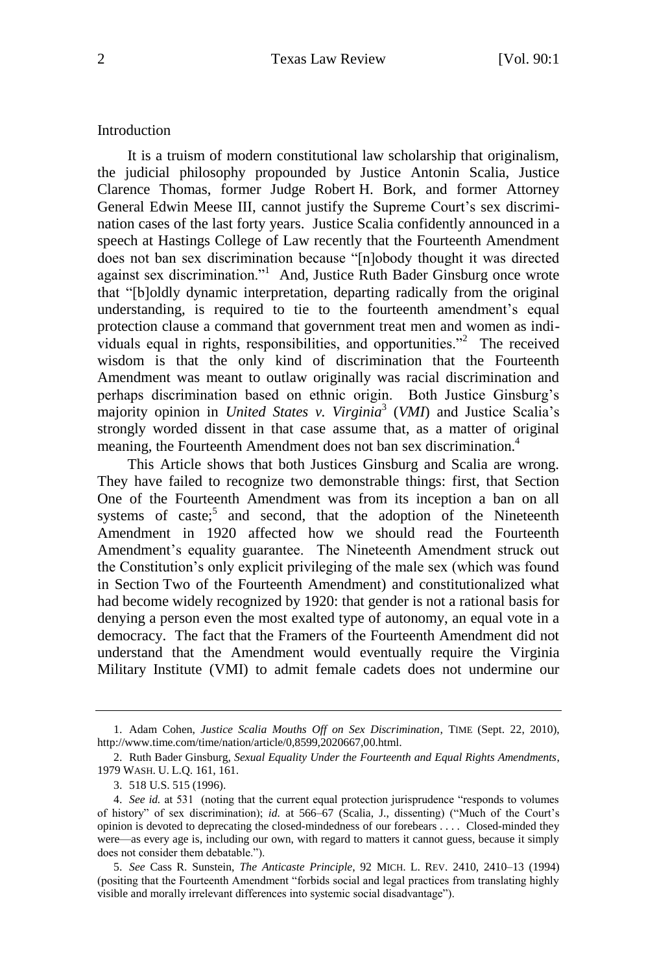#### **Introduction**

It is a truism of modern constitutional law scholarship that originalism, the judicial philosophy propounded by Justice Antonin Scalia, Justice Clarence Thomas, former Judge Robert H. Bork, and former Attorney General Edwin Meese III, cannot justify the Supreme Court's sex discrimination cases of the last forty years. Justice Scalia confidently announced in a speech at Hastings College of Law recently that the Fourteenth Amendment does not ban sex discrimination because "[n]obody thought it was directed against sex discrimination."<sup>1</sup> And, Justice Ruth Bader Ginsburg once wrote that "[b]oldly dynamic interpretation, departing radically from the original understanding, is required to tie to the fourteenth amendment's equal protection clause a command that government treat men and women as individuals equal in rights, responsibilities, and opportunities."<sup>2</sup> The received wisdom is that the only kind of discrimination that the Fourteenth Amendment was meant to outlaw originally was racial discrimination and perhaps discrimination based on ethnic origin. Both Justice Ginsburg's majority opinion in *United States v. Virginia*<sup>3</sup> (*VMI*) and Justice Scalia's strongly worded dissent in that case assume that, as a matter of original meaning, the Fourteenth Amendment does not ban sex discrimination.<sup>4</sup>

This Article shows that both Justices Ginsburg and Scalia are wrong. They have failed to recognize two demonstrable things: first, that Section One of the Fourteenth Amendment was from its inception a ban on all systems of caste;<sup>5</sup> and second, that the adoption of the Nineteenth Amendment in 1920 affected how we should read the Fourteenth Amendment's equality guarantee. The Nineteenth Amendment struck out the Constitution's only explicit privileging of the male sex (which was found in Section Two of the Fourteenth Amendment) and constitutionalized what had become widely recognized by 1920: that gender is not a rational basis for denying a person even the most exalted type of autonomy, an equal vote in a democracy. The fact that the Framers of the Fourteenth Amendment did not understand that the Amendment would eventually require the Virginia Military Institute (VMI) to admit female cadets does not undermine our

<sup>1.</sup> Adam Cohen, *Justice Scalia Mouths Off on Sex Discrimination*, TIME (Sept. 22, 2010), http://www.time.com/time/nation/article/0,8599,2020667,00.html.

<sup>2.</sup> Ruth Bader Ginsburg, *Sexual Equality Under the Fourteenth and Equal Rights Amendments*, 1979 WASH. U. L.Q. 161, 161.

<sup>3.</sup> 518 U.S. 515 (1996).

<sup>4.</sup> *See id.* at 531 (noting that the current equal protection jurisprudence "responds to volumes of history" of sex discrimination); *id.* at 566–67 (Scalia, J., dissenting) ("Much of the Court's opinion is devoted to deprecating the closed-mindedness of our forebears . . . . Closed-minded they were—as every age is, including our own, with regard to matters it cannot guess, because it simply does not consider them debatable.").

<sup>5.</sup> *See* Cass R. Sunstein, *The Anticaste Principle*, 92 MICH. L. REV. 2410, 2410–13 (1994) (positing that the Fourteenth Amendment "forbids social and legal practices from translating highly visible and morally irrelevant differences into systemic social disadvantage").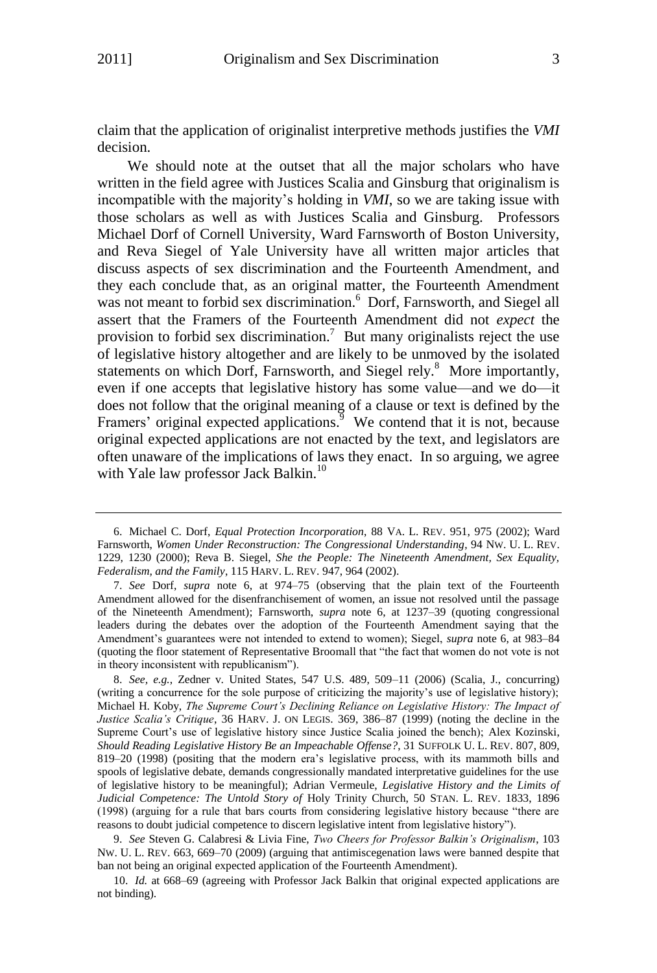claim that the application of originalist interpretive methods justifies the *VMI* decision.

We should note at the outset that all the major scholars who have written in the field agree with Justices Scalia and Ginsburg that originalism is incompatible with the majority's holding in *VMI*, so we are taking issue with those scholars as well as with Justices Scalia and Ginsburg. Professors Michael Dorf of Cornell University, Ward Farnsworth of Boston University, and Reva Siegel of Yale University have all written major articles that discuss aspects of sex discrimination and the Fourteenth Amendment, and they each conclude that, as an original matter, the Fourteenth Amendment was not meant to forbid sex discrimination.<sup>6</sup> Dorf, Farnsworth, and Siegel all assert that the Framers of the Fourteenth Amendment did not *expect* the provision to forbid sex discrimination.<sup>7</sup> But many originalists reject the use of legislative history altogether and are likely to be unmoved by the isolated statements on which Dorf, Farnsworth, and Siegel rely.<sup>8</sup> More importantly, even if one accepts that legislative history has some value—and we do—it does not follow that the original meaning of a clause or text is defined by the Framers' original expected applications.<sup>9</sup> We contend that it is not, because original expected applications are not enacted by the text, and legislators are often unaware of the implications of laws they enact. In so arguing, we agree with Yale law professor Jack Balkin. $10<sup>10</sup>$ 

8. *See, e.g.*, Zedner v. United States, 547 U.S. 489, 509–11 (2006) (Scalia, J., concurring) (writing a concurrence for the sole purpose of criticizing the majority's use of legislative history); Michael H. Koby, *The Supreme Court's Declining Reliance on Legislative History: The Impact of Justice Scalia's Critique*, 36 HARV. J. ON LEGIS. 369, 386–87 (1999) (noting the decline in the Supreme Court's use of legislative history since Justice Scalia joined the bench); Alex Kozinski, *Should Reading Legislative History Be an Impeachable Offense?*, 31 SUFFOLK U. L. REV. 807, 809, 819–20 (1998) (positing that the modern era's legislative process, with its mammoth bills and spools of legislative debate, demands congressionally mandated interpretative guidelines for the use of legislative history to be meaningful); Adrian Vermeule, *Legislative History and the Limits of Judicial Competence: The Untold Story of* Holy Trinity Church, 50 STAN. L. REV. 1833, 1896 (1998) (arguing for a rule that bars courts from considering legislative history because "there are reasons to doubt judicial competence to discern legislative intent from legislative history").

9. *See* Steven G. Calabresi & Livia Fine, *Two Cheers for Professor Balkin's Originalism*, 103 NW. U. L. REV. 663, 669–70 (2009) (arguing that antimiscegenation laws were banned despite that ban not being an original expected application of the Fourteenth Amendment).

10. *Id.* at 668–69 (agreeing with Professor Jack Balkin that original expected applications are not binding).

<sup>6.</sup> Michael C. Dorf, *Equal Protection Incorporation*, 88 VA. L. REV. 951, 975 (2002); Ward Farnsworth, *Women Under Reconstruction: The Congressional Understanding*, 94 NW. U. L. REV. 1229, 1230 (2000); Reva B. Siegel, *She the People: The Nineteenth Amendment, Sex Equality, Federalism, and the Family*, 115 HARV. L. REV. 947, 964 (2002).

<sup>7.</sup> *See* Dorf, *supra* note 6, at 974–75 (observing that the plain text of the Fourteenth Amendment allowed for the disenfranchisement of women, an issue not resolved until the passage of the Nineteenth Amendment); Farnsworth, *supra* note 6, at 1237–39 (quoting congressional leaders during the debates over the adoption of the Fourteenth Amendment saying that the Amendment's guarantees were not intended to extend to women); Siegel, *supra* note 6, at 983–84 (quoting the floor statement of Representative Broomall that "the fact that women do not vote is not in theory inconsistent with republicanism").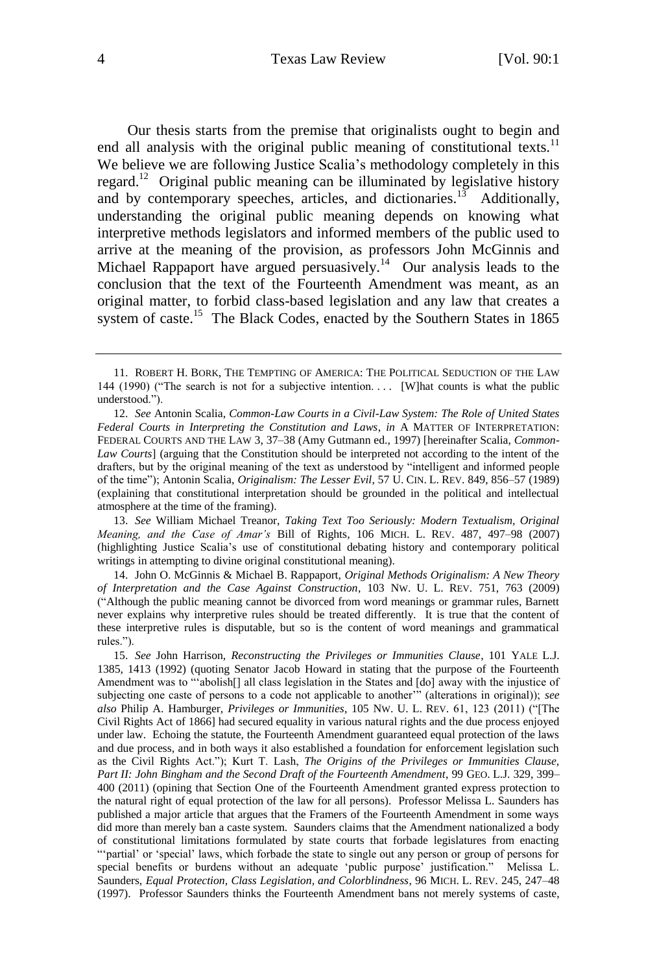#### 4 Texas Law Review [Vol. 90:1

Our thesis starts from the premise that originalists ought to begin and end all analysis with the original public meaning of constitutional texts.<sup>11</sup> We believe we are following Justice Scalia's methodology completely in this regard.<sup>12</sup> Original public meaning can be illuminated by legislative history and by contemporary speeches, articles, and dictionaries.<sup>13</sup> Additionally, understanding the original public meaning depends on knowing what interpretive methods legislators and informed members of the public used to arrive at the meaning of the provision, as professors John McGinnis and Michael Rappaport have argued persuasively.<sup>14</sup> Our analysis leads to the conclusion that the text of the Fourteenth Amendment was meant, as an original matter, to forbid class-based legislation and any law that creates a system of caste.<sup>15</sup> The Black Codes, enacted by the Southern States in 1865

13. *See* William Michael Treanor, *Taking Text Too Seriously: Modern Textualism, Original Meaning, and the Case of Amar's* Bill of Rights, 106 MICH. L. REV. 487, 497–98 (2007) (highlighting Justice Scalia's use of constitutional debating history and contemporary political writings in attempting to divine original constitutional meaning).

14. John O. McGinnis & Michael B. Rappaport, *Original Methods Originalism: A New Theory of Interpretation and the Case Against Construction*, 103 NW. U. L. REV. 751, 763 (2009) (―Although the public meaning cannot be divorced from word meanings or grammar rules, Barnett never explains why interpretive rules should be treated differently. It is true that the content of these interpretive rules is disputable, but so is the content of word meanings and grammatical rules.").

15. *See* John Harrison, *Reconstructing the Privileges or Immunities Clause*, 101 YALE L.J. 1385, 1413 (1992) (quoting Senator Jacob Howard in stating that the purpose of the Fourteenth Amendment was to "abolish[] all class legislation in the States and [do] away with the injustice of subjecting one caste of persons to a code not applicable to another'" (alterations in original)); *see also Philip A. Hamburger, Privileges or Immunities, 105 Nw. U. L. REV. 61, 123 (2011)* ("The Civil Rights Act of 1866] had secured equality in various natural rights and the due process enjoyed under law. Echoing the statute, the Fourteenth Amendment guaranteed equal protection of the laws and due process, and in both ways it also established a foundation for enforcement legislation such as the Civil Rights Act.‖); Kurt T. Lash, *The Origins of the Privileges or Immunities Clause, Part II: John Bingham and the Second Draft of the Fourteenth Amendment*, 99 GEO. L.J. 329, 399– 400 (2011) (opining that Section One of the Fourteenth Amendment granted express protection to the natural right of equal protection of the law for all persons). Professor Melissa L. Saunders has published a major article that argues that the Framers of the Fourteenth Amendment in some ways did more than merely ban a caste system. Saunders claims that the Amendment nationalized a body of constitutional limitations formulated by state courts that forbade legislatures from enacting ―‗partial' or ‗special' laws, which forbade the state to single out any person or group of persons for special benefits or burdens without an adequate 'public purpose' justification." Melissa L. Saunders, *Equal Protection, Class Legislation, and Colorblindness*, 96 MICH. L. REV. 245, 247–48 (1997). Professor Saunders thinks the Fourteenth Amendment bans not merely systems of caste,

<sup>11.</sup> ROBERT H. BORK, THE TEMPTING OF AMERICA: THE POLITICAL SEDUCTION OF THE LAW 144 (1990) ("The search is not for a subjective intention. . . . [W]hat counts is what the public understood.").

<sup>12.</sup> *See* Antonin Scalia, *Common-Law Courts in a Civil-Law System: The Role of United States Federal Courts in Interpreting the Constitution and Laws*, *in* A MATTER OF INTERPRETATION: FEDERAL COURTS AND THE LAW 3, 37–38 (Amy Gutmann ed., 1997) [hereinafter Scalia, *Common-Law Courts*] (arguing that the Constitution should be interpreted not according to the intent of the drafters, but by the original meaning of the text as understood by "intelligent and informed people of the time‖); Antonin Scalia, *Originalism: The Lesser Evil*, 57 U. CIN. L. REV. 849, 856–57 (1989) (explaining that constitutional interpretation should be grounded in the political and intellectual atmosphere at the time of the framing).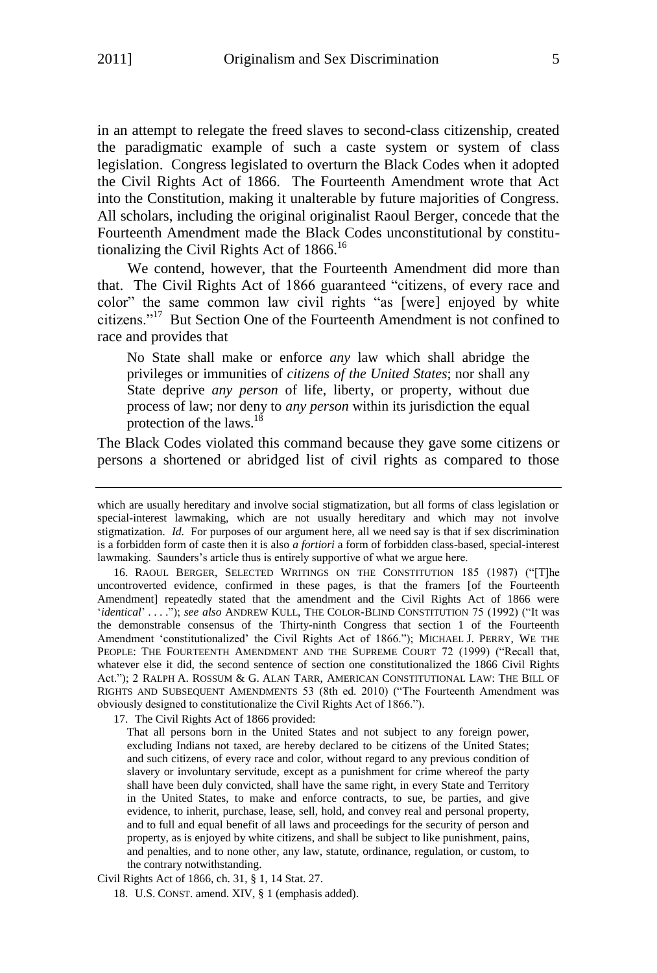in an attempt to relegate the freed slaves to second-class citizenship, created the paradigmatic example of such a caste system or system of class legislation. Congress legislated to overturn the Black Codes when it adopted the Civil Rights Act of 1866. The Fourteenth Amendment wrote that Act into the Constitution, making it unalterable by future majorities of Congress. All scholars, including the original originalist Raoul Berger, concede that the Fourteenth Amendment made the Black Codes unconstitutional by constitutionalizing the Civil Rights Act of  $1866$ <sup>16</sup>

We contend, however, that the Fourteenth Amendment did more than that. The Civil Rights Act of 1866 guaranteed "citizens, of every race and color" the same common law civil rights "as [were] enjoyed by white citizens."<sup>17</sup> But Section One of the Fourteenth Amendment is not confined to race and provides that

No State shall make or enforce *any* law which shall abridge the privileges or immunities of *citizens of the United States*; nor shall any State deprive *any person* of life, liberty, or property, without due process of law; nor deny to *any person* within its jurisdiction the equal protection of the laws.<sup>18</sup>

The Black Codes violated this command because they gave some citizens or persons a shortened or abridged list of civil rights as compared to those

16. RAOUL BERGER, SELECTED WRITINGS ON THE CONSTITUTION 185 (1987) ("[T]he uncontroverted evidence, confirmed in these pages, is that the framers [of the Fourteenth Amendment] repeatedly stated that the amendment and the Civil Rights Act of 1866 were 'identical' . . . ."); *see also* ANDREW KULL, THE COLOR-BLIND CONSTITUTION 75 (1992) ("It was the demonstrable consensus of the Thirty-ninth Congress that section 1 of the Fourteenth Amendment 'constitutionalized' the Civil Rights Act of 1866."); MICHAEL J. PERRY, WE THE PEOPLE: THE FOURTEENTH AMENDMENT AND THE SUPREME COURT 72 (1999) ("Recall that, whatever else it did, the second sentence of section one constitutionalized the 1866 Civil Rights Act."); 2 RALPH A. ROSSUM & G. ALAN TARR, AMERICAN CONSTITUTIONAL LAW: THE BILL OF RIGHTS AND SUBSEQUENT AMENDMENTS 53 (8th ed. 2010) ("The Fourteenth Amendment was obviously designed to constitutionalize the Civil Rights Act of 1866.").

17. The Civil Rights Act of 1866 provided:

That all persons born in the United States and not subject to any foreign power, excluding Indians not taxed, are hereby declared to be citizens of the United States; and such citizens, of every race and color, without regard to any previous condition of slavery or involuntary servitude, except as a punishment for crime whereof the party shall have been duly convicted, shall have the same right, in every State and Territory in the United States, to make and enforce contracts, to sue, be parties, and give evidence, to inherit, purchase, lease, sell, hold, and convey real and personal property, and to full and equal benefit of all laws and proceedings for the security of person and property, as is enjoyed by white citizens, and shall be subject to like punishment, pains, and penalties, and to none other, any law, statute, ordinance, regulation, or custom, to the contrary notwithstanding.

Civil Rights Act of 1866, ch. 31, § 1, 14 Stat. 27.

18. U.S. CONST. amend. XIV, § 1 (emphasis added).

which are usually hereditary and involve social stigmatization, but all forms of class legislation or special-interest lawmaking, which are not usually hereditary and which may not involve stigmatization. *Id.* For purposes of our argument here, all we need say is that if sex discrimination is a forbidden form of caste then it is also *a fortiori* a form of forbidden class-based, special-interest lawmaking. Saunders's article thus is entirely supportive of what we argue here.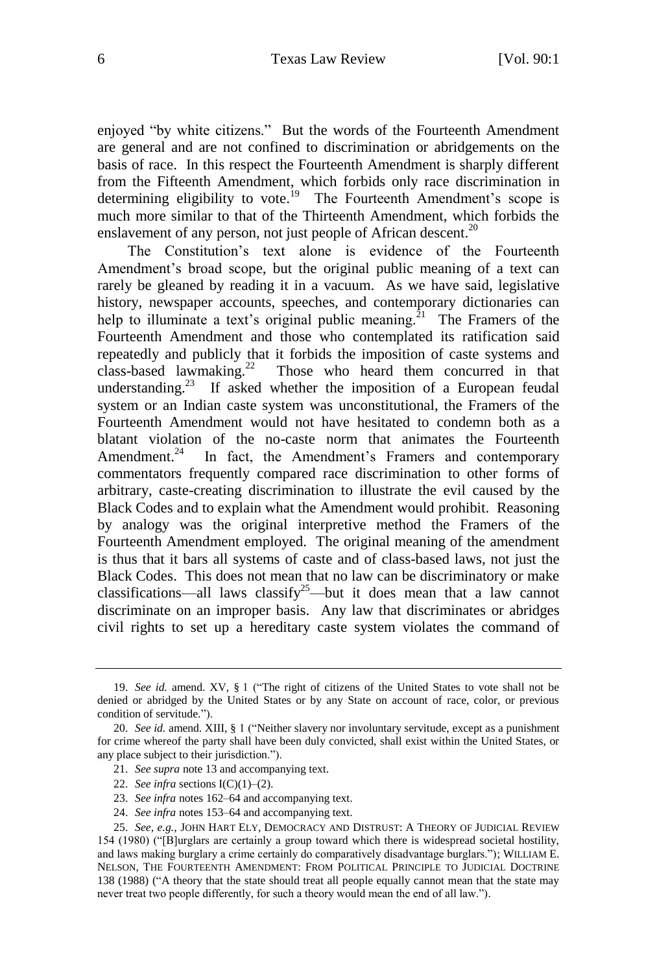enjoyed "by white citizens." But the words of the Fourteenth Amendment are general and are not confined to discrimination or abridgements on the basis of race. In this respect the Fourteenth Amendment is sharply different from the Fifteenth Amendment, which forbids only race discrimination in determining eligibility to vote.<sup>19</sup> The Fourteenth Amendment's scope is much more similar to that of the Thirteenth Amendment, which forbids the enslavement of any person, not just people of African descent.<sup>20</sup>

The Constitution's text alone is evidence of the Fourteenth Amendment's broad scope, but the original public meaning of a text can rarely be gleaned by reading it in a vacuum. As we have said, legislative history, newspaper accounts, speeches, and contemporary dictionaries can help to illuminate a text's original public meaning.<sup>21</sup> The Framers of the Fourteenth Amendment and those who contemplated its ratification said repeatedly and publicly that it forbids the imposition of caste systems and class-based lawmaking.<sup>22</sup> Those who heard them concurred in that understanding.<sup>23</sup> If asked whether the imposition of a European feudal system or an Indian caste system was unconstitutional, the Framers of the Fourteenth Amendment would not have hesitated to condemn both as a blatant violation of the no-caste norm that animates the Fourteenth Amendment.<sup>24</sup> In fact, the Amendment's Framers and contemporary commentators frequently compared race discrimination to other forms of arbitrary, caste-creating discrimination to illustrate the evil caused by the Black Codes and to explain what the Amendment would prohibit. Reasoning by analogy was the original interpretive method the Framers of the Fourteenth Amendment employed. The original meaning of the amendment is thus that it bars all systems of caste and of class-based laws, not just the Black Codes. This does not mean that no law can be discriminatory or make classifications—all laws classify<sup>25</sup>—but it does mean that a law cannot discriminate on an improper basis. Any law that discriminates or abridges civil rights to set up a hereditary caste system violates the command of

- 21. *See supra* note 13 and accompanying text.
- 22. *See infra* sections I(C)(1)–(2).
- 23. *See infra* notes 162–64 and accompanying text.
- 24. *See infra* notes 153–64 and accompanying text.

<sup>19.</sup> *See id.* amend. XV, § 1 ("The right of citizens of the United States to vote shall not be denied or abridged by the United States or by any State on account of race, color, or previous condition of servitude.").

<sup>20.</sup> *See id.* amend. XIII, § 1 ("Neither slavery nor involuntary servitude, except as a punishment for crime whereof the party shall have been duly convicted, shall exist within the United States, or any place subject to their jurisdiction.").

<sup>25.</sup> *See, e.g.*, JOHN HART ELY, DEMOCRACY AND DISTRUST: A THEORY OF JUDICIAL REVIEW 154 (1980) ("[B]urglars are certainly a group toward which there is widespread societal hostility, and laws making burglary a crime certainly do comparatively disadvantage burglars."); WILLIAM E. NELSON, THE FOURTEENTH AMENDMENT: FROM POLITICAL PRINCIPLE TO JUDICIAL DOCTRINE 138 (1988) ("A theory that the state should treat all people equally cannot mean that the state may never treat two people differently, for such a theory would mean the end of all law.").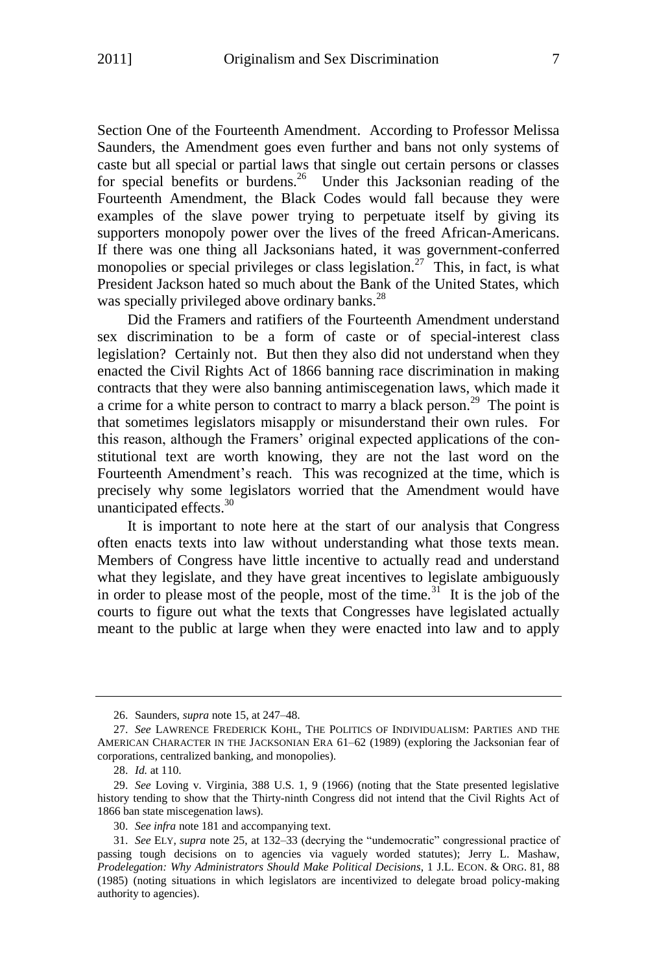Section One of the Fourteenth Amendment. According to Professor Melissa Saunders, the Amendment goes even further and bans not only systems of caste but all special or partial laws that single out certain persons or classes for special benefits or burdens.<sup>26</sup> Under this Jacksonian reading of the Fourteenth Amendment, the Black Codes would fall because they were examples of the slave power trying to perpetuate itself by giving its supporters monopoly power over the lives of the freed African-Americans. If there was one thing all Jacksonians hated, it was government-conferred monopolies or special privileges or class legislation.<sup>27</sup> This, in fact, is what President Jackson hated so much about the Bank of the United States, which was specially privileged above ordinary banks.<sup>28</sup>

Did the Framers and ratifiers of the Fourteenth Amendment understand sex discrimination to be a form of caste or of special-interest class legislation? Certainly not. But then they also did not understand when they enacted the Civil Rights Act of 1866 banning race discrimination in making contracts that they were also banning antimiscegenation laws, which made it a crime for a white person to contract to marry a black person.<sup>29</sup> The point is that sometimes legislators misapply or misunderstand their own rules. For this reason, although the Framers' original expected applications of the constitutional text are worth knowing, they are not the last word on the Fourteenth Amendment's reach. This was recognized at the time, which is precisely why some legislators worried that the Amendment would have unanticipated effects.<sup>30</sup>

It is important to note here at the start of our analysis that Congress often enacts texts into law without understanding what those texts mean. Members of Congress have little incentive to actually read and understand what they legislate, and they have great incentives to legislate ambiguously in order to please most of the people, most of the time.<sup>31</sup> It is the job of the courts to figure out what the texts that Congresses have legislated actually meant to the public at large when they were enacted into law and to apply

<sup>26.</sup> Saunders, *supra* note 15, at 247–48.

<sup>27.</sup> *See* LAWRENCE FREDERICK KOHL, THE POLITICS OF INDIVIDUALISM: PARTIES AND THE AMERICAN CHARACTER IN THE JACKSONIAN ERA 61–62 (1989) (exploring the Jacksonian fear of corporations, centralized banking, and monopolies).

<sup>28.</sup> *Id.* at 110.

<sup>29.</sup> *See* Loving v. Virginia, 388 U.S. 1, 9 (1966) (noting that the State presented legislative history tending to show that the Thirty-ninth Congress did not intend that the Civil Rights Act of 1866 ban state miscegenation laws).

<sup>30.</sup> *See infra* note 181 and accompanying text.

<sup>31.</sup> *See* ELY, *supra* note 25, at 132–33 (decrying the "undemocratic" congressional practice of passing tough decisions on to agencies via vaguely worded statutes); Jerry L. Mashaw, *Prodelegation: Why Administrators Should Make Political Decisions*, 1 J.L. ECON. & ORG. 81, 88 (1985) (noting situations in which legislators are incentivized to delegate broad policy-making authority to agencies).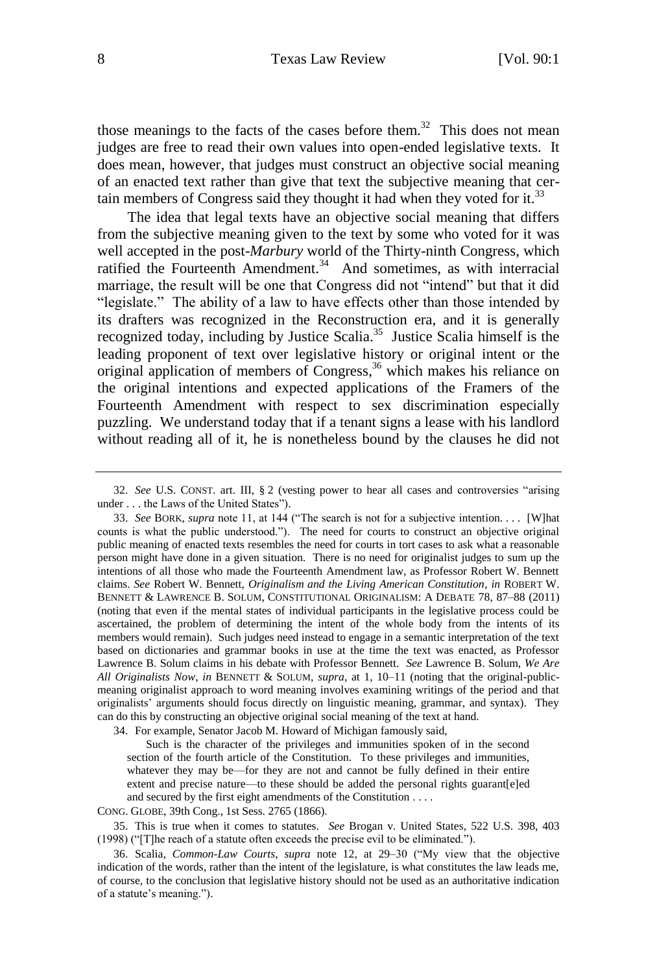those meanings to the facts of the cases before them.<sup>32</sup> This does not mean judges are free to read their own values into open-ended legislative texts. It does mean, however, that judges must construct an objective social meaning of an enacted text rather than give that text the subjective meaning that certain members of Congress said they thought it had when they voted for it.<sup>33</sup>

The idea that legal texts have an objective social meaning that differs from the subjective meaning given to the text by some who voted for it was well accepted in the post-*Marbury* world of the Thirty-ninth Congress, which ratified the Fourteenth Amendment.<sup>34</sup> And sometimes, as with interracial marriage, the result will be one that Congress did not "intend" but that it did "legislate." The ability of a law to have effects other than those intended by its drafters was recognized in the Reconstruction era, and it is generally recognized today, including by Justice Scalia.<sup>35</sup> Justice Scalia himself is the leading proponent of text over legislative history or original intent or the original application of members of Congress, <sup>36</sup> which makes his reliance on the original intentions and expected applications of the Framers of the Fourteenth Amendment with respect to sex discrimination especially puzzling. We understand today that if a tenant signs a lease with his landlord without reading all of it, he is nonetheless bound by the clauses he did not

34. For example, Senator Jacob M. Howard of Michigan famously said,

Such is the character of the privileges and immunities spoken of in the second section of the fourth article of the Constitution. To these privileges and immunities, whatever they may be—for they are not and cannot be fully defined in their entire extent and precise nature—to these should be added the personal rights guarant[e]ed and secured by the first eight amendments of the Constitution . . . .

CONG. GLOBE, 39th Cong., 1st Sess. 2765 (1866).

35. This is true when it comes to statutes. *See* Brogan v. United States, 522 U.S. 398, 403  $(1998)$  ("The reach of a statute often exceeds the precise evil to be eliminated.").

<sup>32.</sup> See U.S. CONST. art. III, § 2 (vesting power to hear all cases and controversies "arising under . . . the Laws of the United States").

<sup>33.</sup> *See* BORK, *supra* note 11, at 144 ("The search is not for a subjective intention. . . . [W]hat counts is what the public understood."). The need for courts to construct an objective original public meaning of enacted texts resembles the need for courts in tort cases to ask what a reasonable person might have done in a given situation. There is no need for originalist judges to sum up the intentions of all those who made the Fourteenth Amendment law, as Professor Robert W. Bennett claims. *See* Robert W. Bennett, *Originalism and the Living American Constitution*, *in* ROBERT W. BENNETT & LAWRENCE B. SOLUM, CONSTITUTIONAL ORIGINALISM: A DEBATE 78, 87–88 (2011) (noting that even if the mental states of individual participants in the legislative process could be ascertained, the problem of determining the intent of the whole body from the intents of its members would remain). Such judges need instead to engage in a semantic interpretation of the text based on dictionaries and grammar books in use at the time the text was enacted, as Professor Lawrence B. Solum claims in his debate with Professor Bennett. *See* Lawrence B. Solum, *We Are All Originalists Now*, *in* BENNETT & SOLUM, *supra*, at 1, 10–11 (noting that the original-publicmeaning originalist approach to word meaning involves examining writings of the period and that originalists' arguments should focus directly on linguistic meaning, grammar, and syntax). They can do this by constructing an objective original social meaning of the text at hand.

<sup>36.</sup> Scalia, *Common-Law Courts*, *supra* note 12, at 29–30 ("My view that the objective indication of the words, rather than the intent of the legislature, is what constitutes the law leads me, of course, to the conclusion that legislative history should not be used as an authoritative indication of a statute's meaning.").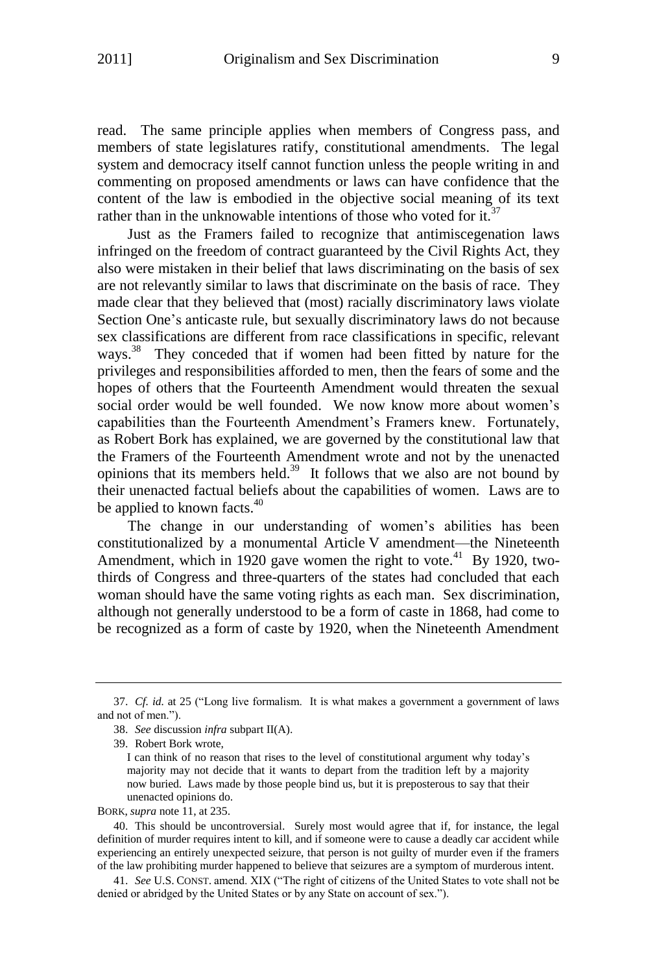read. The same principle applies when members of Congress pass, and members of state legislatures ratify, constitutional amendments. The legal system and democracy itself cannot function unless the people writing in and commenting on proposed amendments or laws can have confidence that the content of the law is embodied in the objective social meaning of its text rather than in the unknowable intentions of those who voted for it.<sup>37</sup>

Just as the Framers failed to recognize that antimiscegenation laws infringed on the freedom of contract guaranteed by the Civil Rights Act, they also were mistaken in their belief that laws discriminating on the basis of sex are not relevantly similar to laws that discriminate on the basis of race. They made clear that they believed that (most) racially discriminatory laws violate Section One's anticaste rule, but sexually discriminatory laws do not because sex classifications are different from race classifications in specific, relevant ways.<sup>38</sup> They conceded that if women had been fitted by nature for the privileges and responsibilities afforded to men, then the fears of some and the hopes of others that the Fourteenth Amendment would threaten the sexual social order would be well founded. We now know more about women's capabilities than the Fourteenth Amendment's Framers knew. Fortunately, as Robert Bork has explained, we are governed by the constitutional law that the Framers of the Fourteenth Amendment wrote and not by the unenacted opinions that its members held.<sup>39</sup> It follows that we also are not bound by their unenacted factual beliefs about the capabilities of women. Laws are to be applied to known facts.<sup>40</sup>

The change in our understanding of women's abilities has been constitutionalized by a monumental Article V amendment—the Nineteenth Amendment, which in 1920 gave women the right to vote. $^{41}$  By 1920, twothirds of Congress and three-quarters of the states had concluded that each woman should have the same voting rights as each man. Sex discrimination, although not generally understood to be a form of caste in 1868, had come to be recognized as a form of caste by 1920, when the Nineteenth Amendment

BORK, *supra* note 11, at 235.

40. This should be uncontroversial. Surely most would agree that if, for instance, the legal definition of murder requires intent to kill, and if someone were to cause a deadly car accident while experiencing an entirely unexpected seizure, that person is not guilty of murder even if the framers of the law prohibiting murder happened to believe that seizures are a symptom of murderous intent.

41. See U.S. CONST. amend. XIX ("The right of citizens of the United States to vote shall not be denied or abridged by the United States or by any State on account of sex.").

<sup>37.</sup> *Cf. id.* at 25 ("Long live formalism. It is what makes a government a government of laws and not of men.").

<sup>38.</sup> *See* discussion *infra* subpart II(A).

<sup>39.</sup> Robert Bork wrote,

I can think of no reason that rises to the level of constitutional argument why today's majority may not decide that it wants to depart from the tradition left by a majority now buried. Laws made by those people bind us, but it is preposterous to say that their unenacted opinions do.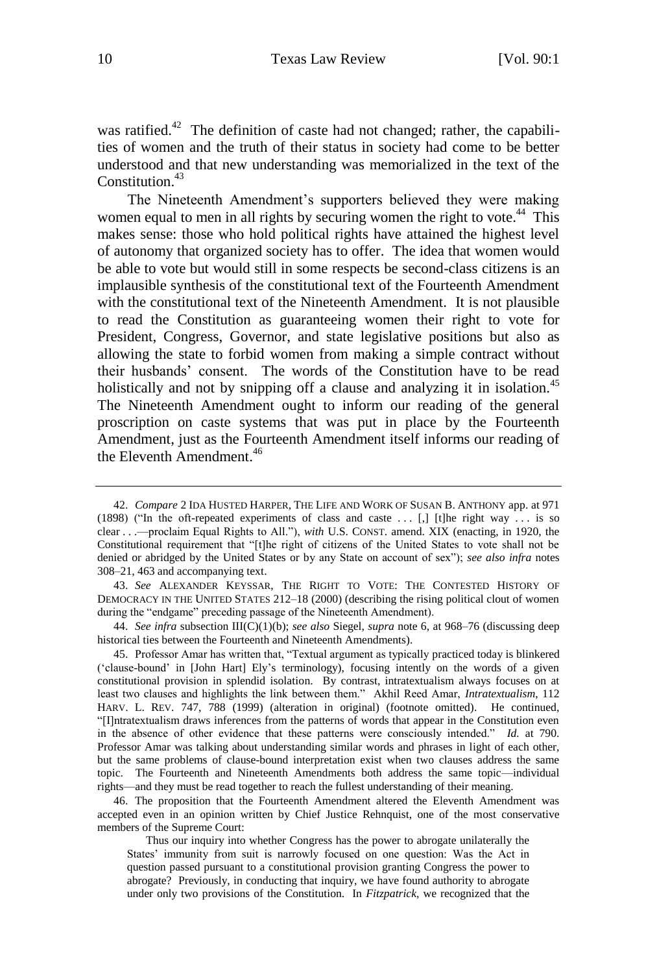was ratified.<sup>42</sup> The definition of caste had not changed; rather, the capabilities of women and the truth of their status in society had come to be better understood and that new understanding was memorialized in the text of the Constitution. 43

The Nineteenth Amendment's supporters believed they were making women equal to men in all rights by securing women the right to vote.<sup>44</sup> This makes sense: those who hold political rights have attained the highest level of autonomy that organized society has to offer. The idea that women would be able to vote but would still in some respects be second-class citizens is an implausible synthesis of the constitutional text of the Fourteenth Amendment with the constitutional text of the Nineteenth Amendment. It is not plausible to read the Constitution as guaranteeing women their right to vote for President, Congress, Governor, and state legislative positions but also as allowing the state to forbid women from making a simple contract without their husbands' consent. The words of the Constitution have to be read holistically and not by snipping off a clause and analyzing it in isolation.<sup>45</sup> The Nineteenth Amendment ought to inform our reading of the general proscription on caste systems that was put in place by the Fourteenth Amendment, just as the Fourteenth Amendment itself informs our reading of the Eleventh Amendment. 46

43. *See* ALEXANDER KEYSSAR, THE RIGHT TO VOTE: THE CONTESTED HISTORY OF DEMOCRACY IN THE UNITED STATES 212–18 (2000) (describing the rising political clout of women during the "endgame" preceding passage of the Nineteenth Amendment).

44. *See infra* subsection III(C)(1)(b); *see also* Siegel, *supra* note 6, at 968–76 (discussing deep historical ties between the Fourteenth and Nineteenth Amendments).

46. The proposition that the Fourteenth Amendment altered the Eleventh Amendment was accepted even in an opinion written by Chief Justice Rehnquist, one of the most conservative members of the Supreme Court:

Thus our inquiry into whether Congress has the power to abrogate unilaterally the States' immunity from suit is narrowly focused on one question: Was the Act in question passed pursuant to a constitutional provision granting Congress the power to abrogate? Previously, in conducting that inquiry, we have found authority to abrogate under only two provisions of the Constitution. In *Fitzpatrick*, we recognized that the

<sup>42.</sup> *Compare* 2 IDA HUSTED HARPER, THE LIFE AND WORK OF SUSAN B. ANTHONY app. at 971 (1898) ("In the oft-repeated experiments of class and caste  $\dots$  [,] [t]he right way  $\dots$  is so clear . . .—proclaim Equal Rights to All.<sup>*n*</sup>), *with* U.S. CONST. amend. XIX (enacting, in 1920, the Constitutional requirement that "[t]he right of citizens of the United States to vote shall not be denied or abridged by the United States or by any State on account of sex"); *see also infra* notes 308–21, 463 and accompanying text.

<sup>45.</sup> Professor Amar has written that, "Textual argument as typically practiced today is blinkered (‗clause-bound' in [John Hart] Ely's terminology), focusing intently on the words of a given constitutional provision in splendid isolation. By contrast, intratextualism always focuses on at least two clauses and highlights the link between them." Akhil Reed Amar, *Intratextualism*, 112 HARV. L. REV. 747, 788 (1999) (alteration in original) (footnote omitted). He continued, ―[I]ntratextualism draws inferences from the patterns of words that appear in the Constitution even in the absence of other evidence that these patterns were consciously intended." *Id.* at 790. Professor Amar was talking about understanding similar words and phrases in light of each other, but the same problems of clause-bound interpretation exist when two clauses address the same topic. The Fourteenth and Nineteenth Amendments both address the same topic—individual rights—and they must be read together to reach the fullest understanding of their meaning.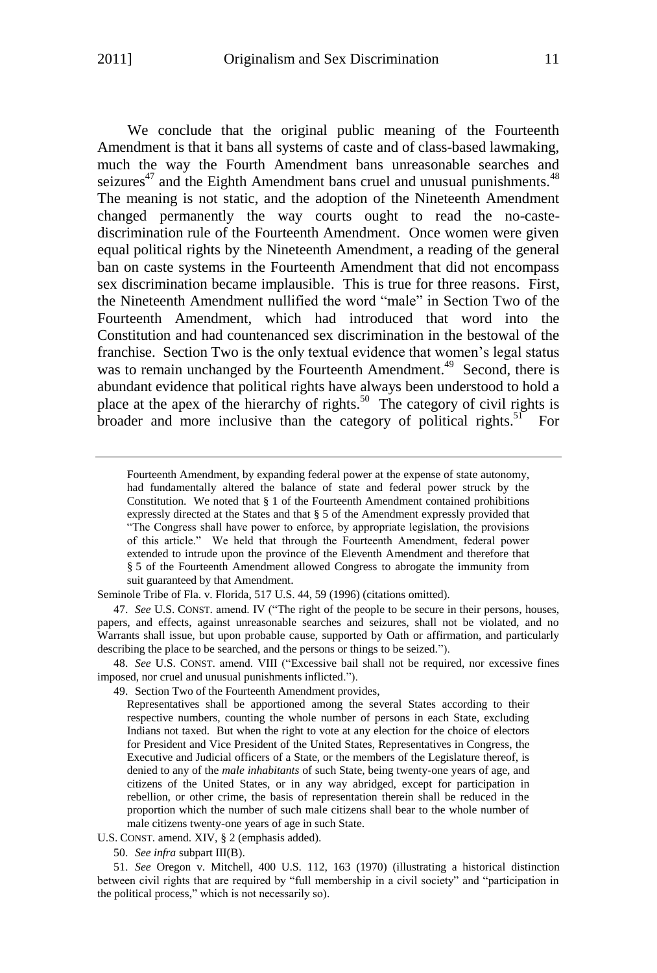We conclude that the original public meaning of the Fourteenth Amendment is that it bans all systems of caste and of class-based lawmaking, much the way the Fourth Amendment bans unreasonable searches and seizures $47$  and the Eighth Amendment bans cruel and unusual punishments.  $48$ The meaning is not static, and the adoption of the Nineteenth Amendment changed permanently the way courts ought to read the no-castediscrimination rule of the Fourteenth Amendment. Once women were given equal political rights by the Nineteenth Amendment, a reading of the general ban on caste systems in the Fourteenth Amendment that did not encompass sex discrimination became implausible. This is true for three reasons. First, the Nineteenth Amendment nullified the word "male" in Section Two of the Fourteenth Amendment, which had introduced that word into the Constitution and had countenanced sex discrimination in the bestowal of the franchise. Section Two is the only textual evidence that women's legal status was to remain unchanged by the Fourteenth Amendment.<sup>49</sup> Second, there is abundant evidence that political rights have always been understood to hold a place at the apex of the hierarchy of rights.<sup>50</sup> The category of civil rights is broader and more inclusive than the category of political rights.<sup>51</sup> For

Seminole Tribe of Fla. v. Florida, 517 U.S. 44, 59 (1996) (citations omitted).

47. *See* U.S. CONST. amend. IV ("The right of the people to be secure in their persons, houses, papers, and effects, against unreasonable searches and seizures, shall not be violated, and no Warrants shall issue, but upon probable cause, supported by Oath or affirmation, and particularly describing the place to be searched, and the persons or things to be seized.").

48. *See U.S. CONST. amend. VIII ("Excessive bail shall not be required, nor excessive fines* imposed, nor cruel and unusual punishments inflicted.").

49. Section Two of the Fourteenth Amendment provides,

U.S. CONST. amend. XIV, § 2 (emphasis added).

50. *See infra* subpart III(B).

51. *See* Oregon v. Mitchell, 400 U.S. 112, 163 (1970) (illustrating a historical distinction between civil rights that are required by "full membership in a civil society" and "participation in the political process," which is not necessarily so).

Fourteenth Amendment, by expanding federal power at the expense of state autonomy, had fundamentally altered the balance of state and federal power struck by the Constitution. We noted that § 1 of the Fourteenth Amendment contained prohibitions expressly directed at the States and that § 5 of the Amendment expressly provided that ―The Congress shall have power to enforce, by appropriate legislation, the provisions of this article." We held that through the Fourteenth Amendment, federal power extended to intrude upon the province of the Eleventh Amendment and therefore that § 5 of the Fourteenth Amendment allowed Congress to abrogate the immunity from suit guaranteed by that Amendment.

Representatives shall be apportioned among the several States according to their respective numbers, counting the whole number of persons in each State, excluding Indians not taxed. But when the right to vote at any election for the choice of electors for President and Vice President of the United States, Representatives in Congress, the Executive and Judicial officers of a State, or the members of the Legislature thereof, is denied to any of the *male inhabitants* of such State, being twenty-one years of age, and citizens of the United States, or in any way abridged, except for participation in rebellion, or other crime, the basis of representation therein shall be reduced in the proportion which the number of such male citizens shall bear to the whole number of male citizens twenty-one years of age in such State.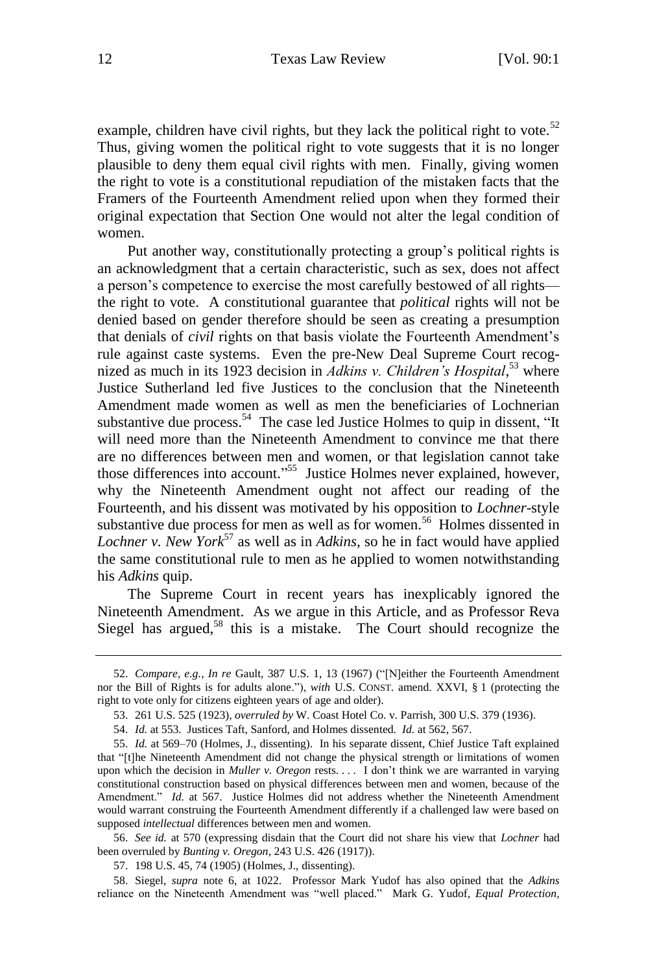#### 12 Texas Law Review [Vol. 90:1

example, children have civil rights, but they lack the political right to vote.<sup>52</sup> Thus, giving women the political right to vote suggests that it is no longer plausible to deny them equal civil rights with men. Finally, giving women the right to vote is a constitutional repudiation of the mistaken facts that the Framers of the Fourteenth Amendment relied upon when they formed their original expectation that Section One would not alter the legal condition of women.

Put another way, constitutionally protecting a group's political rights is an acknowledgment that a certain characteristic, such as sex, does not affect a person's competence to exercise the most carefully bestowed of all rights the right to vote. A constitutional guarantee that *political* rights will not be denied based on gender therefore should be seen as creating a presumption that denials of *civil* rights on that basis violate the Fourteenth Amendment's rule against caste systems. Even the pre-New Deal Supreme Court recognized as much in its 1923 decision in *Adkins v. Children's Hospital*, <sup>53</sup> where Justice Sutherland led five Justices to the conclusion that the Nineteenth Amendment made women as well as men the beneficiaries of Lochnerian substantive due process.<sup>54</sup> The case led Justice Holmes to quip in dissent, "It will need more than the Nineteenth Amendment to convince me that there are no differences between men and women, or that legislation cannot take those differences into account."<sup>55</sup> Justice Holmes never explained, however, why the Nineteenth Amendment ought not affect our reading of the Fourteenth, and his dissent was motivated by his opposition to *Lochner*-style substantive due process for men as well as for women.<sup>56</sup> Holmes dissented in *Lochner v. New York*<sup>57</sup> as well as in *Adkins*, so he in fact would have applied the same constitutional rule to men as he applied to women notwithstanding his *Adkins* quip.

The Supreme Court in recent years has inexplicably ignored the Nineteenth Amendment. As we argue in this Article, and as Professor Reva Siegel has argued,<sup>58</sup> this is a mistake. The Court should recognize the

56. *See id.* at 570 (expressing disdain that the Court did not share his view that *Lochner* had been overruled by *Bunting v. Oregon*, 243 U.S. 426 (1917)).

58. Siegel, *supra* note 6, at 1022. Professor Mark Yudof has also opined that the *Adkins* reliance on the Nineteenth Amendment was "well placed." Mark G. Yudof, *Equal Protection*,

<sup>52.</sup> *Compare, e.g., In re* Gault, 387 U.S. 1, 13 (1967) ("[N]either the Fourteenth Amendment nor the Bill of Rights is for adults alone."), *with* U.S. CONST. amend. XXVI, § 1 (protecting the right to vote only for citizens eighteen years of age and older).

<sup>53.</sup> 261 U.S. 525 (1923), *overruled by* W. Coast Hotel Co. v. Parrish, 300 U.S. 379 (1936).

<sup>54.</sup> *Id.* at 553. Justices Taft, Sanford, and Holmes dissented. *Id.* at 562, 567.

<sup>55.</sup> *Id.* at 569–70 (Holmes, J., dissenting). In his separate dissent, Chief Justice Taft explained that "[t]he Nineteenth Amendment did not change the physical strength or limitations of women upon which the decision in *Muller v. Oregon* rests. . . . I don't think we are warranted in varying constitutional construction based on physical differences between men and women, because of the Amendment." *Id.* at 567. Justice Holmes did not address whether the Nineteenth Amendment would warrant construing the Fourteenth Amendment differently if a challenged law were based on supposed *intellectual* differences between men and women.

<sup>57.</sup> 198 U.S. 45, 74 (1905) (Holmes, J., dissenting).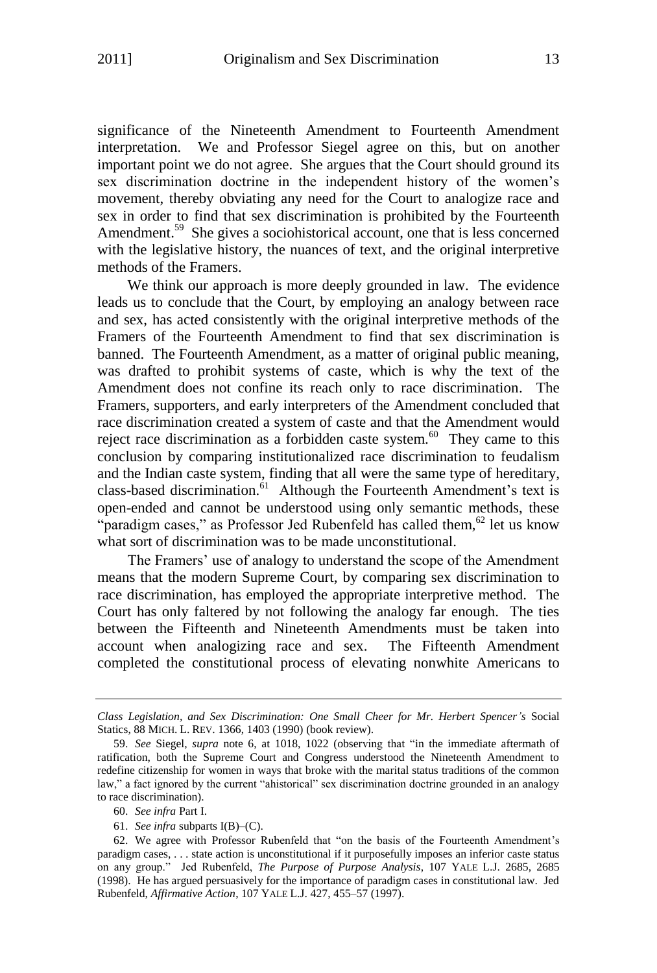significance of the Nineteenth Amendment to Fourteenth Amendment interpretation. We and Professor Siegel agree on this, but on another important point we do not agree. She argues that the Court should ground its sex discrimination doctrine in the independent history of the women's movement, thereby obviating any need for the Court to analogize race and sex in order to find that sex discrimination is prohibited by the Fourteenth Amendment.<sup>59</sup> She gives a sociohistorical account, one that is less concerned with the legislative history, the nuances of text, and the original interpretive methods of the Framers.

We think our approach is more deeply grounded in law. The evidence leads us to conclude that the Court, by employing an analogy between race and sex, has acted consistently with the original interpretive methods of the Framers of the Fourteenth Amendment to find that sex discrimination is banned. The Fourteenth Amendment, as a matter of original public meaning, was drafted to prohibit systems of caste, which is why the text of the Amendment does not confine its reach only to race discrimination. The Framers, supporters, and early interpreters of the Amendment concluded that race discrimination created a system of caste and that the Amendment would reject race discrimination as a forbidden caste system. $^{60}$  They came to this conclusion by comparing institutionalized race discrimination to feudalism and the Indian caste system, finding that all were the same type of hereditary, class-based discrimination.<sup>61</sup> Although the Fourteenth Amendment's text is open-ended and cannot be understood using only semantic methods, these "paradigm cases," as Professor Jed Rubenfeld has called them,<sup>62</sup> let us know what sort of discrimination was to be made unconstitutional.

The Framers' use of analogy to understand the scope of the Amendment means that the modern Supreme Court, by comparing sex discrimination to race discrimination, has employed the appropriate interpretive method. The Court has only faltered by not following the analogy far enough. The ties between the Fifteenth and Nineteenth Amendments must be taken into account when analogizing race and sex. The Fifteenth Amendment completed the constitutional process of elevating nonwhite Americans to

61. *See infra* subparts I(B)–(C).

*Class Legislation, and Sex Discrimination: One Small Cheer for Mr. Herbert Spencer's* Social Statics, 88 MICH. L. REV. 1366, 1403 (1990) (book review).

<sup>59.</sup> See Siegel, *supra* note 6, at 1018, 1022 (observing that "in the immediate aftermath of ratification, both the Supreme Court and Congress understood the Nineteenth Amendment to redefine citizenship for women in ways that broke with the marital status traditions of the common law," a fact ignored by the current "ahistorical" sex discrimination doctrine grounded in an analogy to race discrimination).

<sup>60.</sup> *See infra* Part I.

<sup>62.</sup> We agree with Professor Rubenfeld that "on the basis of the Fourteenth Amendment's paradigm cases, . . . state action is unconstitutional if it purposefully imposes an inferior caste status on any group.‖ Jed Rubenfeld, *The Purpose of Purpose Analysis*, 107 YALE L.J. 2685, 2685 (1998). He has argued persuasively for the importance of paradigm cases in constitutional law. Jed Rubenfeld, *Affirmative Action*, 107 YALE L.J. 427, 455–57 (1997).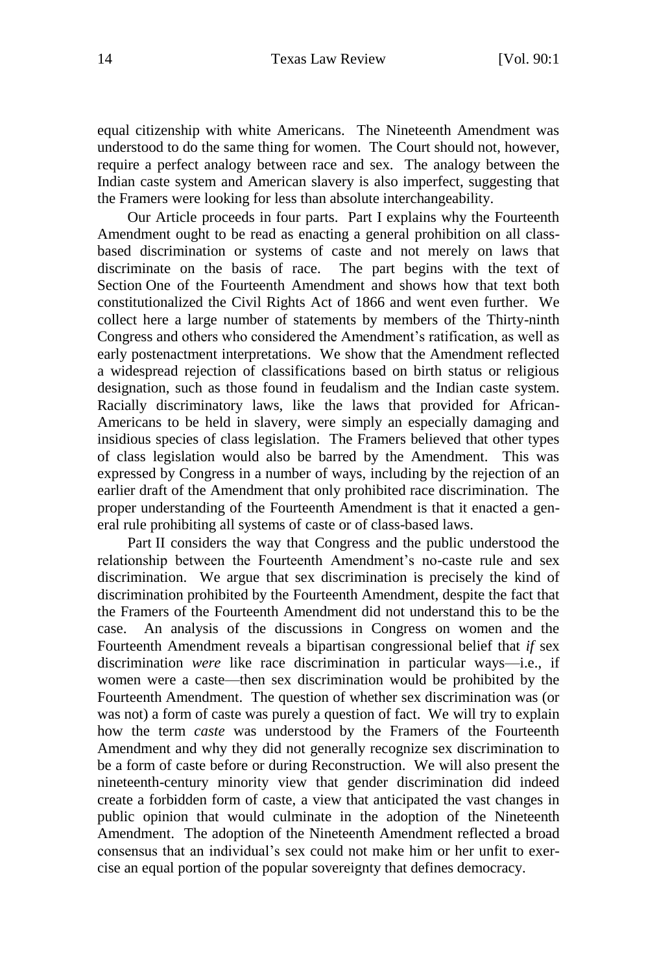equal citizenship with white Americans. The Nineteenth Amendment was understood to do the same thing for women. The Court should not, however, require a perfect analogy between race and sex. The analogy between the Indian caste system and American slavery is also imperfect, suggesting that the Framers were looking for less than absolute interchangeability.

Our Article proceeds in four parts. Part I explains why the Fourteenth Amendment ought to be read as enacting a general prohibition on all classbased discrimination or systems of caste and not merely on laws that discriminate on the basis of race. The part begins with the text of Section One of the Fourteenth Amendment and shows how that text both constitutionalized the Civil Rights Act of 1866 and went even further. We collect here a large number of statements by members of the Thirty-ninth Congress and others who considered the Amendment's ratification, as well as early postenactment interpretations. We show that the Amendment reflected a widespread rejection of classifications based on birth status or religious designation, such as those found in feudalism and the Indian caste system. Racially discriminatory laws, like the laws that provided for African-Americans to be held in slavery, were simply an especially damaging and insidious species of class legislation. The Framers believed that other types of class legislation would also be barred by the Amendment. This was expressed by Congress in a number of ways, including by the rejection of an earlier draft of the Amendment that only prohibited race discrimination. The proper understanding of the Fourteenth Amendment is that it enacted a general rule prohibiting all systems of caste or of class-based laws.

Part II considers the way that Congress and the public understood the relationship between the Fourteenth Amendment's no-caste rule and sex discrimination. We argue that sex discrimination is precisely the kind of discrimination prohibited by the Fourteenth Amendment, despite the fact that the Framers of the Fourteenth Amendment did not understand this to be the case. An analysis of the discussions in Congress on women and the Fourteenth Amendment reveals a bipartisan congressional belief that *if* sex discrimination *were* like race discrimination in particular ways—i.e., if women were a caste—then sex discrimination would be prohibited by the Fourteenth Amendment. The question of whether sex discrimination was (or was not) a form of caste was purely a question of fact. We will try to explain how the term *caste* was understood by the Framers of the Fourteenth Amendment and why they did not generally recognize sex discrimination to be a form of caste before or during Reconstruction. We will also present the nineteenth-century minority view that gender discrimination did indeed create a forbidden form of caste, a view that anticipated the vast changes in public opinion that would culminate in the adoption of the Nineteenth Amendment. The adoption of the Nineteenth Amendment reflected a broad consensus that an individual's sex could not make him or her unfit to exercise an equal portion of the popular sovereignty that defines democracy.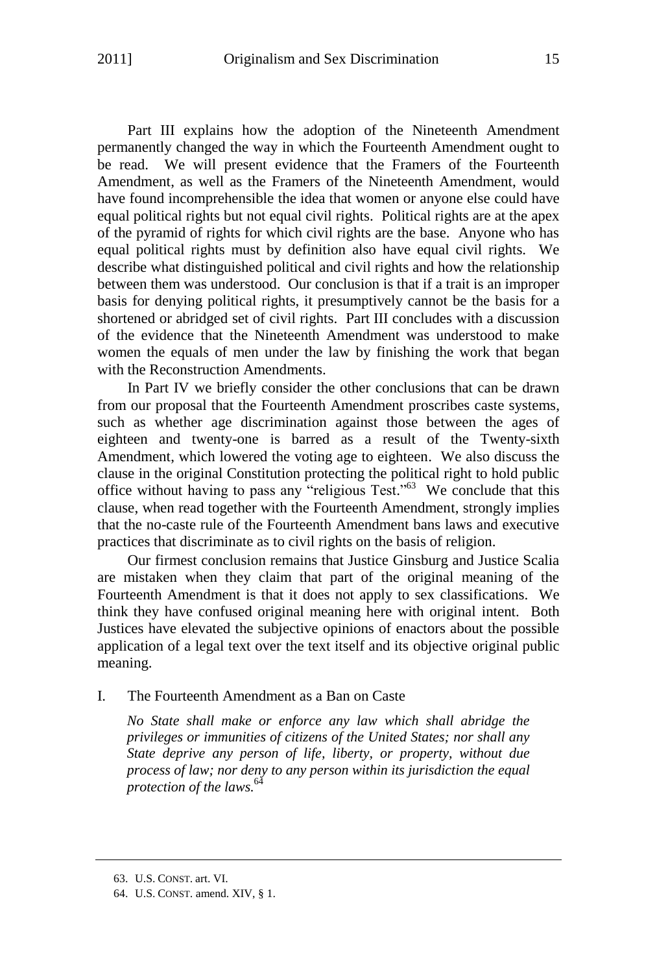Part III explains how the adoption of the Nineteenth Amendment permanently changed the way in which the Fourteenth Amendment ought to be read. We will present evidence that the Framers of the Fourteenth Amendment, as well as the Framers of the Nineteenth Amendment, would have found incomprehensible the idea that women or anyone else could have equal political rights but not equal civil rights. Political rights are at the apex of the pyramid of rights for which civil rights are the base. Anyone who has equal political rights must by definition also have equal civil rights. We describe what distinguished political and civil rights and how the relationship between them was understood. Our conclusion is that if a trait is an improper basis for denying political rights, it presumptively cannot be the basis for a shortened or abridged set of civil rights. Part III concludes with a discussion of the evidence that the Nineteenth Amendment was understood to make women the equals of men under the law by finishing the work that began with the Reconstruction Amendments.

In Part IV we briefly consider the other conclusions that can be drawn from our proposal that the Fourteenth Amendment proscribes caste systems, such as whether age discrimination against those between the ages of eighteen and twenty-one is barred as a result of the Twenty-sixth Amendment, which lowered the voting age to eighteen. We also discuss the clause in the original Constitution protecting the political right to hold public office without having to pass any "religious Test." $63$  We conclude that this clause, when read together with the Fourteenth Amendment, strongly implies that the no-caste rule of the Fourteenth Amendment bans laws and executive practices that discriminate as to civil rights on the basis of religion.

Our firmest conclusion remains that Justice Ginsburg and Justice Scalia are mistaken when they claim that part of the original meaning of the Fourteenth Amendment is that it does not apply to sex classifications. We think they have confused original meaning here with original intent. Both Justices have elevated the subjective opinions of enactors about the possible application of a legal text over the text itself and its objective original public meaning.

### I. The Fourteenth Amendment as a Ban on Caste

*No State shall make or enforce any law which shall abridge the privileges or immunities of citizens of the United States; nor shall any State deprive any person of life, liberty, or property, without due process of law; nor deny to any person within its jurisdiction the equal protection of the laws.*<sup>64</sup>

<sup>63.</sup> U.S. CONST. art. VI.

<sup>64.</sup> U.S. CONST. amend. XIV, § 1.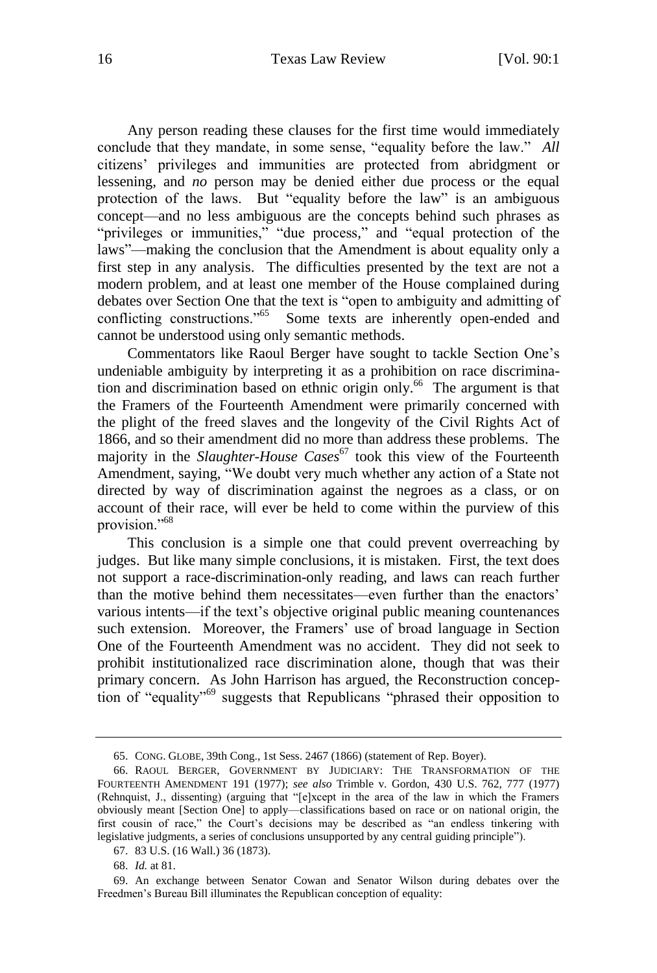Any person reading these clauses for the first time would immediately conclude that they mandate, in some sense, "equality before the law." All citizens' privileges and immunities are protected from abridgment or lessening, and *no* person may be denied either due process or the equal protection of the laws. But "equality before the law" is an ambiguous concept—and no less ambiguous are the concepts behind such phrases as "privileges or immunities," "due process," and "equal protection of the laws"—making the conclusion that the Amendment is about equality only a first step in any analysis. The difficulties presented by the text are not a modern problem, and at least one member of the House complained during debates over Section One that the text is "open to ambiguity and admitting of conflicting constructions."<sup>65</sup> Some texts are inherently open-ended and cannot be understood using only semantic methods.

Commentators like Raoul Berger have sought to tackle Section One's undeniable ambiguity by interpreting it as a prohibition on race discrimination and discrimination based on ethnic origin only. 66 The argument is that the Framers of the Fourteenth Amendment were primarily concerned with the plight of the freed slaves and the longevity of the Civil Rights Act of 1866, and so their amendment did no more than address these problems. The majority in the *Slaughter-House Cases*<sup>67</sup> took this view of the Fourteenth Amendment, saying, "We doubt very much whether any action of a State not directed by way of discrimination against the negroes as a class, or on account of their race, will ever be held to come within the purview of this provision."<sup>68</sup>

This conclusion is a simple one that could prevent overreaching by judges. But like many simple conclusions, it is mistaken. First, the text does not support a race-discrimination-only reading, and laws can reach further than the motive behind them necessitates—even further than the enactors' various intents—if the text's objective original public meaning countenances such extension. Moreover, the Framers' use of broad language in Section One of the Fourteenth Amendment was no accident. They did not seek to prohibit institutionalized race discrimination alone, though that was their primary concern. As John Harrison has argued, the Reconstruction conception of "equality"<sup>69</sup> suggests that Republicans "phrased their opposition to

<sup>65.</sup> CONG. GLOBE, 39th Cong., 1st Sess. 2467 (1866) (statement of Rep. Boyer).

<sup>66.</sup> RAOUL BERGER, GOVERNMENT BY JUDICIARY: THE TRANSFORMATION OF THE FOURTEENTH AMENDMENT 191 (1977); *see also* Trimble v. Gordon, 430 U.S. 762, 777 (1977) (Rehnquist, J., dissenting) (arguing that "[e]xcept in the area of the law in which the Framers obviously meant [Section One] to apply—classifications based on race or on national origin, the first cousin of race," the Court's decisions may be described as "an endless tinkering with legislative judgments, a series of conclusions unsupported by any central guiding principle").

<sup>67.</sup> 83 U.S. (16 Wall.) 36 (1873).

<sup>68.</sup> *Id.* at 81.

<sup>69.</sup> An exchange between Senator Cowan and Senator Wilson during debates over the Freedmen's Bureau Bill illuminates the Republican conception of equality: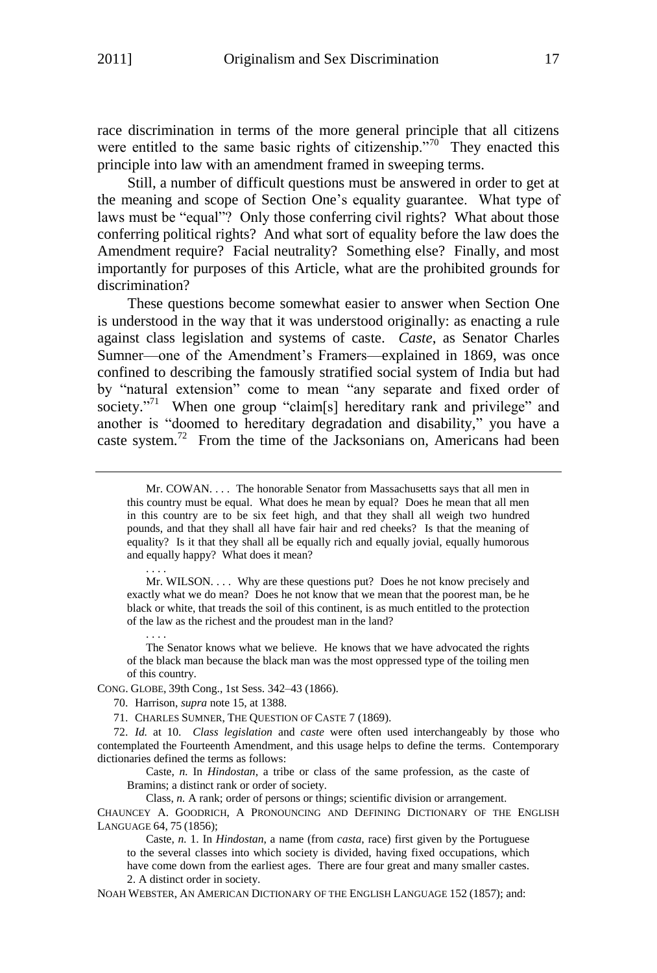Still, a number of difficult questions must be answered in order to get at the meaning and scope of Section One's equality guarantee. What type of laws must be "equal"? Only those conferring civil rights? What about those conferring political rights? And what sort of equality before the law does the Amendment require? Facial neutrality? Something else? Finally, and most importantly for purposes of this Article, what are the prohibited grounds for discrimination?

These questions become somewhat easier to answer when Section One is understood in the way that it was understood originally: as enacting a rule against class legislation and systems of caste. *Caste*, as Senator Charles Sumner—one of the Amendment's Framers—explained in 1869, was once confined to describing the famously stratified social system of India but had by "natural extension" come to mean "any separate and fixed order of society."<sup>71</sup> When one group "claim[s] hereditary rank and privilege" and another is "doomed to hereditary degradation and disability," you have a caste system.<sup>72</sup> From the time of the Jacksonians on, Americans had been

Mr. WILSON. . . . Why are these questions put? Does he not know precisely and exactly what we do mean? Does he not know that we mean that the poorest man, be he black or white, that treads the soil of this continent, is as much entitled to the protection of the law as the richest and the proudest man in the land?

The Senator knows what we believe. He knows that we have advocated the rights of the black man because the black man was the most oppressed type of the toiling men of this country.

CONG. GLOBE, 39th Cong., 1st Sess. 342–43 (1866).

70. Harrison, *supra* note 15, at 1388.

. . . .

. . . .

71. CHARLES SUMNER, THE QUESTION OF CASTE 7 (1869).

72. *Id.* at 10. *Class legislation* and *caste* were often used interchangeably by those who contemplated the Fourteenth Amendment, and this usage helps to define the terms. Contemporary dictionaries defined the terms as follows:

Caste, *n.* In *Hindostan*, a tribe or class of the same profession, as the caste of Bramins; a distinct rank or order of society.

Class, *n.* A rank; order of persons or things; scientific division or arrangement.

CHAUNCEY A. GOODRICH, A PRONOUNCING AND DEFINING DICTIONARY OF THE ENGLISH LANGUAGE 64, 75 (1856);

Caste, *n.* 1. In *Hindostan*, a name (from *casta*, race) first given by the Portuguese to the several classes into which society is divided, having fixed occupations, which have come down from the earliest ages. There are four great and many smaller castes. 2. A distinct order in society.

NOAH WEBSTER, AN AMERICAN DICTIONARY OF THE ENGLISH LANGUAGE 152 (1857); and:

Mr. COWAN. . . . The honorable Senator from Massachusetts says that all men in this country must be equal. What does he mean by equal? Does he mean that all men in this country are to be six feet high, and that they shall all weigh two hundred pounds, and that they shall all have fair hair and red cheeks? Is that the meaning of equality? Is it that they shall all be equally rich and equally jovial, equally humorous and equally happy? What does it mean?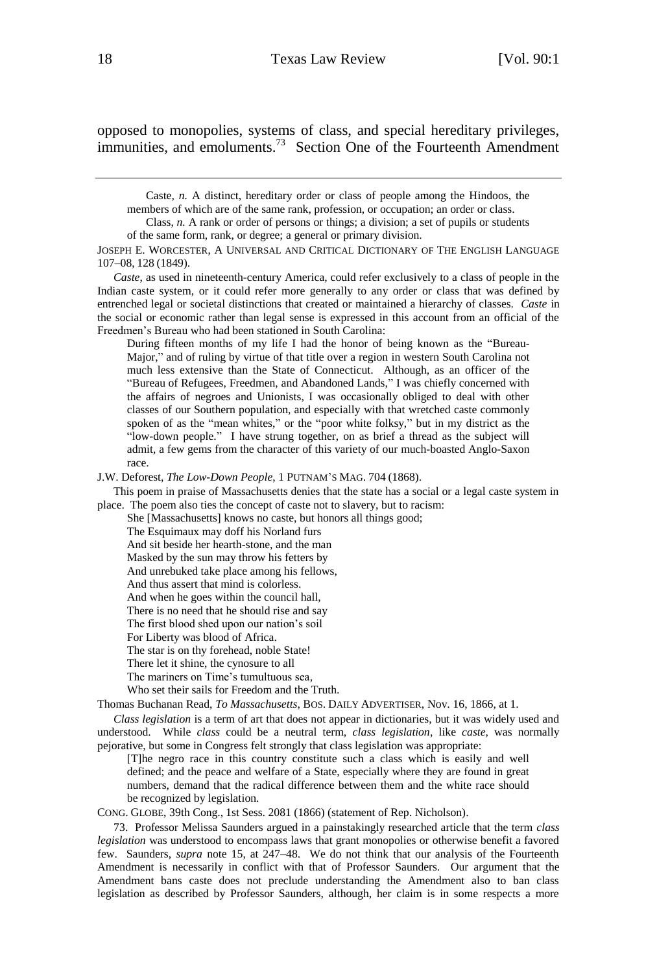opposed to monopolies, systems of class, and special hereditary privileges, immunities, and emoluments.<sup>73</sup> Section One of the Fourteenth Amendment

Caste, *n.* A distinct, hereditary order or class of people among the Hindoos, the members of which are of the same rank, profession, or occupation; an order or class.

Class, *n.* A rank or order of persons or things; a division; a set of pupils or students of the same form, rank, or degree; a general or primary division.

JOSEPH E. WORCESTER, A UNIVERSAL AND CRITICAL DICTIONARY OF THE ENGLISH LANGUAGE 107–08, 128 (1849).

*Caste*, as used in nineteenth-century America, could refer exclusively to a class of people in the Indian caste system, or it could refer more generally to any order or class that was defined by entrenched legal or societal distinctions that created or maintained a hierarchy of classes. *Caste* in the social or economic rather than legal sense is expressed in this account from an official of the Freedmen's Bureau who had been stationed in South Carolina:

During fifteen months of my life I had the honor of being known as the "Bureau-Major," and of ruling by virtue of that title over a region in western South Carolina not much less extensive than the State of Connecticut. Although, as an officer of the "Bureau of Refugees, Freedmen, and Abandoned Lands," I was chiefly concerned with the affairs of negroes and Unionists, I was occasionally obliged to deal with other classes of our Southern population, and especially with that wretched caste commonly spoken of as the "mean whites," or the "poor white folksy," but in my district as the "low-down people." I have strung together, on as brief a thread as the subject will admit, a few gems from the character of this variety of our much-boasted Anglo-Saxon race.

J.W. Deforest, *The Low-Down People*, 1 PUTNAM'S MAG. 704 (1868).

This poem in praise of Massachusetts denies that the state has a social or a legal caste system in place. The poem also ties the concept of caste not to slavery, but to racism:

She [Massachusetts] knows no caste, but honors all things good;

The Esquimaux may doff his Norland furs

And sit beside her hearth-stone, and the man

Masked by the sun may throw his fetters by

And unrebuked take place among his fellows,

And thus assert that mind is colorless.

And when he goes within the council hall,

There is no need that he should rise and say

The first blood shed upon our nation's soil

For Liberty was blood of Africa.

The star is on thy forehead, noble State!

There let it shine, the cynosure to all

The mariners on Time's tumultuous sea,

Who set their sails for Freedom and the Truth.

Thomas Buchanan Read, *To Massachusetts*, BOS. DAILY ADVERTISER, Nov. 16, 1866, at 1.

*Class legislation* is a term of art that does not appear in dictionaries, but it was widely used and understood. While *class* could be a neutral term, *class legislation*, like *caste*, was normally pejorative, but some in Congress felt strongly that class legislation was appropriate:

[T]he negro race in this country constitute such a class which is easily and well defined; and the peace and welfare of a State, especially where they are found in great numbers, demand that the radical difference between them and the white race should be recognized by legislation.

CONG. GLOBE, 39th Cong., 1st Sess. 2081 (1866) (statement of Rep. Nicholson).

73. Professor Melissa Saunders argued in a painstakingly researched article that the term *class legislation* was understood to encompass laws that grant monopolies or otherwise benefit a favored few. Saunders, *supra* note 15, at 247–48. We do not think that our analysis of the Fourteenth Amendment is necessarily in conflict with that of Professor Saunders. Our argument that the Amendment bans caste does not preclude understanding the Amendment also to ban class legislation as described by Professor Saunders, although, her claim is in some respects a more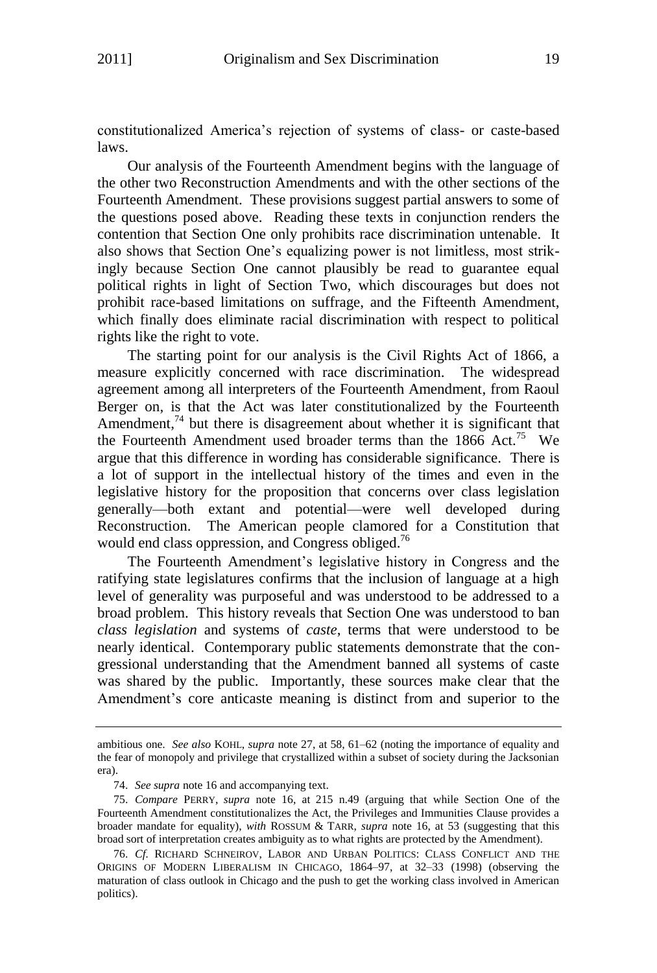constitutionalized America's rejection of systems of class- or caste-based laws.

Our analysis of the Fourteenth Amendment begins with the language of the other two Reconstruction Amendments and with the other sections of the Fourteenth Amendment. These provisions suggest partial answers to some of the questions posed above. Reading these texts in conjunction renders the contention that Section One only prohibits race discrimination untenable. It also shows that Section One's equalizing power is not limitless, most strikingly because Section One cannot plausibly be read to guarantee equal political rights in light of Section Two, which discourages but does not prohibit race-based limitations on suffrage, and the Fifteenth Amendment, which finally does eliminate racial discrimination with respect to political rights like the right to vote.

The starting point for our analysis is the Civil Rights Act of 1866, a measure explicitly concerned with race discrimination. The widespread agreement among all interpreters of the Fourteenth Amendment, from Raoul Berger on, is that the Act was later constitutionalized by the Fourteenth Amendment, $^{74}$  but there is disagreement about whether it is significant that the Fourteenth Amendment used broader terms than the  $1866$  Act.<sup>75</sup> We argue that this difference in wording has considerable significance. There is a lot of support in the intellectual history of the times and even in the legislative history for the proposition that concerns over class legislation generally—both extant and potential—were well developed during Reconstruction. The American people clamored for a Constitution that would end class oppression, and Congress obliged.<sup>76</sup>

The Fourteenth Amendment's legislative history in Congress and the ratifying state legislatures confirms that the inclusion of language at a high level of generality was purposeful and was understood to be addressed to a broad problem. This history reveals that Section One was understood to ban *class legislation* and systems of *caste*, terms that were understood to be nearly identical. Contemporary public statements demonstrate that the congressional understanding that the Amendment banned all systems of caste was shared by the public. Importantly, these sources make clear that the Amendment's core anticaste meaning is distinct from and superior to the

ambitious one. *See also* KOHL, *supra* note 27, at 58, 61–62 (noting the importance of equality and the fear of monopoly and privilege that crystallized within a subset of society during the Jacksonian era).

<sup>74.</sup> *See supra* note 16 and accompanying text.

<sup>75.</sup> *Compare* PERRY, *supra* note 16, at 215 n.49 (arguing that while Section One of the Fourteenth Amendment constitutionalizes the Act, the Privileges and Immunities Clause provides a broader mandate for equality), *with* ROSSUM & TARR, *supra* note 16, at 53 (suggesting that this broad sort of interpretation creates ambiguity as to what rights are protected by the Amendment).

<sup>76.</sup> *Cf.* RICHARD SCHNEIROV, LABOR AND URBAN POLITICS: CLASS CONFLICT AND THE ORIGINS OF MODERN LIBERALISM IN CHICAGO, 1864–97, at 32–33 (1998) (observing the maturation of class outlook in Chicago and the push to get the working class involved in American politics).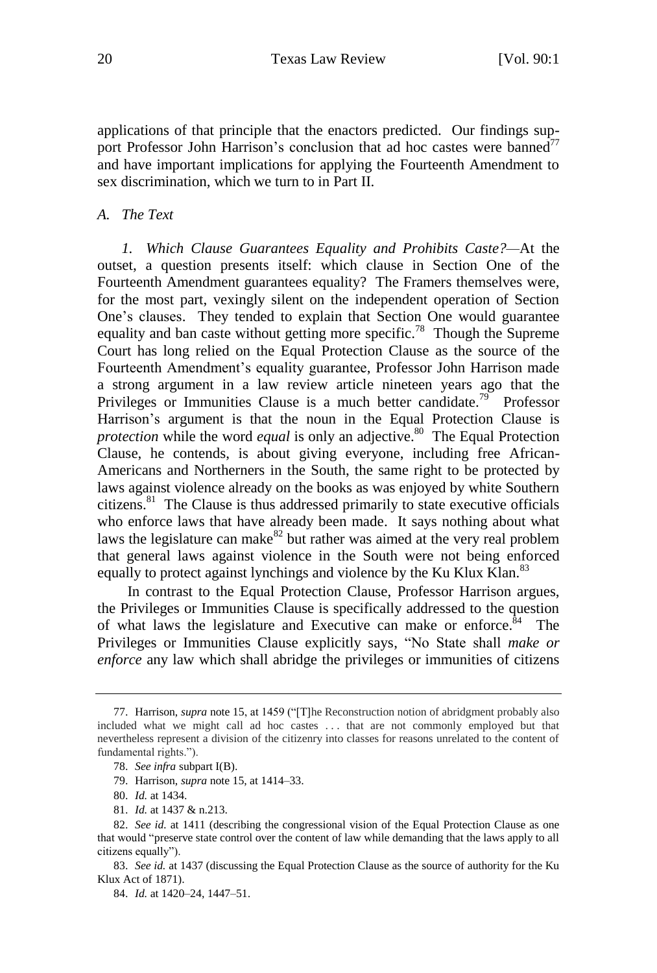applications of that principle that the enactors predicted. Our findings support Professor John Harrison's conclusion that ad hoc castes were banned<sup>77</sup> and have important implications for applying the Fourteenth Amendment to sex discrimination, which we turn to in Part II.

#### *A. The Text*

*1. Which Clause Guarantees Equality and Prohibits Caste?—*At the outset, a question presents itself: which clause in Section One of the Fourteenth Amendment guarantees equality? The Framers themselves were, for the most part, vexingly silent on the independent operation of Section One's clauses. They tended to explain that Section One would guarantee equality and ban caste without getting more specific.<sup>78</sup> Though the Supreme Court has long relied on the Equal Protection Clause as the source of the Fourteenth Amendment's equality guarantee, Professor John Harrison made a strong argument in a law review article nineteen years ago that the Privileges or Immunities Clause is a much better candidate.<sup>79</sup> Professor Harrison's argument is that the noun in the Equal Protection Clause is *protection* while the word *equal* is only an adjective.<sup>80</sup> The Equal Protection Clause, he contends, is about giving everyone, including free African-Americans and Northerners in the South, the same right to be protected by laws against violence already on the books as was enjoyed by white Southern citizens.<sup>81</sup> The Clause is thus addressed primarily to state executive officials who enforce laws that have already been made. It says nothing about what laws the legislature can make<sup>82</sup> but rather was aimed at the very real problem that general laws against violence in the South were not being enforced equally to protect against lynchings and violence by the Ku Klux Klan.<sup>83</sup>

In contrast to the Equal Protection Clause, Professor Harrison argues, the Privileges or Immunities Clause is specifically addressed to the question of what laws the legislature and Executive can make or enforce. $84$  The Privileges or Immunities Clause explicitly says, "No State shall *make or enforce* any law which shall abridge the privileges or immunities of citizens

<sup>77.</sup> Harrison, *supra* note 15, at 1459 ("[T]he Reconstruction notion of abridgment probably also included what we might call ad hoc castes . . . that are not commonly employed but that nevertheless represent a division of the citizenry into classes for reasons unrelated to the content of fundamental rights.").

<sup>78.</sup> *See infra* subpart I(B).

<sup>79.</sup> Harrison, *supra* note 15, at 1414–33.

<sup>80.</sup> *Id.* at 1434.

<sup>81.</sup> *Id.* at 1437 & n.213.

<sup>82.</sup> *See id.* at 1411 (describing the congressional vision of the Equal Protection Clause as one that would "preserve state control over the content of law while demanding that the laws apply to all citizens equally").

<sup>83.</sup> *See id.* at 1437 (discussing the Equal Protection Clause as the source of authority for the Ku Klux Act of 1871).

<sup>84.</sup> *Id.* at 1420–24, 1447–51.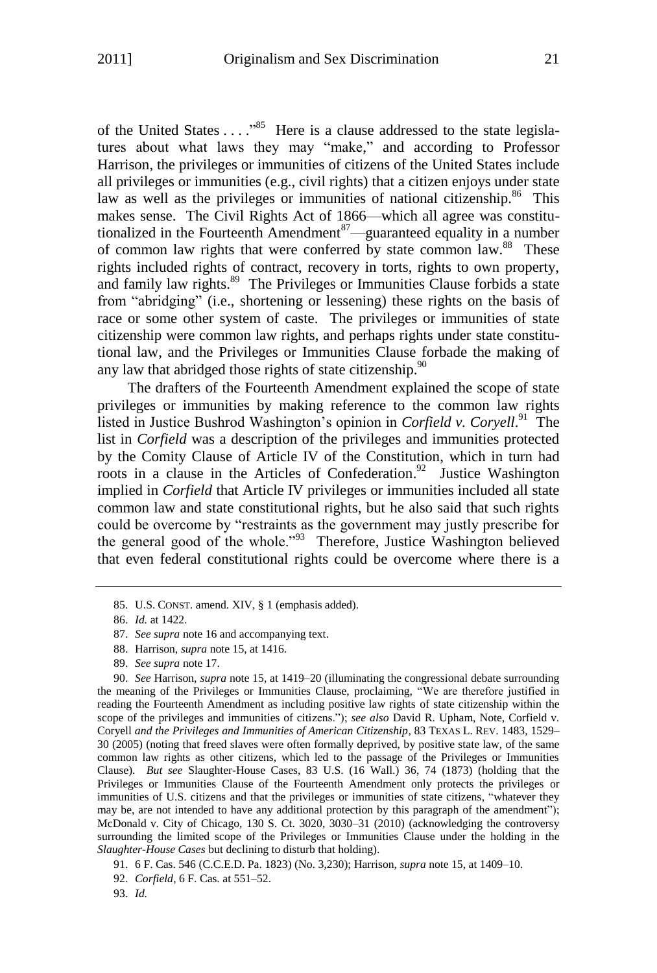of the United States  $\dots$   $\cdot$ <sup>85</sup>. Here is a clause addressed to the state legislatures about what laws they may "make," and according to Professor Harrison, the privileges or immunities of citizens of the United States include all privileges or immunities (e.g., civil rights) that a citizen enjoys under state law as well as the privileges or immunities of national citizenship.<sup>86</sup> This makes sense. The Civil Rights Act of 1866—which all agree was constitutionalized in the Fourteenth Amendment<sup>87</sup>—guaranteed equality in a number of common law rights that were conferred by state common law.<sup>88</sup> These rights included rights of contract, recovery in torts, rights to own property, and family law rights.<sup>89</sup> The Privileges or Immunities Clause forbids a state from "abridging" (i.e., shortening or lessening) these rights on the basis of race or some other system of caste. The privileges or immunities of state citizenship were common law rights, and perhaps rights under state constitutional law, and the Privileges or Immunities Clause forbade the making of any law that abridged those rights of state citizenship.<sup>90</sup>

The drafters of the Fourteenth Amendment explained the scope of state privileges or immunities by making reference to the common law rights listed in Justice Bushrod Washington's opinion in *Corfield v. Coryell*. 91 The list in *Corfield* was a description of the privileges and immunities protected by the Comity Clause of Article IV of the Constitution, which in turn had roots in a clause in the Articles of Confederation.<sup>92</sup> Justice Washington implied in *Corfield* that Article IV privileges or immunities included all state common law and state constitutional rights, but he also said that such rights could be overcome by "restraints as the government may justly prescribe for the general good of the whole."<sup>93</sup> Therefore, Justice Washington believed that even federal constitutional rights could be overcome where there is a

<sup>85.</sup> U.S. CONST. amend. XIV, § 1 (emphasis added).

<sup>86.</sup> *Id.* at 1422.

<sup>87.</sup> *See supra* note 16 and accompanying text.

<sup>88.</sup> Harrison, *supra* note 15, at 1416.

<sup>89.</sup> *See supra* note 17.

<sup>90.</sup> *See* Harrison, *supra* note 15, at 1419–20 (illuminating the congressional debate surrounding the meaning of the Privileges or Immunities Clause, proclaiming, "We are therefore justified in reading the Fourteenth Amendment as including positive law rights of state citizenship within the scope of the privileges and immunities of citizens.‖); *see also* David R. Upham, Note, Corfield v. Coryell *and the Privileges and Immunities of American Citizenship*, 83 TEXAS L. REV. 1483, 1529– 30 (2005) (noting that freed slaves were often formally deprived, by positive state law, of the same common law rights as other citizens, which led to the passage of the Privileges or Immunities Clause). *But see* Slaughter-House Cases, 83 U.S. (16 Wall.) 36, 74 (1873) (holding that the Privileges or Immunities Clause of the Fourteenth Amendment only protects the privileges or immunities of U.S. citizens and that the privileges or immunities of state citizens, "whatever they may be, are not intended to have any additional protection by this paragraph of the amendment"); McDonald v. City of Chicago, 130 S. Ct. 3020, 3030–31 (2010) (acknowledging the controversy surrounding the limited scope of the Privileges or Immunities Clause under the holding in the *Slaughter-House Cases* but declining to disturb that holding).

<sup>91.</sup> 6 F. Cas. 546 (C.C.E.D. Pa. 1823) (No. 3,230); Harrison, *supra* note 15, at 1409–10.

<sup>92.</sup> *Corfield*, 6 F. Cas. at 551–52.

<sup>93.</sup> *Id.*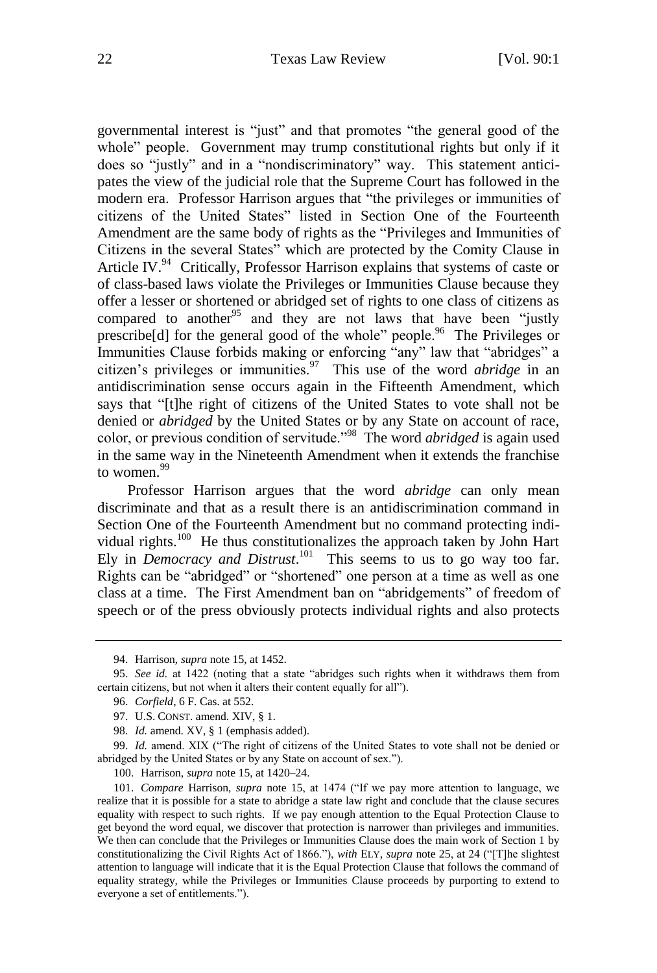governmental interest is "just" and that promotes "the general good of the whole" people. Government may trump constitutional rights but only if it does so "justly" and in a "nondiscriminatory" way. This statement anticipates the view of the judicial role that the Supreme Court has followed in the modern era. Professor Harrison argues that "the privileges or immunities of citizens of the United States" listed in Section One of the Fourteenth Amendment are the same body of rights as the "Privileges and Immunities of Citizens in the several States" which are protected by the Comity Clause in Article IV.<sup>94</sup> Critically, Professor Harrison explains that systems of caste or of class-based laws violate the Privileges or Immunities Clause because they offer a lesser or shortened or abridged set of rights to one class of citizens as compared to another<sup>95</sup> and they are not laws that have been "justly prescribe[d] for the general good of the whole" people.<sup>96</sup> The Privileges or Immunities Clause forbids making or enforcing "any" law that "abridges" a citizen's privileges or immunities.<sup>97</sup> This use of the word *abridge* in an antidiscrimination sense occurs again in the Fifteenth Amendment, which says that "[t]he right of citizens of the United States to vote shall not be denied or *abridged* by the United States or by any State on account of race, color, or previous condition of servitude.<sup>998</sup> The word *abridged* is again used in the same way in the Nineteenth Amendment when it extends the franchise to women.<sup>99</sup>

Professor Harrison argues that the word *abridge* can only mean discriminate and that as a result there is an antidiscrimination command in Section One of the Fourteenth Amendment but no command protecting individual rights.<sup>100</sup> He thus constitutionalizes the approach taken by John Hart Ely in *Democracy and Distrust*.<sup>101</sup> This seems to us to go way too far. Rights can be "abridged" or "shortened" one person at a time as well as one class at a time. The First Amendment ban on "abridgements" of freedom of speech or of the press obviously protects individual rights and also protects

<sup>94.</sup> Harrison, *supra* note 15, at 1452.

<sup>95.</sup> *See id.* at 1422 (noting that a state "abridges such rights when it withdraws them from certain citizens, but not when it alters their content equally for all").

<sup>96.</sup> *Corfield*, 6 F. Cas. at 552.

<sup>97.</sup> U.S. CONST. amend. XIV, § 1.

<sup>98.</sup> *Id.* amend. XV, § 1 (emphasis added).

<sup>99.</sup> *Id.* amend. XIX ("The right of citizens of the United States to vote shall not be denied or abridged by the United States or by any State on account of sex.").

<sup>100.</sup> Harrison, *supra* note 15, at 1420–24.

<sup>101.</sup> *Compare* Harrison, *supra* note 15, at 1474 ("If we pay more attention to language, we realize that it is possible for a state to abridge a state law right and conclude that the clause secures equality with respect to such rights. If we pay enough attention to the Equal Protection Clause to get beyond the word equal, we discover that protection is narrower than privileges and immunities. We then can conclude that the Privileges or Immunities Clause does the main work of Section 1 by constitutionalizing the Civil Rights Act of 1866."), *with* ELY, *supra* note 25, at 24 ("[T]he slightest attention to language will indicate that it is the Equal Protection Clause that follows the command of equality strategy, while the Privileges or Immunities Clause proceeds by purporting to extend to everyone a set of entitlements.").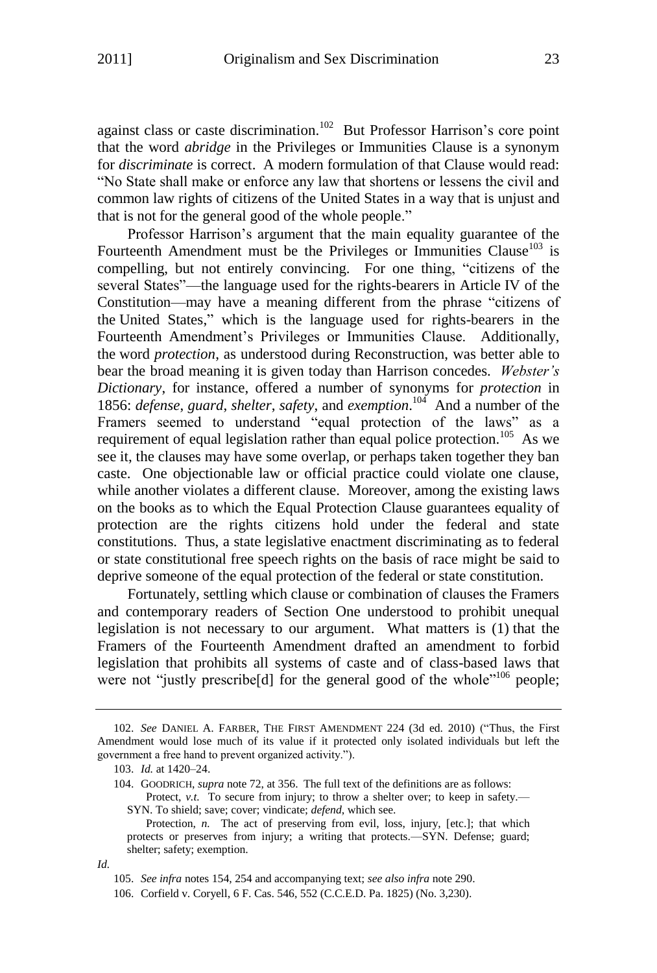against class or caste discrimination.<sup>102</sup> But Professor Harrison's core point that the word *abridge* in the Privileges or Immunities Clause is a synonym for *discriminate* is correct. A modern formulation of that Clause would read: ―No State shall make or enforce any law that shortens or lessens the civil and common law rights of citizens of the United States in a way that is unjust and that is not for the general good of the whole people."

Professor Harrison's argument that the main equality guarantee of the Fourteenth Amendment must be the Privileges or Immunities Clause<sup>103</sup> is compelling, but not entirely convincing. For one thing, "citizens of the several States"—the language used for the rights-bearers in Article IV of the Constitution—may have a meaning different from the phrase "citizens of the United States,‖ which is the language used for rights-bearers in the Fourteenth Amendment's Privileges or Immunities Clause. Additionally, the word *protection*, as understood during Reconstruction, was better able to bear the broad meaning it is given today than Harrison concedes. *Webster's Dictionary*, for instance, offered a number of synonyms for *protection* in 1856: *defense*, *guard*, *shelter*, *safety*, and *exemption*. <sup>104</sup> And a number of the Framers seemed to understand "equal protection of the laws" as a requirement of equal legislation rather than equal police protection.<sup>105</sup> As we see it, the clauses may have some overlap, or perhaps taken together they ban caste. One objectionable law or official practice could violate one clause, while another violates a different clause. Moreover, among the existing laws on the books as to which the Equal Protection Clause guarantees equality of protection are the rights citizens hold under the federal and state constitutions. Thus, a state legislative enactment discriminating as to federal or state constitutional free speech rights on the basis of race might be said to deprive someone of the equal protection of the federal or state constitution.

Fortunately, settling which clause or combination of clauses the Framers and contemporary readers of Section One understood to prohibit unequal legislation is not necessary to our argument. What matters is (1) that the Framers of the Fourteenth Amendment drafted an amendment to forbid legislation that prohibits all systems of caste and of class-based laws that were not "justly prescribe<sup>[d]</sup> for the general good of the whole<sup> $106$ </sup> people;

104. GOODRICH, *supra* note 72, at 356. The full text of the definitions are as follows:

Protect, *v.t.* To secure from injury; to throw a shelter over; to keep in safety.— SYN. To shield; save; cover; vindicate; *defend*, which see.

Protection, *n*. The act of preserving from evil, loss, injury, [etc.]; that which protects or preserves from injury; a writing that protects.—SYN. Defense; guard; shelter; safety; exemption.

*Id.*

105. *See infra* notes 154, 254 and accompanying text; *see also infra* note 290.

106. Corfield v. Coryell, 6 F. Cas. 546, 552 (C.C.E.D. Pa. 1825) (No. 3,230).

<sup>102.</sup> See DANIEL A. FARBER, THE FIRST AMENDMENT 224 (3d ed. 2010) ("Thus, the First Amendment would lose much of its value if it protected only isolated individuals but left the government a free hand to prevent organized activity.").

<sup>103.</sup> *Id.* at 1420–24.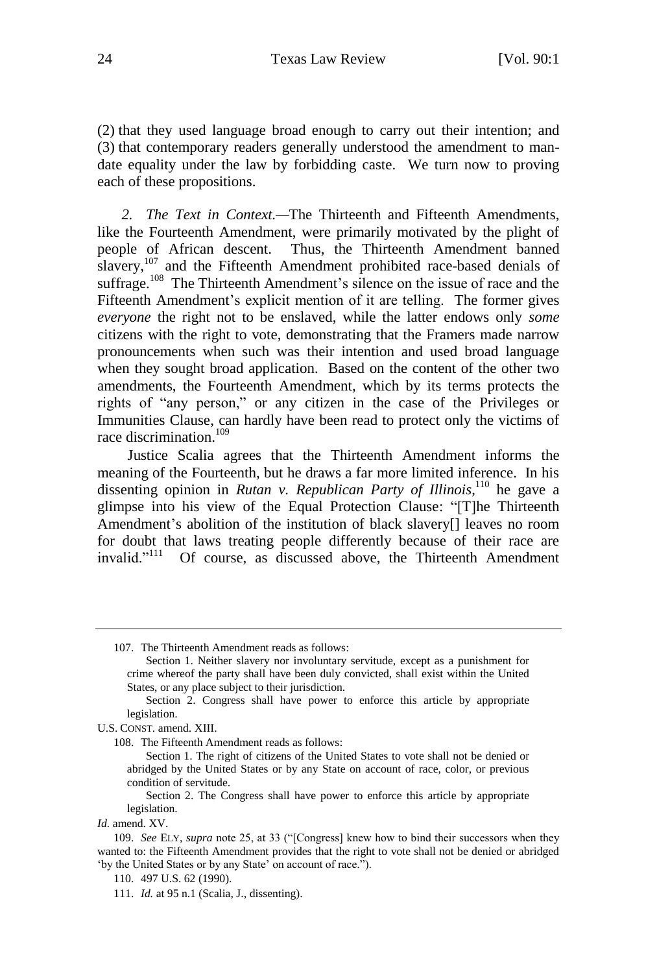(2) that they used language broad enough to carry out their intention; and (3) that contemporary readers generally understood the amendment to mandate equality under the law by forbidding caste. We turn now to proving each of these propositions.

*2. The Text in Context.—*The Thirteenth and Fifteenth Amendments, like the Fourteenth Amendment, were primarily motivated by the plight of people of African descent. Thus, the Thirteenth Amendment banned slavery,<sup>107</sup> and the Fifteenth Amendment prohibited race-based denials of suffrage.<sup>108</sup> The Thirteenth Amendment's silence on the issue of race and the Fifteenth Amendment's explicit mention of it are telling. The former gives *everyone* the right not to be enslaved, while the latter endows only *some* citizens with the right to vote, demonstrating that the Framers made narrow pronouncements when such was their intention and used broad language when they sought broad application. Based on the content of the other two amendments, the Fourteenth Amendment, which by its terms protects the rights of "any person," or any citizen in the case of the Privileges or Immunities Clause, can hardly have been read to protect only the victims of race discrimination.<sup>109</sup>

Justice Scalia agrees that the Thirteenth Amendment informs the meaning of the Fourteenth, but he draws a far more limited inference. In his dissenting opinion in *Rutan v. Republican Party of Illinois*, <sup>110</sup> he gave a glimpse into his view of the Equal Protection Clause: "[T]he Thirteenth Amendment's abolition of the institution of black slavery[] leaves no room for doubt that laws treating people differently because of their race are invalid."<sup>111</sup> Of course, as discussed above, the Thirteenth Amendment

<sup>107.</sup> The Thirteenth Amendment reads as follows:

Section 1. Neither slavery nor involuntary servitude, except as a punishment for crime whereof the party shall have been duly convicted, shall exist within the United States, or any place subject to their jurisdiction.

Section 2. Congress shall have power to enforce this article by appropriate legislation.

U.S. CONST. amend. XIII.

<sup>108.</sup> The Fifteenth Amendment reads as follows:

Section 1. The right of citizens of the United States to vote shall not be denied or abridged by the United States or by any State on account of race, color, or previous condition of servitude.

Section 2. The Congress shall have power to enforce this article by appropriate legislation.

*Id.* amend. XV.

<sup>109.</sup> *See* ELY, *supra* note 25, at 33 ("[Congress] knew how to bind their successors when they wanted to: the Fifteenth Amendment provides that the right to vote shall not be denied or abridged 'by the United States or by any State' on account of race.").

<sup>110.</sup> 497 U.S. 62 (1990).

<sup>111.</sup> *Id.* at 95 n.1 (Scalia, J., dissenting).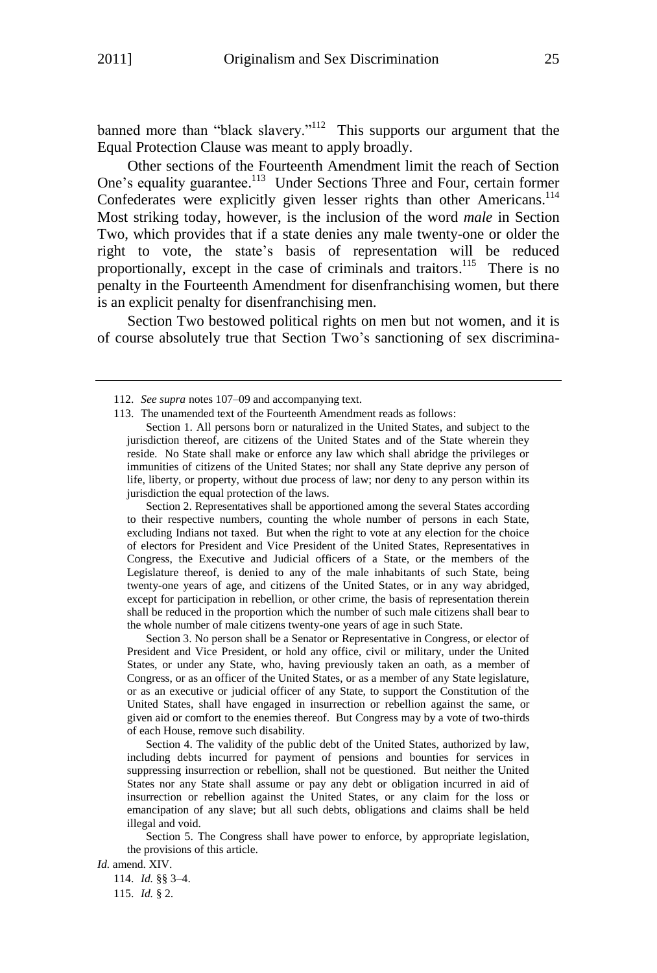banned more than "black slavery."<sup>112</sup> This supports our argument that the Equal Protection Clause was meant to apply broadly.

Other sections of the Fourteenth Amendment limit the reach of Section One's equality guarantee.<sup>113</sup> Under Sections Three and Four, certain former Confederates were explicitly given lesser rights than other Americans.<sup>114</sup> Most striking today, however, is the inclusion of the word *male* in Section Two, which provides that if a state denies any male twenty-one or older the right to vote, the state's basis of representation will be reduced proportionally, except in the case of criminals and traitors.<sup>115</sup> There is no penalty in the Fourteenth Amendment for disenfranchising women, but there is an explicit penalty for disenfranchising men.

Section Two bestowed political rights on men but not women, and it is of course absolutely true that Section Two's sanctioning of sex discrimina-

Section 2. Representatives shall be apportioned among the several States according to their respective numbers, counting the whole number of persons in each State, excluding Indians not taxed. But when the right to vote at any election for the choice of electors for President and Vice President of the United States, Representatives in Congress, the Executive and Judicial officers of a State, or the members of the Legislature thereof, is denied to any of the male inhabitants of such State, being twenty-one years of age, and citizens of the United States, or in any way abridged, except for participation in rebellion, or other crime, the basis of representation therein shall be reduced in the proportion which the number of such male citizens shall bear to the whole number of male citizens twenty-one years of age in such State.

Section 3. No person shall be a Senator or Representative in Congress, or elector of President and Vice President, or hold any office, civil or military, under the United States, or under any State, who, having previously taken an oath, as a member of Congress, or as an officer of the United States, or as a member of any State legislature, or as an executive or judicial officer of any State, to support the Constitution of the United States, shall have engaged in insurrection or rebellion against the same, or given aid or comfort to the enemies thereof. But Congress may by a vote of two-thirds of each House, remove such disability.

Section 4. The validity of the public debt of the United States, authorized by law, including debts incurred for payment of pensions and bounties for services in suppressing insurrection or rebellion, shall not be questioned. But neither the United States nor any State shall assume or pay any debt or obligation incurred in aid of insurrection or rebellion against the United States, or any claim for the loss or emancipation of any slave; but all such debts, obligations and claims shall be held illegal and void.

Section 5. The Congress shall have power to enforce, by appropriate legislation, the provisions of this article.

*Id.* amend. XIV.

114. *Id.* §§ 3–4.

115. *Id.* § 2.

<sup>112.</sup> *See supra* notes 107–09 and accompanying text.

<sup>113.</sup> The unamended text of the Fourteenth Amendment reads as follows:

Section 1. All persons born or naturalized in the United States, and subject to the jurisdiction thereof, are citizens of the United States and of the State wherein they reside. No State shall make or enforce any law which shall abridge the privileges or immunities of citizens of the United States; nor shall any State deprive any person of life, liberty, or property, without due process of law; nor deny to any person within its jurisdiction the equal protection of the laws.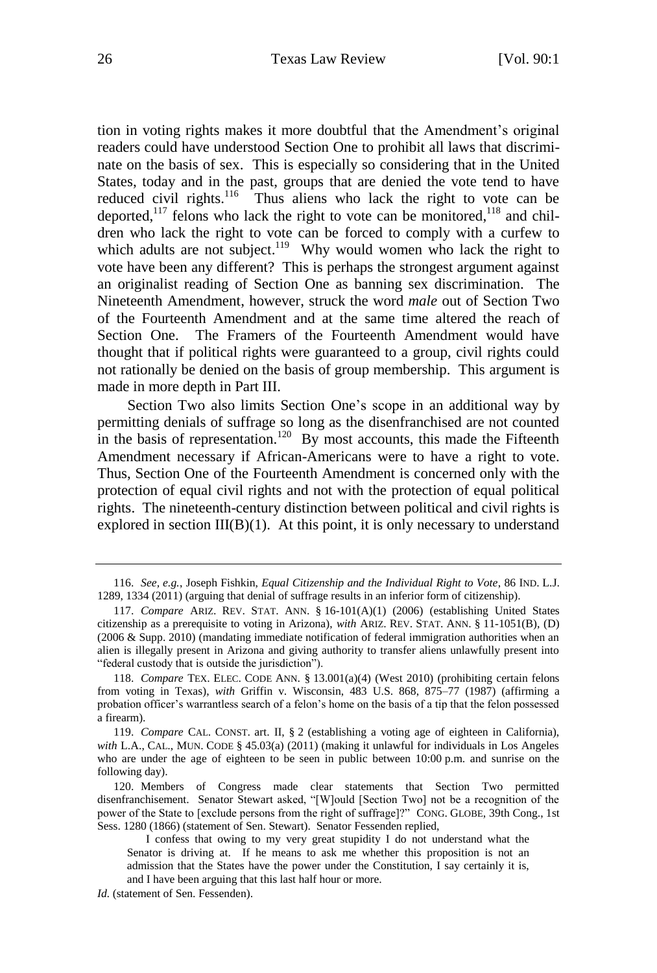tion in voting rights makes it more doubtful that the Amendment's original readers could have understood Section One to prohibit all laws that discriminate on the basis of sex. This is especially so considering that in the United States, today and in the past, groups that are denied the vote tend to have reduced civil rights.<sup>116</sup> Thus aliens who lack the right to vote can be deported,  $117$  felons who lack the right to vote can be monitored,  $118$  and children who lack the right to vote can be forced to comply with a curfew to which adults are not subject.<sup>119</sup> Why would women who lack the right to vote have been any different? This is perhaps the strongest argument against an originalist reading of Section One as banning sex discrimination. The Nineteenth Amendment, however, struck the word *male* out of Section Two of the Fourteenth Amendment and at the same time altered the reach of Section One. The Framers of the Fourteenth Amendment would have thought that if political rights were guaranteed to a group, civil rights could not rationally be denied on the basis of group membership. This argument is made in more depth in Part III.

Section Two also limits Section One's scope in an additional way by permitting denials of suffrage so long as the disenfranchised are not counted in the basis of representation.<sup>120</sup> By most accounts, this made the Fifteenth Amendment necessary if African-Americans were to have a right to vote. Thus, Section One of the Fourteenth Amendment is concerned only with the protection of equal civil rights and not with the protection of equal political rights. The nineteenth-century distinction between political and civil rights is explored in section  $III(B)(1)$ . At this point, it is only necessary to understand

*Id.* (statement of Sen. Fessenden).

<sup>116.</sup> *See, e.g.*, Joseph Fishkin, *Equal Citizenship and the Individual Right to Vote*, 86 IND. L.J. 1289, 1334 (2011) (arguing that denial of suffrage results in an inferior form of citizenship).

<sup>117.</sup> *Compare* ARIZ. REV. STAT. ANN. § 16-101(A)(1) (2006) (establishing United States citizenship as a prerequisite to voting in Arizona), *with* ARIZ. REV. STAT. ANN. § 11-1051(B), (D) (2006 & Supp. 2010) (mandating immediate notification of federal immigration authorities when an alien is illegally present in Arizona and giving authority to transfer aliens unlawfully present into "federal custody that is outside the jurisdiction").

<sup>118.</sup> *Compare* TEX. ELEC. CODE ANN. § 13.001(a)(4) (West 2010) (prohibiting certain felons from voting in Texas), *with* Griffin v. Wisconsin, 483 U.S. 868, 875–77 (1987) (affirming a probation officer's warrantless search of a felon's home on the basis of a tip that the felon possessed a firearm).

<sup>119.</sup> *Compare* CAL. CONST. art. II, § 2 (establishing a voting age of eighteen in California), *with* L.A., CAL., MUN. CODE § 45.03(a) (2011) (making it unlawful for individuals in Los Angeles who are under the age of eighteen to be seen in public between 10:00 p.m. and sunrise on the following day).

<sup>120.</sup> Members of Congress made clear statements that Section Two permitted disenfranchisement. Senator Stewart asked, "[W]ould [Section Two] not be a recognition of the power of the State to [exclude persons from the right of suffrage]?" CONG. GLOBE, 39th Cong., 1st Sess. 1280 (1866) (statement of Sen. Stewart). Senator Fessenden replied,

I confess that owing to my very great stupidity I do not understand what the Senator is driving at. If he means to ask me whether this proposition is not an admission that the States have the power under the Constitution, I say certainly it is, and I have been arguing that this last half hour or more.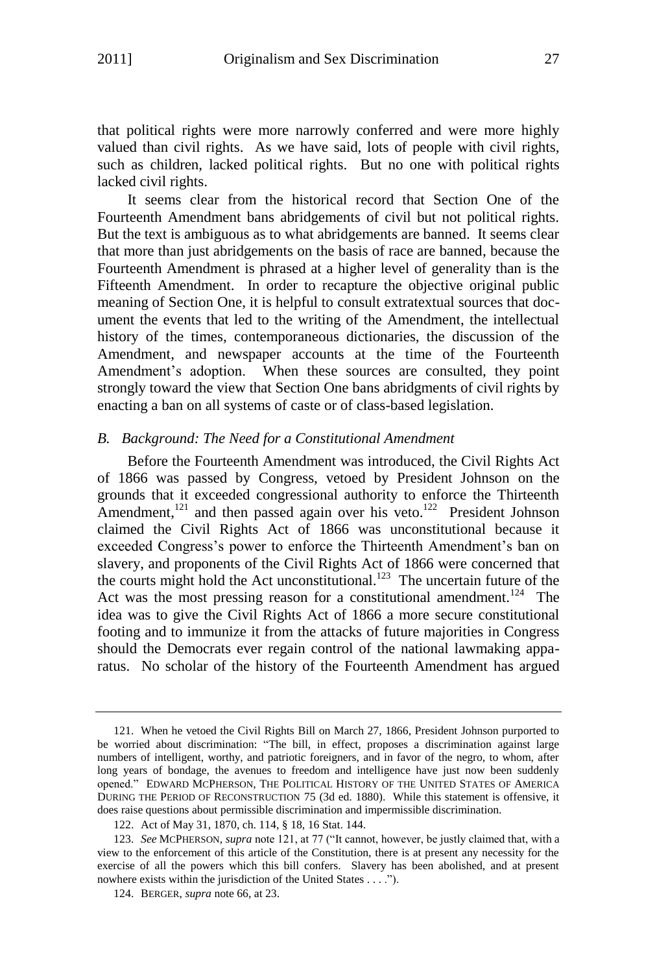that political rights were more narrowly conferred and were more highly valued than civil rights. As we have said, lots of people with civil rights, such as children, lacked political rights. But no one with political rights lacked civil rights.

It seems clear from the historical record that Section One of the Fourteenth Amendment bans abridgements of civil but not political rights. But the text is ambiguous as to what abridgements are banned. It seems clear that more than just abridgements on the basis of race are banned, because the Fourteenth Amendment is phrased at a higher level of generality than is the Fifteenth Amendment. In order to recapture the objective original public meaning of Section One, it is helpful to consult extratextual sources that document the events that led to the writing of the Amendment, the intellectual history of the times, contemporaneous dictionaries, the discussion of the Amendment, and newspaper accounts at the time of the Fourteenth Amendment's adoption. When these sources are consulted, they point strongly toward the view that Section One bans abridgments of civil rights by enacting a ban on all systems of caste or of class-based legislation.

#### *B. Background: The Need for a Constitutional Amendment*

Before the Fourteenth Amendment was introduced, the Civil Rights Act of 1866 was passed by Congress, vetoed by President Johnson on the grounds that it exceeded congressional authority to enforce the Thirteenth Amendment,<sup>121</sup> and then passed again over his veto.<sup>122</sup> President Johnson claimed the Civil Rights Act of 1866 was unconstitutional because it exceeded Congress's power to enforce the Thirteenth Amendment's ban on slavery, and proponents of the Civil Rights Act of 1866 were concerned that the courts might hold the Act unconstitutional.<sup>123</sup> The uncertain future of the Act was the most pressing reason for a constitutional amendment.<sup>124</sup> The idea was to give the Civil Rights Act of 1866 a more secure constitutional footing and to immunize it from the attacks of future majorities in Congress should the Democrats ever regain control of the national lawmaking apparatus. No scholar of the history of the Fourteenth Amendment has argued

<sup>121.</sup> When he vetoed the Civil Rights Bill on March 27, 1866, President Johnson purported to be worried about discrimination: "The bill, in effect, proposes a discrimination against large numbers of intelligent, worthy, and patriotic foreigners, and in favor of the negro, to whom, after long years of bondage, the avenues to freedom and intelligence have just now been suddenly opened.‖ EDWARD MCPHERSON, THE POLITICAL HISTORY OF THE UNITED STATES OF AMERICA DURING THE PERIOD OF RECONSTRUCTION 75 (3d ed. 1880). While this statement is offensive, it does raise questions about permissible discrimination and impermissible discrimination.

<sup>122.</sup> Act of May 31, 1870, ch. 114, § 18, 16 Stat. 144.

<sup>123.</sup> *See* MCPHERSON, *supra* note 121, at 77 ("It cannot, however, be justly claimed that, with a view to the enforcement of this article of the Constitution, there is at present any necessity for the exercise of all the powers which this bill confers. Slavery has been abolished, and at present nowhere exists within the jurisdiction of the United States . . . .").

<sup>124.</sup> BERGER, *supra* note 66, at 23.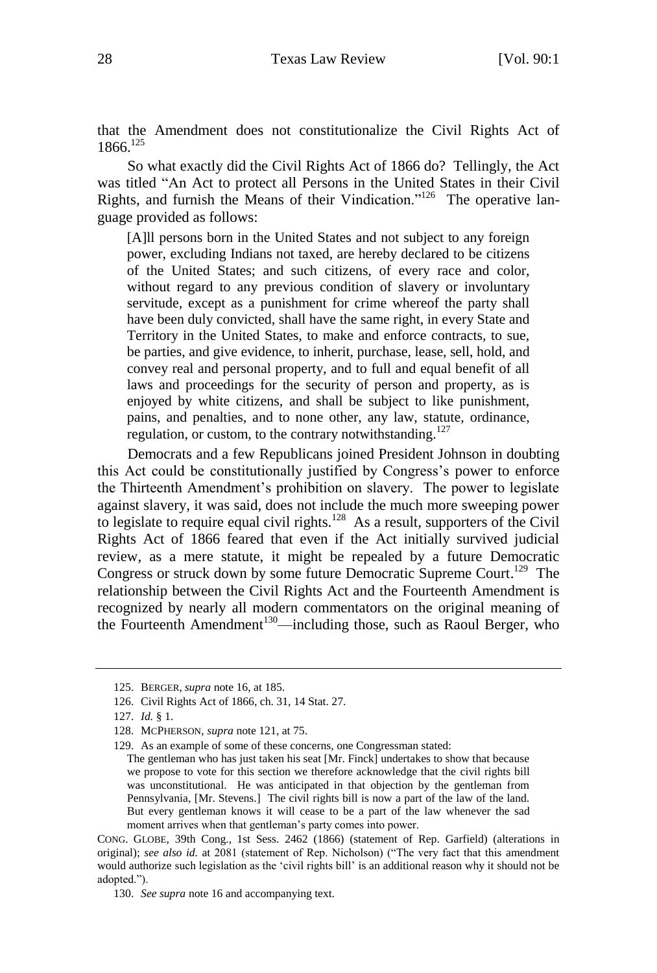that the Amendment does not constitutionalize the Civil Rights Act of 1866.<sup>125</sup>

So what exactly did the Civil Rights Act of 1866 do? Tellingly, the Act was titled "An Act to protect all Persons in the United States in their Civil Rights, and furnish the Means of their Vindication."<sup>126</sup> The operative language provided as follows:

[A]ll persons born in the United States and not subject to any foreign power, excluding Indians not taxed, are hereby declared to be citizens of the United States; and such citizens, of every race and color, without regard to any previous condition of slavery or involuntary servitude, except as a punishment for crime whereof the party shall have been duly convicted, shall have the same right, in every State and Territory in the United States, to make and enforce contracts, to sue, be parties, and give evidence, to inherit, purchase, lease, sell, hold, and convey real and personal property, and to full and equal benefit of all laws and proceedings for the security of person and property, as is enjoyed by white citizens, and shall be subject to like punishment, pains, and penalties, and to none other, any law, statute, ordinance, regulation, or custom, to the contrary notwithstanding.<sup>127</sup>

Democrats and a few Republicans joined President Johnson in doubting this Act could be constitutionally justified by Congress's power to enforce the Thirteenth Amendment's prohibition on slavery. The power to legislate against slavery, it was said, does not include the much more sweeping power to legislate to require equal civil rights.<sup>128</sup> As a result, supporters of the Civil Rights Act of 1866 feared that even if the Act initially survived judicial review, as a mere statute, it might be repealed by a future Democratic Congress or struck down by some future Democratic Supreme Court.<sup>129</sup> The relationship between the Civil Rights Act and the Fourteenth Amendment is recognized by nearly all modern commentators on the original meaning of the Fourteenth Amendment<sup>130</sup>—including those, such as Raoul Berger, who

<sup>125.</sup> BERGER, *supra* note 16, at 185.

<sup>126.</sup> Civil Rights Act of 1866, ch. 31, 14 Stat. 27.

<sup>127.</sup> *Id.* § 1.

<sup>128.</sup> MCPHERSON, *supra* note 121, at 75.

<sup>129.</sup> As an example of some of these concerns, one Congressman stated:

The gentleman who has just taken his seat [Mr. Finck] undertakes to show that because we propose to vote for this section we therefore acknowledge that the civil rights bill was unconstitutional. He was anticipated in that objection by the gentleman from Pennsylvania, [Mr. Stevens.] The civil rights bill is now a part of the law of the land. But every gentleman knows it will cease to be a part of the law whenever the sad moment arrives when that gentleman's party comes into power.

CONG. GLOBE, 39th Cong., 1st Sess. 2462 (1866) (statement of Rep. Garfield) (alterations in original); see also id. at 2081 (statement of Rep. Nicholson) ("The very fact that this amendment would authorize such legislation as the 'civil rights bill' is an additional reason why it should not be adopted.").

<sup>130.</sup> *See supra* note 16 and accompanying text.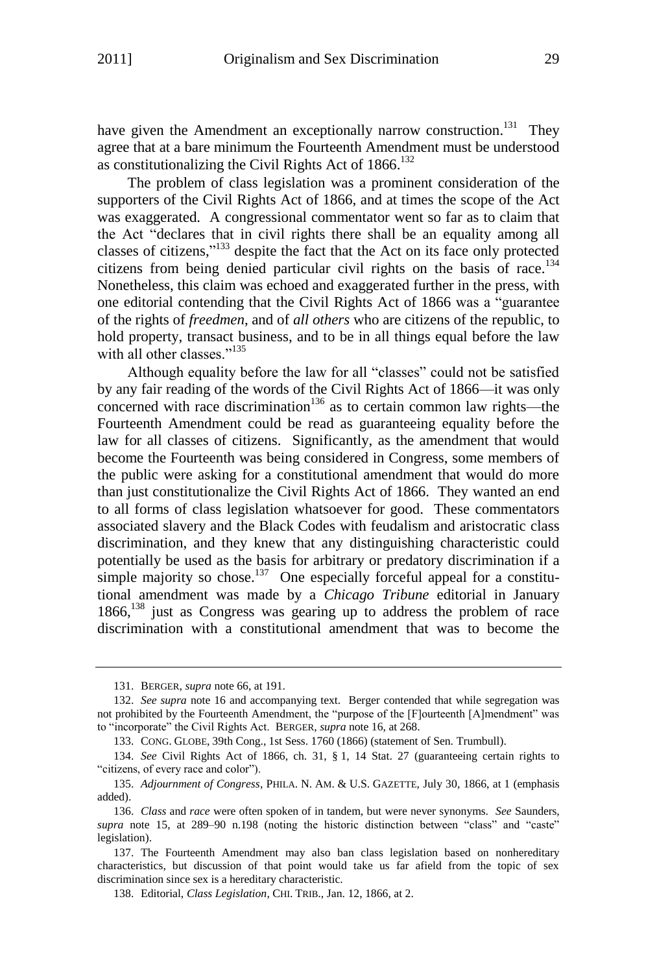have given the Amendment an exceptionally narrow construction.<sup>131</sup> They agree that at a bare minimum the Fourteenth Amendment must be understood as constitutionalizing the Civil Rights Act of 1866. 132

The problem of class legislation was a prominent consideration of the supporters of the Civil Rights Act of 1866, and at times the scope of the Act was exaggerated. A congressional commentator went so far as to claim that the Act "declares that in civil rights there shall be an equality among all classes of citizens,"<sup>133</sup> despite the fact that the Act on its face only protected citizens from being denied particular civil rights on the basis of race.<sup>134</sup> Nonetheless, this claim was echoed and exaggerated further in the press, with one editorial contending that the Civil Rights Act of 1866 was a "guarantee" of the rights of *freedmen*, and of *all others* who are citizens of the republic, to hold property, transact business, and to be in all things equal before the law with all other classes."<sup>135</sup>

Although equality before the law for all "classes" could not be satisfied by any fair reading of the words of the Civil Rights Act of 1866—it was only concerned with race discrimination<sup>136</sup> as to certain common law rights—the Fourteenth Amendment could be read as guaranteeing equality before the law for all classes of citizens. Significantly, as the amendment that would become the Fourteenth was being considered in Congress, some members of the public were asking for a constitutional amendment that would do more than just constitutionalize the Civil Rights Act of 1866. They wanted an end to all forms of class legislation whatsoever for good. These commentators associated slavery and the Black Codes with feudalism and aristocratic class discrimination, and they knew that any distinguishing characteristic could potentially be used as the basis for arbitrary or predatory discrimination if a simple majority so chose.<sup>137</sup> One especially forceful appeal for a constitutional amendment was made by a *Chicago Tribune* editorial in January  $1866$ ,  $^{138}$  just as Congress was gearing up to address the problem of race discrimination with a constitutional amendment that was to become the

133. CONG. GLOBE, 39th Cong., 1st Sess. 1760 (1866) (statement of Sen. Trumbull).

<sup>131.</sup> BERGER, *supra* note 66, at 191.

<sup>132.</sup> *See supra* note 16 and accompanying text. Berger contended that while segregation was not prohibited by the Fourteenth Amendment, the "purpose of the [F]ourteenth [A]mendment" was to "incorporate" the Civil Rights Act. BERGER, *supra* note 16, at 268.

<sup>134.</sup> *See* Civil Rights Act of 1866, ch. 31, § 1, 14 Stat. 27 (guaranteeing certain rights to "citizens, of every race and color").

<sup>135.</sup> *Adjournment of Congress*, PHILA. N. AM. & U.S. GAZETTE, July 30, 1866, at 1 (emphasis added).

<sup>136.</sup> *Class* and *race* were often spoken of in tandem, but were never synonyms. *See* Saunders, supra note 15, at 289-90 n.198 (noting the historic distinction between "class" and "caste" legislation).

<sup>137.</sup> The Fourteenth Amendment may also ban class legislation based on nonhereditary characteristics, but discussion of that point would take us far afield from the topic of sex discrimination since sex is a hereditary characteristic.

<sup>138.</sup> Editorial, *Class Legislation*, CHI. TRIB., Jan. 12, 1866, at 2.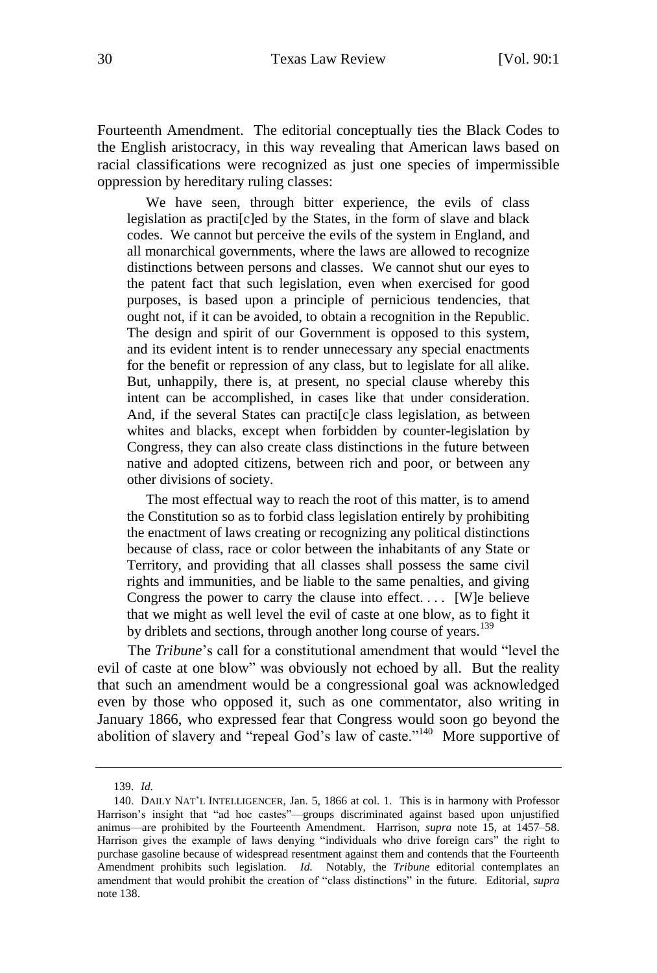Fourteenth Amendment. The editorial conceptually ties the Black Codes to the English aristocracy, in this way revealing that American laws based on racial classifications were recognized as just one species of impermissible oppression by hereditary ruling classes:

We have seen, through bitter experience, the evils of class legislation as practi[c]ed by the States, in the form of slave and black codes. We cannot but perceive the evils of the system in England, and all monarchical governments, where the laws are allowed to recognize distinctions between persons and classes. We cannot shut our eyes to the patent fact that such legislation, even when exercised for good purposes, is based upon a principle of pernicious tendencies, that ought not, if it can be avoided, to obtain a recognition in the Republic. The design and spirit of our Government is opposed to this system, and its evident intent is to render unnecessary any special enactments for the benefit or repression of any class, but to legislate for all alike. But, unhappily, there is, at present, no special clause whereby this intent can be accomplished, in cases like that under consideration. And, if the several States can practicle class legislation, as between whites and blacks, except when forbidden by counter-legislation by Congress, they can also create class distinctions in the future between native and adopted citizens, between rich and poor, or between any other divisions of society.

The most effectual way to reach the root of this matter, is to amend the Constitution so as to forbid class legislation entirely by prohibiting the enactment of laws creating or recognizing any political distinctions because of class, race or color between the inhabitants of any State or Territory, and providing that all classes shall possess the same civil rights and immunities, and be liable to the same penalties, and giving Congress the power to carry the clause into effect.... [W]e believe that we might as well level the evil of caste at one blow, as to fight it by driblets and sections, through another long course of years.<sup>139</sup>

The *Tribune*'s call for a constitutional amendment that would "level the evil of caste at one blow" was obviously not echoed by all. But the reality that such an amendment would be a congressional goal was acknowledged even by those who opposed it, such as one commentator, also writing in January 1866, who expressed fear that Congress would soon go beyond the abolition of slavery and "repeal God's law of caste."<sup>140</sup> More supportive of

<sup>139.</sup> *Id.*

<sup>140.</sup> DAILY NAT'L INTELLIGENCER, Jan. 5, 1866 at col. 1. This is in harmony with Professor Harrison's insight that "ad hoc castes"—groups discriminated against based upon unjustified animus—are prohibited by the Fourteenth Amendment. Harrison, *supra* note 15, at 1457–58. Harrison gives the example of laws denying "individuals who drive foreign cars" the right to purchase gasoline because of widespread resentment against them and contends that the Fourteenth Amendment prohibits such legislation. *Id.* Notably, the *Tribune* editorial contemplates an amendment that would prohibit the creation of "class distinctions" in the future. Editorial, *supra* note 138.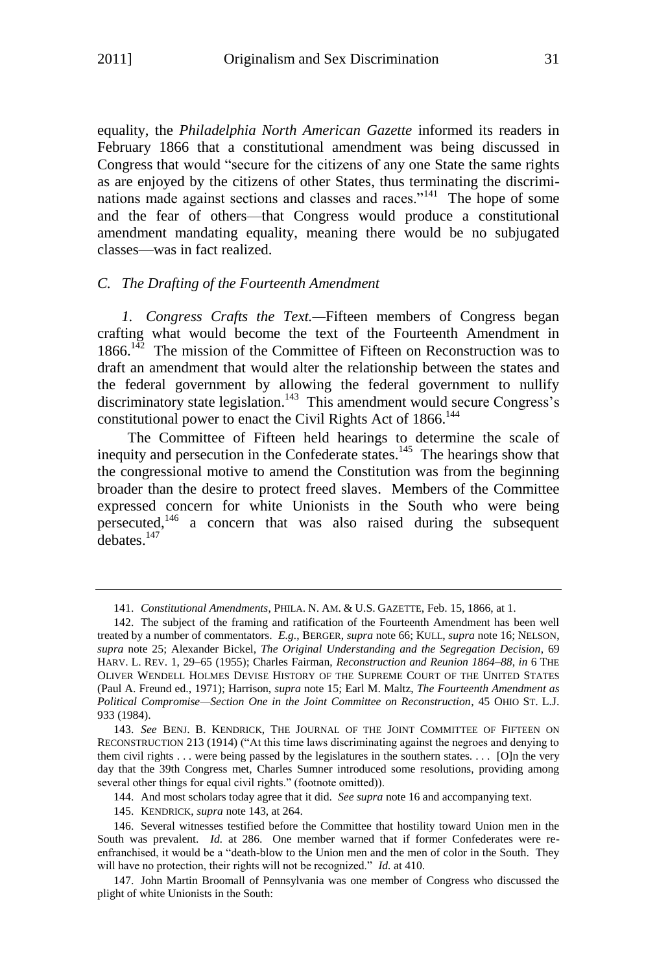equality, the *Philadelphia North American Gazette* informed its readers in February 1866 that a constitutional amendment was being discussed in Congress that would "secure for the citizens of any one State the same rights as are enjoyed by the citizens of other States, thus terminating the discriminations made against sections and classes and races."<sup>141</sup> The hope of some and the fear of others—that Congress would produce a constitutional amendment mandating equality, meaning there would be no subjugated classes—was in fact realized.

#### *C. The Drafting of the Fourteenth Amendment*

*1. Congress Crafts the Text.—*Fifteen members of Congress began crafting what would become the text of the Fourteenth Amendment in 1866.<sup>142</sup> The mission of the Committee of Fifteen on Reconstruction was to draft an amendment that would alter the relationship between the states and the federal government by allowing the federal government to nullify discriminatory state legislation.<sup>143</sup> This amendment would secure Congress's constitutional power to enact the Civil Rights Act of 1866.<sup>144</sup>

The Committee of Fifteen held hearings to determine the scale of inequity and persecution in the Confederate states.<sup>145</sup> The hearings show that the congressional motive to amend the Constitution was from the beginning broader than the desire to protect freed slaves. Members of the Committee expressed concern for white Unionists in the South who were being persecuted,<sup>146</sup> a concern that was also raised during the subsequent debates.<sup>147</sup>

144. And most scholars today agree that it did. *See supra* note 16 and accompanying text.

145. KENDRICK, *supra* note 143, at 264.

<sup>141.</sup> *Constitutional Amendments*, PHILA. N. AM. & U.S. GAZETTE, Feb. 15, 1866, at 1.

<sup>142.</sup> The subject of the framing and ratification of the Fourteenth Amendment has been well treated by a number of commentators. *E.g.*, BERGER, *supra* note 66; KULL, *supra* note 16; NELSON, *supra* note 25; Alexander Bickel, *The Original Understanding and the Segregation Decision*, 69 HARV. L. REV. 1, 29–65 (1955); Charles Fairman, *Reconstruction and Reunion 1864–88*, *in* 6 THE OLIVER WENDELL HOLMES DEVISE HISTORY OF THE SUPREME COURT OF THE UNITED STATES (Paul A. Freund ed., 1971); Harrison, *supra* note 15; Earl M. Maltz, *The Fourteenth Amendment as Political Compromise—Section One in the Joint Committee on Reconstruction*, 45 OHIO ST. L.J. 933 (1984).

<sup>143.</sup> *See* BENJ. B. KENDRICK, THE JOURNAL OF THE JOINT COMMITTEE OF FIFTEEN ON RECONSTRUCTION 213 (1914) ("At this time laws discriminating against the negroes and denying to them civil rights . . . were being passed by the legislatures in the southern states. . . . [O]n the very day that the 39th Congress met, Charles Sumner introduced some resolutions, providing among several other things for equal civil rights." (footnote omitted)).

<sup>146.</sup> Several witnesses testified before the Committee that hostility toward Union men in the South was prevalent. *Id.* at 286. One member warned that if former Confederates were reenfranchised, it would be a "death-blow to the Union men and the men of color in the South. They will have no protection, their rights will not be recognized." *Id.* at 410.

<sup>147.</sup> John Martin Broomall of Pennsylvania was one member of Congress who discussed the plight of white Unionists in the South: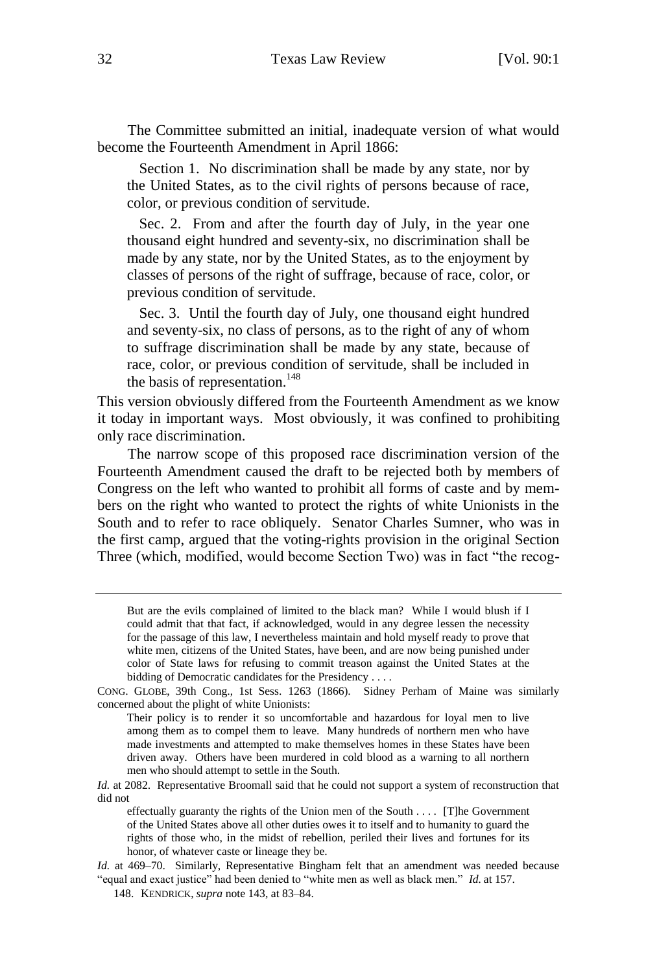The Committee submitted an initial, inadequate version of what would become the Fourteenth Amendment in April 1866:

Section 1. No discrimination shall be made by any state, nor by the United States, as to the civil rights of persons because of race, color, or previous condition of servitude.

Sec. 2. From and after the fourth day of July, in the year one thousand eight hundred and seventy-six, no discrimination shall be made by any state, nor by the United States, as to the enjoyment by classes of persons of the right of suffrage, because of race, color, or previous condition of servitude.

Sec. 3. Until the fourth day of July, one thousand eight hundred and seventy-six, no class of persons, as to the right of any of whom to suffrage discrimination shall be made by any state, because of race, color, or previous condition of servitude, shall be included in the basis of representation.<sup>148</sup>

This version obviously differed from the Fourteenth Amendment as we know it today in important ways. Most obviously, it was confined to prohibiting only race discrimination.

The narrow scope of this proposed race discrimination version of the Fourteenth Amendment caused the draft to be rejected both by members of Congress on the left who wanted to prohibit all forms of caste and by members on the right who wanted to protect the rights of white Unionists in the South and to refer to race obliquely. Senator Charles Sumner, who was in the first camp, argued that the voting-rights provision in the original Section Three (which, modified, would become Section Two) was in fact "the recog-

But are the evils complained of limited to the black man? While I would blush if I could admit that that fact, if acknowledged, would in any degree lessen the necessity for the passage of this law, I nevertheless maintain and hold myself ready to prove that white men, citizens of the United States, have been, and are now being punished under color of State laws for refusing to commit treason against the United States at the bidding of Democratic candidates for the Presidency . . . .

CONG. GLOBE, 39th Cong., 1st Sess. 1263 (1866). Sidney Perham of Maine was similarly concerned about the plight of white Unionists:

Their policy is to render it so uncomfortable and hazardous for loyal men to live among them as to compel them to leave. Many hundreds of northern men who have made investments and attempted to make themselves homes in these States have been driven away. Others have been murdered in cold blood as a warning to all northern men who should attempt to settle in the South.

*Id.* at 2082. Representative Broomall said that he could not support a system of reconstruction that did not

effectually guaranty the rights of the Union men of the South . . . . [T]he Government of the United States above all other duties owes it to itself and to humanity to guard the rights of those who, in the midst of rebellion, periled their lives and fortunes for its honor, of whatever caste or lineage they be.

*Id.* at 469–70. Similarly, Representative Bingham felt that an amendment was needed because "equal and exact justice" had been denied to "white men as well as black men." *Id.* at 157.

148. KENDRICK, *supra* note 143, at 83–84.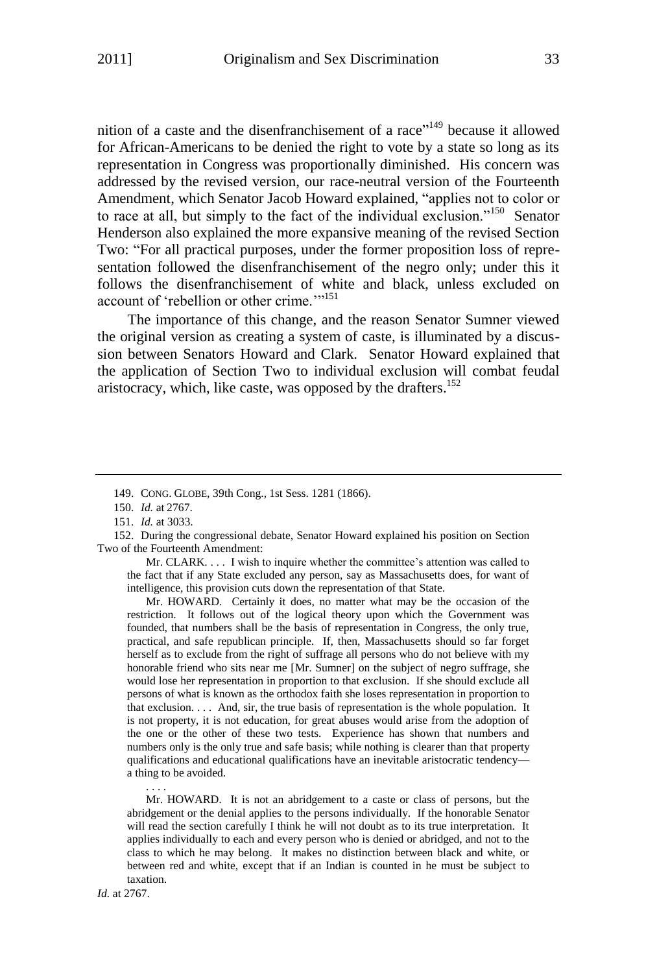nition of a caste and the disenfranchisement of a race"<sup>149</sup> because it allowed for African-Americans to be denied the right to vote by a state so long as its representation in Congress was proportionally diminished. His concern was addressed by the revised version, our race-neutral version of the Fourteenth Amendment, which Senator Jacob Howard explained, "applies not to color or to race at all, but simply to the fact of the individual exclusion."<sup>150</sup> Senator Henderson also explained the more expansive meaning of the revised Section Two: "For all practical purposes, under the former proposition loss of representation followed the disenfranchisement of the negro only; under this it follows the disenfranchisement of white and black, unless excluded on account of 'rebellion or other crime.'"<sup>151</sup>

The importance of this change, and the reason Senator Sumner viewed the original version as creating a system of caste, is illuminated by a discussion between Senators Howard and Clark. Senator Howard explained that the application of Section Two to individual exclusion will combat feudal aristocracy, which, like caste, was opposed by the drafters.<sup>152</sup>

Mr. CLARK. . . . I wish to inquire whether the committee's attention was called to the fact that if any State excluded any person, say as Massachusetts does, for want of intelligence, this provision cuts down the representation of that State.

Mr. HOWARD. Certainly it does, no matter what may be the occasion of the restriction. It follows out of the logical theory upon which the Government was founded, that numbers shall be the basis of representation in Congress, the only true, practical, and safe republican principle. If, then, Massachusetts should so far forget herself as to exclude from the right of suffrage all persons who do not believe with my honorable friend who sits near me [Mr. Sumner] on the subject of negro suffrage, she would lose her representation in proportion to that exclusion. If she should exclude all persons of what is known as the orthodox faith she loses representation in proportion to that exclusion. . . . And, sir, the true basis of representation is the whole population. It is not property, it is not education, for great abuses would arise from the adoption of the one or the other of these two tests. Experience has shown that numbers and numbers only is the only true and safe basis; while nothing is clearer than that property qualifications and educational qualifications have an inevitable aristocratic tendency a thing to be avoided.

Mr. HOWARD. It is not an abridgement to a caste or class of persons, but the abridgement or the denial applies to the persons individually. If the honorable Senator will read the section carefully I think he will not doubt as to its true interpretation. It applies individually to each and every person who is denied or abridged, and not to the class to which he may belong. It makes no distinction between black and white, or between red and white, except that if an Indian is counted in he must be subject to taxation.

*Id.* at 2767.

. . . .

<sup>149.</sup> CONG. GLOBE, 39th Cong., 1st Sess. 1281 (1866).

<sup>150.</sup> *Id.* at 2767.

<sup>151.</sup> *Id.* at 3033.

<sup>152.</sup> During the congressional debate, Senator Howard explained his position on Section Two of the Fourteenth Amendment: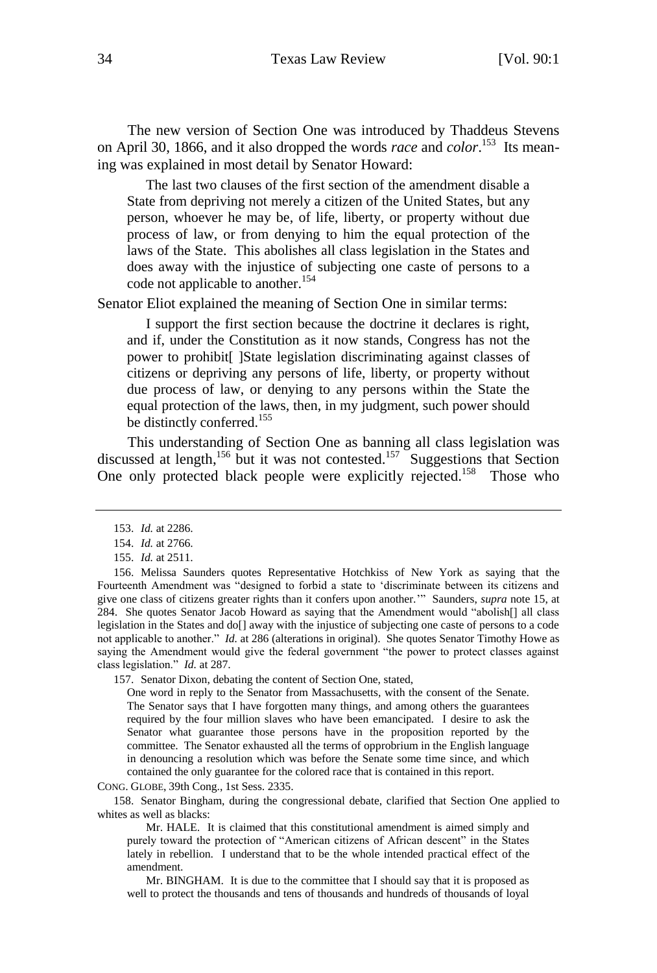The new version of Section One was introduced by Thaddeus Stevens on April 30, 1866, and it also dropped the words *race* and *color*. 153 Its meaning was explained in most detail by Senator Howard:

The last two clauses of the first section of the amendment disable a State from depriving not merely a citizen of the United States, but any person, whoever he may be, of life, liberty, or property without due process of law, or from denying to him the equal protection of the laws of the State. This abolishes all class legislation in the States and does away with the injustice of subjecting one caste of persons to a code not applicable to another.<sup>154</sup>

Senator Eliot explained the meaning of Section One in similar terms:

I support the first section because the doctrine it declares is right, and if, under the Constitution as it now stands, Congress has not the power to prohibit[ ]State legislation discriminating against classes of citizens or depriving any persons of life, liberty, or property without due process of law, or denying to any persons within the State the equal protection of the laws, then, in my judgment, such power should be distinctly conferred.<sup>155</sup>

This understanding of Section One as banning all class legislation was discussed at length,<sup>156</sup> but it was not contested.<sup>157</sup> Suggestions that Section One only protected black people were explicitly rejected.<sup>158</sup> Those who

157. Senator Dixon, debating the content of Section One, stated,

One word in reply to the Senator from Massachusetts, with the consent of the Senate. The Senator says that I have forgotten many things, and among others the guarantees required by the four million slaves who have been emancipated. I desire to ask the Senator what guarantee those persons have in the proposition reported by the committee. The Senator exhausted all the terms of opprobrium in the English language in denouncing a resolution which was before the Senate some time since, and which contained the only guarantee for the colored race that is contained in this report.

CONG. GLOBE, 39th Cong., 1st Sess. 2335.

158. Senator Bingham, during the congressional debate, clarified that Section One applied to whites as well as blacks:

Mr. BINGHAM. It is due to the committee that I should say that it is proposed as well to protect the thousands and tens of thousands and hundreds of thousands of loyal

<sup>153.</sup> *Id.* at 2286.

<sup>154.</sup> *Id.* at 2766.

<sup>155.</sup> *Id.* at 2511.

<sup>156.</sup> Melissa Saunders quotes Representative Hotchkiss of New York as saying that the Fourteenth Amendment was "designed to forbid a state to 'discriminate between its citizens and give one class of citizens greater rights than it confers upon another." Saunders, *supra* note 15, at 284. She quotes Senator Jacob Howard as saying that the Amendment would "abolish" all class legislation in the States and do[] away with the injustice of subjecting one caste of persons to a code not applicable to another." *Id.* at 286 (alterations in original). She quotes Senator Timothy Howe as saying the Amendment would give the federal government "the power to protect classes against class legislation." *Id.* at 287.

Mr. HALE. It is claimed that this constitutional amendment is aimed simply and purely toward the protection of "American citizens of African descent" in the States lately in rebellion. I understand that to be the whole intended practical effect of the amendment.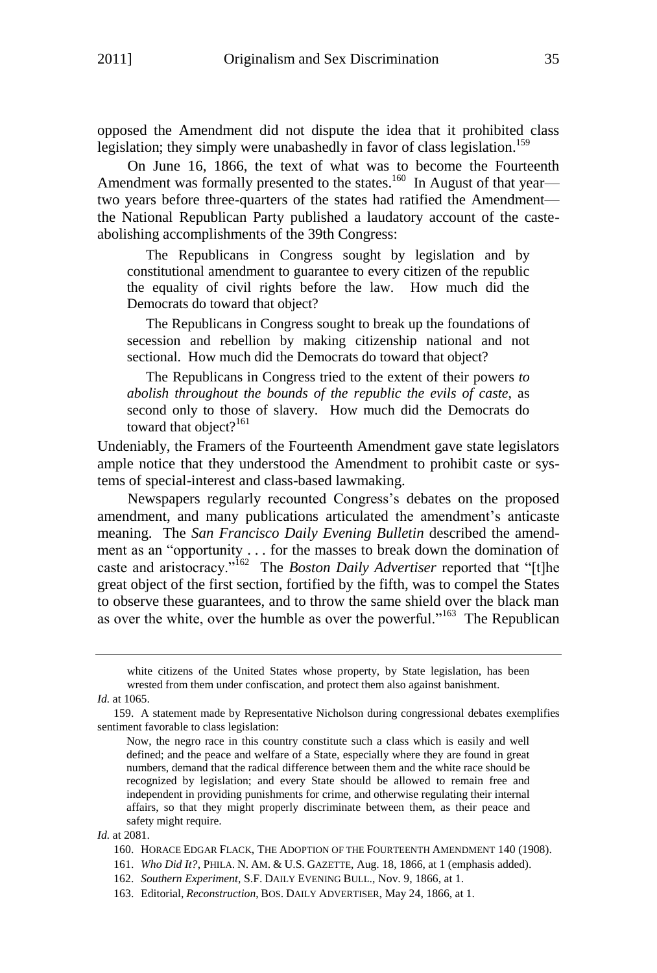opposed the Amendment did not dispute the idea that it prohibited class legislation; they simply were unabashedly in favor of class legislation.<sup>159</sup>

On June 16, 1866, the text of what was to become the Fourteenth Amendment was formally presented to the states.<sup>160</sup> In August of that year two years before three-quarters of the states had ratified the Amendment the National Republican Party published a laudatory account of the casteabolishing accomplishments of the 39th Congress:

The Republicans in Congress sought by legislation and by constitutional amendment to guarantee to every citizen of the republic the equality of civil rights before the law. How much did the Democrats do toward that object?

The Republicans in Congress sought to break up the foundations of secession and rebellion by making citizenship national and not sectional. How much did the Democrats do toward that object?

The Republicans in Congress tried to the extent of their powers *to abolish throughout the bounds of the republic the evils of caste*, as second only to those of slavery. How much did the Democrats do toward that object?<sup>161</sup>

Undeniably, the Framers of the Fourteenth Amendment gave state legislators ample notice that they understood the Amendment to prohibit caste or systems of special-interest and class-based lawmaking.

Newspapers regularly recounted Congress's debates on the proposed amendment, and many publications articulated the amendment's anticaste meaning. The *San Francisco Daily Evening Bulletin* described the amendment as an "opportunity  $\dots$  for the masses to break down the domination of caste and aristocracy."<sup>162</sup> The *Boston Daily Advertiser* reported that "[t]he great object of the first section, fortified by the fifth, was to compel the States to observe these guarantees, and to throw the same shield over the black man as over the white, over the humble as over the powerful."<sup>163</sup> The Republican

white citizens of the United States whose property, by State legislation, has been wrested from them under confiscation, and protect them also against banishment.

*Id.* at 1065.

<sup>159.</sup> A statement made by Representative Nicholson during congressional debates exemplifies sentiment favorable to class legislation:

Now, the negro race in this country constitute such a class which is easily and well defined; and the peace and welfare of a State, especially where they are found in great numbers, demand that the radical difference between them and the white race should be recognized by legislation; and every State should be allowed to remain free and independent in providing punishments for crime, and otherwise regulating their internal affairs, so that they might properly discriminate between them, as their peace and safety might require.

*Id.* at 2081.

<sup>160.</sup> HORACE EDGAR FLACK, THE ADOPTION OF THE FOURTEENTH AMENDMENT 140 (1908).

<sup>161.</sup> *Who Did It?*, PHILA. N. AM. & U.S. GAZETTE, Aug. 18, 1866, at 1 (emphasis added).

<sup>162.</sup> *Southern Experiment*, S.F. DAILY EVENING BULL., Nov. 9, 1866, at 1.

<sup>163.</sup> Editorial, *Reconstruction*, BOS. DAILY ADVERTISER, May 24, 1866, at 1.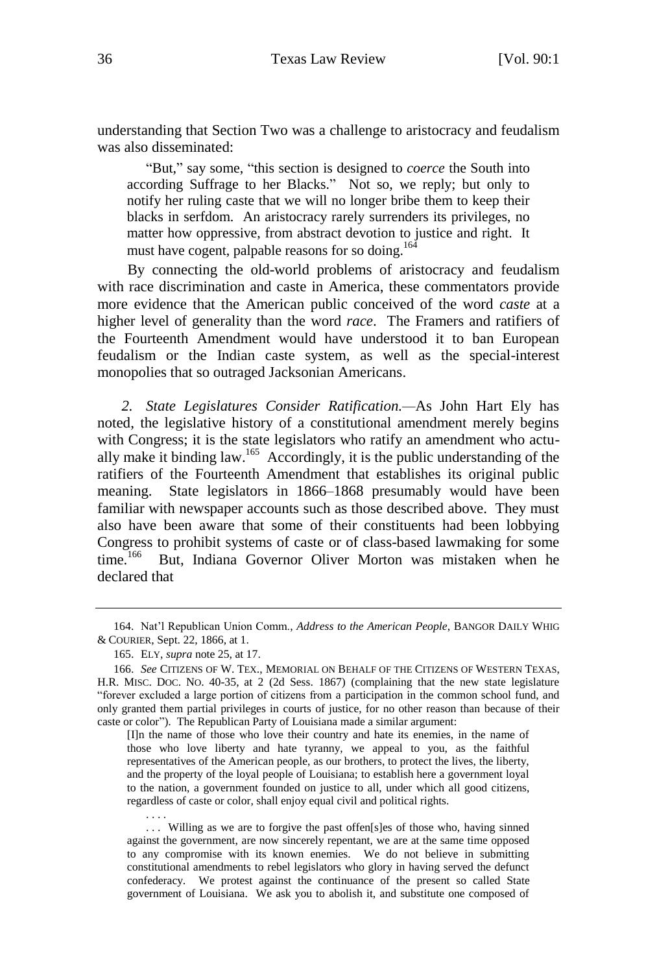understanding that Section Two was a challenge to aristocracy and feudalism was also disseminated:

"But," say some, "this section is designed to *coerce* the South into according Suffrage to her Blacks." Not so, we reply; but only to notify her ruling caste that we will no longer bribe them to keep their blacks in serfdom. An aristocracy rarely surrenders its privileges, no matter how oppressive, from abstract devotion to justice and right. It must have cogent, palpable reasons for so doing.<sup>164</sup>

By connecting the old-world problems of aristocracy and feudalism with race discrimination and caste in America, these commentators provide more evidence that the American public conceived of the word *caste* at a higher level of generality than the word *race*. The Framers and ratifiers of the Fourteenth Amendment would have understood it to ban European feudalism or the Indian caste system, as well as the special-interest monopolies that so outraged Jacksonian Americans.

*2. State Legislatures Consider Ratification.—*As John Hart Ely has noted, the legislative history of a constitutional amendment merely begins with Congress; it is the state legislators who ratify an amendment who actually make it binding law.<sup>165</sup> Accordingly, it is the public understanding of the ratifiers of the Fourteenth Amendment that establishes its original public meaning. State legislators in 1866–1868 presumably would have been familiar with newspaper accounts such as those described above. They must also have been aware that some of their constituents had been lobbying Congress to prohibit systems of caste or of class-based lawmaking for some time.<sup>166</sup> But, Indiana Governor Oliver Morton was mistaken when he declared that

[I]n the name of those who love their country and hate its enemies, in the name of those who love liberty and hate tyranny, we appeal to you, as the faithful representatives of the American people, as our brothers, to protect the lives, the liberty, and the property of the loyal people of Louisiana; to establish here a government loyal to the nation, a government founded on justice to all, under which all good citizens, regardless of caste or color, shall enjoy equal civil and political rights. . . . .

. . . Willing as we are to forgive the past offen[s]es of those who, having sinned against the government, are now sincerely repentant, we are at the same time opposed to any compromise with its known enemies. We do not believe in submitting constitutional amendments to rebel legislators who glory in having served the defunct confederacy. We protest against the continuance of the present so called State government of Louisiana. We ask you to abolish it, and substitute one composed of

<sup>164.</sup> Nat'l Republican Union Comm., *Address to the American People*, BANGOR DAILY WHIG & COURIER, Sept. 22, 1866, at 1.

<sup>165.</sup> ELY, *supra* note 25, at 17.

<sup>166.</sup> *See* CITIZENS OF W. TEX., MEMORIAL ON BEHALF OF THE CITIZENS OF WESTERN TEXAS, H.R. MISC. DOC. NO. 40-35, at 2 (2d Sess. 1867) (complaining that the new state legislature ―forever excluded a large portion of citizens from a participation in the common school fund, and only granted them partial privileges in courts of justice, for no other reason than because of their caste or color"). The Republican Party of Louisiana made a similar argument: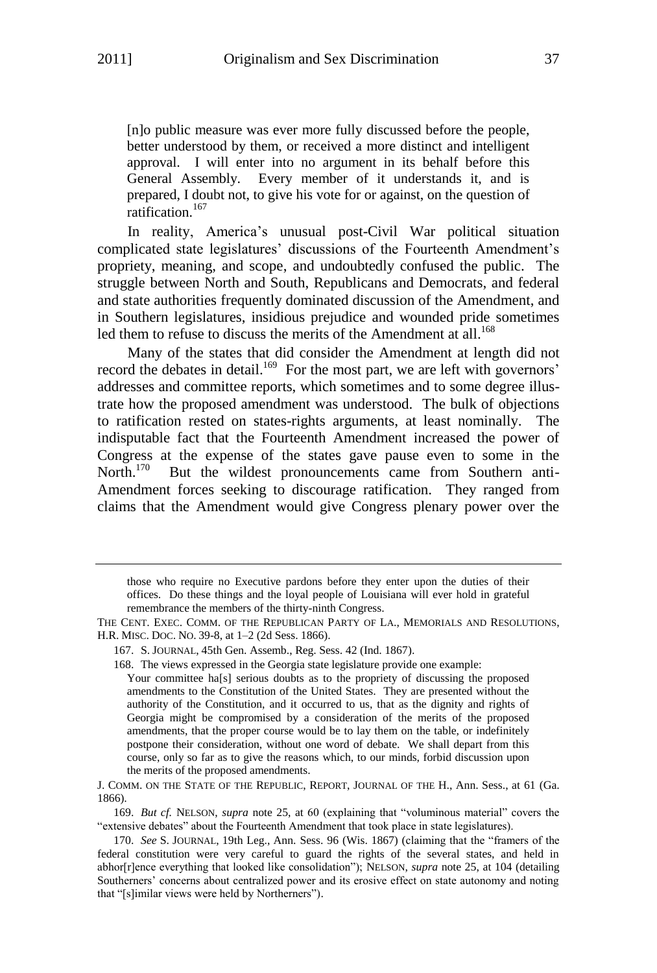[n]o public measure was ever more fully discussed before the people, better understood by them, or received a more distinct and intelligent approval. I will enter into no argument in its behalf before this General Assembly. Every member of it understands it, and is prepared, I doubt not, to give his vote for or against, on the question of ratification<sup>167</sup>

In reality, America's unusual post-Civil War political situation complicated state legislatures' discussions of the Fourteenth Amendment's propriety, meaning, and scope, and undoubtedly confused the public. The struggle between North and South, Republicans and Democrats, and federal and state authorities frequently dominated discussion of the Amendment, and in Southern legislatures, insidious prejudice and wounded pride sometimes led them to refuse to discuss the merits of the Amendment at all. 168

Many of the states that did consider the Amendment at length did not record the debates in detail.<sup>169</sup> For the most part, we are left with governors' addresses and committee reports, which sometimes and to some degree illustrate how the proposed amendment was understood. The bulk of objections to ratification rested on states-rights arguments, at least nominally. The indisputable fact that the Fourteenth Amendment increased the power of Congress at the expense of the states gave pause even to some in the North. $170$ But the wildest pronouncements came from Southern anti-Amendment forces seeking to discourage ratification. They ranged from claims that the Amendment would give Congress plenary power over the

168. The views expressed in the Georgia state legislature provide one example:

Your committee ha<sup>[s]</sup> serious doubts as to the propriety of discussing the proposed amendments to the Constitution of the United States. They are presented without the authority of the Constitution, and it occurred to us, that as the dignity and rights of Georgia might be compromised by a consideration of the merits of the proposed amendments, that the proper course would be to lay them on the table, or indefinitely postpone their consideration, without one word of debate. We shall depart from this course, only so far as to give the reasons which, to our minds, forbid discussion upon the merits of the proposed amendments.

J. COMM. ON THE STATE OF THE REPUBLIC, REPORT, JOURNAL OF THE H., Ann. Sess., at 61 (Ga. 1866).

169. *But cf.* NELSON, *supra* note 25, at 60 (explaining that "voluminous material" covers the "extensive debates" about the Fourteenth Amendment that took place in state legislatures).

those who require no Executive pardons before they enter upon the duties of their offices. Do these things and the loyal people of Louisiana will ever hold in grateful remembrance the members of the thirty-ninth Congress.

THE CENT. EXEC. COMM. OF THE REPUBLICAN PARTY OF LA., MEMORIALS AND RESOLUTIONS, H.R. MISC. DOC. NO. 39-8, at 1–2 (2d Sess. 1866).

<sup>167.</sup> S. JOURNAL, 45th Gen. Assemb., Reg. Sess. 42 (Ind. 1867).

<sup>170.</sup> See S. JOURNAL, 19th Leg., Ann. Sess. 96 (Wis. 1867) (claiming that the "framers of the federal constitution were very careful to guard the rights of the several states, and held in abhor[r]ence everything that looked like consolidation"); NELSON, *supra* note 25, at 104 (detailing Southerners' concerns about centralized power and its erosive effect on state autonomy and noting that "[s]imilar views were held by Northerners").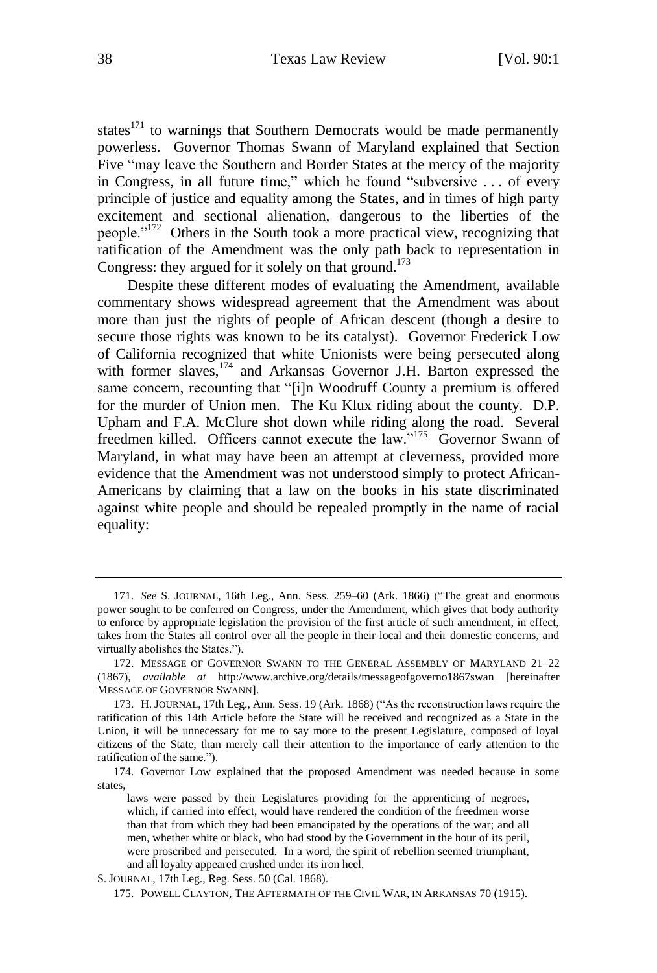### 38 Texas Law Review [Vol. 90:1

states $171$  to warnings that Southern Democrats would be made permanently powerless. Governor Thomas Swann of Maryland explained that Section Five "may leave the Southern and Border States at the mercy of the majority in Congress, in all future time," which he found "subversive  $\dots$  of every principle of justice and equality among the States, and in times of high party excitement and sectional alienation, dangerous to the liberties of the people."<sup>172</sup> Others in the South took a more practical view, recognizing that ratification of the Amendment was the only path back to representation in Congress: they argued for it solely on that ground.<sup>173</sup>

Despite these different modes of evaluating the Amendment, available commentary shows widespread agreement that the Amendment was about more than just the rights of people of African descent (though a desire to secure those rights was known to be its catalyst). Governor Frederick Low of California recognized that white Unionists were being persecuted along with former slaves,<sup>174</sup> and Arkansas Governor J.H. Barton expressed the same concern, recounting that "[i]n Woodruff County a premium is offered for the murder of Union men. The Ku Klux riding about the county. D.P. Upham and F.A. McClure shot down while riding along the road. Several freedmen killed. Officers cannot execute the law."<sup>175</sup> Governor Swann of Maryland, in what may have been an attempt at cleverness, provided more evidence that the Amendment was not understood simply to protect African-Americans by claiming that a law on the books in his state discriminated against white people and should be repealed promptly in the name of racial equality:

<sup>171.</sup> *See* S. JOURNAL, 16th Leg., Ann. Sess. 259–60 (Ark. 1866) ("The great and enormous power sought to be conferred on Congress, under the Amendment, which gives that body authority to enforce by appropriate legislation the provision of the first article of such amendment, in effect, takes from the States all control over all the people in their local and their domestic concerns, and virtually abolishes the States.").

<sup>172.</sup> MESSAGE OF GOVERNOR SWANN TO THE GENERAL ASSEMBLY OF MARYLAND 21–22 (1867), *available at* http://www.archive.org/details/messageofgoverno1867swan [hereinafter MESSAGE OF GOVERNOR SWANN].

<sup>173.</sup> H. JOURNAL, 17th Leg., Ann. Sess. 19 (Ark. 1868) ("As the reconstruction laws require the ratification of this 14th Article before the State will be received and recognized as a State in the Union, it will be unnecessary for me to say more to the present Legislature, composed of loyal citizens of the State, than merely call their attention to the importance of early attention to the ratification of the same.").

<sup>174.</sup> Governor Low explained that the proposed Amendment was needed because in some states,

laws were passed by their Legislatures providing for the apprenticing of negroes, which, if carried into effect, would have rendered the condition of the freedmen worse than that from which they had been emancipated by the operations of the war; and all men, whether white or black, who had stood by the Government in the hour of its peril, were proscribed and persecuted. In a word, the spirit of rebellion seemed triumphant, and all loyalty appeared crushed under its iron heel.

S. JOURNAL, 17th Leg., Reg. Sess. 50 (Cal. 1868).

<sup>175.</sup> POWELL CLAYTON, THE AFTERMATH OF THE CIVIL WAR, IN ARKANSAS 70 (1915).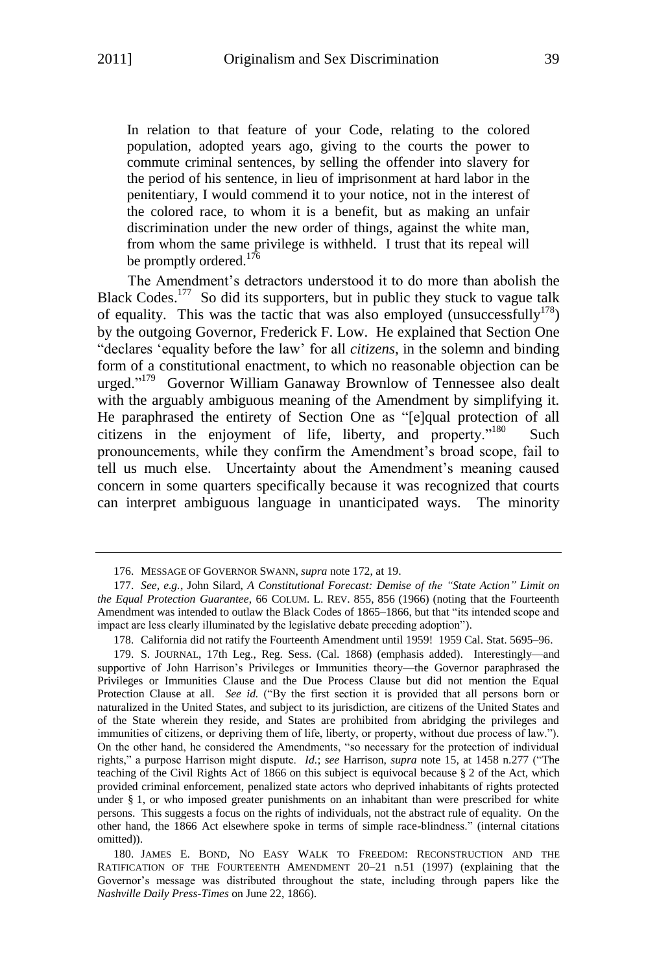In relation to that feature of your Code, relating to the colored population, adopted years ago, giving to the courts the power to commute criminal sentences, by selling the offender into slavery for the period of his sentence, in lieu of imprisonment at hard labor in the penitentiary, I would commend it to your notice, not in the interest of the colored race, to whom it is a benefit, but as making an unfair discrimination under the new order of things, against the white man, from whom the same privilege is withheld. I trust that its repeal will be promptly ordered.<sup>176</sup>

The Amendment's detractors understood it to do more than abolish the Black Codes.<sup>177</sup> So did its supporters, but in public they stuck to vague talk of equality. This was the tactic that was also employed (unsuccessfully<sup>178</sup>) by the outgoing Governor, Frederick F. Low. He explained that Section One "declares 'equality before the law' for all *citizens*, in the solemn and binding form of a constitutional enactment, to which no reasonable objection can be urged."<sup>179</sup> Governor William Ganaway Brownlow of Tennessee also dealt with the arguably ambiguous meaning of the Amendment by simplifying it. He paraphrased the entirety of Section One as "[e]qual protection of all citizens in the enjoyment of life, liberty, and property."<sup>180</sup> Such pronouncements, while they confirm the Amendment's broad scope, fail to tell us much else. Uncertainty about the Amendment's meaning caused concern in some quarters specifically because it was recognized that courts can interpret ambiguous language in unanticipated ways. The minority

<sup>176.</sup> MESSAGE OF GOVERNOR SWANN, *supra* note 172, at 19.

<sup>177.</sup> See, e.g., John Silard, *A Constitutional Forecast: Demise of the "State Action" Limit on the Equal Protection Guarantee*, 66 COLUM. L. REV. 855, 856 (1966) (noting that the Fourteenth Amendment was intended to outlaw the Black Codes of 1865–1866, but that "its intended scope and impact are less clearly illuminated by the legislative debate preceding adoption").

<sup>178.</sup> California did not ratify the Fourteenth Amendment until 1959! 1959 Cal. Stat. 5695–96.

<sup>179.</sup> S. JOURNAL, 17th Leg., Reg. Sess. (Cal. 1868) (emphasis added). Interestingly—and supportive of John Harrison's Privileges or Immunities theory—the Governor paraphrased the Privileges or Immunities Clause and the Due Process Clause but did not mention the Equal Protection Clause at all. *See id.* ("By the first section it is provided that all persons born or naturalized in the United States, and subject to its jurisdiction, are citizens of the United States and of the State wherein they reside, and States are prohibited from abridging the privileges and immunities of citizens, or depriving them of life, liberty, or property, without due process of law."). On the other hand, he considered the Amendments, "so necessary for the protection of individual rights," a purpose Harrison might dispute. *Id.*; *see* Harrison, *supra* note 15, at 1458 n.277 ("The teaching of the Civil Rights Act of 1866 on this subject is equivocal because § 2 of the Act, which provided criminal enforcement, penalized state actors who deprived inhabitants of rights protected under § 1, or who imposed greater punishments on an inhabitant than were prescribed for white persons. This suggests a focus on the rights of individuals, not the abstract rule of equality. On the other hand, the 1866 Act elsewhere spoke in terms of simple race-blindness.‖ (internal citations omitted)).

<sup>180.</sup> JAMES E. BOND, NO EASY WALK TO FREEDOM: RECONSTRUCTION AND THE RATIFICATION OF THE FOURTEENTH AMENDMENT 20–21 n.51 (1997) (explaining that the Governor's message was distributed throughout the state, including through papers like the *Nashville Daily Press-Times* on June 22, 1866).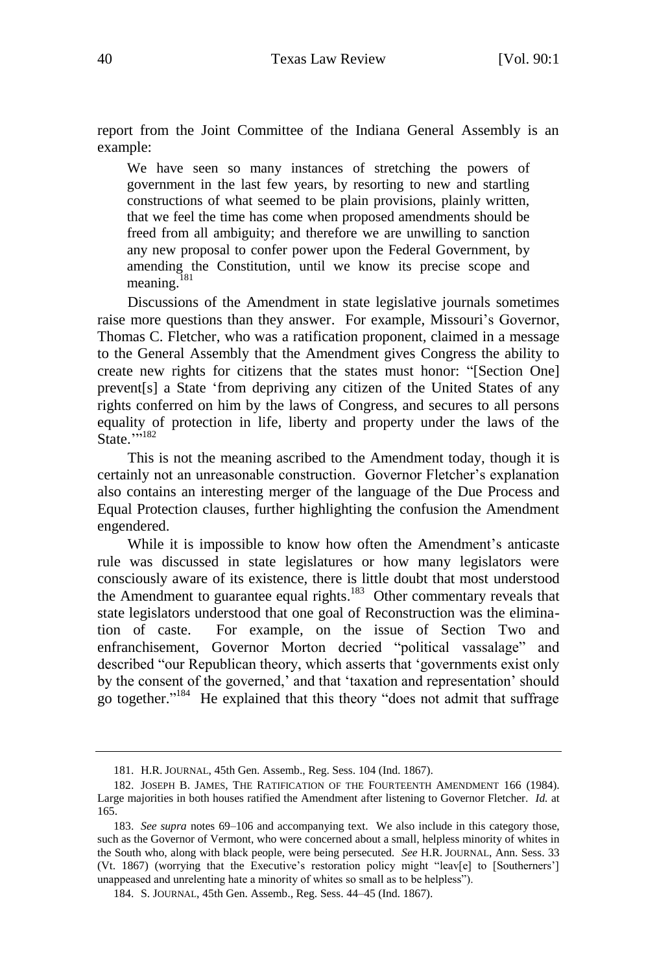report from the Joint Committee of the Indiana General Assembly is an example:

We have seen so many instances of stretching the powers of government in the last few years, by resorting to new and startling constructions of what seemed to be plain provisions, plainly written, that we feel the time has come when proposed amendments should be freed from all ambiguity; and therefore we are unwilling to sanction any new proposal to confer power upon the Federal Government, by amending the Constitution, until we know its precise scope and meaning.<sup>181</sup>

Discussions of the Amendment in state legislative journals sometimes raise more questions than they answer. For example, Missouri's Governor, Thomas C. Fletcher, who was a ratification proponent, claimed in a message to the General Assembly that the Amendment gives Congress the ability to create new rights for citizens that the states must honor: "[Section One] prevent<sup>[s]</sup> a State 'from depriving any citizen of the United States of any rights conferred on him by the laws of Congress, and secures to all persons equality of protection in life, liberty and property under the laws of the  $S$ tate. $\frac{182}{182}$ 

This is not the meaning ascribed to the Amendment today, though it is certainly not an unreasonable construction. Governor Fletcher's explanation also contains an interesting merger of the language of the Due Process and Equal Protection clauses, further highlighting the confusion the Amendment engendered.

While it is impossible to know how often the Amendment's anticaste rule was discussed in state legislatures or how many legislators were consciously aware of its existence, there is little doubt that most understood the Amendment to guarantee equal rights.<sup>183</sup> Other commentary reveals that state legislators understood that one goal of Reconstruction was the elimination of caste. For example, on the issue of Section Two and enfranchisement, Governor Morton decried "political vassalage" and described "our Republican theory, which asserts that 'governments exist only by the consent of the governed,' and that 'taxation and representation' should go together."<sup>184</sup> He explained that this theory "does not admit that suffrage

<sup>181.</sup> H.R. JOURNAL, 45th Gen. Assemb., Reg. Sess. 104 (Ind. 1867).

<sup>182.</sup> JOSEPH B. JAMES, THE RATIFICATION OF THE FOURTEENTH AMENDMENT 166 (1984). Large majorities in both houses ratified the Amendment after listening to Governor Fletcher. *Id.* at 165.

<sup>183.</sup> *See supra* notes 69–106 and accompanying text. We also include in this category those, such as the Governor of Vermont, who were concerned about a small, helpless minority of whites in the South who, along with black people, were being persecuted. *See* H.R. JOURNAL, Ann. Sess. 33 (Vt. 1867) (worrying that the Executive's restoration policy might "leav[e] to [Southerners'] unappeased and unrelenting hate a minority of whites so small as to be helpless").

<sup>184.</sup> S. JOURNAL, 45th Gen. Assemb., Reg. Sess. 44–45 (Ind. 1867).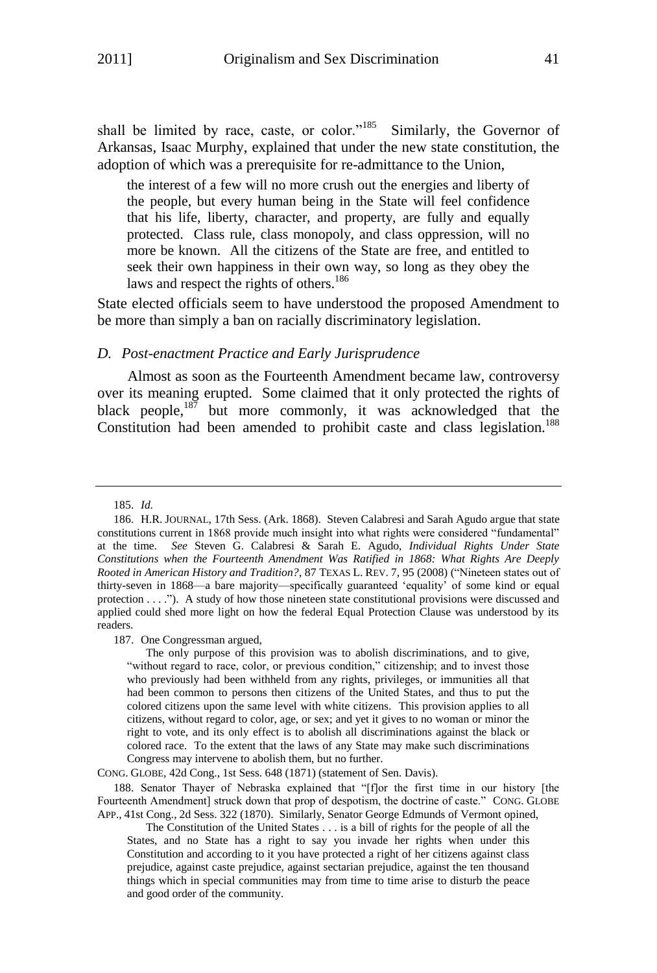shall be limited by race, caste, or color."<sup>185</sup> Similarly, the Governor of Arkansas, Isaac Murphy, explained that under the new state constitution, the adoption of which was a prerequisite for re-admittance to the Union,

the interest of a few will no more crush out the energies and liberty of the people, but every human being in the State will feel confidence that his life, liberty, character, and property, are fully and equally protected. Class rule, class monopoly, and class oppression, will no more be known. All the citizens of the State are free, and entitled to seek their own happiness in their own way, so long as they obey the laws and respect the rights of others.<sup>186</sup>

State elected officials seem to have understood the proposed Amendment to be more than simply a ban on racially discriminatory legislation.

#### *D. Post-enactment Practice and Early Jurisprudence*

Almost as soon as the Fourteenth Amendment became law, controversy over its meaning erupted. Some claimed that it only protected the rights of black people,<sup>187</sup> but more commonly, it was acknowledged that the Constitution had been amended to prohibit caste and class legislation.<sup>188</sup>

187. One Congressman argued,

The only purpose of this provision was to abolish discriminations, and to give, "without regard to race, color, or previous condition," citizenship; and to invest those who previously had been withheld from any rights, privileges, or immunities all that had been common to persons then citizens of the United States, and thus to put the colored citizens upon the same level with white citizens. This provision applies to all citizens, without regard to color, age, or sex; and yet it gives to no woman or minor the right to vote, and its only effect is to abolish all discriminations against the black or colored race. To the extent that the laws of any State may make such discriminations Congress may intervene to abolish them, but no further.

CONG. GLOBE, 42d Cong., 1st Sess. 648 (1871) (statement of Sen. Davis).

188. Senator Thayer of Nebraska explained that "[f]or the first time in our history [the Fourteenth Amendment] struck down that prop of despotism, the doctrine of caste." CONG. GLOBE APP., 41st Cong., 2d Sess. 322 (1870). Similarly, Senator George Edmunds of Vermont opined,

<sup>185.</sup> *Id.*

<sup>186.</sup> H.R. JOURNAL, 17th Sess. (Ark. 1868). Steven Calabresi and Sarah Agudo argue that state constitutions current in 1868 provide much insight into what rights were considered "fundamental" at the time. *See* Steven G. Calabresi & Sarah E. Agudo, *Individual Rights Under State Constitutions when the Fourteenth Amendment Was Ratified in 1868: What Rights Are Deeply Rooted in American History and Tradition?*, 87 TEXAS L. REV. 7, 95 (2008) ("Nineteen states out of thirty-seven in 1868—a bare majority—specifically guaranteed ‗equality' of some kind or equal protection  $\dots$ ."). A study of how those nineteen state constitutional provisions were discussed and applied could shed more light on how the federal Equal Protection Clause was understood by its readers.

The Constitution of the United States . . . is a bill of rights for the people of all the States, and no State has a right to say you invade her rights when under this Constitution and according to it you have protected a right of her citizens against class prejudice, against caste prejudice, against sectarian prejudice, against the ten thousand things which in special communities may from time to time arise to disturb the peace and good order of the community.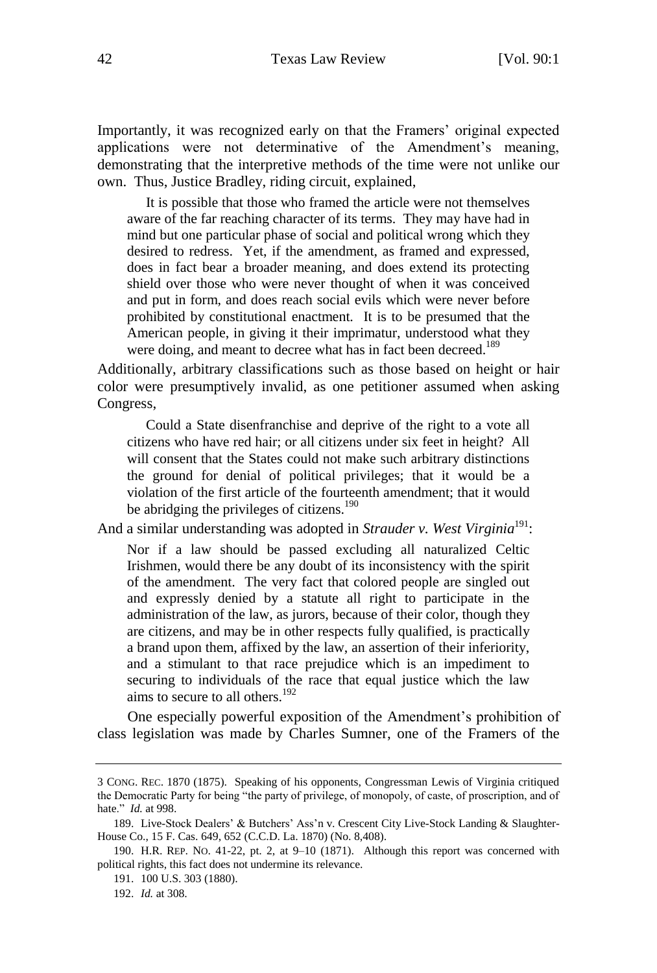Importantly, it was recognized early on that the Framers' original expected applications were not determinative of the Amendment's meaning, demonstrating that the interpretive methods of the time were not unlike our own. Thus, Justice Bradley, riding circuit, explained,

It is possible that those who framed the article were not themselves aware of the far reaching character of its terms. They may have had in mind but one particular phase of social and political wrong which they desired to redress. Yet, if the amendment, as framed and expressed, does in fact bear a broader meaning, and does extend its protecting shield over those who were never thought of when it was conceived and put in form, and does reach social evils which were never before prohibited by constitutional enactment. It is to be presumed that the American people, in giving it their imprimatur, understood what they were doing, and meant to decree what has in fact been decreed.<sup>189</sup>

Additionally, arbitrary classifications such as those based on height or hair color were presumptively invalid, as one petitioner assumed when asking Congress,

Could a State disenfranchise and deprive of the right to a vote all citizens who have red hair; or all citizens under six feet in height? All will consent that the States could not make such arbitrary distinctions the ground for denial of political privileges; that it would be a violation of the first article of the fourteenth amendment; that it would be abridging the privileges of citizens.<sup>190</sup>

And a similar understanding was adopted in *Strauder v. West Virginia*<sup>191</sup>:

Nor if a law should be passed excluding all naturalized Celtic Irishmen, would there be any doubt of its inconsistency with the spirit of the amendment. The very fact that colored people are singled out and expressly denied by a statute all right to participate in the administration of the law, as jurors, because of their color, though they are citizens, and may be in other respects fully qualified, is practically a brand upon them, affixed by the law, an assertion of their inferiority, and a stimulant to that race prejudice which is an impediment to securing to individuals of the race that equal justice which the law aims to secure to all others.<sup>192</sup>

One especially powerful exposition of the Amendment's prohibition of class legislation was made by Charles Sumner, one of the Framers of the

<sup>3</sup> CONG. REC. 1870 (1875). Speaking of his opponents, Congressman Lewis of Virginia critiqued the Democratic Party for being "the party of privilege, of monopoly, of caste, of proscription, and of hate." *Id.* at 998.

<sup>189.</sup> Live-Stock Dealers' & Butchers' Ass'n v. Crescent City Live-Stock Landing & Slaughter-House Co., 15 F. Cas. 649, 652 (C.C.D. La. 1870) (No. 8,408).

<sup>190.</sup> H.R. REP. NO. 41-22, pt. 2, at 9–10 (1871). Although this report was concerned with political rights, this fact does not undermine its relevance.

<sup>191.</sup> 100 U.S. 303 (1880).

<sup>192.</sup> *Id.* at 308.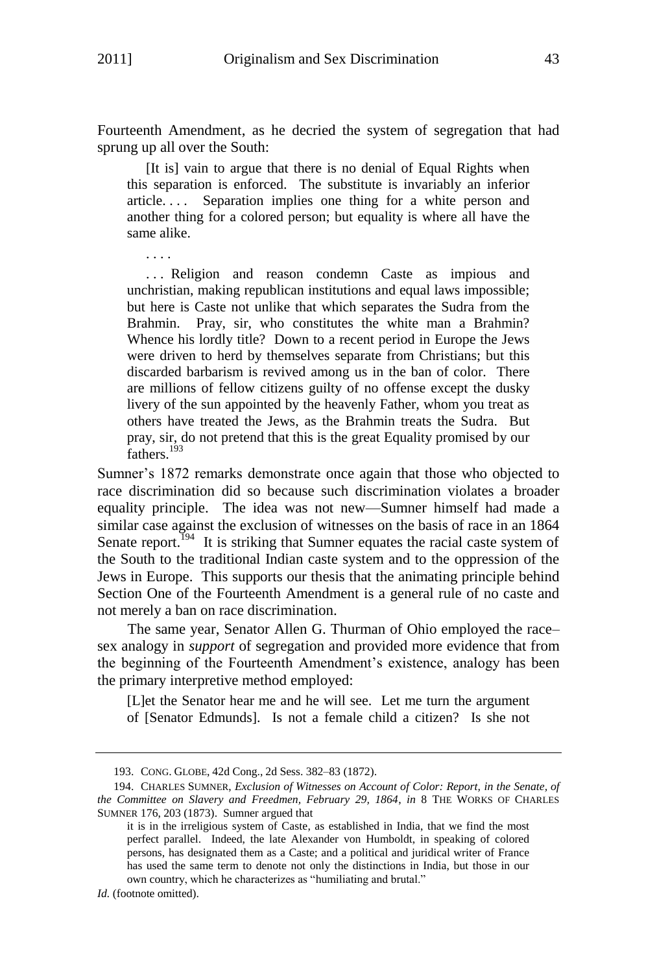. . . .

Fourteenth Amendment, as he decried the system of segregation that had sprung up all over the South:

[It is] vain to argue that there is no denial of Equal Rights when this separation is enforced. The substitute is invariably an inferior article. . . . Separation implies one thing for a white person and another thing for a colored person; but equality is where all have the same alike.

. . . Religion and reason condemn Caste as impious and unchristian, making republican institutions and equal laws impossible; but here is Caste not unlike that which separates the Sudra from the Brahmin. Pray, sir, who constitutes the white man a Brahmin? Whence his lordly title? Down to a recent period in Europe the Jews were driven to herd by themselves separate from Christians; but this discarded barbarism is revived among us in the ban of color. There are millions of fellow citizens guilty of no offense except the dusky livery of the sun appointed by the heavenly Father, whom you treat as others have treated the Jews, as the Brahmin treats the Sudra. But pray, sir, do not pretend that this is the great Equality promised by our fathers.<sup>193</sup>

Sumner's 1872 remarks demonstrate once again that those who objected to race discrimination did so because such discrimination violates a broader equality principle. The idea was not new—Sumner himself had made a similar case against the exclusion of witnesses on the basis of race in an 1864 Senate report.<sup>194</sup> It is striking that Sumner equates the racial caste system of the South to the traditional Indian caste system and to the oppression of the Jews in Europe. This supports our thesis that the animating principle behind Section One of the Fourteenth Amendment is a general rule of no caste and not merely a ban on race discrimination.

The same year, Senator Allen G. Thurman of Ohio employed the race– sex analogy in *support* of segregation and provided more evidence that from the beginning of the Fourteenth Amendment's existence, analogy has been the primary interpretive method employed:

[L]et the Senator hear me and he will see. Let me turn the argument of [Senator Edmunds]. Is not a female child a citizen? Is she not

<sup>193.</sup> CONG. GLOBE, 42d Cong., 2d Sess. 382–83 (1872).

<sup>194.</sup> CHARLES SUMNER, *Exclusion of Witnesses on Account of Color: Report, in the Senate, of the Committee on Slavery and Freedmen, February 29, 1864*, *in* 8 THE WORKS OF CHARLES SUMNER 176, 203 (1873). Sumner argued that

it is in the irreligious system of Caste, as established in India, that we find the most perfect parallel. Indeed, the late Alexander von Humboldt, in speaking of colored persons, has designated them as a Caste; and a political and juridical writer of France has used the same term to denote not only the distinctions in India, but those in our own country, which he characterizes as "humiliating and brutal."

*Id.* (footnote omitted).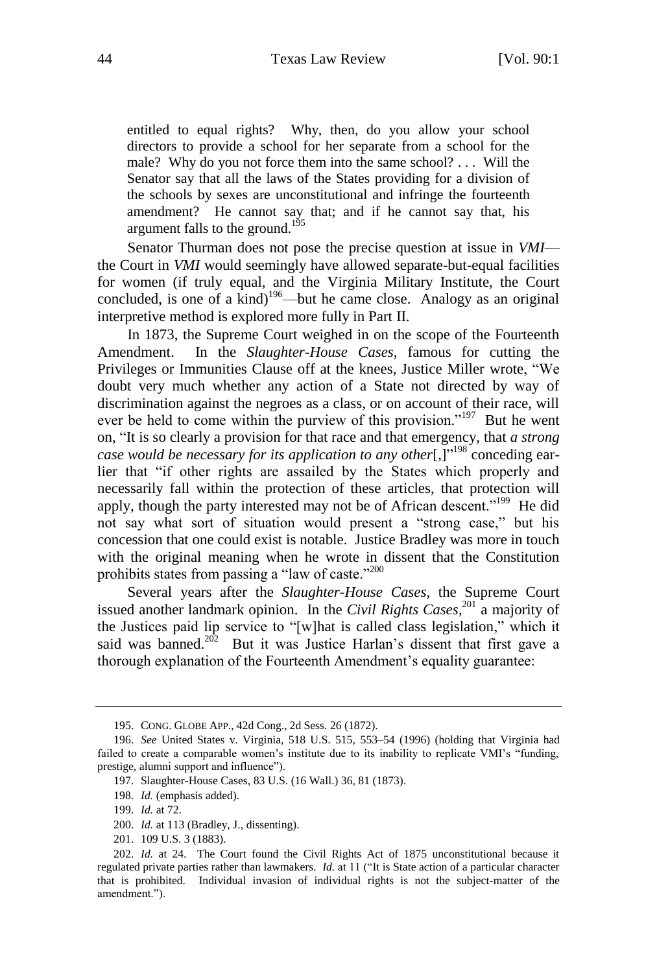entitled to equal rights? Why, then, do you allow your school directors to provide a school for her separate from a school for the male? Why do you not force them into the same school? . . . Will the Senator say that all the laws of the States providing for a division of the schools by sexes are unconstitutional and infringe the fourteenth amendment? He cannot say that; and if he cannot say that, his argument falls to the ground.<sup>195</sup>

Senator Thurman does not pose the precise question at issue in *VMI* the Court in *VMI* would seemingly have allowed separate-but-equal facilities for women (if truly equal, and the Virginia Military Institute, the Court concluded, is one of a kind $1^{196}$ —but he came close. Analogy as an original interpretive method is explored more fully in Part II.

In 1873, the Supreme Court weighed in on the scope of the Fourteenth Amendment. In the *Slaughter-House Cases*, famous for cutting the Privileges or Immunities Clause off at the knees, Justice Miller wrote, "We doubt very much whether any action of a State not directed by way of discrimination against the negroes as a class, or on account of their race, will ever be held to come within the purview of this provision."<sup>197</sup> But he went on, ―It is so clearly a provision for that race and that emergency, that *a strong*  case would be necessary for its application to any other<sup>[1][198</sup> conceding earlier that "if other rights are assailed by the States which properly and necessarily fall within the protection of these articles, that protection will apply, though the party interested may not be of African descent."<sup>199</sup> He did not say what sort of situation would present a "strong case," but his concession that one could exist is notable. Justice Bradley was more in touch with the original meaning when he wrote in dissent that the Constitution prohibits states from passing a "law of caste."<sup>200</sup>

Several years after the *Slaughter-House Cases*, the Supreme Court issued another landmark opinion. In the *Civil Rights Cases*, <sup>201</sup> a majority of the Justices paid lip service to "[w]hat is called class legislation," which it said was banned.<sup>202</sup> But it was Justice Harlan's dissent that first gave a thorough explanation of the Fourteenth Amendment's equality guarantee:

<sup>195.</sup> CONG. GLOBE APP., 42d Cong., 2d Sess. 26 (1872).

<sup>196.</sup> *See* United States v. Virginia, 518 U.S. 515, 553–54 (1996) (holding that Virginia had failed to create a comparable women's institute due to its inability to replicate VMI's "funding, prestige, alumni support and influence").

<sup>197.</sup> Slaughter-House Cases, 83 U.S. (16 Wall.) 36, 81 (1873).

<sup>198.</sup> *Id.* (emphasis added).

<sup>199.</sup> *Id.* at 72.

<sup>200.</sup> *Id.* at 113 (Bradley, J., dissenting).

<sup>201.</sup> 109 U.S. 3 (1883).

<sup>202.</sup> *Id.* at 24. The Court found the Civil Rights Act of 1875 unconstitutional because it regulated private parties rather than lawmakers. *Id.* at 11 ("It is State action of a particular character that is prohibited. Individual invasion of individual rights is not the subject-matter of the amendment.").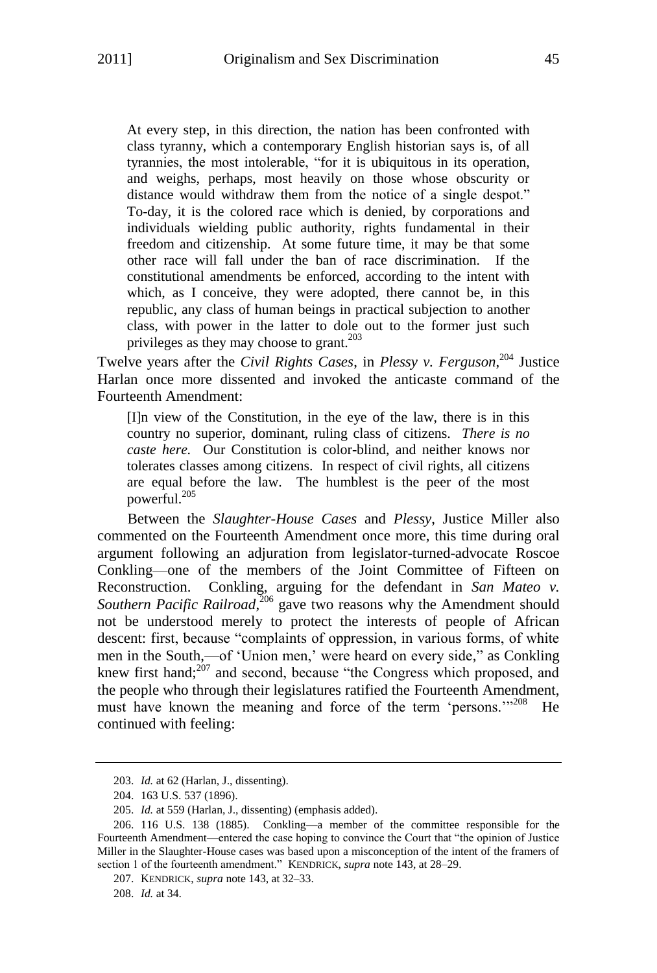At every step, in this direction, the nation has been confronted with class tyranny, which a contemporary English historian says is, of all tyrannies, the most intolerable, "for it is ubiquitous in its operation, and weighs, perhaps, most heavily on those whose obscurity or distance would withdraw them from the notice of a single despot." To-day, it is the colored race which is denied, by corporations and individuals wielding public authority, rights fundamental in their freedom and citizenship. At some future time, it may be that some other race will fall under the ban of race discrimination. If the constitutional amendments be enforced, according to the intent with which, as I conceive, they were adopted, there cannot be, in this republic, any class of human beings in practical subjection to another class, with power in the latter to dole out to the former just such privileges as they may choose to grant.<sup>203</sup>

Twelve years after the *Civil Rights Cases*, in *Plessy v. Ferguson*, <sup>204</sup> Justice Harlan once more dissented and invoked the anticaste command of the Fourteenth Amendment:

[I]n view of the Constitution, in the eye of the law, there is in this country no superior, dominant, ruling class of citizens. *There is no caste here.* Our Constitution is color-blind, and neither knows nor tolerates classes among citizens. In respect of civil rights, all citizens are equal before the law. The humblest is the peer of the most powerful.<sup>205</sup>

Between the *Slaughter-House Cases* and *Plessy*, Justice Miller also commented on the Fourteenth Amendment once more, this time during oral argument following an adjuration from legislator-turned-advocate Roscoe Conkling—one of the members of the Joint Committee of Fifteen on Reconstruction. Conkling, arguing for the defendant in *San Mateo v.*  Southern Pacific Railroad,<sup>206</sup> gave two reasons why the Amendment should not be understood merely to protect the interests of people of African descent: first, because "complaints of oppression, in various forms, of white men in the South,—of 'Union men,' were heard on every side," as Conkling knew first hand; $2^{207}$  and second, because "the Congress which proposed, and the people who through their legislatures ratified the Fourteenth Amendment, must have known the meaning and force of the term 'persons.' $v^{208}$  He continued with feeling:

<sup>203.</sup> *Id.* at 62 (Harlan, J., dissenting).

<sup>204.</sup> 163 U.S. 537 (1896).

<sup>205.</sup> *Id.* at 559 (Harlan, J., dissenting) (emphasis added).

<sup>206.</sup> 116 U.S. 138 (1885). Conkling—a member of the committee responsible for the Fourteenth Amendment—entered the case hoping to convince the Court that "the opinion of Justice" Miller in the Slaughter-House cases was based upon a misconception of the intent of the framers of section 1 of the fourteenth amendment." KENDRICK, *supra* note 143, at 28–29.

<sup>207.</sup> KENDRICK, *supra* note 143, at 32–33.

<sup>208.</sup> *Id.* at 34.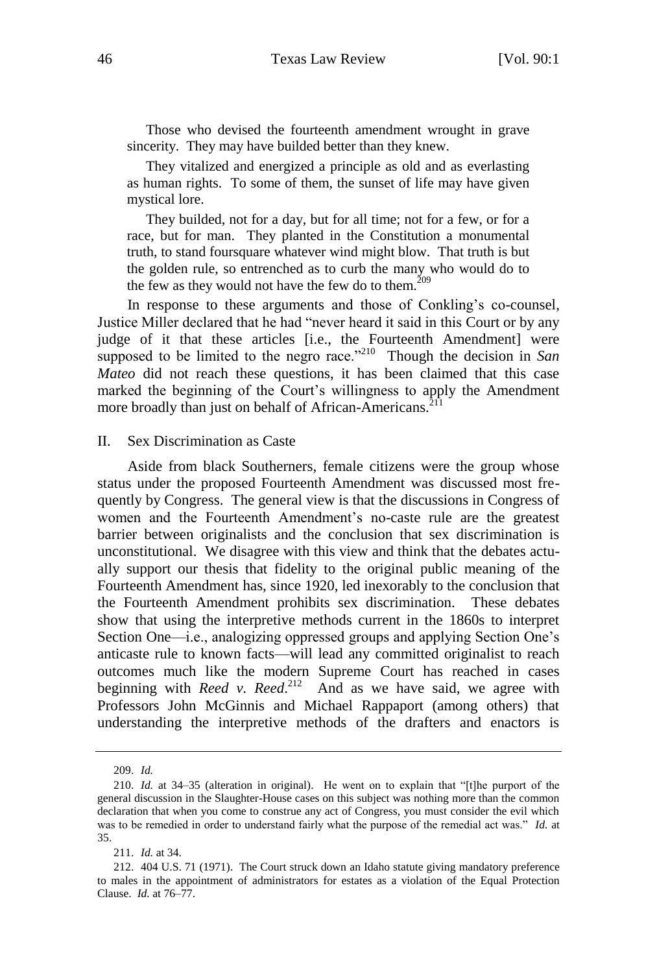Those who devised the fourteenth amendment wrought in grave sincerity. They may have builded better than they knew.

They vitalized and energized a principle as old and as everlasting as human rights. To some of them, the sunset of life may have given mystical lore.

They builded, not for a day, but for all time; not for a few, or for a race, but for man. They planted in the Constitution a monumental truth, to stand foursquare whatever wind might blow. That truth is but the golden rule, so entrenched as to curb the many who would do to the few as they would not have the few do to them.<sup>209</sup>

In response to these arguments and those of Conkling's co-counsel, Justice Miller declared that he had "never heard it said in this Court or by any judge of it that these articles [i.e., the Fourteenth Amendment] were supposed to be limited to the negro race."<sup>210</sup> Though the decision in *San Mateo* did not reach these questions, it has been claimed that this case marked the beginning of the Court's willingness to apply the Amendment more broadly than just on behalf of African-Americans.<sup>211</sup>

### II. Sex Discrimination as Caste

Aside from black Southerners, female citizens were the group whose status under the proposed Fourteenth Amendment was discussed most frequently by Congress. The general view is that the discussions in Congress of women and the Fourteenth Amendment's no-caste rule are the greatest barrier between originalists and the conclusion that sex discrimination is unconstitutional. We disagree with this view and think that the debates actually support our thesis that fidelity to the original public meaning of the Fourteenth Amendment has, since 1920, led inexorably to the conclusion that the Fourteenth Amendment prohibits sex discrimination. These debates show that using the interpretive methods current in the 1860s to interpret Section One—i.e., analogizing oppressed groups and applying Section One's anticaste rule to known facts—will lead any committed originalist to reach outcomes much like the modern Supreme Court has reached in cases beginning with *Reed v. Reed*<sup>212</sup> And as we have said, we agree with Professors John McGinnis and Michael Rappaport (among others) that understanding the interpretive methods of the drafters and enactors is

<sup>209.</sup> *Id.*

<sup>210.</sup> *Id.* at 34–35 (alteration in original). He went on to explain that "[t]he purport of the general discussion in the Slaughter-House cases on this subject was nothing more than the common declaration that when you come to construe any act of Congress, you must consider the evil which was to be remedied in order to understand fairly what the purpose of the remedial act was." Id. at 35.

<sup>211.</sup> *Id.* at 34.

<sup>212.</sup> 404 U.S. 71 (1971). The Court struck down an Idaho statute giving mandatory preference to males in the appointment of administrators for estates as a violation of the Equal Protection Clause. *Id.* at 76–77.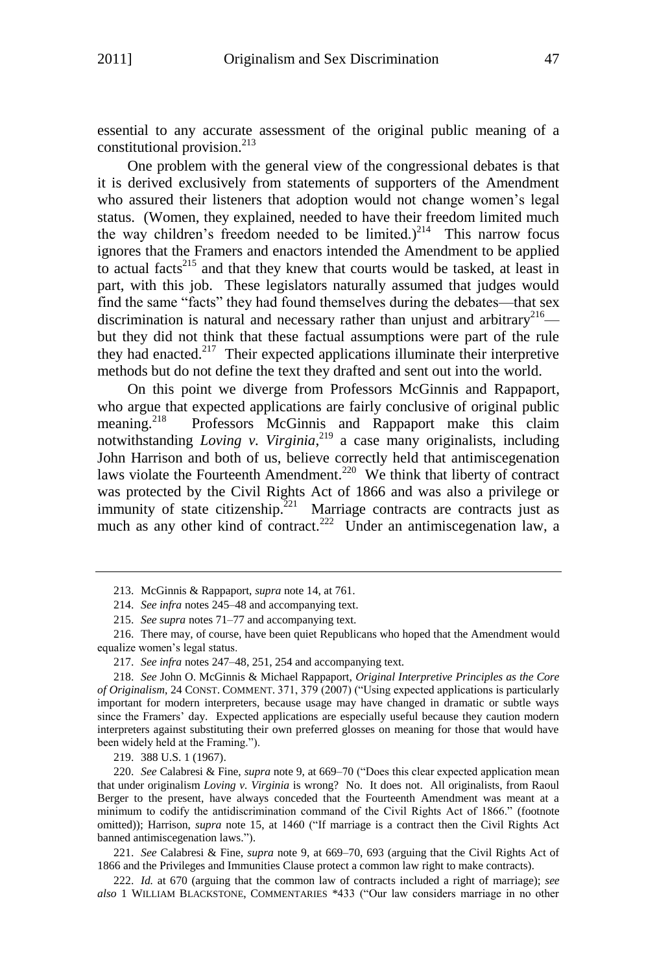essential to any accurate assessment of the original public meaning of a constitutional provision.<sup>213</sup>

One problem with the general view of the congressional debates is that it is derived exclusively from statements of supporters of the Amendment who assured their listeners that adoption would not change women's legal status. (Women, they explained, needed to have their freedom limited much the way children's freedom needed to be limited.) $^{214}$  This narrow focus ignores that the Framers and enactors intended the Amendment to be applied to actual facts<sup>215</sup> and that they knew that courts would be tasked, at least in part, with this job. These legislators naturally assumed that judges would find the same "facts" they had found themselves during the debates—that sex discrimination is natural and necessary rather than unjust and arbitrary<sup>216</sup> but they did not think that these factual assumptions were part of the rule they had enacted.<sup>217</sup> Their expected applications illuminate their interpretive methods but do not define the text they drafted and sent out into the world.

On this point we diverge from Professors McGinnis and Rappaport, who argue that expected applications are fairly conclusive of original public meaning. $^{218}$  Professors McGinnis and Rappaport make this claim notwithstanding *Loving v. Virginia*, <sup>219</sup> a case many originalists, including John Harrison and both of us, believe correctly held that antimiscegenation laws violate the Fourteenth Amendment.<sup>220</sup> We think that liberty of contract was protected by the Civil Rights Act of 1866 and was also a privilege or immunity of state citizenship.<sup>221</sup> Marriage contracts are contracts just as much as any other kind of contract.<sup>222</sup> Under an antimiscegenation law, a

219. 388 U.S. 1 (1967).

220. *See* Calabresi & Fine, *supra* note 9, at 669–70 ("Does this clear expected application mean that under originalism *Loving v. Virginia* is wrong? No. It does not. All originalists, from Raoul Berger to the present, have always conceded that the Fourteenth Amendment was meant at a minimum to codify the antidiscrimination command of the Civil Rights Act of 1866." (footnote omitted)); Harrison, *supra* note 15, at 1460 ("If marriage is a contract then the Civil Rights Act banned antimiscegenation laws.").

221. *See* Calabresi & Fine, *supra* note 9, at 669–70, 693 (arguing that the Civil Rights Act of 1866 and the Privileges and Immunities Clause protect a common law right to make contracts).

222. *Id.* at 670 (arguing that the common law of contracts included a right of marriage); *see also* 1 WILLIAM BLACKSTONE, COMMENTARIES \*433 ("Our law considers marriage in no other

<sup>213.</sup> McGinnis & Rappaport, *supra* note 14, at 761.

<sup>214.</sup> *See infra* notes 245–48 and accompanying text.

<sup>215.</sup> *See supra* notes 71–77 and accompanying text.

<sup>216.</sup> There may, of course, have been quiet Republicans who hoped that the Amendment would equalize women's legal status.

<sup>217.</sup> *See infra* notes 247–48, 251, 254 and accompanying text.

<sup>218.</sup> *See* John O. McGinnis & Michael Rappaport, *Original Interpretive Principles as the Core of Originalism*, 24 CONST. COMMENT. 371, 379 (2007) ("Using expected applications is particularly important for modern interpreters, because usage may have changed in dramatic or subtle ways since the Framers' day. Expected applications are especially useful because they caution modern interpreters against substituting their own preferred glosses on meaning for those that would have been widely held at the Framing.").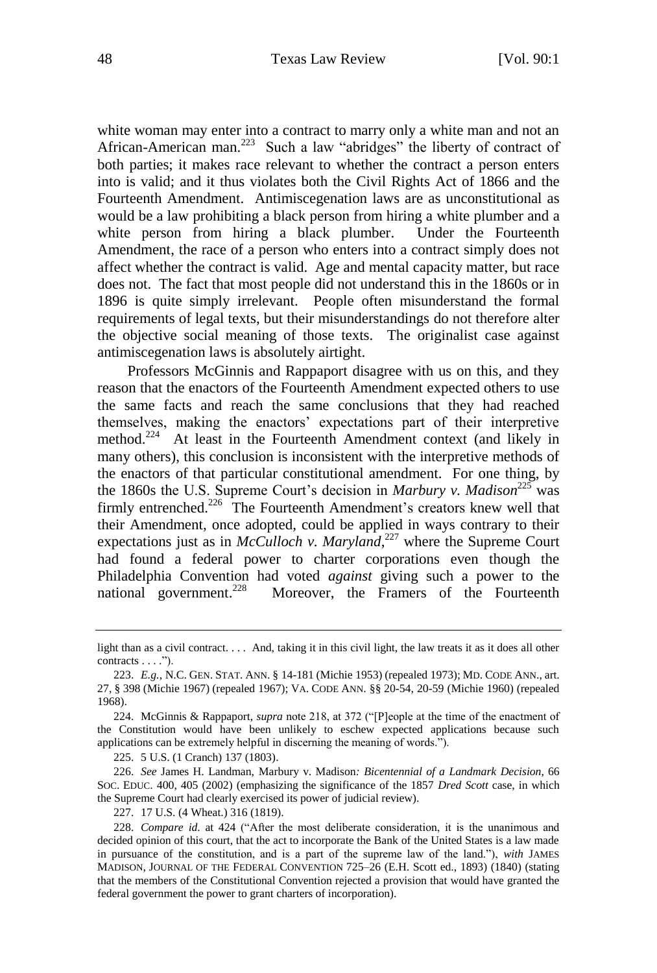white woman may enter into a contract to marry only a white man and not an African-American man.<sup>223</sup> Such a law "abridges" the liberty of contract of both parties; it makes race relevant to whether the contract a person enters into is valid; and it thus violates both the Civil Rights Act of 1866 and the Fourteenth Amendment. Antimiscegenation laws are as unconstitutional as would be a law prohibiting a black person from hiring a white plumber and a white person from hiring a black plumber. Under the Fourteenth Amendment, the race of a person who enters into a contract simply does not affect whether the contract is valid. Age and mental capacity matter, but race does not. The fact that most people did not understand this in the 1860s or in 1896 is quite simply irrelevant. People often misunderstand the formal requirements of legal texts, but their misunderstandings do not therefore alter the objective social meaning of those texts. The originalist case against antimiscegenation laws is absolutely airtight.

Professors McGinnis and Rappaport disagree with us on this, and they reason that the enactors of the Fourteenth Amendment expected others to use the same facts and reach the same conclusions that they had reached themselves, making the enactors' expectations part of their interpretive method.<sup>224</sup> At least in the Fourteenth Amendment context (and likely in many others), this conclusion is inconsistent with the interpretive methods of the enactors of that particular constitutional amendment. For one thing, by the 1860s the U.S. Supreme Court's decision in *Marbury v. Madison*<sup>225</sup> was firmly entrenched.<sup>226</sup> The Fourteenth Amendment's creators knew well that their Amendment, once adopted, could be applied in ways contrary to their expectations just as in *McCulloch v. Maryland*<sup>227</sup> where the Supreme Court had found a federal power to charter corporations even though the Philadelphia Convention had voted *against* giving such a power to the national government.<sup>228</sup> Moreover, the Framers of the Fourteenth

225. 5 U.S. (1 Cranch) 137 (1803).

226. *See* James H. Landman, Marbury v. Madison*: Bicentennial of a Landmark Decision*, 66 SOC. EDUC. 400, 405 (2002) (emphasizing the significance of the 1857 *Dred Scott* case, in which the Supreme Court had clearly exercised its power of judicial review).

227. 17 U.S. (4 Wheat.) 316 (1819).

light than as a civil contract. . . . And, taking it in this civil light, the law treats it as it does all other contracts  $\dots$ .").

<sup>223.</sup> *E.g.*, N.C. GEN. STAT. ANN. § 14-181 (Michie 1953) (repealed 1973); MD. CODE ANN., art. 27, § 398 (Michie 1967) (repealed 1967); VA. CODE ANN. §§ 20-54, 20-59 (Michie 1960) (repealed 1968).

<sup>224.</sup> McGinnis & Rappaport, *supra* note 218, at 372 ("[P]eople at the time of the enactment of the Constitution would have been unlikely to eschew expected applications because such applications can be extremely helpful in discerning the meaning of words.").

<sup>228.</sup> *Compare id.* at 424 ("After the most deliberate consideration, it is the unanimous and decided opinion of this court, that the act to incorporate the Bank of the United States is a law made in pursuance of the constitution, and is a part of the supreme law of the land."), *with JAMES* MADISON, JOURNAL OF THE FEDERAL CONVENTION 725–26 (E.H. Scott ed., 1893) (1840) (stating that the members of the Constitutional Convention rejected a provision that would have granted the federal government the power to grant charters of incorporation).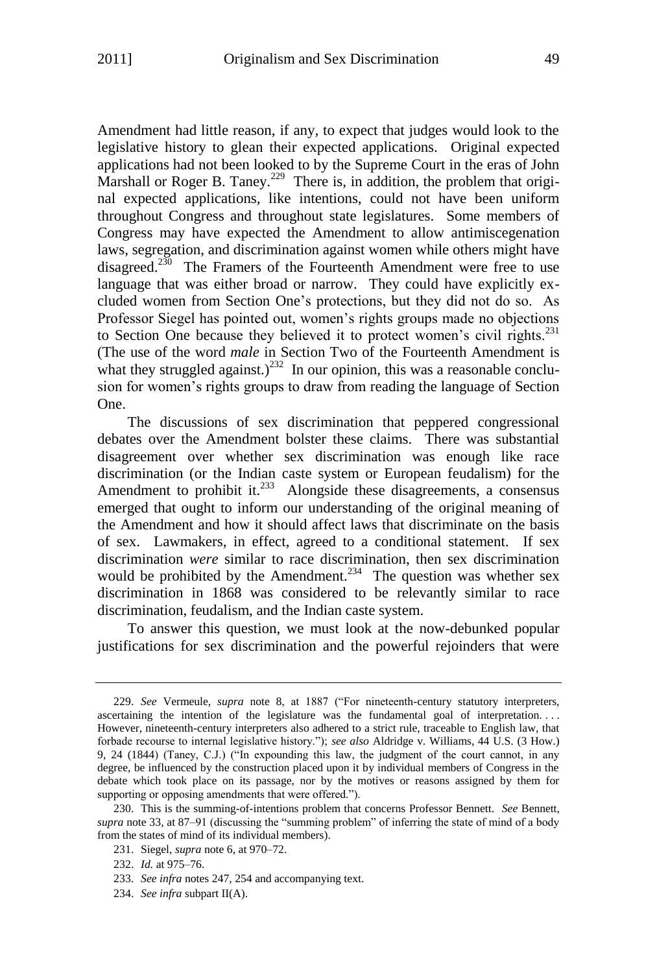Amendment had little reason, if any, to expect that judges would look to the legislative history to glean their expected applications. Original expected applications had not been looked to by the Supreme Court in the eras of John Marshall or Roger B. Taney.<sup>229</sup> There is, in addition, the problem that original expected applications, like intentions, could not have been uniform throughout Congress and throughout state legislatures. Some members of Congress may have expected the Amendment to allow antimiscegenation laws, segregation, and discrimination against women while others might have disagreed.<sup>230</sup> The Framers of the Fourteenth Amendment were free to use language that was either broad or narrow. They could have explicitly excluded women from Section One's protections, but they did not do so. As Professor Siegel has pointed out, women's rights groups made no objections to Section One because they believed it to protect women's civil rights.<sup>231</sup> (The use of the word *male* in Section Two of the Fourteenth Amendment is what they struggled against.)<sup>232</sup> In our opinion, this was a reasonable conclusion for women's rights groups to draw from reading the language of Section One.

The discussions of sex discrimination that peppered congressional debates over the Amendment bolster these claims. There was substantial disagreement over whether sex discrimination was enough like race discrimination (or the Indian caste system or European feudalism) for the Amendment to prohibit it.<sup>233</sup> Alongside these disagreements, a consensus emerged that ought to inform our understanding of the original meaning of the Amendment and how it should affect laws that discriminate on the basis of sex. Lawmakers, in effect, agreed to a conditional statement. If sex discrimination *were* similar to race discrimination, then sex discrimination would be prohibited by the Amendment.<sup>234</sup> The question was whether sex discrimination in 1868 was considered to be relevantly similar to race discrimination, feudalism, and the Indian caste system.

To answer this question, we must look at the now-debunked popular justifications for sex discrimination and the powerful rejoinders that were

234. *See infra* subpart II(A).

<sup>229.</sup> *See* Vermeule, *supra* note 8, at 1887 ("For nineteenth-century statutory interpreters, ascertaining the intention of the legislature was the fundamental goal of interpretation.... However, nineteenth-century interpreters also adhered to a strict rule, traceable to English law, that forbade recourse to internal legislative history.‖); *see also* Aldridge v. Williams, 44 U.S. (3 How.) 9, 24 (1844) (Taney, C.J.) ( $\text{``In expounding this law, the judgment of the court cannot, in any...}$ degree, be influenced by the construction placed upon it by individual members of Congress in the debate which took place on its passage, nor by the motives or reasons assigned by them for supporting or opposing amendments that were offered.").

<sup>230.</sup> This is the summing-of-intentions problem that concerns Professor Bennett. *See* Bennett, *supra* note 33, at 87–91 (discussing the "summing problem" of inferring the state of mind of a body from the states of mind of its individual members).

<sup>231.</sup> Siegel, *supra* note 6, at 970–72.

<sup>232.</sup> *Id.* at 975–76.

<sup>233.</sup> *See infra* notes 247, 254 and accompanying text.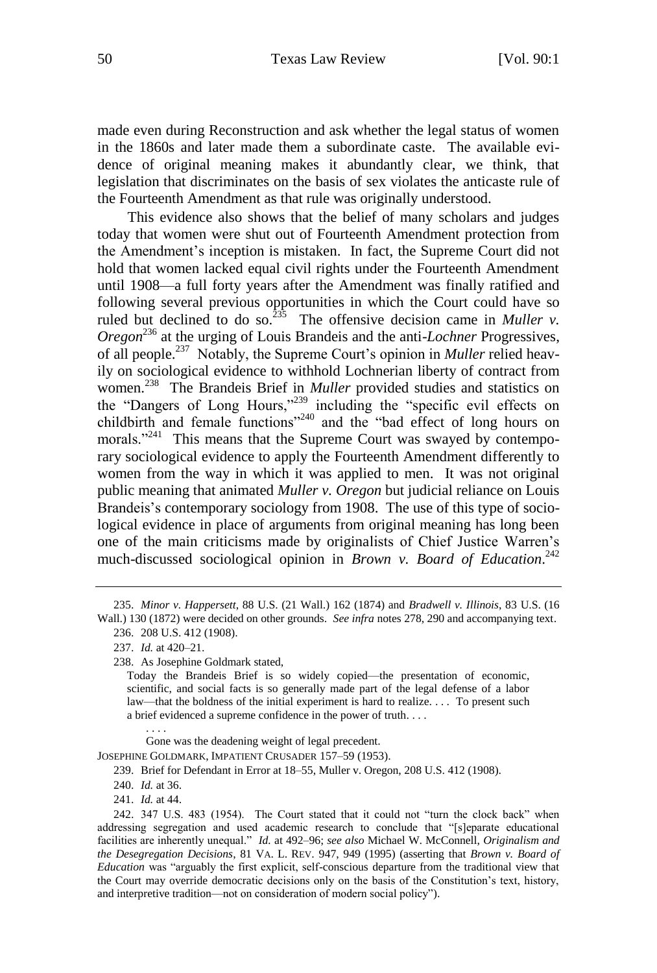made even during Reconstruction and ask whether the legal status of women in the 1860s and later made them a subordinate caste. The available evidence of original meaning makes it abundantly clear, we think, that legislation that discriminates on the basis of sex violates the anticaste rule of the Fourteenth Amendment as that rule was originally understood.

This evidence also shows that the belief of many scholars and judges today that women were shut out of Fourteenth Amendment protection from the Amendment's inception is mistaken. In fact, the Supreme Court did not hold that women lacked equal civil rights under the Fourteenth Amendment until 1908—a full forty years after the Amendment was finally ratified and following several previous opportunities in which the Court could have so ruled but declined to do so.<sup>235</sup> The offensive decision came in *Muller v*. *Oregon*<sup>236</sup> at the urging of Louis Brandeis and the anti-*Lochner* Progressives, of all people.<sup>237</sup> Notably, the Supreme Court's opinion in *Muller* relied heavily on sociological evidence to withhold Lochnerian liberty of contract from women.<sup>238</sup> The Brandeis Brief in *Muller* provided studies and statistics on the "Dangers of Long Hours,"<sup>239</sup> including the "specific evil effects on childbirth and female functions"<sup>240</sup> and the "bad effect of long hours on morals."<sup>241</sup> This means that the Supreme Court was swayed by contemporary sociological evidence to apply the Fourteenth Amendment differently to women from the way in which it was applied to men. It was not original public meaning that animated *Muller v. Oregon* but judicial reliance on Louis Brandeis's contemporary sociology from 1908. The use of this type of sociological evidence in place of arguments from original meaning has long been one of the main criticisms made by originalists of Chief Justice Warren's much-discussed sociological opinion in *Brown v. Board of Education*. 242

. . . .

Gone was the deadening weight of legal precedent.

JOSEPHINE GOLDMARK, IMPATIENT CRUSADER 157–59 (1953).

239. Brief for Defendant in Error at 18–55, Muller v. Oregon, 208 U.S. 412 (1908).

<sup>235.</sup> *Minor v. Happersett*, 88 U.S. (21 Wall.) 162 (1874) and *Bradwell v. Illinois*, 83 U.S. (16 Wall.) 130 (1872) were decided on other grounds. *See infra* notes 278, 290 and accompanying text.

<sup>236.</sup> 208 U.S. 412 (1908).

<sup>237.</sup> *Id.* at 420–21.

<sup>238.</sup> As Josephine Goldmark stated,

Today the Brandeis Brief is so widely copied—the presentation of economic, scientific, and social facts is so generally made part of the legal defense of a labor law—that the boldness of the initial experiment is hard to realize. . . . To present such a brief evidenced a supreme confidence in the power of truth. . . .

<sup>240.</sup> *Id.* at 36.

<sup>241.</sup> *Id.* at 44.

<sup>242. 347</sup> U.S. 483 (1954). The Court stated that it could not "turn the clock back" when addressing segregation and used academic research to conclude that "[s]eparate educational facilities are inherently unequal.‖ *Id.* at 492–96; *see also* Michael W. McConnell, *Originalism and the Desegregation Decisions*, 81 VA. L. REV. 947, 949 (1995) (asserting that *Brown v. Board of Education* was "arguably the first explicit, self-conscious departure from the traditional view that the Court may override democratic decisions only on the basis of the Constitution's text, history, and interpretive tradition—not on consideration of modern social policy").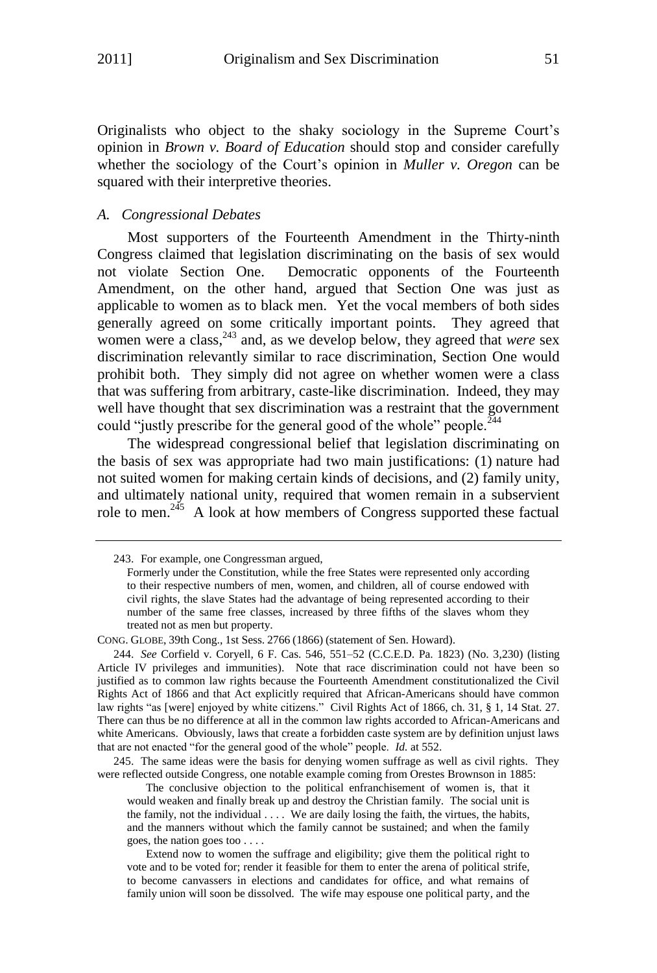Originalists who object to the shaky sociology in the Supreme Court's opinion in *Brown v. Board of Education* should stop and consider carefully whether the sociology of the Court's opinion in *Muller v. Oregon* can be squared with their interpretive theories.

## *A. Congressional Debates*

Most supporters of the Fourteenth Amendment in the Thirty-ninth Congress claimed that legislation discriminating on the basis of sex would not violate Section One. Democratic opponents of the Fourteenth Amendment, on the other hand, argued that Section One was just as applicable to women as to black men. Yet the vocal members of both sides generally agreed on some critically important points. They agreed that women were a class, <sup>243</sup> and, as we develop below, they agreed that *were* sex discrimination relevantly similar to race discrimination, Section One would prohibit both. They simply did not agree on whether women were a class that was suffering from arbitrary, caste-like discrimination. Indeed, they may well have thought that sex discrimination was a restraint that the government could "justly prescribe for the general good of the whole" people.<sup>244</sup>

The widespread congressional belief that legislation discriminating on the basis of sex was appropriate had two main justifications: (1) nature had not suited women for making certain kinds of decisions, and (2) family unity, and ultimately national unity, required that women remain in a subservient role to men.<sup>245</sup> A look at how members of Congress supported these factual

245. The same ideas were the basis for denying women suffrage as well as civil rights. They were reflected outside Congress, one notable example coming from Orestes Brownson in 1885:

<sup>243.</sup> For example, one Congressman argued,

Formerly under the Constitution, while the free States were represented only according to their respective numbers of men, women, and children, all of course endowed with civil rights, the slave States had the advantage of being represented according to their number of the same free classes, increased by three fifths of the slaves whom they treated not as men but property.

CONG. GLOBE, 39th Cong., 1st Sess. 2766 (1866) (statement of Sen. Howard).

<sup>244.</sup> *See* Corfield v. Coryell, 6 F. Cas. 546, 551–52 (C.C.E.D. Pa. 1823) (No. 3,230) (listing Article IV privileges and immunities). Note that race discrimination could not have been so justified as to common law rights because the Fourteenth Amendment constitutionalized the Civil Rights Act of 1866 and that Act explicitly required that African-Americans should have common law rights "as [were] enjoyed by white citizens." Civil Rights Act of 1866, ch. 31, § 1, 14 Stat. 27. There can thus be no difference at all in the common law rights accorded to African-Americans and white Americans. Obviously, laws that create a forbidden caste system are by definition unjust laws that are not enacted "for the general good of the whole" people. *Id.* at 552.

The conclusive objection to the political enfranchisement of women is, that it would weaken and finally break up and destroy the Christian family. The social unit is the family, not the individual  $\dots$ . We are daily losing the faith, the virtues, the habits, and the manners without which the family cannot be sustained; and when the family goes, the nation goes too . . . .

Extend now to women the suffrage and eligibility; give them the political right to vote and to be voted for; render it feasible for them to enter the arena of political strife, to become canvassers in elections and candidates for office, and what remains of family union will soon be dissolved. The wife may espouse one political party, and the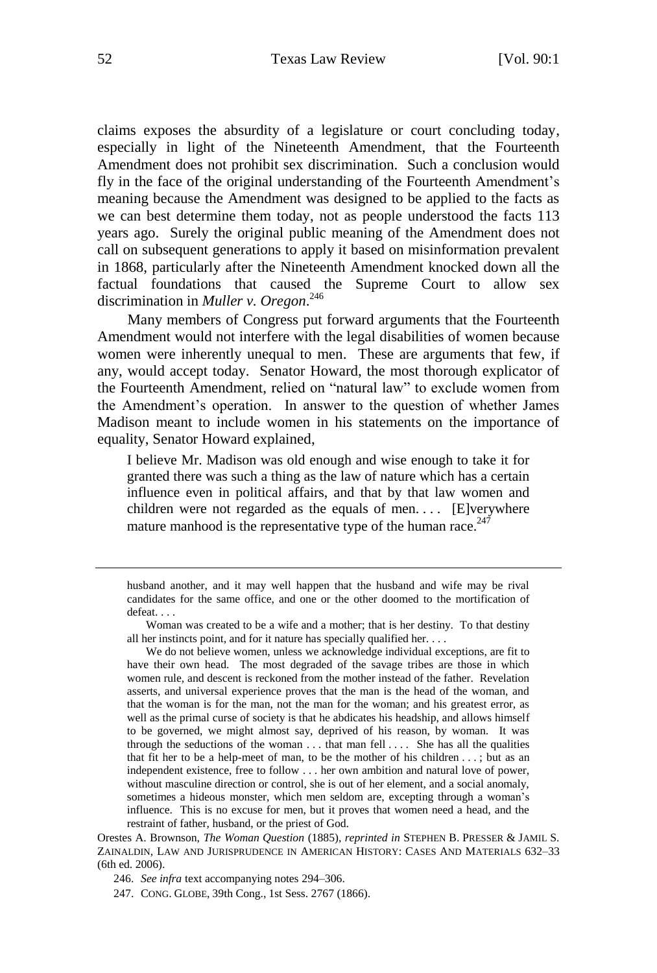claims exposes the absurdity of a legislature or court concluding today, especially in light of the Nineteenth Amendment, that the Fourteenth Amendment does not prohibit sex discrimination. Such a conclusion would fly in the face of the original understanding of the Fourteenth Amendment's meaning because the Amendment was designed to be applied to the facts as we can best determine them today, not as people understood the facts 113 years ago. Surely the original public meaning of the Amendment does not call on subsequent generations to apply it based on misinformation prevalent in 1868, particularly after the Nineteenth Amendment knocked down all the factual foundations that caused the Supreme Court to allow sex discrimination in *Muller v. Oregon*. 246

Many members of Congress put forward arguments that the Fourteenth Amendment would not interfere with the legal disabilities of women because women were inherently unequal to men. These are arguments that few, if any, would accept today. Senator Howard, the most thorough explicator of the Fourteenth Amendment, relied on "natural law" to exclude women from the Amendment's operation. In answer to the question of whether James Madison meant to include women in his statements on the importance of equality, Senator Howard explained,

I believe Mr. Madison was old enough and wise enough to take it for granted there was such a thing as the law of nature which has a certain influence even in political affairs, and that by that law women and children were not regarded as the equals of men.... [E]verywhere mature manhood is the representative type of the human race. $247$ 

We do not believe women, unless we acknowledge individual exceptions, are fit to have their own head. The most degraded of the savage tribes are those in which women rule, and descent is reckoned from the mother instead of the father. Revelation asserts, and universal experience proves that the man is the head of the woman, and that the woman is for the man, not the man for the woman; and his greatest error, as well as the primal curse of society is that he abdicates his headship, and allows himself to be governed, we might almost say, deprived of his reason, by woman. It was through the seductions of the woman . . . that man fell . . . . She has all the qualities that fit her to be a help-meet of man, to be the mother of his children . . . ; but as an independent existence, free to follow . . . her own ambition and natural love of power, without masculine direction or control, she is out of her element, and a social anomaly, sometimes a hideous monster, which men seldom are, excepting through a woman's influence. This is no excuse for men, but it proves that women need a head, and the restraint of father, husband, or the priest of God.

Orestes A. Brownson, *The Woman Question* (1885), *reprinted in* STEPHEN B. PRESSER & JAMIL S. ZAINALDIN, LAW AND JURISPRUDENCE IN AMERICAN HISTORY: CASES AND MATERIALS 632–33 (6th ed. 2006).

246. *See infra* text accompanying notes 294–306.

247. CONG. GLOBE, 39th Cong., 1st Sess. 2767 (1866).

husband another, and it may well happen that the husband and wife may be rival candidates for the same office, and one or the other doomed to the mortification of defeat. . . .

Woman was created to be a wife and a mother; that is her destiny. To that destiny all her instincts point, and for it nature has specially qualified her. . . .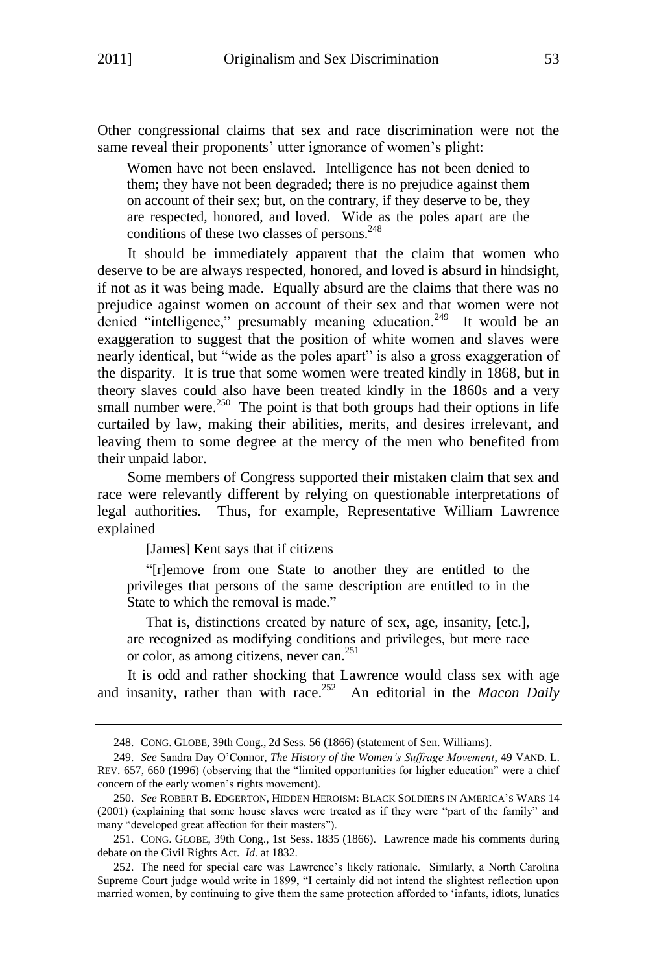Other congressional claims that sex and race discrimination were not the same reveal their proponents' utter ignorance of women's plight:

Women have not been enslaved. Intelligence has not been denied to them; they have not been degraded; there is no prejudice against them on account of their sex; but, on the contrary, if they deserve to be, they are respected, honored, and loved. Wide as the poles apart are the conditions of these two classes of persons.<sup>248</sup>

It should be immediately apparent that the claim that women who deserve to be are always respected, honored, and loved is absurd in hindsight, if not as it was being made. Equally absurd are the claims that there was no prejudice against women on account of their sex and that women were not denied "intelligence," presumably meaning education.<sup>249</sup> It would be an exaggeration to suggest that the position of white women and slaves were nearly identical, but "wide as the poles apart" is also a gross exaggeration of the disparity. It is true that some women were treated kindly in 1868, but in theory slaves could also have been treated kindly in the 1860s and a very small number were.<sup>250</sup> The point is that both groups had their options in life curtailed by law, making their abilities, merits, and desires irrelevant, and leaving them to some degree at the mercy of the men who benefited from their unpaid labor.

Some members of Congress supported their mistaken claim that sex and race were relevantly different by relying on questionable interpretations of legal authorities. Thus, for example, Representative William Lawrence explained

[James] Kent says that if citizens

―[r]emove from one State to another they are entitled to the privileges that persons of the same description are entitled to in the State to which the removal is made."

That is, distinctions created by nature of sex, age, insanity, [etc.], are recognized as modifying conditions and privileges, but mere race or color, as among citizens, never can.<sup>251</sup>

It is odd and rather shocking that Lawrence would class sex with age and insanity, rather than with race.<sup>252</sup> An editorial in the *Macon Daily* 

<sup>248.</sup> CONG. GLOBE, 39th Cong., 2d Sess. 56 (1866) (statement of Sen. Williams).

<sup>249.</sup> *See* Sandra Day O'Connor, *The History of the Women's Suffrage Movement*, 49 VAND. L. REV. 657, 660 (1996) (observing that the "limited opportunities for higher education" were a chief concern of the early women's rights movement).

<sup>250.</sup> *See* ROBERT B. EDGERTON, HIDDEN HEROISM: BLACK SOLDIERS IN AMERICA'S WARS 14 (2001) (explaining that some house slaves were treated as if they were "part of the family" and many "developed great affection for their masters").

<sup>251.</sup> CONG. GLOBE, 39th Cong., 1st Sess. 1835 (1866). Lawrence made his comments during debate on the Civil Rights Act. *Id.* at 1832.

<sup>252.</sup> The need for special care was Lawrence's likely rationale. Similarly, a North Carolina Supreme Court judge would write in 1899, "I certainly did not intend the slightest reflection upon married women, by continuing to give them the same protection afforded to 'infants, idiots, lunatics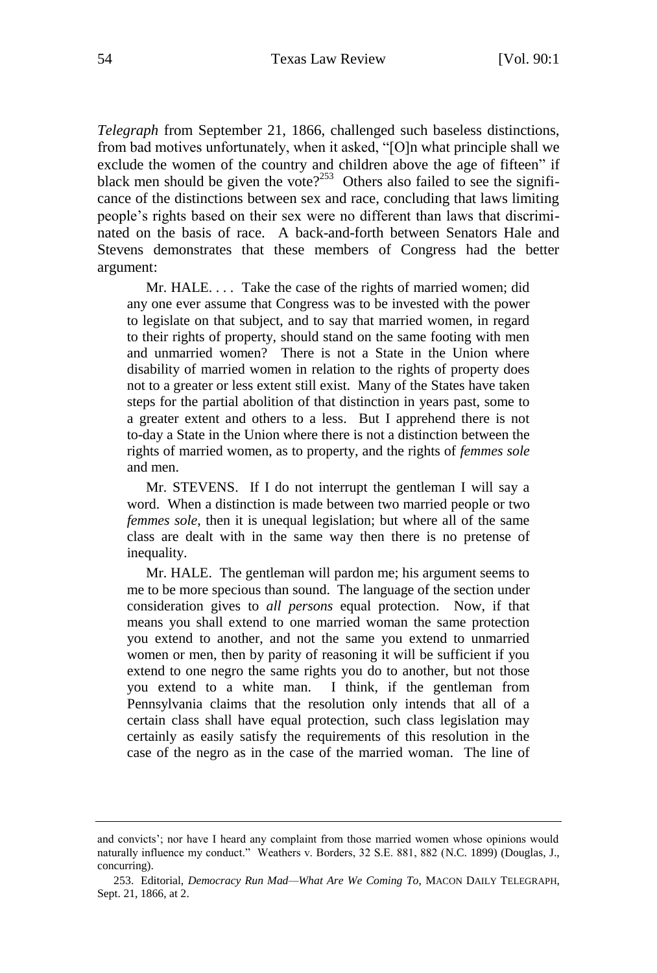*Telegraph* from September 21, 1866, challenged such baseless distinctions, from bad motives unfortunately, when it asked, "[O]n what principle shall we exclude the women of the country and children above the age of fifteen" if black men should be given the vote?<sup>253</sup> Others also failed to see the significance of the distinctions between sex and race, concluding that laws limiting people's rights based on their sex were no different than laws that discriminated on the basis of race. A back-and-forth between Senators Hale and Stevens demonstrates that these members of Congress had the better argument:

Mr. HALE. . . . Take the case of the rights of married women; did any one ever assume that Congress was to be invested with the power to legislate on that subject, and to say that married women, in regard to their rights of property, should stand on the same footing with men and unmarried women? There is not a State in the Union where disability of married women in relation to the rights of property does not to a greater or less extent still exist. Many of the States have taken steps for the partial abolition of that distinction in years past, some to a greater extent and others to a less. But I apprehend there is not to-day a State in the Union where there is not a distinction between the rights of married women, as to property, and the rights of *femmes sole* and men.

Mr. STEVENS. If I do not interrupt the gentleman I will say a word. When a distinction is made between two married people or two *femmes sole*, then it is unequal legislation; but where all of the same class are dealt with in the same way then there is no pretense of inequality.

Mr. HALE. The gentleman will pardon me; his argument seems to me to be more specious than sound. The language of the section under consideration gives to *all persons* equal protection. Now, if that means you shall extend to one married woman the same protection you extend to another, and not the same you extend to unmarried women or men, then by parity of reasoning it will be sufficient if you extend to one negro the same rights you do to another, but not those you extend to a white man. I think, if the gentleman from Pennsylvania claims that the resolution only intends that all of a certain class shall have equal protection, such class legislation may certainly as easily satisfy the requirements of this resolution in the case of the negro as in the case of the married woman. The line of

and convicts'; nor have I heard any complaint from those married women whose opinions would naturally influence my conduct." Weathers v. Borders, 32 S.E. 881, 882 (N.C. 1899) (Douglas, J., concurring).

<sup>253.</sup> Editorial, *Democracy Run Mad—What Are We Coming To*, MACON DAILY TELEGRAPH, Sept. 21, 1866, at 2.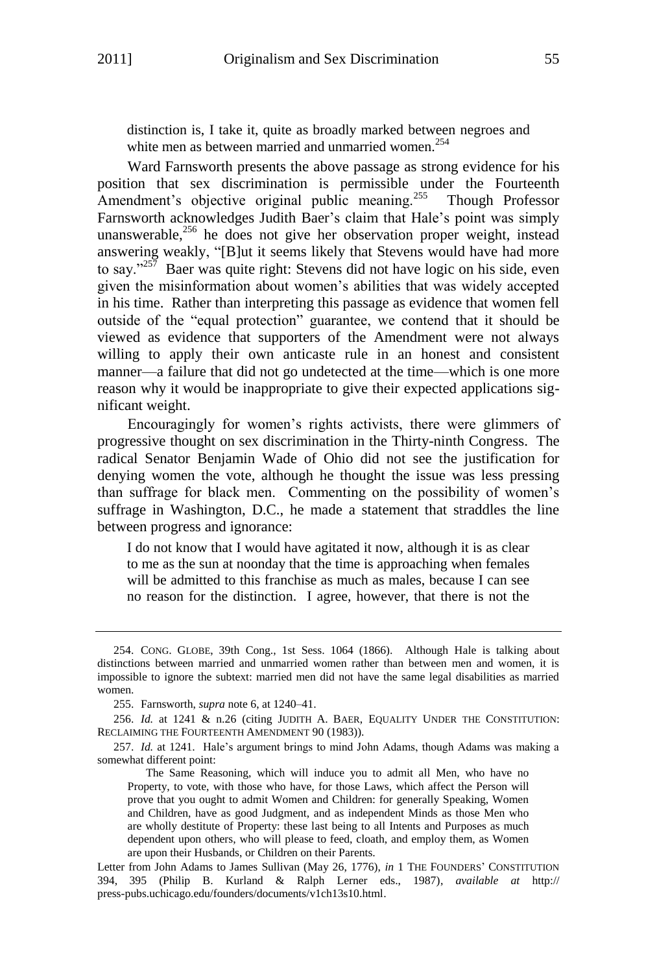distinction is, I take it, quite as broadly marked between negroes and white men as between married and unmarried women. $254$ 

Ward Farnsworth presents the above passage as strong evidence for his position that sex discrimination is permissible under the Fourteenth Amendment's objective original public meaning.<sup>255</sup> Though Professor Farnsworth acknowledges Judith Baer's claim that Hale's point was simply unanswerable, $256$  he does not give her observation proper weight, instead answering weakly, "[B]ut it seems likely that Stevens would have had more to say." $257$  Baer was quite right: Stevens did not have logic on his side, even given the misinformation about women's abilities that was widely accepted in his time. Rather than interpreting this passage as evidence that women fell outside of the "equal protection" guarantee, we contend that it should be viewed as evidence that supporters of the Amendment were not always willing to apply their own anticaste rule in an honest and consistent manner—a failure that did not go undetected at the time—which is one more reason why it would be inappropriate to give their expected applications significant weight.

Encouragingly for women's rights activists, there were glimmers of progressive thought on sex discrimination in the Thirty-ninth Congress. The radical Senator Benjamin Wade of Ohio did not see the justification for denying women the vote, although he thought the issue was less pressing than suffrage for black men. Commenting on the possibility of women's suffrage in Washington, D.C., he made a statement that straddles the line between progress and ignorance:

I do not know that I would have agitated it now, although it is as clear to me as the sun at noonday that the time is approaching when females will be admitted to this franchise as much as males, because I can see no reason for the distinction. I agree, however, that there is not the

<sup>254.</sup> CONG. GLOBE, 39th Cong., 1st Sess. 1064 (1866). Although Hale is talking about distinctions between married and unmarried women rather than between men and women, it is impossible to ignore the subtext: married men did not have the same legal disabilities as married women.

<sup>255.</sup> Farnsworth, *supra* note 6, at 1240–41.

<sup>256.</sup> *Id.* at 1241 & n.26 (citing JUDITH A. BAER, EQUALITY UNDER THE CONSTITUTION: RECLAIMING THE FOURTEENTH AMENDMENT 90 (1983)).

<sup>257.</sup> *Id.* at 1241. Hale's argument brings to mind John Adams, though Adams was making a somewhat different point:

The Same Reasoning, which will induce you to admit all Men, who have no Property, to vote, with those who have, for those Laws, which affect the Person will prove that you ought to admit Women and Children: for generally Speaking, Women and Children, have as good Judgment, and as independent Minds as those Men who are wholly destitute of Property: these last being to all Intents and Purposes as much dependent upon others, who will please to feed, cloath, and employ them, as Women are upon their Husbands, or Children on their Parents.

Letter from John Adams to James Sullivan (May 26, 1776), *in* 1 THE FOUNDERS' CONSTITUTION 394, 395 (Philip B. Kurland & Ralph Lerner eds., 1987), *available at* http:// press-pubs.uchicago.edu/founders/documents/v1ch13s10.html.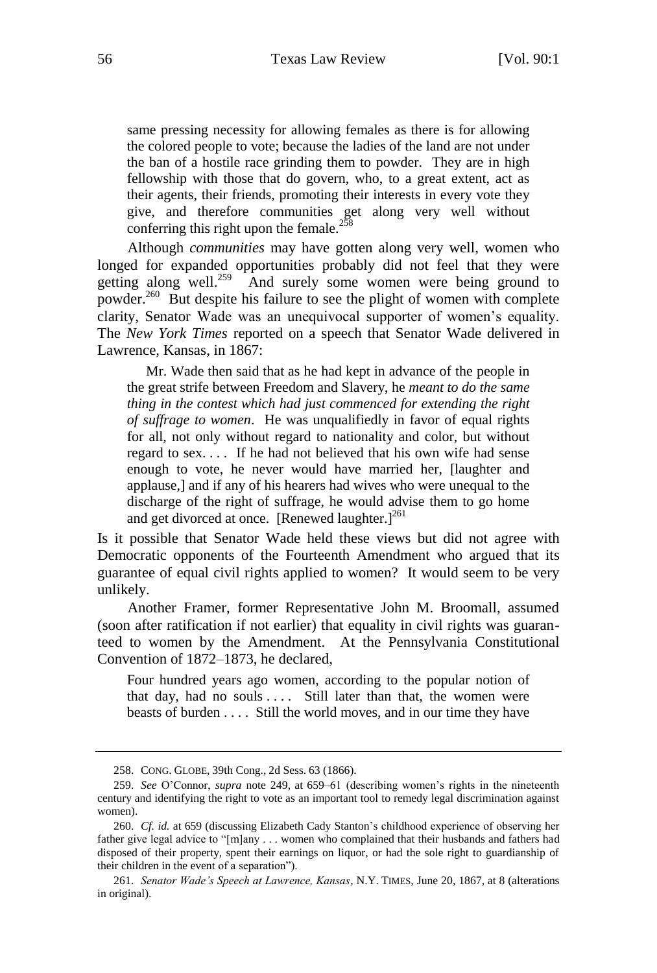same pressing necessity for allowing females as there is for allowing the colored people to vote; because the ladies of the land are not under the ban of a hostile race grinding them to powder. They are in high fellowship with those that do govern, who, to a great extent, act as their agents, their friends, promoting their interests in every vote they give, and therefore communities get along very well without conferring this right upon the female. $258$ 

Although *communities* may have gotten along very well, women who longed for expanded opportunities probably did not feel that they were getting along well.<sup>259</sup> And surely some women were being ground to powder.<sup>260</sup> But despite his failure to see the plight of women with complete clarity, Senator Wade was an unequivocal supporter of women's equality. The *New York Times* reported on a speech that Senator Wade delivered in Lawrence, Kansas, in 1867:

Mr. Wade then said that as he had kept in advance of the people in the great strife between Freedom and Slavery, he *meant to do the same thing in the contest which had just commenced for extending the right of suffrage to women*. He was unqualifiedly in favor of equal rights for all, not only without regard to nationality and color, but without regard to sex. . . . If he had not believed that his own wife had sense enough to vote, he never would have married her, [laughter and applause,] and if any of his hearers had wives who were unequal to the discharge of the right of suffrage, he would advise them to go home and get divorced at once. [Renewed laughter.] $^{261}$ 

Is it possible that Senator Wade held these views but did not agree with Democratic opponents of the Fourteenth Amendment who argued that its guarantee of equal civil rights applied to women? It would seem to be very unlikely.

Another Framer, former Representative John M. Broomall, assumed (soon after ratification if not earlier) that equality in civil rights was guaranteed to women by the Amendment. At the Pennsylvania Constitutional Convention of 1872–1873, he declared,

Four hundred years ago women, according to the popular notion of that day, had no souls  $\dots$ . Still later than that, the women were beasts of burden . . . . Still the world moves, and in our time they have

<sup>258.</sup> CONG. GLOBE, 39th Cong., 2d Sess. 63 (1866).

<sup>259.</sup> *See* O'Connor, *supra* note 249, at 659–61 (describing women's rights in the nineteenth century and identifying the right to vote as an important tool to remedy legal discrimination against women).

<sup>260.</sup> *Cf. id.* at 659 (discussing Elizabeth Cady Stanton's childhood experience of observing her father give legal advice to " $[m]$ any . . . women who complained that their husbands and fathers had disposed of their property, spent their earnings on liquor, or had the sole right to guardianship of their children in the event of a separation").

<sup>261.</sup> *Senator Wade's Speech at Lawrence, Kansas*, N.Y. TIMES, June 20, 1867, at 8 (alterations in original).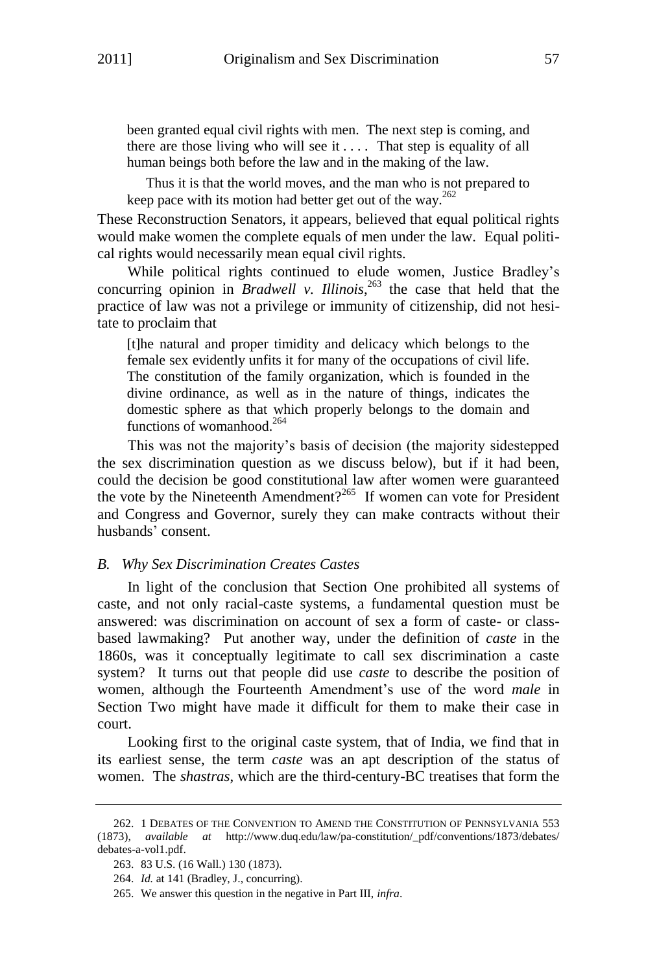been granted equal civil rights with men. The next step is coming, and there are those living who will see it . . . . That step is equality of all human beings both before the law and in the making of the law.

Thus it is that the world moves, and the man who is not prepared to keep pace with its motion had better get out of the way. $^{262}$ 

These Reconstruction Senators, it appears, believed that equal political rights would make women the complete equals of men under the law. Equal political rights would necessarily mean equal civil rights.

While political rights continued to elude women, Justice Bradley's concurring opinion in *Bradwell v. Illinois*, <sup>263</sup> the case that held that the practice of law was not a privilege or immunity of citizenship, did not hesitate to proclaim that

[t]he natural and proper timidity and delicacy which belongs to the female sex evidently unfits it for many of the occupations of civil life. The constitution of the family organization, which is founded in the divine ordinance, as well as in the nature of things, indicates the domestic sphere as that which properly belongs to the domain and functions of womanhood.<sup>264</sup>

This was not the majority's basis of decision (the majority sidestepped the sex discrimination question as we discuss below), but if it had been, could the decision be good constitutional law after women were guaranteed the vote by the Nineteenth Amendment?<sup>265</sup> If women can vote for President and Congress and Governor, surely they can make contracts without their husbands' consent.

#### *B. Why Sex Discrimination Creates Castes*

In light of the conclusion that Section One prohibited all systems of caste, and not only racial-caste systems, a fundamental question must be answered: was discrimination on account of sex a form of caste- or classbased lawmaking? Put another way, under the definition of *caste* in the 1860s, was it conceptually legitimate to call sex discrimination a caste system? It turns out that people did use *caste* to describe the position of women, although the Fourteenth Amendment's use of the word *male* in Section Two might have made it difficult for them to make their case in court.

Looking first to the original caste system, that of India, we find that in its earliest sense, the term *caste* was an apt description of the status of women. The *shastras*, which are the third-century-BC treatises that form the

<sup>262.</sup> 1 DEBATES OF THE CONVENTION TO AMEND THE CONSTITUTION OF PENNSYLVANIA 553 (1873), *available at* http://www.duq.edu/law/pa-constitution/\_pdf/conventions/1873/debates/ debates-a-vol1.pdf.

<sup>263.</sup> 83 U.S. (16 Wall.) 130 (1873).

<sup>264.</sup> *Id.* at 141 (Bradley, J., concurring).

<sup>265.</sup> We answer this question in the negative in Part III, *infra*.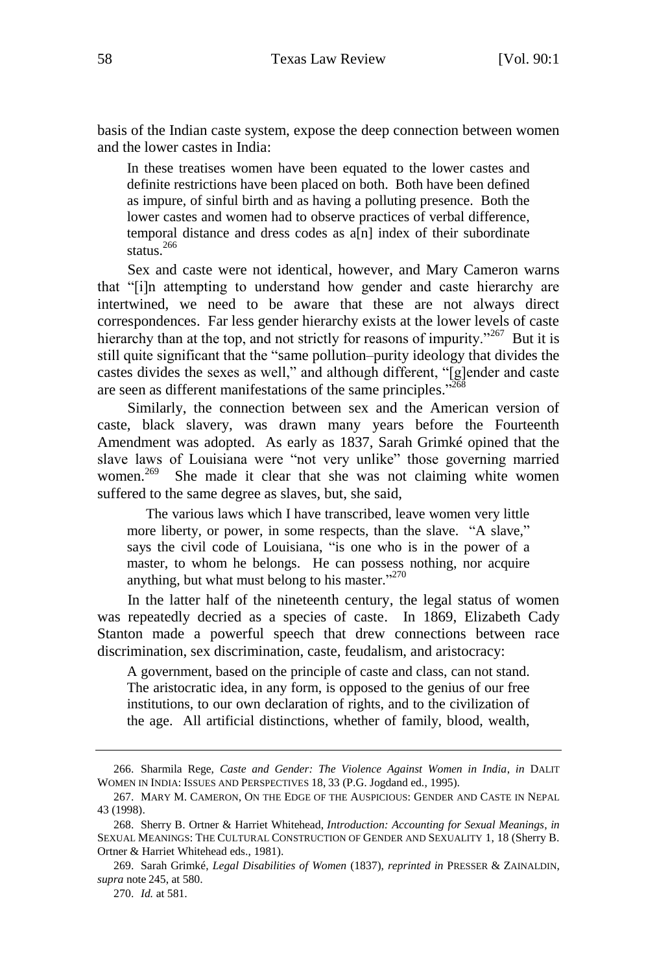basis of the Indian caste system, expose the deep connection between women and the lower castes in India:

In these treatises women have been equated to the lower castes and definite restrictions have been placed on both. Both have been defined as impure, of sinful birth and as having a polluting presence. Both the lower castes and women had to observe practices of verbal difference, temporal distance and dress codes as a[n] index of their subordinate status. $266$ 

Sex and caste were not identical, however, and Mary Cameron warns that "[i]n attempting to understand how gender and caste hierarchy are intertwined, we need to be aware that these are not always direct correspondences. Far less gender hierarchy exists at the lower levels of caste hierarchy than at the top, and not strictly for reasons of impurity.<sup> $267$ </sup> But it is still quite significant that the "same pollution–purity ideology that divides the castes divides the sexes as well," and although different, "[g]ender and caste are seen as different manifestations of the same principles.<sup> $\frac{268}{60}$ </sup>

Similarly, the connection between sex and the American version of caste, black slavery, was drawn many years before the Fourteenth Amendment was adopted. As early as 1837, Sarah Grimké opined that the slave laws of Louisiana were "not very unlike" those governing married women. $269$  She made it clear that she was not claiming white women suffered to the same degree as slaves, but, she said,

The various laws which I have transcribed, leave women very little more liberty, or power, in some respects, than the slave. "A slave," says the civil code of Louisiana, "is one who is in the power of a master, to whom he belongs. He can possess nothing, nor acquire anything, but what must belong to his master." $270$ 

In the latter half of the nineteenth century, the legal status of women was repeatedly decried as a species of caste. In 1869, Elizabeth Cady Stanton made a powerful speech that drew connections between race discrimination, sex discrimination, caste, feudalism, and aristocracy:

A government, based on the principle of caste and class, can not stand. The aristocratic idea, in any form, is opposed to the genius of our free institutions, to our own declaration of rights, and to the civilization of the age. All artificial distinctions, whether of family, blood, wealth,

<sup>266.</sup> Sharmila Rege, *Caste and Gender: The Violence Against Women in India*, *in* DALIT WOMEN IN INDIA: ISSUES AND PERSPECTIVES 18, 33 (P.G. Jogdand ed., 1995).

<sup>267.</sup> MARY M. CAMERON, ON THE EDGE OF THE AUSPICIOUS: GENDER AND CASTE IN NEPAL 43 (1998).

<sup>268.</sup> Sherry B. Ortner & Harriet Whitehead, *Introduction: Accounting for Sexual Meanings*, *in* SEXUAL MEANINGS: THE CULTURAL CONSTRUCTION OF GENDER AND SEXUALITY 1, 18 (Sherry B. Ortner & Harriet Whitehead eds., 1981).

<sup>269.</sup> Sarah Grimké, *Legal Disabilities of Women* (1837), *reprinted in* PRESSER & ZAINALDIN, *supra* note 245, at 580.

<sup>270.</sup> *Id.* at 581.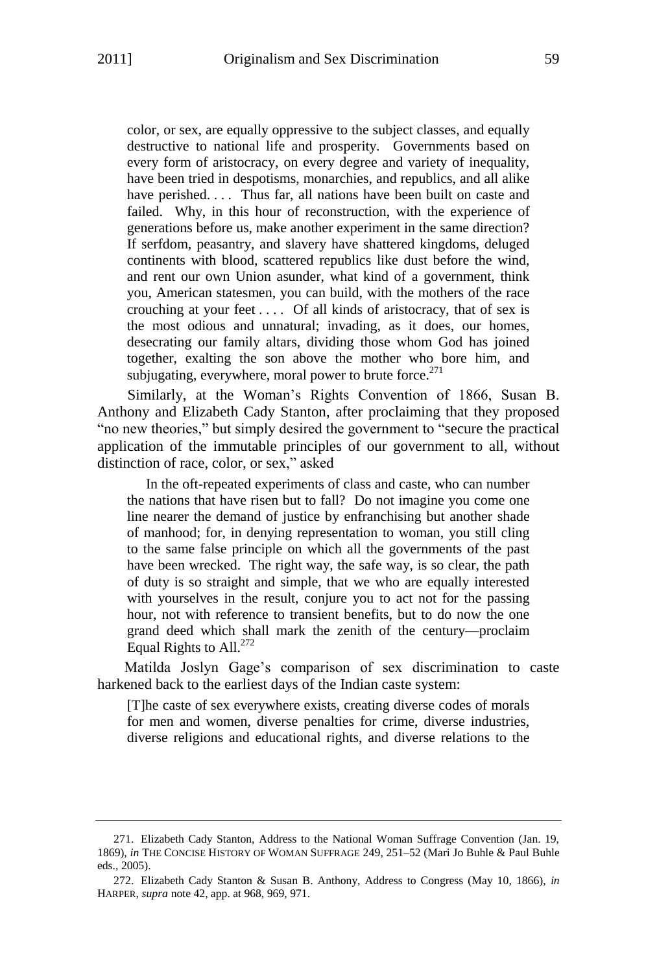color, or sex, are equally oppressive to the subject classes, and equally destructive to national life and prosperity. Governments based on every form of aristocracy, on every degree and variety of inequality, have been tried in despotisms, monarchies, and republics, and all alike have perished. . . . Thus far, all nations have been built on caste and failed. Why, in this hour of reconstruction, with the experience of generations before us, make another experiment in the same direction? If serfdom, peasantry, and slavery have shattered kingdoms, deluged continents with blood, scattered republics like dust before the wind, and rent our own Union asunder, what kind of a government, think you, American statesmen, you can build, with the mothers of the race crouching at your feet . . . . Of all kinds of aristocracy, that of sex is the most odious and unnatural; invading, as it does, our homes, desecrating our family altars, dividing those whom God has joined together, exalting the son above the mother who bore him, and subjugating, everywhere, moral power to brute force. $^{271}$ 

Similarly, at the Woman's Rights Convention of 1866, Susan B. Anthony and Elizabeth Cady Stanton, after proclaiming that they proposed "no new theories," but simply desired the government to "secure the practical application of the immutable principles of our government to all, without distinction of race, color, or sex," asked

In the oft-repeated experiments of class and caste, who can number the nations that have risen but to fall? Do not imagine you come one line nearer the demand of justice by enfranchising but another shade of manhood; for, in denying representation to woman, you still cling to the same false principle on which all the governments of the past have been wrecked. The right way, the safe way, is so clear, the path of duty is so straight and simple, that we who are equally interested with yourselves in the result, conjure you to act not for the passing hour, not with reference to transient benefits, but to do now the one grand deed which shall mark the zenith of the century—proclaim Equal Rights to All.<sup>272</sup>

Matilda Joslyn Gage's comparison of sex discrimination to caste harkened back to the earliest days of the Indian caste system:

[T]he caste of sex everywhere exists, creating diverse codes of morals for men and women, diverse penalties for crime, diverse industries, diverse religions and educational rights, and diverse relations to the

<sup>271.</sup> Elizabeth Cady Stanton, Address to the National Woman Suffrage Convention (Jan. 19, 1869), *in* THE CONCISE HISTORY OF WOMAN SUFFRAGE 249, 251–52 (Mari Jo Buhle & Paul Buhle eds., 2005).

<sup>272.</sup> Elizabeth Cady Stanton & Susan B. Anthony, Address to Congress (May 10, 1866), *in* HARPER, *supra* note 42, app. at 968, 969, 971.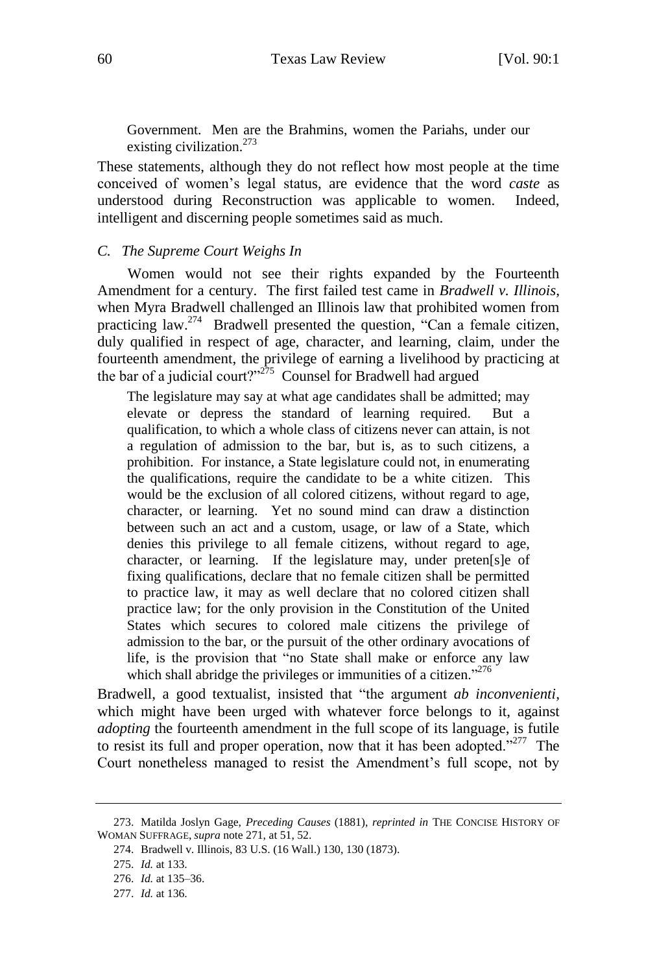Government. Men are the Brahmins, women the Pariahs, under our existing civilization.<sup>273</sup>

These statements, although they do not reflect how most people at the time conceived of women's legal status, are evidence that the word *caste* as understood during Reconstruction was applicable to women. Indeed, intelligent and discerning people sometimes said as much.

# *C. The Supreme Court Weighs In*

Women would not see their rights expanded by the Fourteenth Amendment for a century. The first failed test came in *Bradwell v. Illinois*, when Myra Bradwell challenged an Illinois law that prohibited women from practicing law.<sup>274</sup> Bradwell presented the question, "Can a female citizen, duly qualified in respect of age, character, and learning, claim, under the fourteenth amendment, the privilege of earning a livelihood by practicing at the bar of a judicial court?"<sup>275</sup> Counsel for Bradwell had argued

The legislature may say at what age candidates shall be admitted; may elevate or depress the standard of learning required. But a qualification, to which a whole class of citizens never can attain, is not a regulation of admission to the bar, but is, as to such citizens, a prohibition. For instance, a State legislature could not, in enumerating the qualifications, require the candidate to be a white citizen. This would be the exclusion of all colored citizens, without regard to age, character, or learning. Yet no sound mind can draw a distinction between such an act and a custom, usage, or law of a State, which denies this privilege to all female citizens, without regard to age, character, or learning. If the legislature may, under preten[s]e of fixing qualifications, declare that no female citizen shall be permitted to practice law, it may as well declare that no colored citizen shall practice law; for the only provision in the Constitution of the United States which secures to colored male citizens the privilege of admission to the bar, or the pursuit of the other ordinary avocations of life, is the provision that "no State shall make or enforce any law which shall abridge the privileges or immunities of a citizen." $276$ 

Bradwell, a good textualist, insisted that "the argument *ab inconvenienti*, which might have been urged with whatever force belongs to it, against *adopting* the fourteenth amendment in the full scope of its language, is futile to resist its full and proper operation, now that it has been adopted. $277$  The Court nonetheless managed to resist the Amendment's full scope, not by

<sup>273.</sup> Matilda Joslyn Gage, *Preceding Causes* (1881), *reprinted in* THE CONCISE HISTORY OF WOMAN SUFFRAGE, *supra* note 271, at 51, 52.

<sup>274.</sup> Bradwell v. Illinois, 83 U.S. (16 Wall.) 130, 130 (1873).

<sup>275.</sup> *Id.* at 133.

<sup>276.</sup> *Id.* at 135–36.

<sup>277.</sup> *Id.* at 136.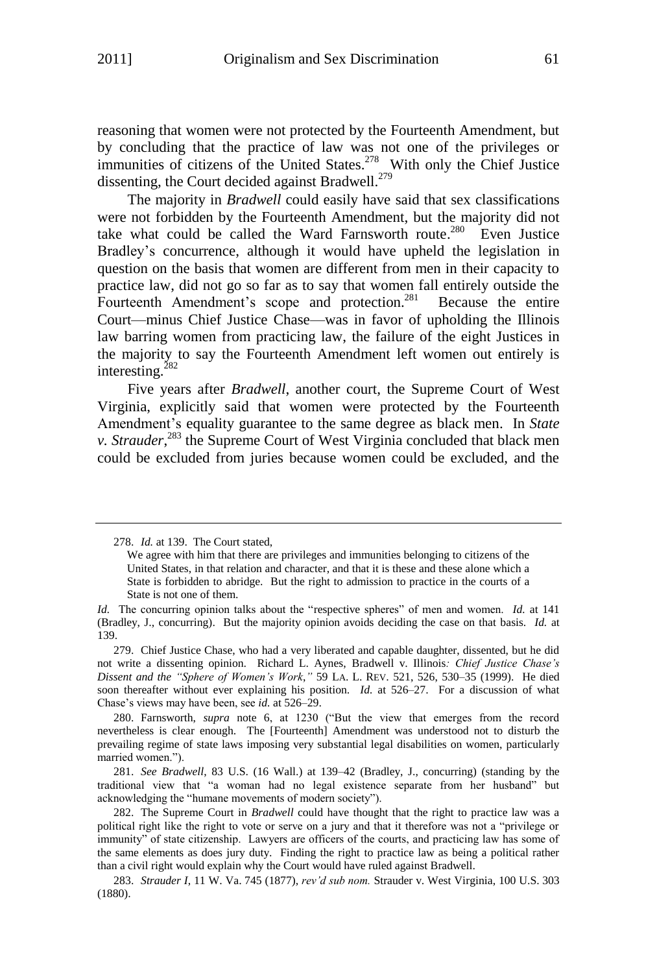reasoning that women were not protected by the Fourteenth Amendment, but by concluding that the practice of law was not one of the privileges or immunities of citizens of the United States.<sup>278</sup> With only the Chief Justice dissenting, the Court decided against Bradwell.<sup>279</sup>

The majority in *Bradwell* could easily have said that sex classifications were not forbidden by the Fourteenth Amendment, but the majority did not take what could be called the Ward Farnsworth route.<sup>280</sup> Even Justice Bradley's concurrence, although it would have upheld the legislation in question on the basis that women are different from men in their capacity to practice law, did not go so far as to say that women fall entirely outside the Fourteenth Amendment's scope and protection.<sup>281</sup> Because the entire Court—minus Chief Justice Chase—was in favor of upholding the Illinois law barring women from practicing law, the failure of the eight Justices in the majority to say the Fourteenth Amendment left women out entirely is interesting. 282

Five years after *Bradwell*, another court, the Supreme Court of West Virginia, explicitly said that women were protected by the Fourteenth Amendment's equality guarantee to the same degree as black men. In *State v. Strauder*, <sup>283</sup> the Supreme Court of West Virginia concluded that black men could be excluded from juries because women could be excluded, and the

<sup>278.</sup> *Id.* at 139. The Court stated,

We agree with him that there are privileges and immunities belonging to citizens of the United States, in that relation and character, and that it is these and these alone which a State is forbidden to abridge. But the right to admission to practice in the courts of a State is not one of them.

*Id.* The concurring opinion talks about the "respective spheres" of men and women. *Id.* at 141 (Bradley, J., concurring). But the majority opinion avoids deciding the case on that basis. *Id.* at 139.

<sup>279.</sup> Chief Justice Chase, who had a very liberated and capable daughter, dissented, but he did not write a dissenting opinion. Richard L. Aynes, Bradwell v. Illinois*: Chief Justice Chase's Dissent and the ―Sphere of Women's Work*,*‖* 59 LA. L. REV. 521, 526, 530–35 (1999). He died soon thereafter without ever explaining his position. *Id.* at 526–27. For a discussion of what Chase's views may have been, see *id.* at 526–29.

<sup>280.</sup> Farnsworth, *supra* note 6, at 1230 ("But the view that emerges from the record nevertheless is clear enough. The [Fourteenth] Amendment was understood not to disturb the prevailing regime of state laws imposing very substantial legal disabilities on women, particularly married women.").

<sup>281.</sup> *See Bradwell*, 83 U.S. (16 Wall.) at 139–42 (Bradley, J., concurring) (standing by the traditional view that "a woman had no legal existence separate from her husband" but acknowledging the "humane movements of modern society").

<sup>282.</sup> The Supreme Court in *Bradwell* could have thought that the right to practice law was a political right like the right to vote or serve on a jury and that it therefore was not a "privilege or immunity" of state citizenship. Lawyers are officers of the courts, and practicing law has some of the same elements as does jury duty. Finding the right to practice law as being a political rather than a civil right would explain why the Court would have ruled against Bradwell.

<sup>283.</sup> *Strauder I*, 11 W. Va. 745 (1877), *rev'd sub nom.* Strauder v. West Virginia, 100 U.S. 303 (1880).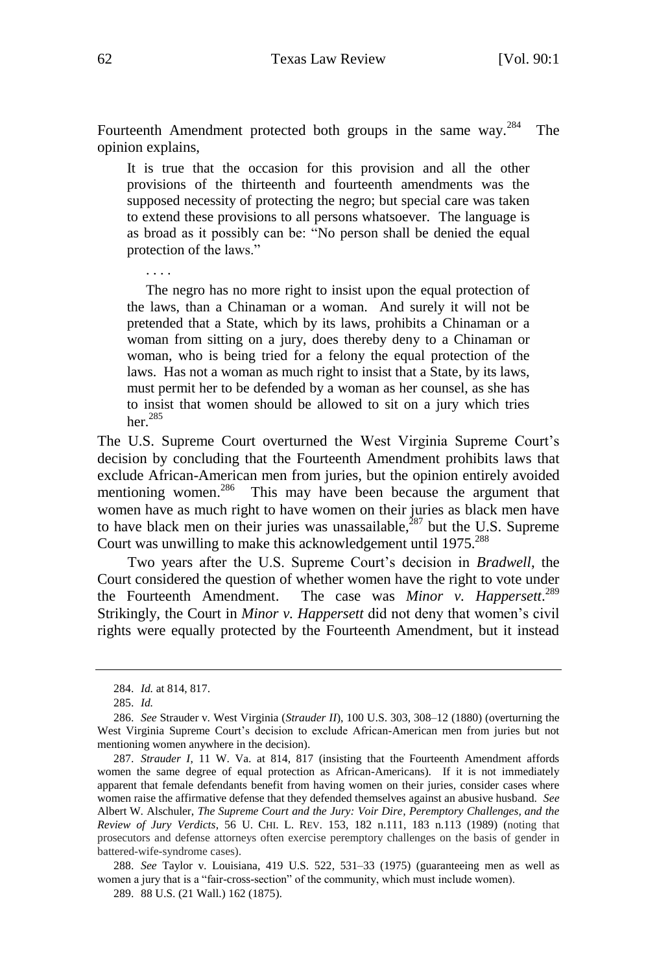Fourteenth Amendment protected both groups in the same way.<sup>284</sup> The opinion explains,

It is true that the occasion for this provision and all the other provisions of the thirteenth and fourteenth amendments was the supposed necessity of protecting the negro; but special care was taken to extend these provisions to all persons whatsoever. The language is as broad as it possibly can be: "No person shall be denied the equal protection of the laws."

The negro has no more right to insist upon the equal protection of the laws, than a Chinaman or a woman. And surely it will not be pretended that a State, which by its laws, prohibits a Chinaman or a woman from sitting on a jury, does thereby deny to a Chinaman or woman, who is being tried for a felony the equal protection of the laws. Has not a woman as much right to insist that a State, by its laws, must permit her to be defended by a woman as her counsel, as she has to insist that women should be allowed to sit on a jury which tries her. $^{285}$ 

The U.S. Supreme Court overturned the West Virginia Supreme Court's decision by concluding that the Fourteenth Amendment prohibits laws that exclude African-American men from juries, but the opinion entirely avoided mentioning women.<sup>286</sup> This may have been because the argument that women have as much right to have women on their juries as black men have to have black men on their juries was unassailable,<sup> $287$ </sup> but the U.S. Supreme Court was unwilling to make this acknowledgement until 1975.<sup>288</sup>

Two years after the U.S. Supreme Court's decision in *Bradwell*, the Court considered the question of whether women have the right to vote under the Fourteenth Amendment. The case was *Minor v. Happersett*. 289 Strikingly, the Court in *Minor v. Happersett* did not deny that women's civil rights were equally protected by the Fourteenth Amendment, but it instead

. . . .

288. *See* Taylor v. Louisiana, 419 U.S. 522, 531–33 (1975) (guaranteeing men as well as women a jury that is a "fair-cross-section" of the community, which must include women).

289. 88 U.S. (21 Wall.) 162 (1875).

<sup>284.</sup> *Id.* at 814, 817.

<sup>285.</sup> *Id.*

<sup>286.</sup> *See* Strauder v. West Virginia (*Strauder II*), 100 U.S. 303, 308–12 (1880) (overturning the West Virginia Supreme Court's decision to exclude African-American men from juries but not mentioning women anywhere in the decision).

<sup>287.</sup> *Strauder I*, 11 W. Va. at 814, 817 (insisting that the Fourteenth Amendment affords women the same degree of equal protection as African-Americans). If it is not immediately apparent that female defendants benefit from having women on their juries, consider cases where women raise the affirmative defense that they defended themselves against an abusive husband. *See*  Albert W. Alschuler, *The Supreme Court and the Jury: Voir Dire, Peremptory Challenges, and the Review of Jury Verdicts*, 56 U. CHI. L. REV. 153, 182 n.111, 183 n.113 (1989) (noting that prosecutors and defense attorneys often exercise peremptory challenges on the basis of gender in battered-wife-syndrome cases).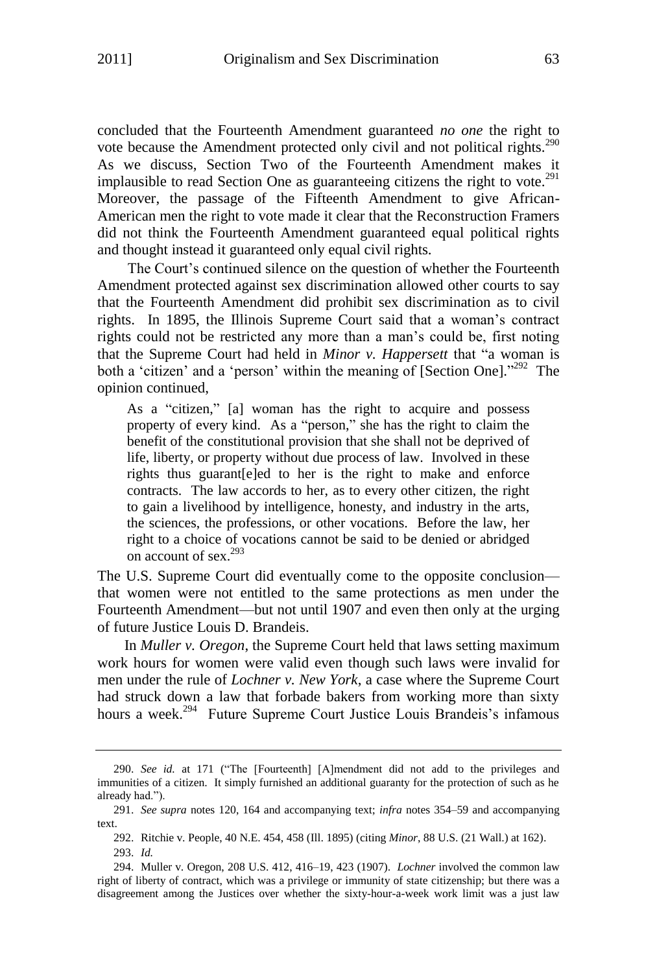concluded that the Fourteenth Amendment guaranteed *no one* the right to vote because the Amendment protected only civil and not political rights.<sup>290</sup> As we discuss, Section Two of the Fourteenth Amendment makes it implausible to read Section One as guaranteeing citizens the right to vote.<sup>291</sup> Moreover, the passage of the Fifteenth Amendment to give African-American men the right to vote made it clear that the Reconstruction Framers did not think the Fourteenth Amendment guaranteed equal political rights and thought instead it guaranteed only equal civil rights.

The Court's continued silence on the question of whether the Fourteenth Amendment protected against sex discrimination allowed other courts to say that the Fourteenth Amendment did prohibit sex discrimination as to civil rights. In 1895, the Illinois Supreme Court said that a woman's contract rights could not be restricted any more than a man's could be, first noting that the Supreme Court had held in *Minor v. Happersett* that "a woman is both a 'citizen' and a 'person' within the meaning of [Section One]. $^{292}$  The opinion continued,

As a "citizen," [a] woman has the right to acquire and possess property of every kind. As a "person," she has the right to claim the benefit of the constitutional provision that she shall not be deprived of life, liberty, or property without due process of law. Involved in these rights thus guarant[e]ed to her is the right to make and enforce contracts. The law accords to her, as to every other citizen, the right to gain a livelihood by intelligence, honesty, and industry in the arts, the sciences, the professions, or other vocations. Before the law, her right to a choice of vocations cannot be said to be denied or abridged on account of sex. $^{293}$ 

The U.S. Supreme Court did eventually come to the opposite conclusion that women were not entitled to the same protections as men under the Fourteenth Amendment—but not until 1907 and even then only at the urging of future Justice Louis D. Brandeis.

In *Muller v. Oregon*, the Supreme Court held that laws setting maximum work hours for women were valid even though such laws were invalid for men under the rule of *Lochner v. New York*, a case where the Supreme Court had struck down a law that forbade bakers from working more than sixty hours a week.<sup>294</sup> Future Supreme Court Justice Louis Brandeis's infamous

<sup>290.</sup> *See id.* at 171 ("The [Fourteenth] [A]mendment did not add to the privileges and immunities of a citizen. It simply furnished an additional guaranty for the protection of such as he already had.").

<sup>291.</sup> *See supra* notes 120, 164 and accompanying text; *infra* notes 354–59 and accompanying text.

<sup>292.</sup> Ritchie v. People, 40 N.E. 454, 458 (Ill. 1895) (citing *Minor*, 88 U.S. (21 Wall.) at 162). 293. *Id.*

<sup>294.</sup> Muller v. Oregon, 208 U.S. 412, 416–19, 423 (1907). *Lochner* involved the common law right of liberty of contract, which was a privilege or immunity of state citizenship; but there was a disagreement among the Justices over whether the sixty-hour-a-week work limit was a just law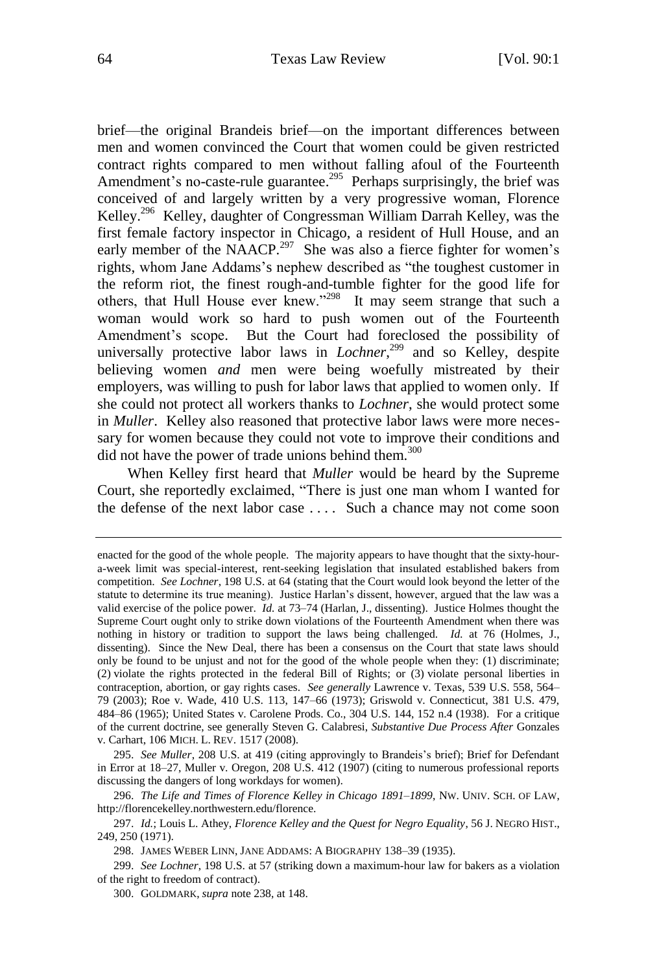brief—the original Brandeis brief—on the important differences between men and women convinced the Court that women could be given restricted contract rights compared to men without falling afoul of the Fourteenth Amendment's no-caste-rule guarantee.<sup>295</sup> Perhaps surprisingly, the brief was conceived of and largely written by a very progressive woman, Florence Kelley.<sup>296</sup> Kelley, daughter of Congressman William Darrah Kelley, was the first female factory inspector in Chicago, a resident of Hull House, and an early member of the NAACP.<sup>297</sup> She was also a fierce fighter for women's rights, whom Jane Addams's nephew described as "the toughest customer in the reform riot, the finest rough-and-tumble fighter for the good life for others, that Hull House ever knew."<sup>298</sup> It may seem strange that such a woman would work so hard to push women out of the Fourteenth Amendment's scope. But the Court had foreclosed the possibility of universally protective labor laws in *Lochner*,<sup>299</sup> and so Kelley, despite believing women *and* men were being woefully mistreated by their employers, was willing to push for labor laws that applied to women only. If she could not protect all workers thanks to *Lochner*, she would protect some in *Muller*. Kelley also reasoned that protective labor laws were more necessary for women because they could not vote to improve their conditions and did not have the power of trade unions behind them.<sup>300</sup>

When Kelley first heard that *Muller* would be heard by the Supreme Court, she reportedly exclaimed, "There is just one man whom I wanted for the defense of the next labor case . . . . Such a chance may not come soon

enacted for the good of the whole people. The majority appears to have thought that the sixty-houra-week limit was special-interest, rent-seeking legislation that insulated established bakers from competition. *See Lochner*, 198 U.S. at 64 (stating that the Court would look beyond the letter of the statute to determine its true meaning). Justice Harlan's dissent, however, argued that the law was a valid exercise of the police power. *Id.* at 73–74 (Harlan, J., dissenting). Justice Holmes thought the Supreme Court ought only to strike down violations of the Fourteenth Amendment when there was nothing in history or tradition to support the laws being challenged. *Id.* at 76 (Holmes, J., dissenting). Since the New Deal, there has been a consensus on the Court that state laws should only be found to be unjust and not for the good of the whole people when they: (1) discriminate; (2) violate the rights protected in the federal Bill of Rights; or (3) violate personal liberties in contraception, abortion, or gay rights cases. *See generally* Lawrence v. Texas, 539 U.S. 558, 564– 79 (2003); Roe v. Wade, 410 U.S. 113, 147–66 (1973); Griswold v. Connecticut, 381 U.S. 479, 484–86 (1965); United States v. Carolene Prods. Co., 304 U.S. 144, 152 n.4 (1938). For a critique of the current doctrine, see generally Steven G. Calabresi, *Substantive Due Process After* Gonzales v. Carhart, 106 MICH. L. REV. 1517 (2008).

<sup>295.</sup> *See Muller*, 208 U.S. at 419 (citing approvingly to Brandeis's brief); Brief for Defendant in Error at 18–27, Muller v. Oregon, 208 U.S. 412 (1907) (citing to numerous professional reports discussing the dangers of long workdays for women).

<sup>296.</sup> *The Life and Times of Florence Kelley in Chicago 1891–1899*, NW. UNIV. SCH. OF LAW, http://florencekelley.northwestern.edu/florence.

<sup>297.</sup> *Id.*; Louis L. Athey, *Florence Kelley and the Quest for Negro Equality*, 56 J. NEGRO HIST., 249, 250 (1971).

<sup>298.</sup> JAMES WEBER LINN, JANE ADDAMS: A BIOGRAPHY 138–39 (1935).

<sup>299.</sup> *See Lochner*, 198 U.S. at 57 (striking down a maximum-hour law for bakers as a violation of the right to freedom of contract).

<sup>300.</sup> GOLDMARK, *supra* note 238, at 148.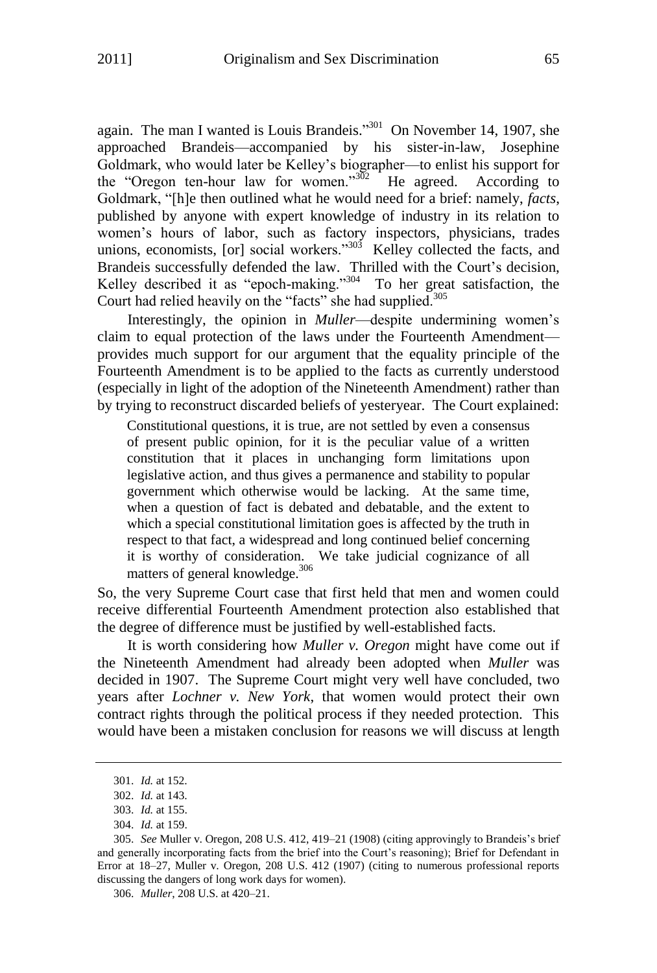again. The man I wanted is Louis Brandeis."<sup>301</sup> On November 14, 1907, she approached Brandeis—accompanied by his sister-in-law, Josephine Goldmark, who would later be Kelley's biographer—to enlist his support for the "Oregon ten-hour law for women." $3\overline{02}$ " He agreed. According to Goldmark, "[h]e then outlined what he would need for a brief: namely, *facts*, published by anyone with expert knowledge of industry in its relation to women's hours of labor, such as factory inspectors, physicians, trades unions, economists, [or] social workers.<sup>303</sup> Kelley collected the facts, and Brandeis successfully defended the law. Thrilled with the Court's decision, Kelley described it as "epoch-making."<sup>304</sup> To her great satisfaction, the Court had relied heavily on the "facts" she had supplied.<sup>305</sup>

Interestingly, the opinion in *Muller*—despite undermining women's claim to equal protection of the laws under the Fourteenth Amendment provides much support for our argument that the equality principle of the Fourteenth Amendment is to be applied to the facts as currently understood (especially in light of the adoption of the Nineteenth Amendment) rather than by trying to reconstruct discarded beliefs of yesteryear. The Court explained:

Constitutional questions, it is true, are not settled by even a consensus of present public opinion, for it is the peculiar value of a written constitution that it places in unchanging form limitations upon legislative action, and thus gives a permanence and stability to popular government which otherwise would be lacking. At the same time, when a question of fact is debated and debatable, and the extent to which a special constitutional limitation goes is affected by the truth in respect to that fact, a widespread and long continued belief concerning it is worthy of consideration. We take judicial cognizance of all matters of general knowledge.<sup>306</sup>

So, the very Supreme Court case that first held that men and women could receive differential Fourteenth Amendment protection also established that the degree of difference must be justified by well-established facts.

It is worth considering how *Muller v. Oregon* might have come out if the Nineteenth Amendment had already been adopted when *Muller* was decided in 1907. The Supreme Court might very well have concluded, two years after *Lochner v. New York*, that women would protect their own contract rights through the political process if they needed protection. This would have been a mistaken conclusion for reasons we will discuss at length

<sup>301.</sup> *Id.* at 152.

<sup>302.</sup> *Id.* at 143.

<sup>303.</sup> *Id.* at 155.

<sup>304.</sup> *Id.* at 159.

<sup>305.</sup> *See* Muller v. Oregon, 208 U.S. 412, 419–21 (1908) (citing approvingly to Brandeis's brief and generally incorporating facts from the brief into the Court's reasoning); Brief for Defendant in Error at 18–27, Muller v. Oregon, 208 U.S. 412 (1907) (citing to numerous professional reports discussing the dangers of long work days for women).

<sup>306.</sup> *Muller*, 208 U.S. at 420–21.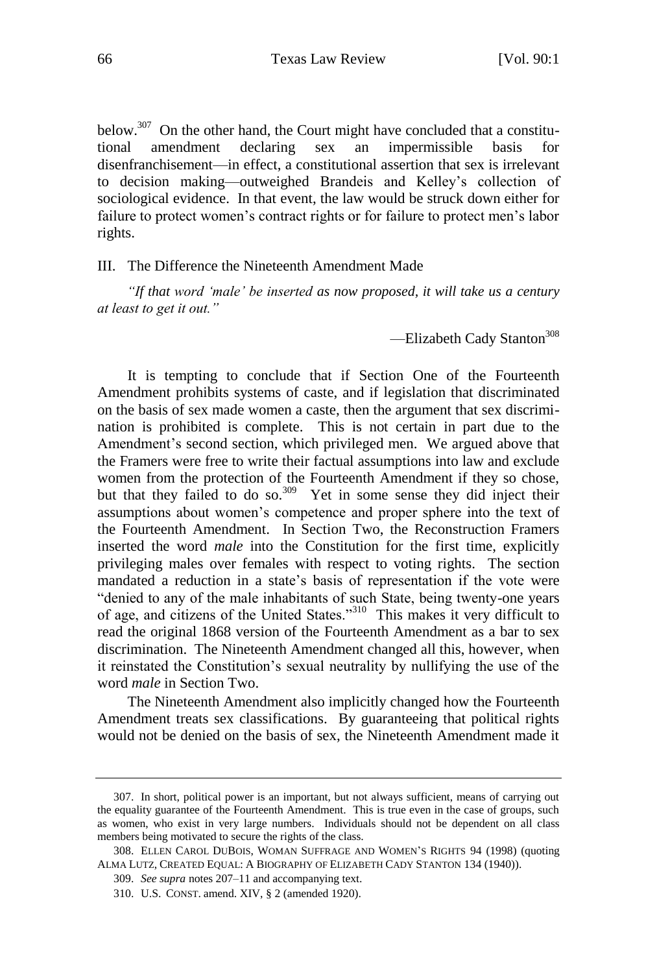below.<sup>307</sup> On the other hand, the Court might have concluded that a constitutional amendment declaring sex an impermissible basis disenfranchisement—in effect, a constitutional assertion that sex is irrelevant to decision making—outweighed Brandeis and Kelley's collection of sociological evidence. In that event, the law would be struck down either for failure to protect women's contract rights or for failure to protect men's labor rights.

### III. The Difference the Nineteenth Amendment Made

*―If that word ‗male' be inserted as now proposed, it will take us a century at least to get it out.‖*

-Elizabeth Cady Stanton<sup>308</sup>

It is tempting to conclude that if Section One of the Fourteenth Amendment prohibits systems of caste, and if legislation that discriminated on the basis of sex made women a caste, then the argument that sex discrimination is prohibited is complete. This is not certain in part due to the Amendment's second section, which privileged men. We argued above that the Framers were free to write their factual assumptions into law and exclude women from the protection of the Fourteenth Amendment if they so chose, but that they failed to do so.<sup>309</sup> Yet in some sense they did inject their assumptions about women's competence and proper sphere into the text of the Fourteenth Amendment. In Section Two, the Reconstruction Framers inserted the word *male* into the Constitution for the first time, explicitly privileging males over females with respect to voting rights. The section mandated a reduction in a state's basis of representation if the vote were "denied to any of the male inhabitants of such State, being twenty-one years of age, and citizens of the United States."<sup>310</sup> This makes it very difficult to read the original 1868 version of the Fourteenth Amendment as a bar to sex discrimination. The Nineteenth Amendment changed all this, however, when it reinstated the Constitution's sexual neutrality by nullifying the use of the word *male* in Section Two.

The Nineteenth Amendment also implicitly changed how the Fourteenth Amendment treats sex classifications. By guaranteeing that political rights would not be denied on the basis of sex, the Nineteenth Amendment made it

<sup>307.</sup> In short, political power is an important, but not always sufficient, means of carrying out the equality guarantee of the Fourteenth Amendment. This is true even in the case of groups, such as women, who exist in very large numbers. Individuals should not be dependent on all class members being motivated to secure the rights of the class.

<sup>308.</sup> ELLEN CAROL DUBOIS, WOMAN SUFFRAGE AND WOMEN'S RIGHTS 94 (1998) (quoting ALMA LUTZ, CREATED EQUAL: A BIOGRAPHY OF ELIZABETH CADY STANTON 134 (1940)).

<sup>309.</sup> *See supra* notes 207–11 and accompanying text.

<sup>310.</sup> U.S. CONST. amend. XIV, § 2 (amended 1920).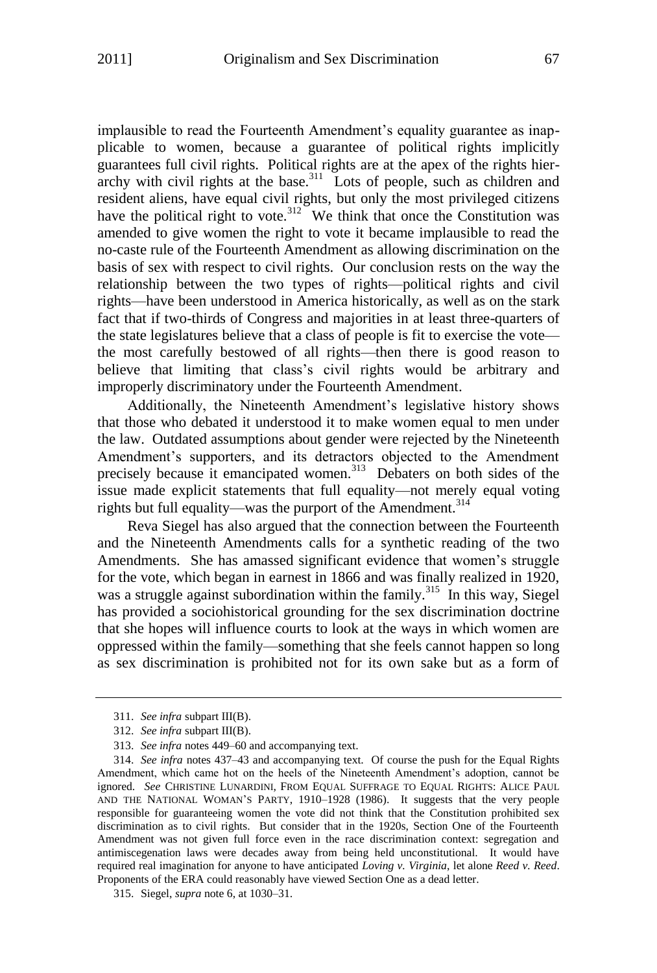implausible to read the Fourteenth Amendment's equality guarantee as inapplicable to women, because a guarantee of political rights implicitly guarantees full civil rights. Political rights are at the apex of the rights hierarchy with civil rights at the base.<sup>311</sup> Lots of people, such as children and resident aliens, have equal civil rights, but only the most privileged citizens have the political right to vote.<sup>312</sup> We think that once the Constitution was amended to give women the right to vote it became implausible to read the no-caste rule of the Fourteenth Amendment as allowing discrimination on the basis of sex with respect to civil rights. Our conclusion rests on the way the relationship between the two types of rights—political rights and civil rights—have been understood in America historically, as well as on the stark fact that if two-thirds of Congress and majorities in at least three-quarters of the state legislatures believe that a class of people is fit to exercise the vote the most carefully bestowed of all rights—then there is good reason to believe that limiting that class's civil rights would be arbitrary and improperly discriminatory under the Fourteenth Amendment.

Additionally, the Nineteenth Amendment's legislative history shows that those who debated it understood it to make women equal to men under the law. Outdated assumptions about gender were rejected by the Nineteenth Amendment's supporters, and its detractors objected to the Amendment precisely because it emancipated women.<sup>313</sup> Debaters on both sides of the issue made explicit statements that full equality—not merely equal voting rights but full equality—was the purport of the Amendment.<sup>314</sup>

Reva Siegel has also argued that the connection between the Fourteenth and the Nineteenth Amendments calls for a synthetic reading of the two Amendments. She has amassed significant evidence that women's struggle for the vote, which began in earnest in 1866 and was finally realized in 1920, was a struggle against subordination within the family.<sup>315</sup> In this way, Siegel has provided a sociohistorical grounding for the sex discrimination doctrine that she hopes will influence courts to look at the ways in which women are oppressed within the family—something that she feels cannot happen so long as sex discrimination is prohibited not for its own sake but as a form of

<sup>311.</sup> *See infra* subpart III(B).

<sup>312.</sup> *See infra* subpart III(B).

<sup>313.</sup> *See infra* notes 449–60 and accompanying text.

<sup>314.</sup> *See infra* notes 437–43 and accompanying text. Of course the push for the Equal Rights Amendment, which came hot on the heels of the Nineteenth Amendment's adoption, cannot be ignored. *See* CHRISTINE LUNARDINI, FROM EQUAL SUFFRAGE TO EQUAL RIGHTS: ALICE PAUL AND THE NATIONAL WOMAN'S PARTY, 1910–1928 (1986). It suggests that the very people responsible for guaranteeing women the vote did not think that the Constitution prohibited sex discrimination as to civil rights. But consider that in the 1920s, Section One of the Fourteenth Amendment was not given full force even in the race discrimination context: segregation and antimiscegenation laws were decades away from being held unconstitutional. It would have required real imagination for anyone to have anticipated *Loving v. Virginia*, let alone *Reed v. Reed*. Proponents of the ERA could reasonably have viewed Section One as a dead letter.

<sup>315.</sup> Siegel, *supra* note 6, at 1030–31.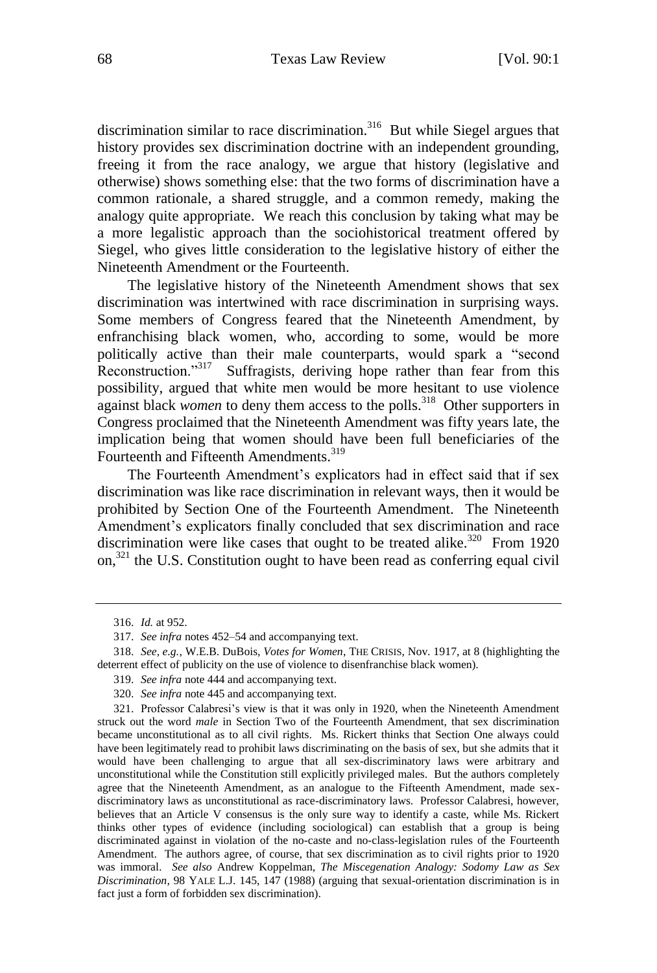discrimination similar to race discrimination.<sup>316</sup> But while Siegel argues that history provides sex discrimination doctrine with an independent grounding, freeing it from the race analogy, we argue that history (legislative and otherwise) shows something else: that the two forms of discrimination have a common rationale, a shared struggle, and a common remedy, making the analogy quite appropriate. We reach this conclusion by taking what may be a more legalistic approach than the sociohistorical treatment offered by Siegel, who gives little consideration to the legislative history of either the Nineteenth Amendment or the Fourteenth.

The legislative history of the Nineteenth Amendment shows that sex discrimination was intertwined with race discrimination in surprising ways. Some members of Congress feared that the Nineteenth Amendment, by enfranchising black women, who, according to some, would be more politically active than their male counterparts, would spark a "second Reconstruction."<sup>317</sup> Suffragists, deriving hope rather than fear from this possibility, argued that white men would be more hesitant to use violence against black *women* to deny them access to the polls.<sup>318</sup> Other supporters in Congress proclaimed that the Nineteenth Amendment was fifty years late, the implication being that women should have been full beneficiaries of the Fourteenth and Fifteenth Amendments.<sup>319</sup>

The Fourteenth Amendment's explicators had in effect said that if sex discrimination was like race discrimination in relevant ways, then it would be prohibited by Section One of the Fourteenth Amendment. The Nineteenth Amendment's explicators finally concluded that sex discrimination and race discrimination were like cases that ought to be treated alike.<sup>320</sup> From 1920 on,<sup>321</sup> the U.S. Constitution ought to have been read as conferring equal civil

<sup>316.</sup> *Id.* at 952.

<sup>317.</sup> *See infra* notes 452–54 and accompanying text.

<sup>318.</sup> *See, e.g.*, W.E.B. DuBois, *Votes for Women*, THE CRISIS, Nov. 1917, at 8 (highlighting the deterrent effect of publicity on the use of violence to disenfranchise black women).

<sup>319.</sup> *See infra* note 444 and accompanying text.

<sup>320.</sup> *See infra* note 445 and accompanying text.

<sup>321.</sup> Professor Calabresi's view is that it was only in 1920, when the Nineteenth Amendment struck out the word *male* in Section Two of the Fourteenth Amendment, that sex discrimination became unconstitutional as to all civil rights. Ms. Rickert thinks that Section One always could have been legitimately read to prohibit laws discriminating on the basis of sex, but she admits that it would have been challenging to argue that all sex-discriminatory laws were arbitrary and unconstitutional while the Constitution still explicitly privileged males. But the authors completely agree that the Nineteenth Amendment, as an analogue to the Fifteenth Amendment, made sexdiscriminatory laws as unconstitutional as race-discriminatory laws. Professor Calabresi, however, believes that an Article V consensus is the only sure way to identify a caste, while Ms. Rickert thinks other types of evidence (including sociological) can establish that a group is being discriminated against in violation of the no-caste and no-class-legislation rules of the Fourteenth Amendment. The authors agree, of course, that sex discrimination as to civil rights prior to 1920 was immoral. *See also* Andrew Koppelman, *The Miscegenation Analogy: Sodomy Law as Sex Discrimination*, 98 YALE L.J. 145, 147 (1988) (arguing that sexual-orientation discrimination is in fact just a form of forbidden sex discrimination).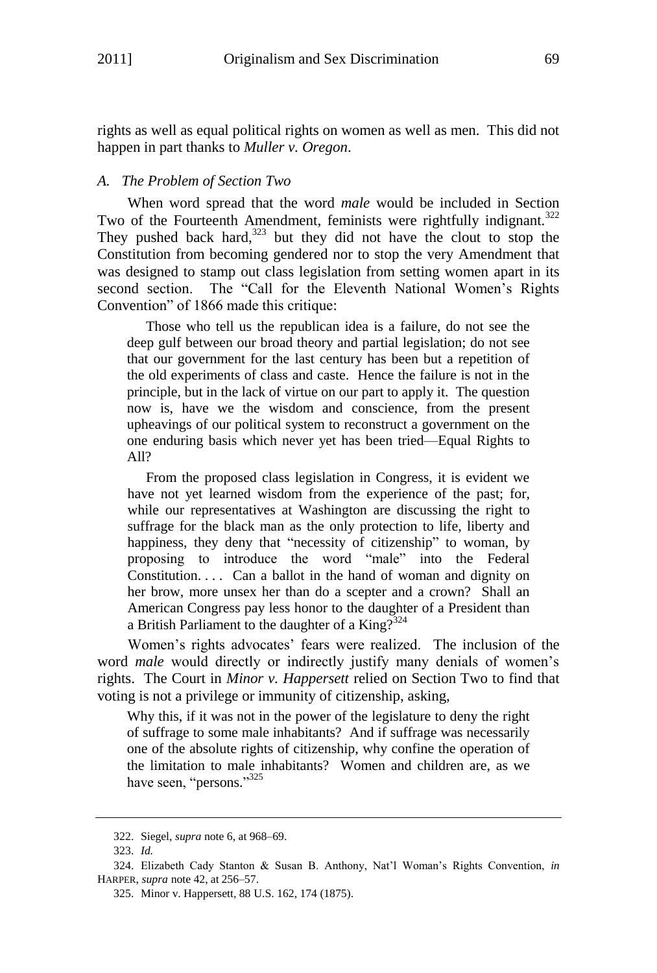rights as well as equal political rights on women as well as men. This did not happen in part thanks to *Muller v. Oregon*.

## *A. The Problem of Section Two*

When word spread that the word *male* would be included in Section Two of the Fourteenth Amendment, feminists were rightfully indignant.<sup>322</sup> They pushed back hard, $323$  but they did not have the clout to stop the Constitution from becoming gendered nor to stop the very Amendment that was designed to stamp out class legislation from setting women apart in its second section. The "Call for the Eleventh National Women's Rights Convention" of 1866 made this critique:

Those who tell us the republican idea is a failure, do not see the deep gulf between our broad theory and partial legislation; do not see that our government for the last century has been but a repetition of the old experiments of class and caste. Hence the failure is not in the principle, but in the lack of virtue on our part to apply it. The question now is, have we the wisdom and conscience, from the present upheavings of our political system to reconstruct a government on the one enduring basis which never yet has been tried—Equal Rights to All?

From the proposed class legislation in Congress, it is evident we have not yet learned wisdom from the experience of the past; for, while our representatives at Washington are discussing the right to suffrage for the black man as the only protection to life, liberty and happiness, they deny that "necessity of citizenship" to woman, by proposing to introduce the word "male" into the Federal Constitution. . . . Can a ballot in the hand of woman and dignity on her brow, more unsex her than do a scepter and a crown? Shall an American Congress pay less honor to the daughter of a President than a British Parliament to the daughter of a  $King$ <sup>324</sup>

Women's rights advocates' fears were realized. The inclusion of the word *male* would directly or indirectly justify many denials of women's rights. The Court in *Minor v. Happersett* relied on Section Two to find that voting is not a privilege or immunity of citizenship, asking,

Why this, if it was not in the power of the legislature to deny the right of suffrage to some male inhabitants? And if suffrage was necessarily one of the absolute rights of citizenship, why confine the operation of the limitation to male inhabitants? Women and children are, as we have seen, "persons."<sup>325</sup>

<sup>322.</sup> Siegel, *supra* note 6, at 968–69.

<sup>323.</sup> *Id.*

<sup>324.</sup> Elizabeth Cady Stanton & Susan B. Anthony, Nat'l Woman's Rights Convention, *in* HARPER, *supra* note 42, at 256–57.

<sup>325.</sup> Minor v. Happersett, 88 U.S. 162, 174 (1875).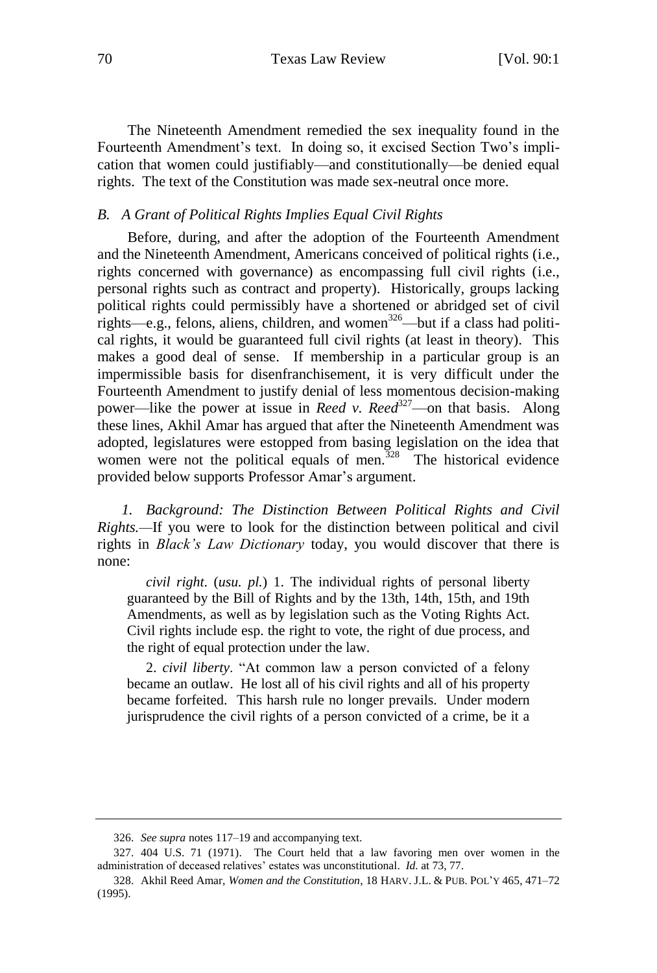The Nineteenth Amendment remedied the sex inequality found in the Fourteenth Amendment's text. In doing so, it excised Section Two's implication that women could justifiably—and constitutionally—be denied equal rights. The text of the Constitution was made sex-neutral once more.

### *B. A Grant of Political Rights Implies Equal Civil Rights*

Before, during, and after the adoption of the Fourteenth Amendment and the Nineteenth Amendment, Americans conceived of political rights (i.e., rights concerned with governance) as encompassing full civil rights (i.e., personal rights such as contract and property). Historically, groups lacking political rights could permissibly have a shortened or abridged set of civil rights—e.g., felons, aliens, children, and women<sup>326</sup>—but if a class had political rights, it would be guaranteed full civil rights (at least in theory). This makes a good deal of sense. If membership in a particular group is an impermissible basis for disenfranchisement, it is very difficult under the Fourteenth Amendment to justify denial of less momentous decision-making power—like the power at issue in *Reed v. Reed*<sup>327</sup>—on that basis. Along these lines, Akhil Amar has argued that after the Nineteenth Amendment was adopted, legislatures were estopped from basing legislation on the idea that women were not the political equals of men.<sup>328</sup> The historical evidence provided below supports Professor Amar's argument.

*1. Background: The Distinction Between Political Rights and Civil Rights.—*If you were to look for the distinction between political and civil rights in *Black's Law Dictionary* today, you would discover that there is none:

*civil right*. (*usu. pl.*) 1. The individual rights of personal liberty guaranteed by the Bill of Rights and by the 13th, 14th, 15th, and 19th Amendments, as well as by legislation such as the Voting Rights Act. Civil rights include esp. the right to vote, the right of due process, and the right of equal protection under the law.

2. *civil liberty*. "At common law a person convicted of a felony became an outlaw. He lost all of his civil rights and all of his property became forfeited. This harsh rule no longer prevails. Under modern jurisprudence the civil rights of a person convicted of a crime, be it a

<sup>326.</sup> *See supra* notes 117–19 and accompanying text.

<sup>327.</sup> 404 U.S. 71 (1971). The Court held that a law favoring men over women in the administration of deceased relatives' estates was unconstitutional. *Id.* at 73, 77.

<sup>328.</sup> Akhil Reed Amar, *Women and the Constitution*, 18 HARV. J.L. & PUB. POL'Y 465, 471–72 (1995).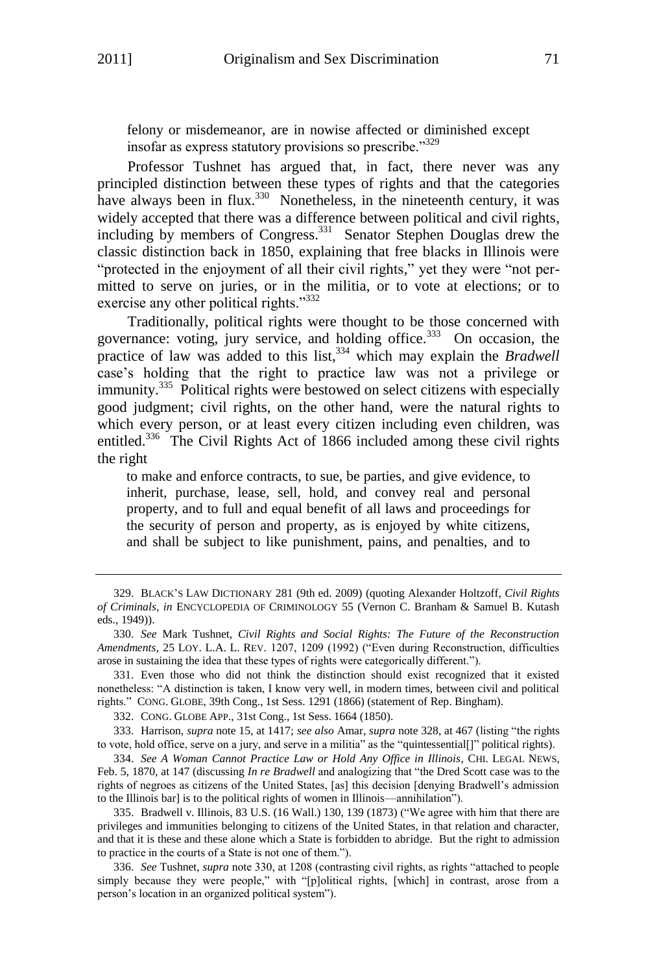felony or misdemeanor, are in nowise affected or diminished except insofar as express statutory provisions so prescribe.<sup>329</sup>

Professor Tushnet has argued that, in fact, there never was any principled distinction between these types of rights and that the categories have always been in flux.<sup>330</sup> Nonetheless, in the nineteenth century, it was widely accepted that there was a difference between political and civil rights, including by members of Congress.<sup>331</sup> Senator Stephen Douglas drew the classic distinction back in 1850, explaining that free blacks in Illinois were "protected in the enjoyment of all their civil rights," yet they were "not permitted to serve on juries, or in the militia, or to vote at elections; or to exercise any other political rights."<sup>332</sup>

Traditionally, political rights were thought to be those concerned with governance: voting, jury service, and holding office.<sup>333</sup> On occasion, the practice of law was added to this list, <sup>334</sup> which may explain the *Bradwell* case's holding that the right to practice law was not a privilege or immunity.<sup>335</sup> Political rights were bestowed on select citizens with especially good judgment; civil rights, on the other hand, were the natural rights to which every person, or at least every citizen including even children, was entitled.<sup>336</sup> The Civil Rights Act of 1866 included among these civil rights the right

to make and enforce contracts, to sue, be parties, and give evidence, to inherit, purchase, lease, sell, hold, and convey real and personal property, and to full and equal benefit of all laws and proceedings for the security of person and property, as is enjoyed by white citizens, and shall be subject to like punishment, pains, and penalties, and to

<sup>329.</sup> BLACK'S LAW DICTIONARY 281 (9th ed. 2009) (quoting Alexander Holtzoff, *Civil Rights of Criminals*, *in* ENCYCLOPEDIA OF CRIMINOLOGY 55 (Vernon C. Branham & Samuel B. Kutash eds., 1949)).

<sup>330.</sup> *See* Mark Tushnet, *Civil Rights and Social Rights: The Future of the Reconstruction Amendments*, 25 LOY. L.A. L. REV. 1207, 1209 (1992) ("Even during Reconstruction, difficulties arose in sustaining the idea that these types of rights were categorically different.").

<sup>331.</sup> Even those who did not think the distinction should exist recognized that it existed nonetheless: "A distinction is taken, I know very well, in modern times, between civil and political rights.‖ CONG. GLOBE, 39th Cong., 1st Sess. 1291 (1866) (statement of Rep. Bingham).

<sup>332.</sup> CONG. GLOBE APP., 31st Cong., 1st Sess. 1664 (1850).

<sup>333.</sup> Harrison, *supra* note 15, at 1417; *see also* Amar, *supra* note 328, at 467 (listing "the rights to vote, hold office, serve on a jury, and serve in a militia" as the "quintessential[]" political rights).

<sup>334.</sup> *See A Woman Cannot Practice Law or Hold Any Office in Illinois*, CHI. LEGAL NEWS, Feb. 5, 1870, at 147 (discussing *In re Bradwell* and analogizing that "the Dred Scott case was to the rights of negroes as citizens of the United States, [as] this decision [denying Bradwell's admission to the Illinois bar] is to the political rights of women in Illinois—annihilation").

<sup>335.</sup> Bradwell v. Illinois, 83 U.S. (16 Wall.) 130, 139 (1873) ("We agree with him that there are privileges and immunities belonging to citizens of the United States, in that relation and character, and that it is these and these alone which a State is forbidden to abridge. But the right to admission to practice in the courts of a State is not one of them.").

<sup>336.</sup> *See* Tushnet, *supra* note 330, at 1208 (contrasting civil rights, as rights "attached to people simply because they were people," with "[p]olitical rights, [which] in contrast, arose from a person's location in an organized political system").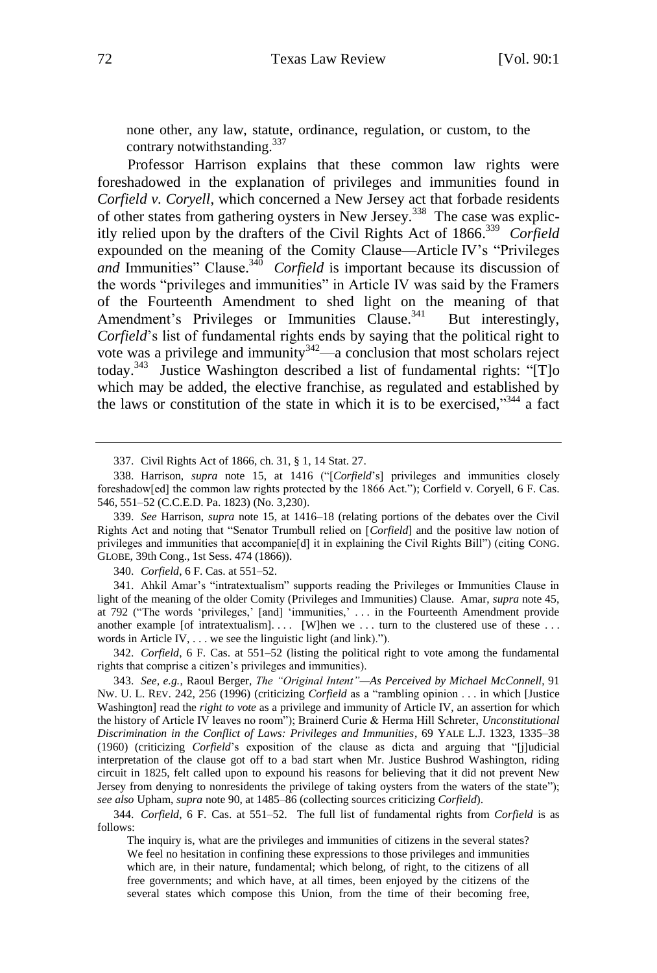none other, any law, statute, ordinance, regulation, or custom, to the contrary notwithstanding. $337$ 

Professor Harrison explains that these common law rights were foreshadowed in the explanation of privileges and immunities found in *Corfield v. Coryell*, which concerned a New Jersey act that forbade residents of other states from gathering oysters in New Jersey.<sup>338</sup> The case was explicitly relied upon by the drafters of the Civil Rights Act of 1866. 339 *Corfield* expounded on the meaning of the Comity Clause—Article IV's "Privileges" and Immunities" Clause.<sup>340</sup> *Corfield* is important because its discussion of the words "privileges and immunities" in Article IV was said by the Framers of the Fourteenth Amendment to shed light on the meaning of that Amendment's Privileges or Immunities Clause.<sup>341</sup> But interestingly, *Corfield*'s list of fundamental rights ends by saying that the political right to vote was a privilege and immunity $342$ —a conclusion that most scholars reject today.<sup>343</sup> Justice Washington described a list of fundamental rights: "[T]o which may be added, the elective franchise, as regulated and established by the laws or constitution of the state in which it is to be exercised," $344$  a fact

340. *Corfield*, 6 F. Cas. at 551–52.

341. Ahkil Amar's "intratextualism" supports reading the Privileges or Immunities Clause in light of the meaning of the older Comity (Privileges and Immunities) Clause. Amar, *supra* note 45, at 792 ("The words 'privileges,' [and] 'immunities,' ... in the Fourteenth Amendment provide another example [of intratextualism].... [W]hen we ... turn to the clustered use of these ... words in Article IV,  $\dots$  we see the linguistic light (and link).").

342. *Corfield*, 6 F. Cas. at 551–52 (listing the political right to vote among the fundamental rights that comprise a citizen's privileges and immunities).

343. See, e.g., Raoul Berger, *The "Original Intent"*—As Perceived by Michael McConnell, 91 NW. U. L. REV. 242, 256 (1996) (criticizing *Corfield* as a "rambling opinion . . . in which [Justice Washington] read the *right to vote* as a privilege and immunity of Article IV, an assertion for which the history of Article IV leaves no room"); Brainerd Curie & Herma Hill Schreter, *Unconstitutional Discrimination in the Conflict of Laws: Privileges and Immunities*, 69 YALE L.J. 1323, 1335–38 (1960) (criticizing *Corfield's* exposition of the clause as dicta and arguing that "[j]udicial interpretation of the clause got off to a bad start when Mr. Justice Bushrod Washington, riding circuit in 1825, felt called upon to expound his reasons for believing that it did not prevent New Jersey from denying to nonresidents the privilege of taking oysters from the waters of the state"); *see also* Upham, *supra* note 90, at 1485–86 (collecting sources criticizing *Corfield*).

344. *Corfield*, 6 F. Cas. at 551–52. The full list of fundamental rights from *Corfield* is as follows:

The inquiry is, what are the privileges and immunities of citizens in the several states? We feel no hesitation in confining these expressions to those privileges and immunities which are, in their nature, fundamental; which belong, of right, to the citizens of all free governments; and which have, at all times, been enjoyed by the citizens of the several states which compose this Union, from the time of their becoming free,

<sup>337.</sup> Civil Rights Act of 1866, ch. 31, § 1, 14 Stat. 27.

<sup>338.</sup> Harrison, *supra* note 15, at 1416 ("[Corfield's] privileges and immunities closely foreshadow[ed] the common law rights protected by the 1866 Act."); Corfield v. Coryell, 6 F. Cas. 546, 551–52 (C.C.E.D. Pa. 1823) (No. 3,230).

<sup>339.</sup> *See* Harrison, *supra* note 15, at 1416–18 (relating portions of the debates over the Civil Rights Act and noting that "Senator Trumbull relied on [*Corfield*] and the positive law notion of privileges and immunities that accompanie<sup>[d]</sup> it in explaining the Civil Rights Bill") (citing CONG. GLOBE, 39th Cong., 1st Sess. 474 (1866)).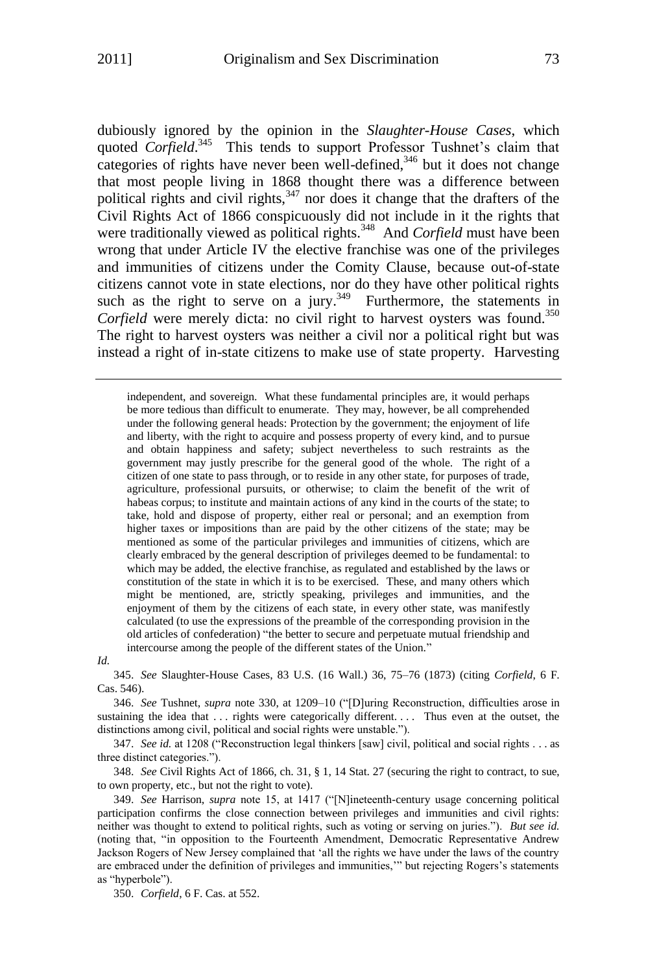dubiously ignored by the opinion in the *Slaughter-House Cases*, which quoted *Corfield*.<sup>345</sup> This tends to support Professor Tushnet's claim that categories of rights have never been well-defined,  $346$  but it does not change that most people living in 1868 thought there was a difference between political rights and civil rights, $347$  nor does it change that the drafters of the Civil Rights Act of 1866 conspicuously did not include in it the rights that were traditionally viewed as political rights.<sup>348</sup> And *Corfield* must have been wrong that under Article IV the elective franchise was one of the privileges and immunities of citizens under the Comity Clause, because out-of-state citizens cannot vote in state elections, nor do they have other political rights such as the right to serve on a jury.<sup>349</sup> Furthermore, the statements in Corfield were merely dicta: no civil right to harvest oysters was found.<sup>350</sup> The right to harvest oysters was neither a civil nor a political right but was instead a right of in-state citizens to make use of state property. Harvesting

independent, and sovereign. What these fundamental principles are, it would perhaps be more tedious than difficult to enumerate. They may, however, be all comprehended under the following general heads: Protection by the government; the enjoyment of life and liberty, with the right to acquire and possess property of every kind, and to pursue and obtain happiness and safety; subject nevertheless to such restraints as the government may justly prescribe for the general good of the whole. The right of a citizen of one state to pass through, or to reside in any other state, for purposes of trade, agriculture, professional pursuits, or otherwise; to claim the benefit of the writ of habeas corpus; to institute and maintain actions of any kind in the courts of the state; to take, hold and dispose of property, either real or personal; and an exemption from higher taxes or impositions than are paid by the other citizens of the state; may be mentioned as some of the particular privileges and immunities of citizens, which are clearly embraced by the general description of privileges deemed to be fundamental: to which may be added, the elective franchise, as regulated and established by the laws or constitution of the state in which it is to be exercised. These, and many others which might be mentioned, are, strictly speaking, privileges and immunities, and the enjoyment of them by the citizens of each state, in every other state, was manifestly calculated (to use the expressions of the preamble of the corresponding provision in the old articles of confederation) "the better to secure and perpetuate mutual friendship and intercourse among the people of the different states of the Union."

*Id.*

345. *See* Slaughter-House Cases, 83 U.S. (16 Wall.) 36, 75–76 (1873) (citing *Corfield*, 6 F. Cas. 546).

346. *See* Tushnet, *supra* note 330, at 1209–10 ("[D]uring Reconstruction, difficulties arose in sustaining the idea that ... rights were categorically different.... Thus even at the outset, the distinctions among civil, political and social rights were unstable.").

347. *See id.* at 1208 ("Reconstruction legal thinkers [saw] civil, political and social rights . . . as three distinct categories.").

348. *See* Civil Rights Act of 1866, ch. 31, § 1, 14 Stat. 27 (securing the right to contract, to sue, to own property, etc., but not the right to vote).

349. *See* Harrison, *supra* note 15, at 1417 ("[N]ineteenth-century usage concerning political participation confirms the close connection between privileges and immunities and civil rights: neither was thought to extend to political rights, such as voting or serving on juries."). *But see id.* (noting that, "in opposition to the Fourteenth Amendment, Democratic Representative Andrew Jackson Rogers of New Jersey complained that 'all the rights we have under the laws of the country are embraced under the definition of privileges and immunities," but rejecting Rogers's statements as "hyperbole").

350. *Corfield*, 6 F. Cas. at 552.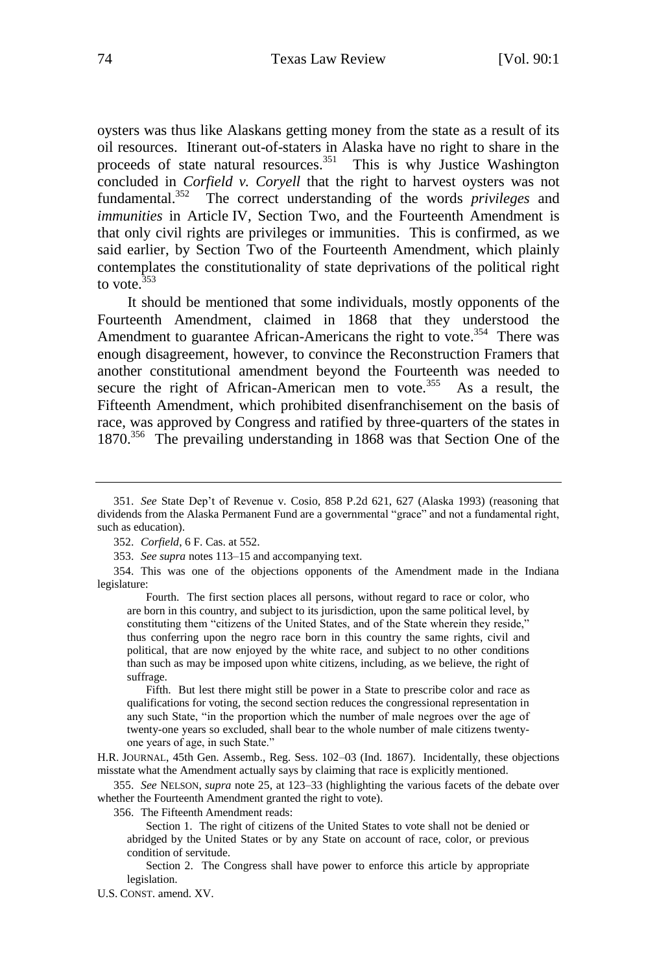oysters was thus like Alaskans getting money from the state as a result of its oil resources. Itinerant out-of-staters in Alaska have no right to share in the proceeds of state natural resources.<sup>351</sup> This is why Justice Washington concluded in *Corfield v. Coryell* that the right to harvest oysters was not fundamental. 352 The correct understanding of the words *privileges* and *immunities* in Article IV, Section Two, and the Fourteenth Amendment is that only civil rights are privileges or immunities. This is confirmed, as we said earlier, by Section Two of the Fourteenth Amendment, which plainly contemplates the constitutionality of state deprivations of the political right to vote. $353$ 

It should be mentioned that some individuals, mostly opponents of the Fourteenth Amendment, claimed in 1868 that they understood the Amendment to guarantee African-Americans the right to vote.<sup>354</sup> There was enough disagreement, however, to convince the Reconstruction Framers that another constitutional amendment beyond the Fourteenth was needed to secure the right of African-American men to vote.<sup>355</sup> As a result, the Fifteenth Amendment, which prohibited disenfranchisement on the basis of race, was approved by Congress and ratified by three-quarters of the states in 1870. 356 The prevailing understanding in 1868 was that Section One of the

Fourth. The first section places all persons, without regard to race or color, who are born in this country, and subject to its jurisdiction, upon the same political level, by constituting them "citizens of the United States, and of the State wherein they reside," thus conferring upon the negro race born in this country the same rights, civil and political, that are now enjoyed by the white race, and subject to no other conditions than such as may be imposed upon white citizens, including, as we believe, the right of suffrage.

Fifth. But lest there might still be power in a State to prescribe color and race as qualifications for voting, the second section reduces the congressional representation in any such State, "in the proportion which the number of male negroes over the age of twenty-one years so excluded, shall bear to the whole number of male citizens twentyone years of age, in such State."

H.R. JOURNAL, 45th Gen. Assemb., Reg. Sess. 102–03 (Ind. 1867). Incidentally, these objections misstate what the Amendment actually says by claiming that race is explicitly mentioned.

355. *See* NELSON, *supra* note 25, at 123–33 (highlighting the various facets of the debate over whether the Fourteenth Amendment granted the right to vote).

356. The Fifteenth Amendment reads:

<sup>351.</sup> *See* State Dep't of Revenue v. Cosio, 858 P.2d 621, 627 (Alaska 1993) (reasoning that dividends from the Alaska Permanent Fund are a governmental "grace" and not a fundamental right, such as education).

<sup>352.</sup> *Corfield*, 6 F. Cas. at 552.

<sup>353.</sup> *See supra* notes 113–15 and accompanying text.

<sup>354.</sup> This was one of the objections opponents of the Amendment made in the Indiana legislature:

Section 1. The right of citizens of the United States to vote shall not be denied or abridged by the United States or by any State on account of race, color, or previous condition of servitude.

Section 2. The Congress shall have power to enforce this article by appropriate legislation.

U.S. CONST. amend. XV.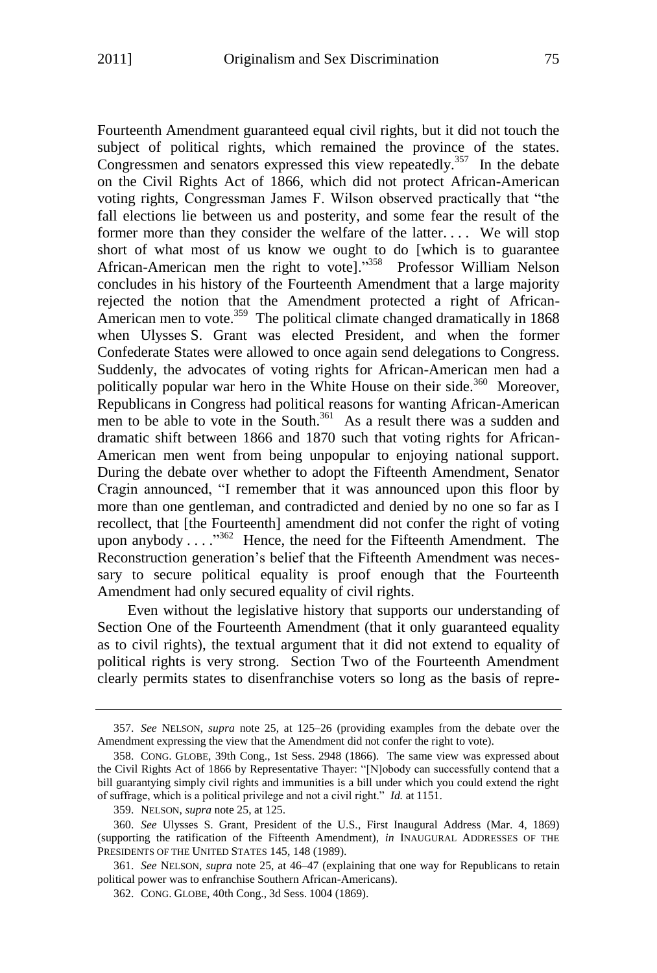Fourteenth Amendment guaranteed equal civil rights, but it did not touch the subject of political rights, which remained the province of the states. Congressmen and senators expressed this view repeatedly.<sup>357</sup> In the debate on the Civil Rights Act of 1866, which did not protect African-American voting rights, Congressman James F. Wilson observed practically that "the fall elections lie between us and posterity, and some fear the result of the former more than they consider the welfare of the latter.... We will stop short of what most of us know we ought to do [which is to guarantee African-American men the right to vote]."<sup>358</sup> Professor William Nelson concludes in his history of the Fourteenth Amendment that a large majority rejected the notion that the Amendment protected a right of African-American men to vote.<sup>359</sup> The political climate changed dramatically in 1868 when Ulysses S. Grant was elected President, and when the former Confederate States were allowed to once again send delegations to Congress. Suddenly, the advocates of voting rights for African-American men had a politically popular war hero in the White House on their side.<sup>360</sup> Moreover, Republicans in Congress had political reasons for wanting African-American men to be able to vote in the South.<sup>361</sup> As a result there was a sudden and dramatic shift between 1866 and 1870 such that voting rights for African-American men went from being unpopular to enjoying national support. During the debate over whether to adopt the Fifteenth Amendment, Senator Cragin announced, "I remember that it was announced upon this floor by more than one gentleman, and contradicted and denied by no one so far as I recollect, that [the Fourteenth] amendment did not confer the right of voting upon anybody  $\dots$ <sup>362</sup> Hence, the need for the Fifteenth Amendment. The Reconstruction generation's belief that the Fifteenth Amendment was necessary to secure political equality is proof enough that the Fourteenth Amendment had only secured equality of civil rights.

Even without the legislative history that supports our understanding of Section One of the Fourteenth Amendment (that it only guaranteed equality as to civil rights), the textual argument that it did not extend to equality of political rights is very strong. Section Two of the Fourteenth Amendment clearly permits states to disenfranchise voters so long as the basis of repre-

<sup>357.</sup> *See* NELSON, *supra* note 25, at 125–26 (providing examples from the debate over the Amendment expressing the view that the Amendment did not confer the right to vote).

<sup>358.</sup> CONG. GLOBE, 39th Cong., 1st Sess. 2948 (1866). The same view was expressed about the Civil Rights Act of 1866 by Representative Thayer: "[N]obody can successfully contend that a bill guarantying simply civil rights and immunities is a bill under which you could extend the right of suffrage, which is a political privilege and not a civil right." *Id.* at 1151.

<sup>359.</sup> NELSON, *supra* note 25, at 125.

<sup>360.</sup> *See* Ulysses S. Grant, President of the U.S., First Inaugural Address (Mar. 4, 1869) (supporting the ratification of the Fifteenth Amendment), *in* INAUGURAL ADDRESSES OF THE PRESIDENTS OF THE UNITED STATES 145, 148 (1989).

<sup>361.</sup> *See* NELSON, *supra* note 25, at 46–47 (explaining that one way for Republicans to retain political power was to enfranchise Southern African-Americans).

<sup>362.</sup> CONG. GLOBE, 40th Cong., 3d Sess. 1004 (1869).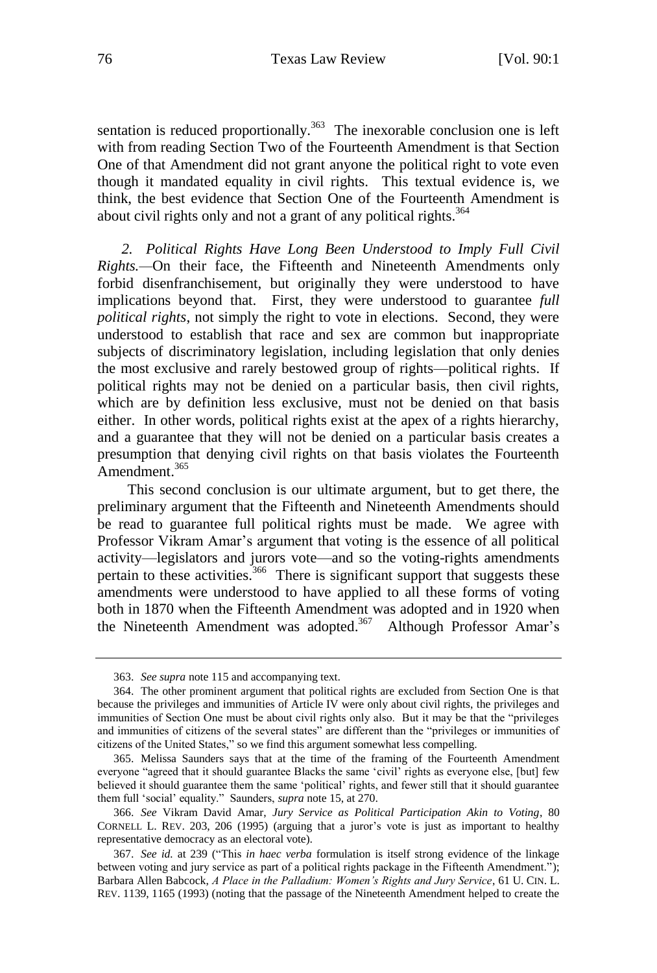sentation is reduced proportionally.<sup>363</sup> The inexorable conclusion one is left with from reading Section Two of the Fourteenth Amendment is that Section One of that Amendment did not grant anyone the political right to vote even though it mandated equality in civil rights. This textual evidence is, we think, the best evidence that Section One of the Fourteenth Amendment is about civil rights only and not a grant of any political rights.<sup>364</sup>

*2. Political Rights Have Long Been Understood to Imply Full Civil Rights.—*On their face, the Fifteenth and Nineteenth Amendments only forbid disenfranchisement, but originally they were understood to have implications beyond that. First, they were understood to guarantee *full political rights*, not simply the right to vote in elections. Second, they were understood to establish that race and sex are common but inappropriate subjects of discriminatory legislation, including legislation that only denies the most exclusive and rarely bestowed group of rights—political rights. If political rights may not be denied on a particular basis, then civil rights, which are by definition less exclusive, must not be denied on that basis either. In other words, political rights exist at the apex of a rights hierarchy, and a guarantee that they will not be denied on a particular basis creates a presumption that denying civil rights on that basis violates the Fourteenth Amendment.<sup>365</sup>

This second conclusion is our ultimate argument, but to get there, the preliminary argument that the Fifteenth and Nineteenth Amendments should be read to guarantee full political rights must be made. We agree with Professor Vikram Amar's argument that voting is the essence of all political activity—legislators and jurors vote—and so the voting-rights amendments pertain to these activities.<sup>366</sup> There is significant support that suggests these amendments were understood to have applied to all these forms of voting both in 1870 when the Fifteenth Amendment was adopted and in 1920 when the Nineteenth Amendment was adopted.<sup>367</sup> Although Professor Amar's

<sup>363.</sup> *See supra* note 115 and accompanying text.

<sup>364.</sup> The other prominent argument that political rights are excluded from Section One is that because the privileges and immunities of Article IV were only about civil rights, the privileges and immunities of Section One must be about civil rights only also. But it may be that the "privileges and immunities of citizens of the several states" are different than the "privileges or immunities of citizens of the United States," so we find this argument somewhat less compelling.

<sup>365.</sup> Melissa Saunders says that at the time of the framing of the Fourteenth Amendment everyone "agreed that it should guarantee Blacks the same 'civil' rights as everyone else, [but] few believed it should guarantee them the same 'political' rights, and fewer still that it should guarantee them full 'social' equality." Saunders, *supra* note 15, at 270.

<sup>366.</sup> *See* Vikram David Amar, *Jury Service as Political Participation Akin to Voting*, 80 CORNELL L. REV. 203, 206 (1995) (arguing that a juror's vote is just as important to healthy representative democracy as an electoral vote).

<sup>367.</sup> *See id.* at 239 ("This *in haec verba* formulation is itself strong evidence of the linkage between voting and jury service as part of a political rights package in the Fifteenth Amendment."); Barbara Allen Babcock, *A Place in the Palladium: Women's Rights and Jury Service*, 61 U. CIN. L. REV. 1139, 1165 (1993) (noting that the passage of the Nineteenth Amendment helped to create the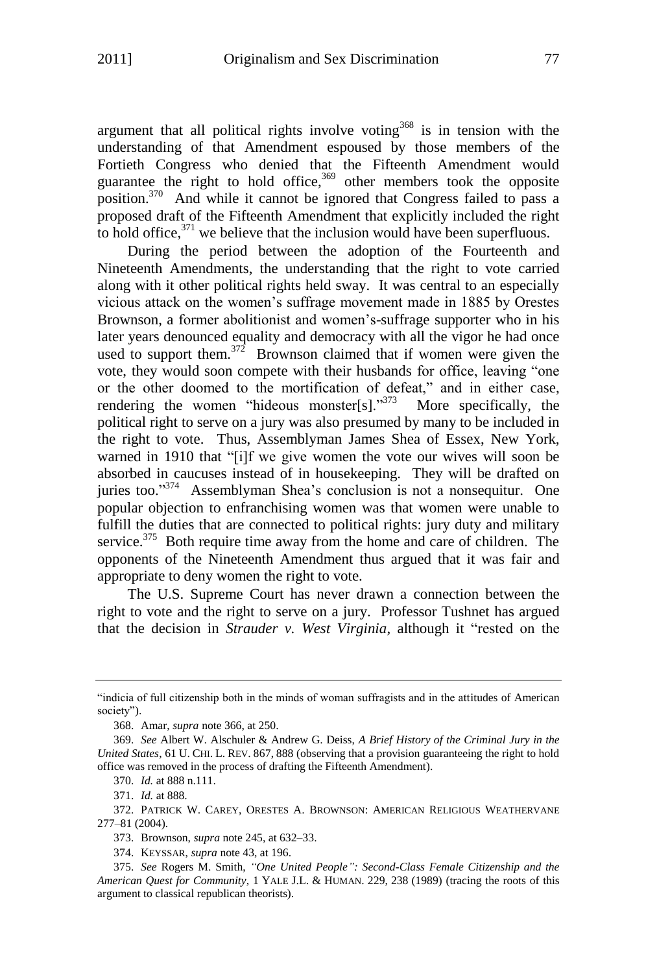argument that all political rights involve voting<sup>368</sup> is in tension with the understanding of that Amendment espoused by those members of the Fortieth Congress who denied that the Fifteenth Amendment would guarantee the right to hold office,<sup>369</sup> other members took the opposite position.<sup>370</sup> And while it cannot be ignored that Congress failed to pass a proposed draft of the Fifteenth Amendment that explicitly included the right to hold office, $371$  we believe that the inclusion would have been superfluous.

During the period between the adoption of the Fourteenth and Nineteenth Amendments, the understanding that the right to vote carried along with it other political rights held sway. It was central to an especially vicious attack on the women's suffrage movement made in 1885 by Orestes Brownson, a former abolitionist and women's-suffrage supporter who in his later years denounced equality and democracy with all the vigor he had once used to support them.<sup>372</sup> Brownson claimed that if women were given the vote, they would soon compete with their husbands for office, leaving "one or the other doomed to the mortification of defeat," and in either case, rendering the women "hideous monster[s]."<sup>373</sup> More specifically, the political right to serve on a jury was also presumed by many to be included in the right to vote. Thus, Assemblyman James Shea of Essex, New York, warned in 1910 that "[i]f we give women the vote our wives will soon be absorbed in caucuses instead of in housekeeping. They will be drafted on juries too."<sup>374</sup> Assemblyman Shea's conclusion is not a nonsequitur. One popular objection to enfranchising women was that women were unable to fulfill the duties that are connected to political rights: jury duty and military service. $375$  Both require time away from the home and care of children. The opponents of the Nineteenth Amendment thus argued that it was fair and appropriate to deny women the right to vote.

The U.S. Supreme Court has never drawn a connection between the right to vote and the right to serve on a jury. Professor Tushnet has argued that the decision in *Strauder v. West Virginia*, although it "rested on the

370. *Id.* at 888 n.111.

<sup>―</sup>indicia of full citizenship both in the minds of woman suffragists and in the attitudes of American society").

<sup>368.</sup> Amar, *supra* note 366, at 250.

<sup>369.</sup> *See* Albert W. Alschuler & Andrew G. Deiss, *A Brief History of the Criminal Jury in the United States*, 61 U. CHI. L. REV. 867, 888 (observing that a provision guaranteeing the right to hold office was removed in the process of drafting the Fifteenth Amendment).

<sup>371.</sup> *Id.* at 888.

<sup>372.</sup> PATRICK W. CAREY, ORESTES A. BROWNSON: AMERICAN RELIGIOUS WEATHERVANE 277–81 (2004).

<sup>373.</sup> Brownson, *supra* note 245, at 632–33.

<sup>374.</sup> KEYSSAR, *supra* note 43, at 196.

<sup>375.</sup> See Rogers M. Smith, "One United People": Second-Class Female Citizenship and the *American Quest for Community*, 1 YALE J.L. & HUMAN. 229, 238 (1989) (tracing the roots of this argument to classical republican theorists).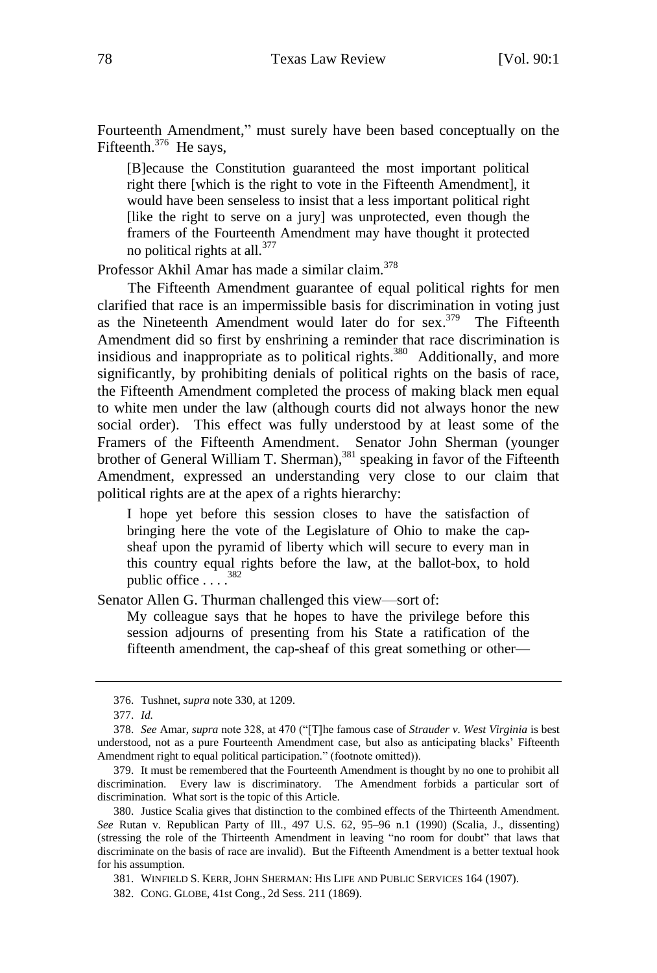Fourteenth Amendment," must surely have been based conceptually on the Fifteenth.<sup>376</sup> He says,

[B]ecause the Constitution guaranteed the most important political right there [which is the right to vote in the Fifteenth Amendment], it would have been senseless to insist that a less important political right [like the right to serve on a jury] was unprotected, even though the framers of the Fourteenth Amendment may have thought it protected no political rights at all.<sup>377</sup>

Professor Akhil Amar has made a similar claim.<sup>378</sup>

The Fifteenth Amendment guarantee of equal political rights for men clarified that race is an impermissible basis for discrimination in voting just as the Nineteenth Amendment would later do for sex.<sup>379</sup> The Fifteenth Amendment did so first by enshrining a reminder that race discrimination is insidious and inappropriate as to political rights.<sup>380</sup> Additionally, and more significantly, by prohibiting denials of political rights on the basis of race, the Fifteenth Amendment completed the process of making black men equal to white men under the law (although courts did not always honor the new social order). This effect was fully understood by at least some of the Framers of the Fifteenth Amendment. Senator John Sherman (younger brother of General William T. Sherman),<sup>381</sup> speaking in favor of the Fifteenth Amendment, expressed an understanding very close to our claim that political rights are at the apex of a rights hierarchy:

I hope yet before this session closes to have the satisfaction of bringing here the vote of the Legislature of Ohio to make the capsheaf upon the pyramid of liberty which will secure to every man in this country equal rights before the law, at the ballot-box, to hold public office  $\ldots$  .  $382$ 

Senator Allen G. Thurman challenged this view—sort of:

My colleague says that he hopes to have the privilege before this session adjourns of presenting from his State a ratification of the fifteenth amendment, the cap-sheaf of this great something or other—

<sup>376.</sup> Tushnet, *supra* note 330, at 1209.

<sup>377.</sup> *Id.*

<sup>378.</sup> *See* Amar, *supra* note 328, at 470 ("[T]he famous case of *Strauder v. West Virginia* is best understood, not as a pure Fourteenth Amendment case, but also as anticipating blacks' Fifteenth Amendment right to equal political participation." (footnote omitted)).

<sup>379.</sup> It must be remembered that the Fourteenth Amendment is thought by no one to prohibit all discrimination. Every law is discriminatory. The Amendment forbids a particular sort of discrimination. What sort is the topic of this Article.

<sup>380.</sup> Justice Scalia gives that distinction to the combined effects of the Thirteenth Amendment. *See* Rutan v. Republican Party of Ill., 497 U.S. 62, 95–96 n.1 (1990) (Scalia, J., dissenting) (stressing the role of the Thirteenth Amendment in leaving "no room for doubt" that laws that discriminate on the basis of race are invalid). But the Fifteenth Amendment is a better textual hook for his assumption.

<sup>381.</sup> WINFIELD S. KERR, JOHN SHERMAN: HIS LIFE AND PUBLIC SERVICES 164 (1907).

<sup>382.</sup> CONG. GLOBE, 41st Cong., 2d Sess. 211 (1869).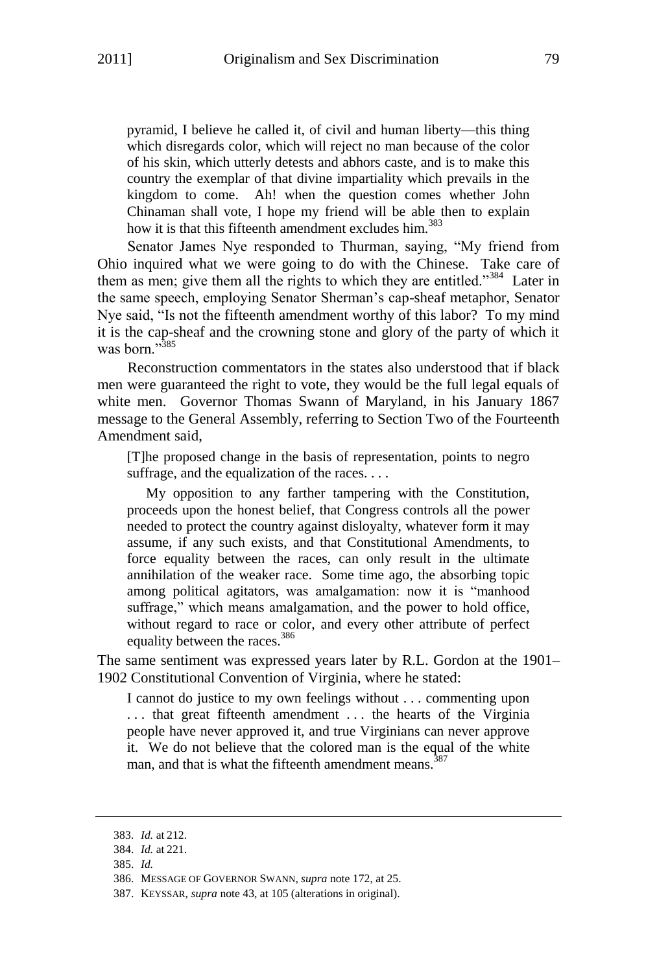pyramid, I believe he called it, of civil and human liberty—this thing which disregards color, which will reject no man because of the color of his skin, which utterly detests and abhors caste, and is to make this country the exemplar of that divine impartiality which prevails in the kingdom to come. Ah! when the question comes whether John Chinaman shall vote, I hope my friend will be able then to explain how it is that this fifteenth amendment excludes him.<sup>383</sup>

Senator James Nye responded to Thurman, saying, "My friend from Ohio inquired what we were going to do with the Chinese. Take care of them as men; give them all the rights to which they are entitled."<sup>384</sup> Later in the same speech, employing Senator Sherman's cap-sheaf metaphor, Senator Nye said, "Is not the fifteenth amendment worthy of this labor? To my mind it is the cap-sheaf and the crowning stone and glory of the party of which it was born.<sup>385</sup>

Reconstruction commentators in the states also understood that if black men were guaranteed the right to vote, they would be the full legal equals of white men. Governor Thomas Swann of Maryland, in his January 1867 message to the General Assembly, referring to Section Two of the Fourteenth Amendment said,

[T]he proposed change in the basis of representation, points to negro suffrage, and the equalization of the races. . . .

My opposition to any farther tampering with the Constitution, proceeds upon the honest belief, that Congress controls all the power needed to protect the country against disloyalty, whatever form it may assume, if any such exists, and that Constitutional Amendments, to force equality between the races, can only result in the ultimate annihilation of the weaker race. Some time ago, the absorbing topic among political agitators, was amalgamation: now it is "manhood suffrage," which means amalgamation, and the power to hold office, without regard to race or color, and every other attribute of perfect equality between the races.<sup>386</sup>

The same sentiment was expressed years later by R.L. Gordon at the 1901– 1902 Constitutional Convention of Virginia, where he stated:

I cannot do justice to my own feelings without . . . commenting upon . . . that great fifteenth amendment . . . the hearts of the Virginia people have never approved it, and true Virginians can never approve it. We do not believe that the colored man is the equal of the white man, and that is what the fifteenth amendment means.<sup>387</sup>

<sup>383.</sup> *Id.* at 212.

<sup>384.</sup> *Id.* at 221.

<sup>385.</sup> *Id.*

<sup>386.</sup> MESSAGE OF GOVERNOR SWANN, *supra* note 172, at 25.

<sup>387.</sup> KEYSSAR, *supra* note 43, at 105 (alterations in original).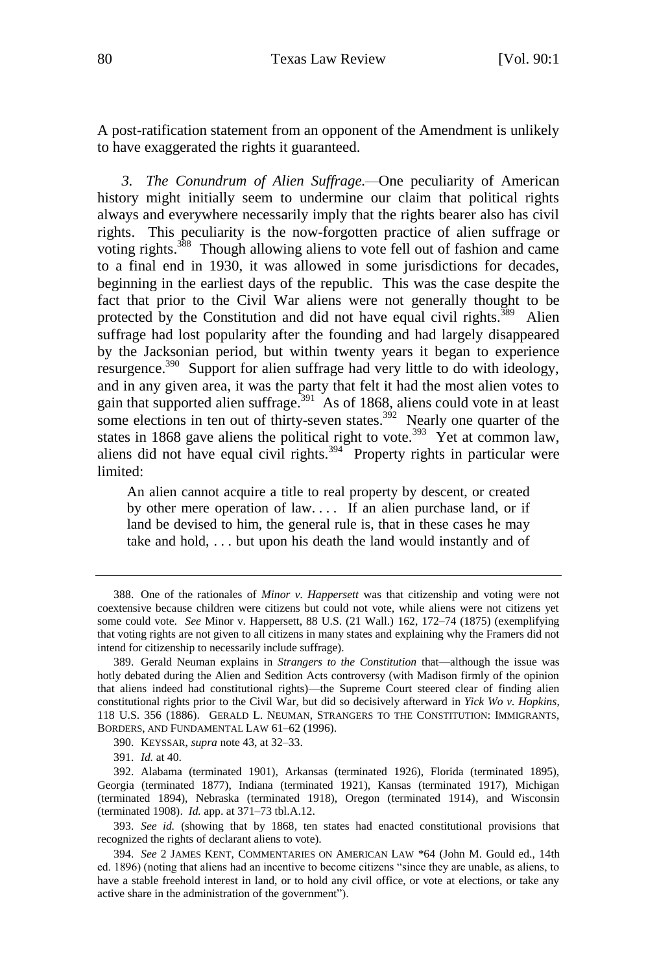A post-ratification statement from an opponent of the Amendment is unlikely to have exaggerated the rights it guaranteed.

*3. The Conundrum of Alien Suffrage.—*One peculiarity of American history might initially seem to undermine our claim that political rights always and everywhere necessarily imply that the rights bearer also has civil rights. This peculiarity is the now-forgotten practice of alien suffrage or voting rights.<sup>388</sup> Though allowing aliens to vote fell out of fashion and came to a final end in 1930, it was allowed in some jurisdictions for decades, beginning in the earliest days of the republic. This was the case despite the fact that prior to the Civil War aliens were not generally thought to be protected by the Constitution and did not have equal civil rights. $389$  Alien suffrage had lost popularity after the founding and had largely disappeared by the Jacksonian period, but within twenty years it began to experience resurgence.<sup>390</sup> Support for alien suffrage had very little to do with ideology, and in any given area, it was the party that felt it had the most alien votes to gain that supported alien suffrage.<sup>391</sup> As of 1868, aliens could vote in at least some elections in ten out of thirty-seven states.<sup>392</sup> Nearly one quarter of the states in 1868 gave aliens the political right to vote.<sup>393</sup> Yet at common law, aliens did not have equal civil rights.<sup>394</sup> Property rights in particular were limited:

An alien cannot acquire a title to real property by descent, or created by other mere operation of law. . . . If an alien purchase land, or if land be devised to him, the general rule is, that in these cases he may take and hold, . . . but upon his death the land would instantly and of

<sup>388.</sup> One of the rationales of *Minor v. Happersett* was that citizenship and voting were not coextensive because children were citizens but could not vote, while aliens were not citizens yet some could vote. *See* Minor v. Happersett, 88 U.S. (21 Wall.) 162, 172–74 (1875) (exemplifying that voting rights are not given to all citizens in many states and explaining why the Framers did not intend for citizenship to necessarily include suffrage).

<sup>389.</sup> Gerald Neuman explains in *Strangers to the Constitution* that—although the issue was hotly debated during the Alien and Sedition Acts controversy (with Madison firmly of the opinion that aliens indeed had constitutional rights)—the Supreme Court steered clear of finding alien constitutional rights prior to the Civil War, but did so decisively afterward in *Yick Wo v. Hopkins*, 118 U.S. 356 (1886). GERALD L. NEUMAN, STRANGERS TO THE CONSTITUTION: IMMIGRANTS, BORDERS, AND FUNDAMENTAL LAW 61–62 (1996).

<sup>390.</sup> KEYSSAR, *supra* note 43, at 32–33.

<sup>391.</sup> *Id.* at 40.

<sup>392.</sup> Alabama (terminated 1901), Arkansas (terminated 1926), Florida (terminated 1895), Georgia (terminated 1877), Indiana (terminated 1921), Kansas (terminated 1917), Michigan (terminated 1894), Nebraska (terminated 1918), Oregon (terminated 1914), and Wisconsin (terminated 1908). *Id.* app. at 371–73 tbl.A.12.

<sup>393.</sup> *See id.* (showing that by 1868, ten states had enacted constitutional provisions that recognized the rights of declarant aliens to vote).

<sup>394.</sup> *See* 2 JAMES KENT, COMMENTARIES ON AMERICAN LAW \*64 (John M. Gould ed., 14th ed. 1896) (noting that aliens had an incentive to become citizens "since they are unable, as aliens, to have a stable freehold interest in land, or to hold any civil office, or vote at elections, or take any active share in the administration of the government").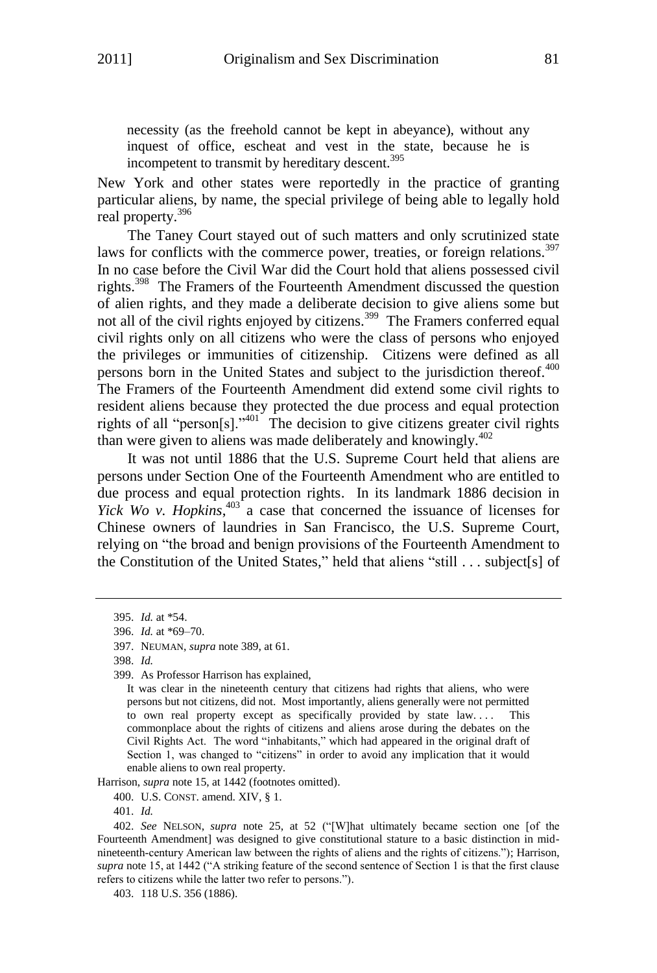necessity (as the freehold cannot be kept in abeyance), without any inquest of office, escheat and vest in the state, because he is incompetent to transmit by hereditary descent.<sup>395</sup>

New York and other states were reportedly in the practice of granting particular aliens, by name, the special privilege of being able to legally hold real property.<sup>396</sup>

The Taney Court stayed out of such matters and only scrutinized state laws for conflicts with the commerce power, treaties, or foreign relations.<sup>397</sup> In no case before the Civil War did the Court hold that aliens possessed civil rights.<sup>398</sup> The Framers of the Fourteenth Amendment discussed the question of alien rights, and they made a deliberate decision to give aliens some but not all of the civil rights enjoyed by citizens.<sup>399</sup> The Framers conferred equal civil rights only on all citizens who were the class of persons who enjoyed the privileges or immunities of citizenship. Citizens were defined as all persons born in the United States and subject to the jurisdiction thereof.<sup>400</sup> The Framers of the Fourteenth Amendment did extend some civil rights to resident aliens because they protected the due process and equal protection rights of all "person[s]."<sup>401</sup> The decision to give citizens greater civil rights than were given to aliens was made deliberately and knowingly.<sup> $402$ </sup>

It was not until 1886 that the U.S. Supreme Court held that aliens are persons under Section One of the Fourteenth Amendment who are entitled to due process and equal protection rights. In its landmark 1886 decision in *Yick Wo v. Hopkins*,  $403^{\circ}$  a case that concerned the issuance of licenses for Chinese owners of laundries in San Francisco, the U.S. Supreme Court, relying on "the broad and benign provisions of the Fourteenth Amendment to the Constitution of the United States," held that aliens "still  $\ldots$  subject [s] of

398. *Id.*

Harrison, *supra* note 15, at 1442 (footnotes omitted).

400. U.S. CONST. amend. XIV, § 1.

<sup>395.</sup> *Id.* at \*54.

<sup>396.</sup> *Id.* at \*69–70.

<sup>397.</sup> NEUMAN, *supra* note 389, at 61.

<sup>399.</sup> As Professor Harrison has explained,

It was clear in the nineteenth century that citizens had rights that aliens, who were persons but not citizens, did not. Most importantly, aliens generally were not permitted to own real property except as specifically provided by state law.... This commonplace about the rights of citizens and aliens arose during the debates on the Civil Rights Act. The word "inhabitants," which had appeared in the original draft of Section 1, was changed to "citizens" in order to avoid any implication that it would enable aliens to own real property.

<sup>401.</sup> *Id.*

<sup>402.</sup> *See* NELSON, *supra* note 25, at 52 ("[W]hat ultimately became section one [of the Fourteenth Amendment] was designed to give constitutional stature to a basic distinction in midnineteenth-century American law between the rights of aliens and the rights of citizens.‖); Harrison, *supra* note 15, at 1442 ("A striking feature of the second sentence of Section 1 is that the first clause refers to citizens while the latter two refer to persons.").

<sup>403.</sup> 118 U.S. 356 (1886).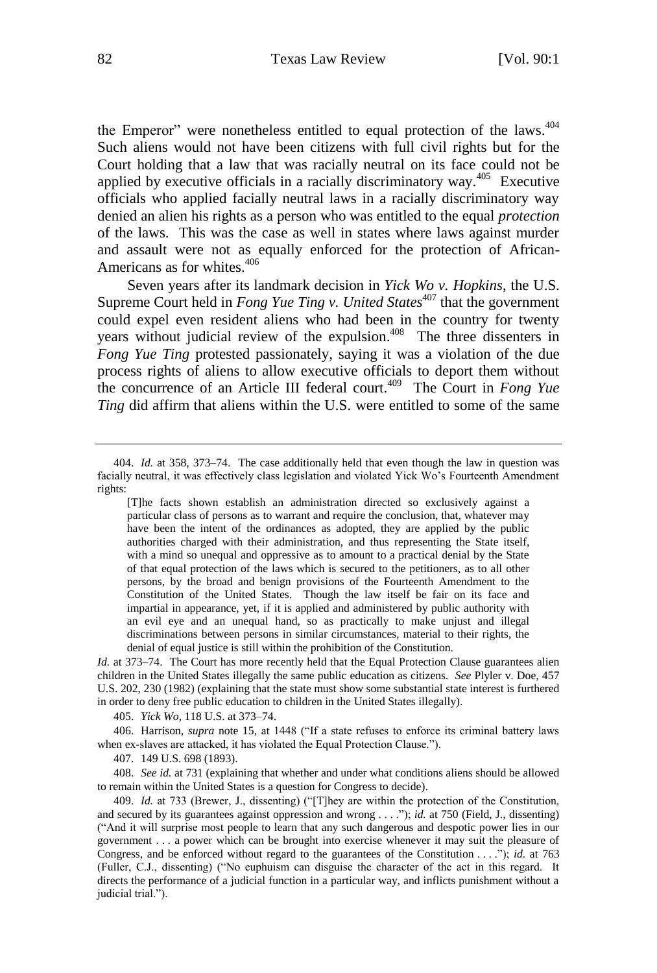## 82 Texas Law Review [Vol. 90:1

the Emperor" were nonetheless entitled to equal protection of the laws. $404$ Such aliens would not have been citizens with full civil rights but for the Court holding that a law that was racially neutral on its face could not be applied by executive officials in a racially discriminatory way.  $405$  Executive officials who applied facially neutral laws in a racially discriminatory way denied an alien his rights as a person who was entitled to the equal *protection* of the laws. This was the case as well in states where laws against murder and assault were not as equally enforced for the protection of African-Americans as for whites.<sup>406</sup>

Seven years after its landmark decision in *Yick Wo v. Hopkins*, the U.S. Supreme Court held in *Fong Yue Ting v. United States*<sup>407</sup> that the government could expel even resident aliens who had been in the country for twenty years without judicial review of the expulsion. 408 The three dissenters in *Fong Yue Ting* protested passionately, saying it was a violation of the due process rights of aliens to allow executive officials to deport them without the concurrence of an Article III federal court.<sup>409</sup> The Court in *Fong Yue Ting* did affirm that aliens within the U.S. were entitled to some of the same

*Id.* at 373–74. The Court has more recently held that the Equal Protection Clause guarantees alien children in the United States illegally the same public education as citizens. *See* Plyler v. Doe, 457 U.S. 202, 230 (1982) (explaining that the state must show some substantial state interest is furthered in order to deny free public education to children in the United States illegally).

405. *Yick Wo*, 118 U.S. at 373–74.

406. Harrison, *supra* note 15, at 1448 ("If a state refuses to enforce its criminal battery laws when ex-slaves are attacked, it has violated the Equal Protection Clause.").

407. 149 U.S. 698 (1893).

408. *See id.* at 731 (explaining that whether and under what conditions aliens should be allowed to remain within the United States is a question for Congress to decide).

409. *Id.* at 733 (Brewer, J., dissenting) ("They are within the protection of the Constitution, and secured by its guarantees against oppression and wrong  $\dots$ "); *id.* at 750 (Field, J., dissenting) (―And it will surprise most people to learn that any such dangerous and despotic power lies in our government . . . a power which can be brought into exercise whenever it may suit the pleasure of Congress, and be enforced without regard to the guarantees of the Constitution . . . ."); *id.* at 763 (Fuller, C.J., dissenting) ("No euphuism can disguise the character of the act in this regard. It directs the performance of a judicial function in a particular way, and inflicts punishment without a judicial trial.").

<sup>404.</sup> *Id.* at 358, 373–74. The case additionally held that even though the law in question was facially neutral, it was effectively class legislation and violated Yick Wo's Fourteenth Amendment rights:

<sup>[</sup>T]he facts shown establish an administration directed so exclusively against a particular class of persons as to warrant and require the conclusion, that, whatever may have been the intent of the ordinances as adopted, they are applied by the public authorities charged with their administration, and thus representing the State itself, with a mind so unequal and oppressive as to amount to a practical denial by the State of that equal protection of the laws which is secured to the petitioners, as to all other persons, by the broad and benign provisions of the Fourteenth Amendment to the Constitution of the United States. Though the law itself be fair on its face and impartial in appearance, yet, if it is applied and administered by public authority with an evil eye and an unequal hand, so as practically to make unjust and illegal discriminations between persons in similar circumstances, material to their rights, the denial of equal justice is still within the prohibition of the Constitution.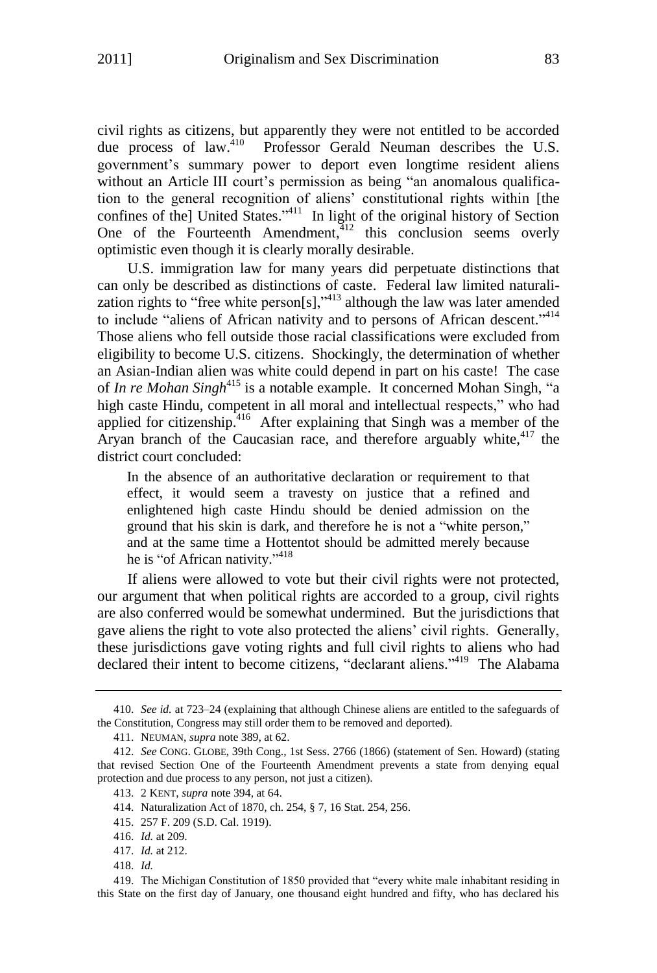civil rights as citizens, but apparently they were not entitled to be accorded due process of law.<sup>410</sup> Professor Gerald Neuman describes the U.S. government's summary power to deport even longtime resident aliens without an Article III court's permission as being "an anomalous qualification to the general recognition of aliens' constitutional rights within [the confines of the] United States."<sup>411</sup> In light of the original history of Section One of the Fourteenth Amendment, $4^{12}$  this conclusion seems overly optimistic even though it is clearly morally desirable.

U.S. immigration law for many years did perpetuate distinctions that can only be described as distinctions of caste. Federal law limited naturalization rights to "free white person[s], $v^{413}$  although the law was later amended to include "aliens of African nativity and to persons of African descent."<sup>414</sup> Those aliens who fell outside those racial classifications were excluded from eligibility to become U.S. citizens. Shockingly, the determination of whether an Asian-Indian alien was white could depend in part on his caste! The case of *In re Mohan Singh*<sup>415</sup> is a notable example. It concerned Mohan Singh, "a high caste Hindu, competent in all moral and intellectual respects," who had applied for citizenship.  $416$  After explaining that Singh was a member of the Aryan branch of the Caucasian race, and therefore arguably white,  $417$  the district court concluded:

In the absence of an authoritative declaration or requirement to that effect, it would seem a travesty on justice that a refined and enlightened high caste Hindu should be denied admission on the ground that his skin is dark, and therefore he is not a "white person," and at the same time a Hottentot should be admitted merely because he is "of African nativity."<sup>418</sup>

If aliens were allowed to vote but their civil rights were not protected, our argument that when political rights are accorded to a group, civil rights are also conferred would be somewhat undermined. But the jurisdictions that gave aliens the right to vote also protected the aliens' civil rights. Generally, these jurisdictions gave voting rights and full civil rights to aliens who had declared their intent to become citizens, "declarant aliens."<sup>419</sup> The Alabama

418. *Id.*

<sup>410.</sup> *See id.* at 723–24 (explaining that although Chinese aliens are entitled to the safeguards of the Constitution, Congress may still order them to be removed and deported).

<sup>411.</sup> NEUMAN, *supra* note 389, at 62.

<sup>412.</sup> *See* CONG. GLOBE, 39th Cong., 1st Sess. 2766 (1866) (statement of Sen. Howard) (stating that revised Section One of the Fourteenth Amendment prevents a state from denying equal protection and due process to any person, not just a citizen).

<sup>413.</sup> 2 KENT, *supra* note 394, at 64.

<sup>414.</sup> Naturalization Act of 1870, ch. 254, § 7, 16 Stat. 254, 256.

<sup>415.</sup> 257 F. 209 (S.D. Cal. 1919).

<sup>416.</sup> *Id.* at 209.

<sup>417.</sup> *Id.* at 212.

<sup>419.</sup> The Michigan Constitution of 1850 provided that "every white male inhabitant residing in this State on the first day of January, one thousand eight hundred and fifty, who has declared his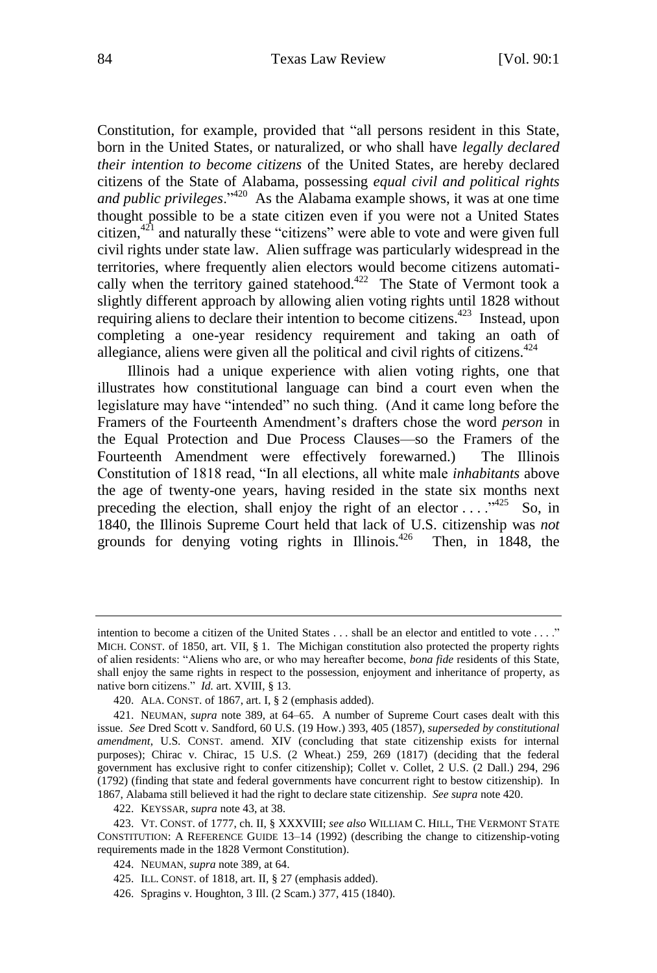Constitution, for example, provided that "all persons resident in this State, born in the United States, or naturalized, or who shall have *legally declared their intention to become citizens* of the United States, are hereby declared citizens of the State of Alabama, possessing *equal civil and political rights*  and public privileges.<sup> $420$ </sup> As the Alabama example shows, it was at one time thought possible to be a state citizen even if you were not a United States citizen, $421$  and naturally these "citizens" were able to vote and were given full civil rights under state law. Alien suffrage was particularly widespread in the territories, where frequently alien electors would become citizens automatically when the territory gained statehood.<sup>422</sup> The State of Vermont took a slightly different approach by allowing alien voting rights until 1828 without requiring aliens to declare their intention to become citizens.<sup>423</sup> Instead, upon completing a one-year residency requirement and taking an oath of allegiance, aliens were given all the political and civil rights of citizens. $424$ 

Illinois had a unique experience with alien voting rights, one that illustrates how constitutional language can bind a court even when the legislature may have "intended" no such thing. (And it came long before the Framers of the Fourteenth Amendment's drafters chose the word *person* in the Equal Protection and Due Process Clauses—so the Framers of the Fourteenth Amendment were effectively forewarned.) The Illinois Constitution of 1818 read, "In all elections, all white male *inhabitants* above the age of twenty-one years, having resided in the state six months next preceding the election, shall enjoy the right of an elector ...  $.^{425}$  So, in 1840, the Illinois Supreme Court held that lack of U.S. citizenship was *not* grounds for denying voting rights in Illinois.<sup>426</sup> Then, in  $\overline{1848}$ , the

intention to become a citizen of the United States  $\dots$  shall be an elector and entitled to vote  $\dots$ ." MICH. CONST. of 1850, art. VII, § 1. The Michigan constitution also protected the property rights of alien residents: "Aliens who are, or who may hereafter become, *bona fide* residents of this State, shall enjoy the same rights in respect to the possession, enjoyment and inheritance of property, as native born citizens." *Id.* art. XVIII, § 13.

<sup>420.</sup> ALA. CONST. of 1867, art. I, § 2 (emphasis added).

<sup>421.</sup> NEUMAN, *supra* note 389, at 64–65. A number of Supreme Court cases dealt with this issue. *See* Dred Scott v. Sandford, 60 U.S. (19 How.) 393, 405 (1857), *superseded by constitutional amendment*, U.S. CONST. amend. XIV (concluding that state citizenship exists for internal purposes); Chirac v. Chirac, 15 U.S. (2 Wheat.) 259, 269 (1817) (deciding that the federal government has exclusive right to confer citizenship); Collet v. Collet, 2 U.S. (2 Dall.) 294, 296 (1792) (finding that state and federal governments have concurrent right to bestow citizenship). In 1867, Alabama still believed it had the right to declare state citizenship. *See supra* note 420.

<sup>422.</sup> KEYSSAR, *supra* note 43, at 38.

<sup>423.</sup> VT. CONST. of 1777, ch. II, § XXXVIII; *see also* WILLIAM C. HILL, THE VERMONT STATE CONSTITUTION: A REFERENCE GUIDE 13–14 (1992) (describing the change to citizenship-voting requirements made in the 1828 Vermont Constitution).

<sup>424.</sup> NEUMAN, *supra* note 389, at 64.

<sup>425.</sup> ILL. CONST. of 1818, art. II, § 27 (emphasis added).

<sup>426.</sup> Spragins v. Houghton, 3 Ill. (2 Scam.) 377, 415 (1840).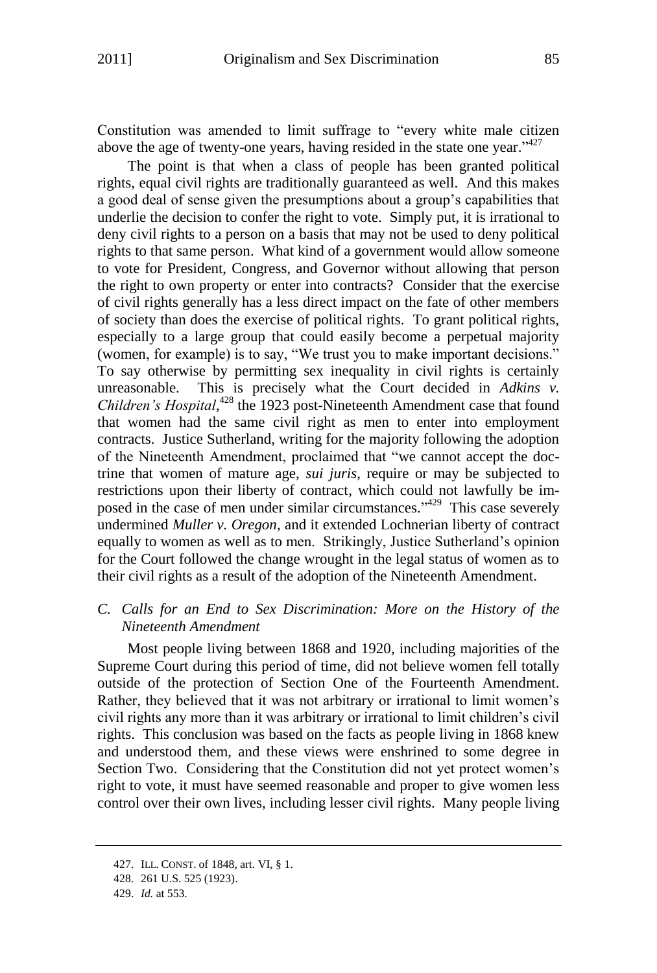Constitution was amended to limit suffrage to "every white male citizen above the age of twenty-one years, having resided in the state one year."<sup>427</sup>

The point is that when a class of people has been granted political rights, equal civil rights are traditionally guaranteed as well. And this makes a good deal of sense given the presumptions about a group's capabilities that underlie the decision to confer the right to vote. Simply put, it is irrational to deny civil rights to a person on a basis that may not be used to deny political rights to that same person. What kind of a government would allow someone to vote for President, Congress, and Governor without allowing that person the right to own property or enter into contracts? Consider that the exercise of civil rights generally has a less direct impact on the fate of other members of society than does the exercise of political rights. To grant political rights, especially to a large group that could easily become a perpetual majority (women, for example) is to say, "We trust you to make important decisions." To say otherwise by permitting sex inequality in civil rights is certainly unreasonable. This is precisely what the Court decided in *Adkins v*. Children's Hospital,<sup>428</sup> the 1923 post-Nineteenth Amendment case that found that women had the same civil right as men to enter into employment contracts. Justice Sutherland, writing for the majority following the adoption of the Nineteenth Amendment, proclaimed that "we cannot accept the doctrine that women of mature age, *sui juris*, require or may be subjected to restrictions upon their liberty of contract, which could not lawfully be imposed in the case of men under similar circumstances."<sup>429</sup> This case severely undermined *Muller v. Oregon*, and it extended Lochnerian liberty of contract equally to women as well as to men. Strikingly, Justice Sutherland's opinion for the Court followed the change wrought in the legal status of women as to their civil rights as a result of the adoption of the Nineteenth Amendment.

## *C. Calls for an End to Sex Discrimination: More on the History of the Nineteenth Amendment*

Most people living between 1868 and 1920, including majorities of the Supreme Court during this period of time, did not believe women fell totally outside of the protection of Section One of the Fourteenth Amendment. Rather, they believed that it was not arbitrary or irrational to limit women's civil rights any more than it was arbitrary or irrational to limit children's civil rights. This conclusion was based on the facts as people living in 1868 knew and understood them, and these views were enshrined to some degree in Section Two. Considering that the Constitution did not yet protect women's right to vote, it must have seemed reasonable and proper to give women less control over their own lives, including lesser civil rights. Many people living

<sup>427.</sup> ILL. CONST. of 1848, art. VI, § 1.

<sup>428.</sup> 261 U.S. 525 (1923).

<sup>429.</sup> *Id.* at 553.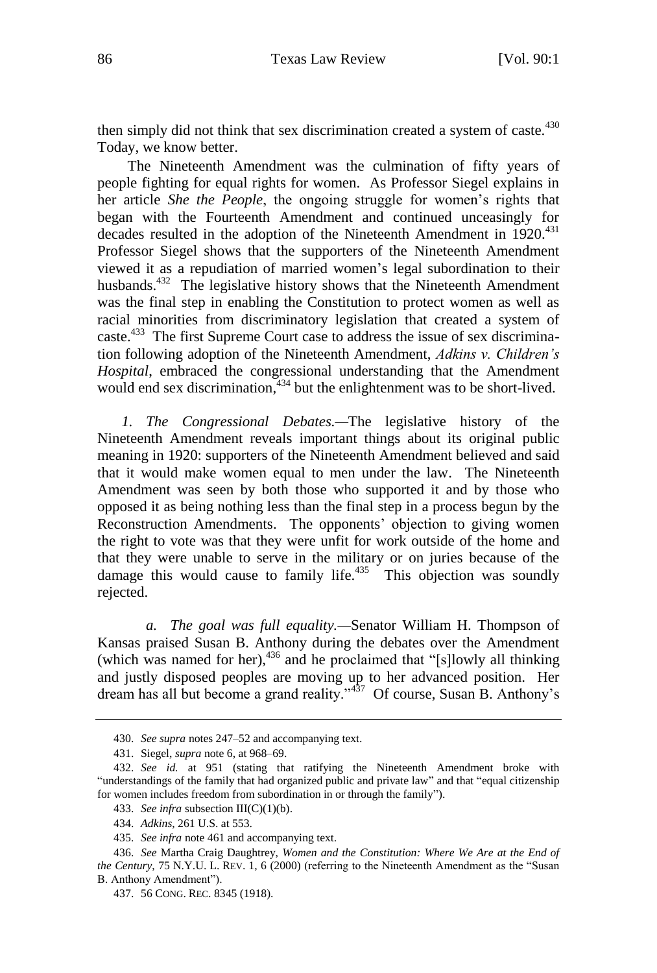then simply did not think that sex discrimination created a system of caste. $430$ Today, we know better.

The Nineteenth Amendment was the culmination of fifty years of people fighting for equal rights for women. As Professor Siegel explains in her article *She the People*, the ongoing struggle for women's rights that began with the Fourteenth Amendment and continued unceasingly for decades resulted in the adoption of the Nineteenth Amendment in 1920.<sup>431</sup> Professor Siegel shows that the supporters of the Nineteenth Amendment viewed it as a repudiation of married women's legal subordination to their husbands.<sup>432</sup> The legislative history shows that the Nineteenth Amendment was the final step in enabling the Constitution to protect women as well as racial minorities from discriminatory legislation that created a system of caste.<sup>433</sup> The first Supreme Court case to address the issue of sex discrimination following adoption of the Nineteenth Amendment, *Adkins v. Children's Hospital*, embraced the congressional understanding that the Amendment would end sex discrimination, <sup>434</sup> but the enlightenment was to be short-lived.

*1. The Congressional Debates.—*The legislative history of the Nineteenth Amendment reveals important things about its original public meaning in 1920: supporters of the Nineteenth Amendment believed and said that it would make women equal to men under the law. The Nineteenth Amendment was seen by both those who supported it and by those who opposed it as being nothing less than the final step in a process begun by the Reconstruction Amendments. The opponents' objection to giving women the right to vote was that they were unfit for work outside of the home and that they were unable to serve in the military or on juries because of the damage this would cause to family life. $435$  This objection was soundly rejected.

*a. The goal was full equality.—*Senator William H. Thompson of Kansas praised Susan B. Anthony during the debates over the Amendment (which was named for her),  $436$  and he proclaimed that "[s]lowly all thinking and justly disposed peoples are moving up to her advanced position. Her dream has all but become a grand reality." $437$  Of course, Susan B. Anthony's

<sup>430.</sup> *See supra* notes 247–52 and accompanying text.

<sup>431.</sup> Siegel, *supra* note 6, at 968–69.

<sup>432.</sup> *See id.* at 951 (stating that ratifying the Nineteenth Amendment broke with "understandings of the family that had organized public and private law" and that "equal citizenship for women includes freedom from subordination in or through the family").

<sup>433.</sup> *See infra* subsection III(C)(1)(b).

<sup>434.</sup> *Adkins*, 261 U.S. at 553.

<sup>435.</sup> *See infra* note 461 and accompanying text.

<sup>436.</sup> *See* Martha Craig Daughtrey, *Women and the Constitution: Where We Are at the End of the Century*, 75 N.Y.U. L. REV. 1, 6 (2000) (referring to the Nineteenth Amendment as the "Susan B. Anthony Amendment").

<sup>437.</sup> 56 CONG. REC. 8345 (1918).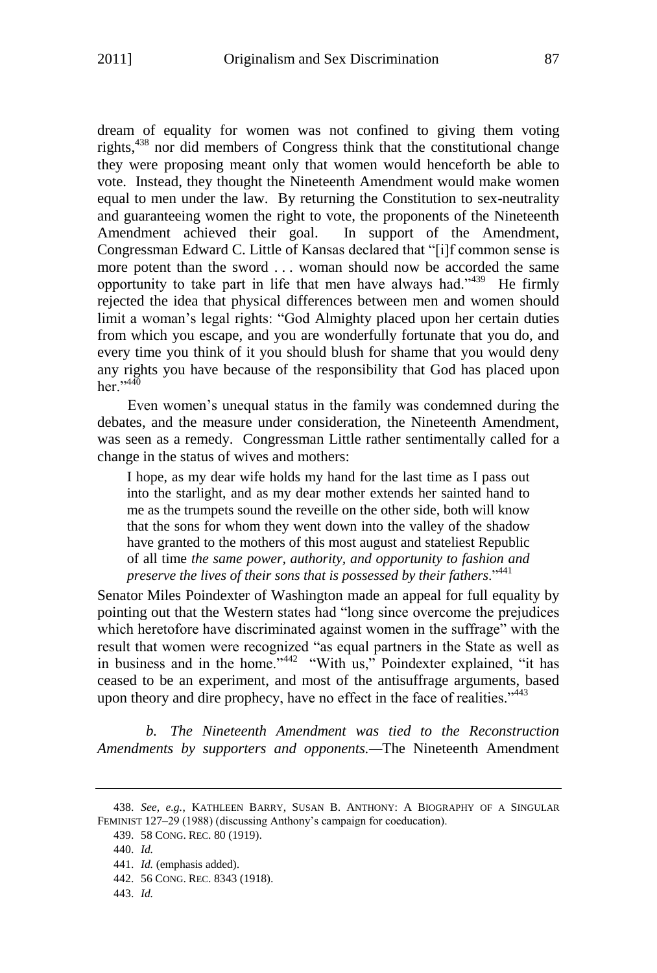dream of equality for women was not confined to giving them voting rights, <sup>438</sup> nor did members of Congress think that the constitutional change they were proposing meant only that women would henceforth be able to vote. Instead, they thought the Nineteenth Amendment would make women equal to men under the law. By returning the Constitution to sex-neutrality and guaranteeing women the right to vote, the proponents of the Nineteenth Amendment achieved their goal. In support of the Amendment, Congressman Edward C. Little of Kansas declared that "[i]f common sense is more potent than the sword . . . woman should now be accorded the same opportunity to take part in life that men have always had."<sup>439</sup> He firmly rejected the idea that physical differences between men and women should limit a woman's legal rights: "God Almighty placed upon her certain duties from which you escape, and you are wonderfully fortunate that you do, and every time you think of it you should blush for shame that you would deny any rights you have because of the responsibility that God has placed upon her<sup> $,440$ </sup>

Even women's unequal status in the family was condemned during the debates, and the measure under consideration, the Nineteenth Amendment, was seen as a remedy. Congressman Little rather sentimentally called for a change in the status of wives and mothers:

I hope, as my dear wife holds my hand for the last time as I pass out into the starlight, and as my dear mother extends her sainted hand to me as the trumpets sound the reveille on the other side, both will know that the sons for whom they went down into the valley of the shadow have granted to the mothers of this most august and stateliest Republic of all time *the same power, authority, and opportunity to fashion and preserve the lives of their sons that is possessed by their fathers.*<sup>441</sup>

Senator Miles Poindexter of Washington made an appeal for full equality by pointing out that the Western states had "long since overcome the prejudices" which heretofore have discriminated against women in the suffrage" with the result that women were recognized "as equal partners in the State as well as in business and in the home." $442$  "With us," Poindexter explained, "it has ceased to be an experiment, and most of the antisuffrage arguments, based upon theory and dire prophecy, have no effect in the face of realities. $1443$ 

*b. The Nineteenth Amendment was tied to the Reconstruction Amendments by supporters and opponents.—*The Nineteenth Amendment

<sup>438.</sup> *See, e.g.*, KATHLEEN BARRY, SUSAN B. ANTHONY: A BIOGRAPHY OF A SINGULAR FEMINIST 127–29 (1988) (discussing Anthony's campaign for coeducation).

<sup>439.</sup> 58 CONG. REC. 80 (1919).

<sup>440.</sup> *Id.*

<sup>441.</sup> *Id.* (emphasis added).

<sup>442.</sup> 56 CONG. REC. 8343 (1918).

<sup>443.</sup> *Id.*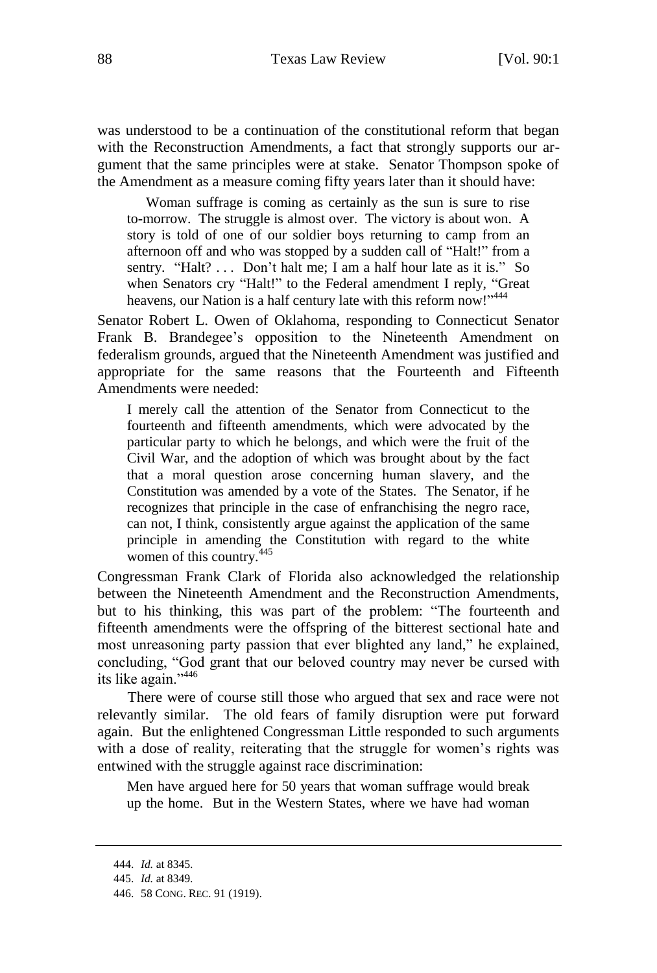was understood to be a continuation of the constitutional reform that began with the Reconstruction Amendments, a fact that strongly supports our argument that the same principles were at stake. Senator Thompson spoke of the Amendment as a measure coming fifty years later than it should have:

Woman suffrage is coming as certainly as the sun is sure to rise to-morrow. The struggle is almost over. The victory is about won. A story is told of one of our soldier boys returning to camp from an afternoon off and who was stopped by a sudden call of "Halt!" from a sentry. "Halt? ... Don't halt me; I am a half hour late as it is." So when Senators cry "Halt!" to the Federal amendment I reply, "Great heavens, our Nation is a half century late with this reform now!"<sup>444</sup>

Senator Robert L. Owen of Oklahoma, responding to Connecticut Senator Frank B. Brandegee's opposition to the Nineteenth Amendment on federalism grounds, argued that the Nineteenth Amendment was justified and appropriate for the same reasons that the Fourteenth and Fifteenth Amendments were needed:

I merely call the attention of the Senator from Connecticut to the fourteenth and fifteenth amendments, which were advocated by the particular party to which he belongs, and which were the fruit of the Civil War, and the adoption of which was brought about by the fact that a moral question arose concerning human slavery, and the Constitution was amended by a vote of the States. The Senator, if he recognizes that principle in the case of enfranchising the negro race, can not, I think, consistently argue against the application of the same principle in amending the Constitution with regard to the white women of this country.<sup>445</sup>

Congressman Frank Clark of Florida also acknowledged the relationship between the Nineteenth Amendment and the Reconstruction Amendments, but to his thinking, this was part of the problem: "The fourteenth and fifteenth amendments were the offspring of the bitterest sectional hate and most unreasoning party passion that ever blighted any land," he explained, concluding, "God grant that our beloved country may never be cursed with its like again."<sup>446</sup>

There were of course still those who argued that sex and race were not relevantly similar. The old fears of family disruption were put forward again. But the enlightened Congressman Little responded to such arguments with a dose of reality, reiterating that the struggle for women's rights was entwined with the struggle against race discrimination:

Men have argued here for 50 years that woman suffrage would break up the home. But in the Western States, where we have had woman

<sup>444.</sup> *Id.* at 8345.

<sup>445.</sup> *Id.* at 8349.

<sup>446.</sup> 58 CONG. REC. 91 (1919).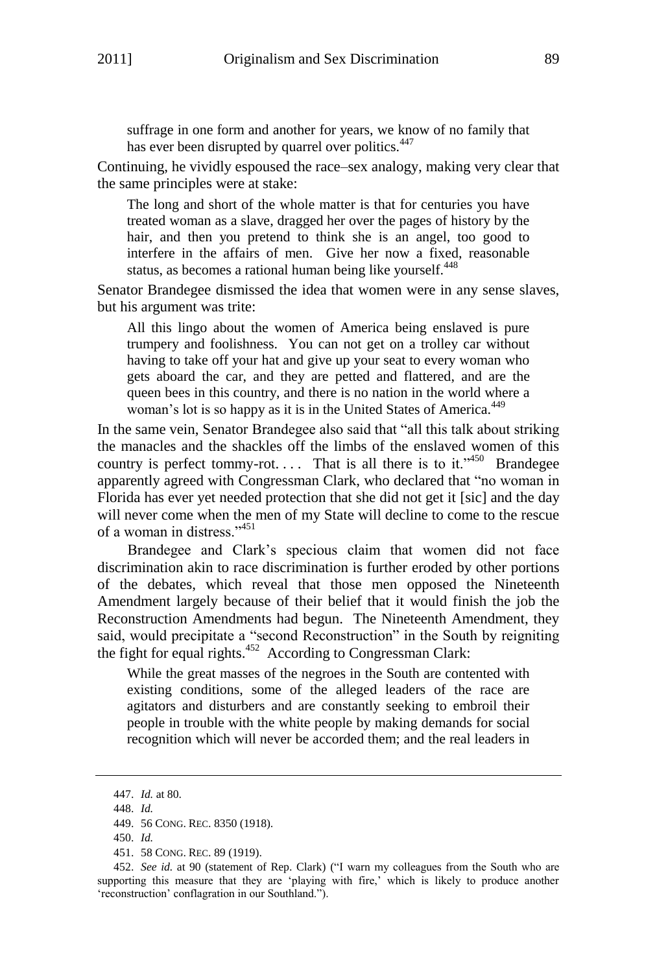suffrage in one form and another for years, we know of no family that has ever been disrupted by quarrel over politics.<sup>447</sup>

Continuing, he vividly espoused the race–sex analogy, making very clear that the same principles were at stake:

The long and short of the whole matter is that for centuries you have treated woman as a slave, dragged her over the pages of history by the hair, and then you pretend to think she is an angel, too good to interfere in the affairs of men. Give her now a fixed, reasonable status, as becomes a rational human being like yourself.<sup>448</sup>

Senator Brandegee dismissed the idea that women were in any sense slaves, but his argument was trite:

All this lingo about the women of America being enslaved is pure trumpery and foolishness. You can not get on a trolley car without having to take off your hat and give up your seat to every woman who gets aboard the car, and they are petted and flattered, and are the queen bees in this country, and there is no nation in the world where a woman's lot is so happy as it is in the United States of America.<sup>449</sup>

In the same vein, Senator Brandegee also said that "all this talk about striking the manacles and the shackles off the limbs of the enslaved women of this country is perfect tommy-rot.... That is all there is to it."<sup>450</sup> Brandegee apparently agreed with Congressman Clark, who declared that "no woman in Florida has ever yet needed protection that she did not get it [sic] and the day will never come when the men of my State will decline to come to the rescue of a woman in distress."<sup>451</sup>

Brandegee and Clark's specious claim that women did not face discrimination akin to race discrimination is further eroded by other portions of the debates, which reveal that those men opposed the Nineteenth Amendment largely because of their belief that it would finish the job the Reconstruction Amendments had begun. The Nineteenth Amendment, they said, would precipitate a "second Reconstruction" in the South by reigniting the fight for equal rights. $452$  According to Congressman Clark:

While the great masses of the negroes in the South are contented with existing conditions, some of the alleged leaders of the race are agitators and disturbers and are constantly seeking to embroil their people in trouble with the white people by making demands for social recognition which will never be accorded them; and the real leaders in

<sup>447.</sup> *Id.* at 80.

<sup>448.</sup> *Id.*

<sup>449.</sup> 56 CONG. REC. 8350 (1918).

<sup>450.</sup> *Id.*

<sup>451.</sup> 58 CONG. REC. 89 (1919).

<sup>452.</sup> *See id.* at 90 (statement of Rep. Clark) ("I warn my colleagues from the South who are supporting this measure that they are 'playing with fire,' which is likely to produce another 'reconstruction' conflagration in our Southland.").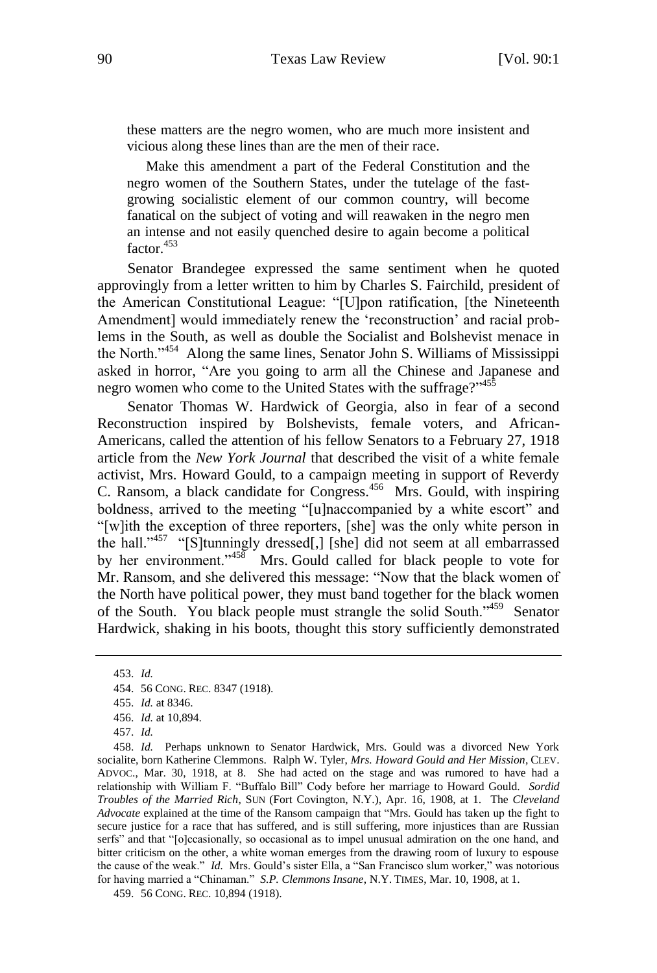these matters are the negro women, who are much more insistent and vicious along these lines than are the men of their race.

Make this amendment a part of the Federal Constitution and the negro women of the Southern States, under the tutelage of the fastgrowing socialistic element of our common country, will become fanatical on the subject of voting and will reawaken in the negro men an intense and not easily quenched desire to again become a political factor.<sup>453</sup>

Senator Brandegee expressed the same sentiment when he quoted approvingly from a letter written to him by Charles S. Fairchild, president of the American Constitutional League: "[U]pon ratification, [the Nineteenth Amendment] would immediately renew the 'reconstruction' and racial problems in the South, as well as double the Socialist and Bolshevist menace in the North.<sup>3454</sup> Along the same lines, Senator John S. Williams of Mississippi asked in horror, "Are you going to arm all the Chinese and Japanese and negro women who come to the United States with the suffrage?"453

Senator Thomas W. Hardwick of Georgia, also in fear of a second Reconstruction inspired by Bolshevists, female voters, and African-Americans, called the attention of his fellow Senators to a February 27, 1918 article from the *New York Journal* that described the visit of a white female activist, Mrs. Howard Gould, to a campaign meeting in support of Reverdy C. Ransom, a black candidate for Congress.<sup>456</sup> Mrs. Gould, with inspiring boldness, arrived to the meeting "[u]naccompanied by a white escort" and "[w]ith the exception of three reporters, [she] was the only white person in the hall."<sup>457</sup> "[S]tunningly dressed[,] [she] did not seem at all embarrassed by her environment."<sup>458</sup> Mrs. Gould called for black people to vote for Mr. Ransom, and she delivered this message: "Now that the black women of the North have political power, they must band together for the black women of the South. You black people must strangle the solid South."<sup>459</sup> Senator Hardwick, shaking in his boots, thought this story sufficiently demonstrated

<sup>453.</sup> *Id.*

<sup>454.</sup> 56 CONG. REC. 8347 (1918).

<sup>455.</sup> *Id.* at 8346.

<sup>456.</sup> *Id.* at 10,894.

<sup>457.</sup> *Id.*

<sup>458.</sup> *Id.* Perhaps unknown to Senator Hardwick, Mrs. Gould was a divorced New York socialite, born Katherine Clemmons. Ralph W. Tyler, *Mrs. Howard Gould and Her Mission*, CLEV. ADVOC., Mar. 30, 1918, at 8. She had acted on the stage and was rumored to have had a relationship with William F. "Buffalo Bill" Cody before her marriage to Howard Gould. *Sordid Troubles of the Married Rich*, SUN (Fort Covington, N.Y.), Apr. 16, 1908, at 1. The *Cleveland*  Advocate explained at the time of the Ransom campaign that "Mrs. Gould has taken up the fight to secure justice for a race that has suffered, and is still suffering, more injustices than are Russian serfs" and that "[o]ccasionally, so occasional as to impel unusual admiration on the one hand, and bitter criticism on the other, a white woman emerges from the drawing room of luxury to espouse the cause of the weak." *Id.* Mrs. Gould's sister Ella, a "San Francisco slum worker," was notorious for having married a "Chinaman." S.P. Clemmons Insane, N.Y. TIMES, Mar. 10, 1908, at 1.

<sup>459.</sup> 56 CONG. REC. 10,894 (1918).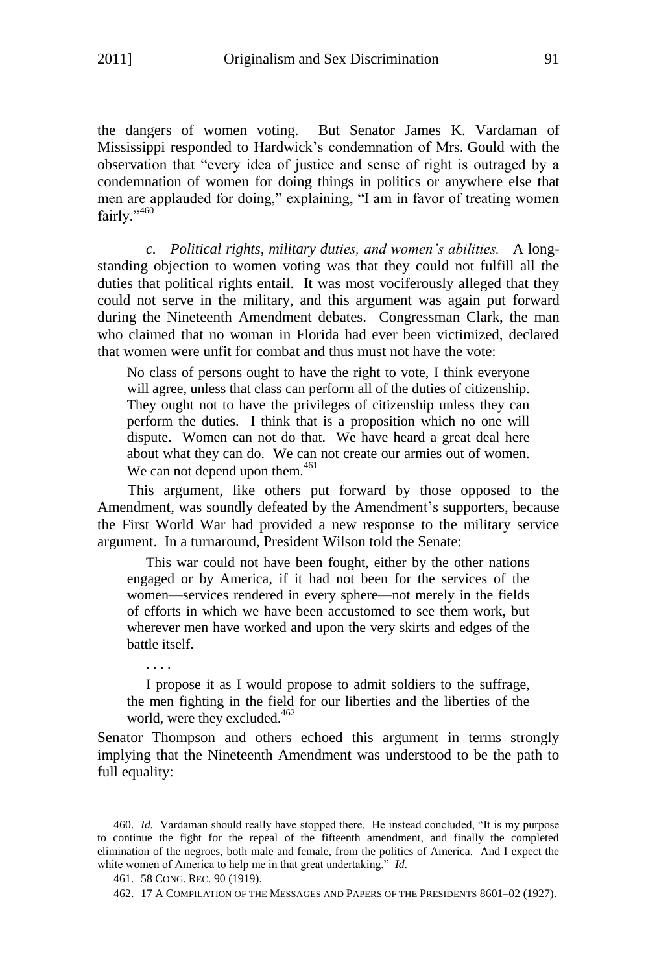the dangers of women voting. But Senator James K. Vardaman of Mississippi responded to Hardwick's condemnation of Mrs. Gould with the observation that "every idea of justice and sense of right is outraged by a condemnation of women for doing things in politics or anywhere else that men are applauded for doing," explaining, "I am in favor of treating women fairly."460

*c. Political rights, military duties, and women's abilities.—*A longstanding objection to women voting was that they could not fulfill all the duties that political rights entail. It was most vociferously alleged that they could not serve in the military, and this argument was again put forward during the Nineteenth Amendment debates. Congressman Clark, the man who claimed that no woman in Florida had ever been victimized, declared that women were unfit for combat and thus must not have the vote:

No class of persons ought to have the right to vote, I think everyone will agree, unless that class can perform all of the duties of citizenship. They ought not to have the privileges of citizenship unless they can perform the duties. I think that is a proposition which no one will dispute. Women can not do that. We have heard a great deal here about what they can do. We can not create our armies out of women. We can not depend upon them.<sup>461</sup>

This argument, like others put forward by those opposed to the Amendment, was soundly defeated by the Amendment's supporters, because the First World War had provided a new response to the military service argument. In a turnaround, President Wilson told the Senate:

This war could not have been fought, either by the other nations engaged or by America, if it had not been for the services of the women—services rendered in every sphere—not merely in the fields of efforts in which we have been accustomed to see them work, but wherever men have worked and upon the very skirts and edges of the battle itself.

I propose it as I would propose to admit soldiers to the suffrage, the men fighting in the field for our liberties and the liberties of the world, were they excluded.<sup>462</sup>

Senator Thompson and others echoed this argument in terms strongly implying that the Nineteenth Amendment was understood to be the path to full equality:

. . . .

<sup>460.</sup> *Id.* Vardaman should really have stopped there. He instead concluded, "It is my purpose to continue the fight for the repeal of the fifteenth amendment, and finally the completed elimination of the negroes, both male and female, from the politics of America. And I expect the white women of America to help me in that great undertaking." *Id.* 

<sup>461.</sup> 58 CONG. REC. 90 (1919).

<sup>462.</sup> 17 A COMPILATION OF THE MESSAGES AND PAPERS OF THE PRESIDENTS 8601–02 (1927).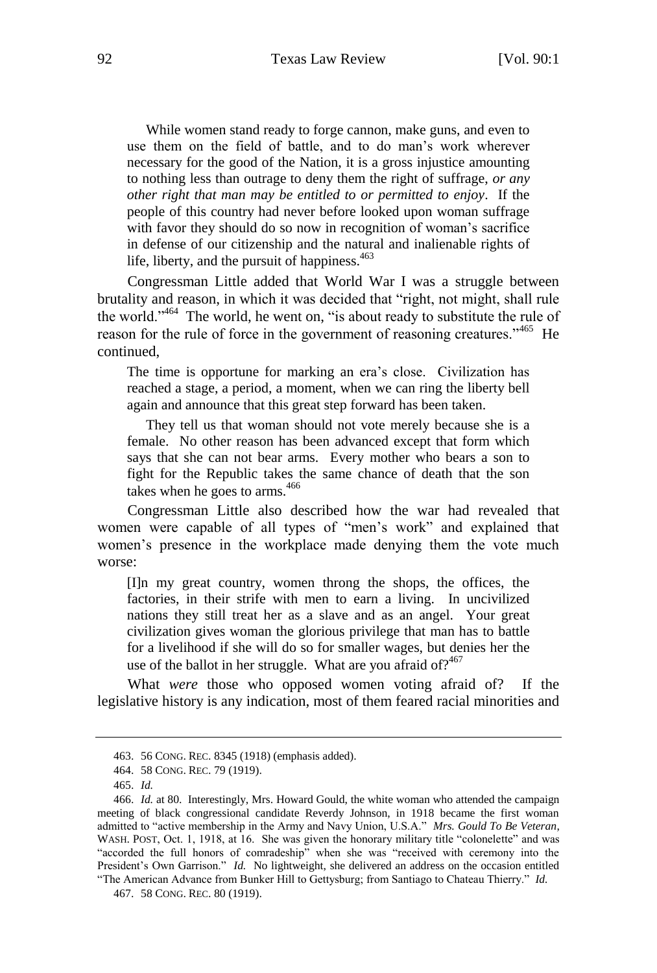While women stand ready to forge cannon, make guns, and even to use them on the field of battle, and to do man's work wherever necessary for the good of the Nation, it is a gross injustice amounting to nothing less than outrage to deny them the right of suffrage, *or any other right that man may be entitled to or permitted to enjoy*. If the people of this country had never before looked upon woman suffrage with favor they should do so now in recognition of woman's sacrifice in defense of our citizenship and the natural and inalienable rights of life, liberty, and the pursuit of happiness.<sup>463</sup>

Congressman Little added that World War I was a struggle between brutality and reason, in which it was decided that "right, not might, shall rule the world.<sup>3464</sup> The world, he went on, "is about ready to substitute the rule of reason for the rule of force in the government of reasoning creatures." He continued,

The time is opportune for marking an era's close. Civilization has reached a stage, a period, a moment, when we can ring the liberty bell again and announce that this great step forward has been taken.

They tell us that woman should not vote merely because she is a female. No other reason has been advanced except that form which says that she can not bear arms. Every mother who bears a son to fight for the Republic takes the same chance of death that the son takes when he goes to arms.<sup>466</sup>

Congressman Little also described how the war had revealed that women were capable of all types of "men's work" and explained that women's presence in the workplace made denying them the vote much worse:

[I]n my great country, women throng the shops, the offices, the factories, in their strife with men to earn a living. In uncivilized nations they still treat her as a slave and as an angel. Your great civilization gives woman the glorious privilege that man has to battle for a livelihood if she will do so for smaller wages, but denies her the use of the ballot in her struggle. What are you afraid of?<sup>467</sup>

What *were* those who opposed women voting afraid of? If the legislative history is any indication, most of them feared racial minorities and

467. 58 CONG. REC. 80 (1919).

<sup>463.</sup> 56 CONG. REC. 8345 (1918) (emphasis added).

<sup>464.</sup> 58 CONG. REC. 79 (1919).

<sup>465.</sup> *Id.*

<sup>466.</sup> *Id.* at 80. Interestingly, Mrs. Howard Gould, the white woman who attended the campaign meeting of black congressional candidate Reverdy Johnson, in 1918 became the first woman admitted to "active membership in the Army and Navy Union, U.S.A." *Mrs. Gould To Be Veteran*, WASH. POST, Oct. 1, 1918, at 16. She was given the honorary military title "colonelette" and was "accorded the full honors of comradeship" when she was "received with ceremony into the President's Own Garrison." *Id.* No lightweight, she delivered an address on the occasion entitled ―The American Advance from Bunker Hill to Gettysburg; from Santiago to Chateau Thierry.‖ *Id.*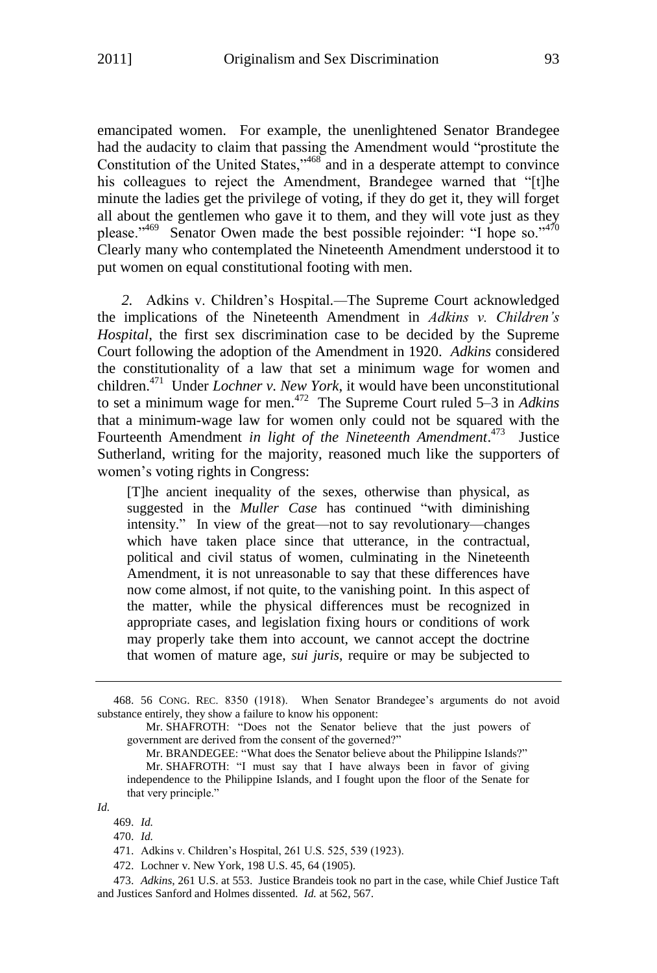emancipated women. For example, the unenlightened Senator Brandegee had the audacity to claim that passing the Amendment would "prostitute the Constitution of the United States,  $468$  and in a desperate attempt to convince his colleagues to reject the Amendment, Brandegee warned that "[t]he minute the ladies get the privilege of voting, if they do get it, they will forget all about the gentlemen who gave it to them, and they will vote just as they please."<sup>469</sup> Senator Owen made the best possible rejoinder: "I hope so."<sup>470</sup> Clearly many who contemplated the Nineteenth Amendment understood it to put women on equal constitutional footing with men.

*2.* Adkins v. Children's Hospital*.—*The Supreme Court acknowledged the implications of the Nineteenth Amendment in *Adkins v. Children's Hospital*, the first sex discrimination case to be decided by the Supreme Court following the adoption of the Amendment in 1920. *Adkins* considered the constitutionality of a law that set a minimum wage for women and children. 471 Under *Lochner v. New York*, it would have been unconstitutional to set a minimum wage for men.<sup>472</sup> The Supreme Court ruled 5–3 in *Adkins*  that a minimum-wage law for women only could not be squared with the Fourteenth Amendment *in light of the Nineteenth Amendment*. 473 Justice Sutherland, writing for the majority, reasoned much like the supporters of women's voting rights in Congress:

[T]he ancient inequality of the sexes, otherwise than physical, as suggested in the *Muller Case* has continued "with diminishing" intensity." In view of the great—not to say revolutionary—changes which have taken place since that utterance, in the contractual, political and civil status of women, culminating in the Nineteenth Amendment, it is not unreasonable to say that these differences have now come almost, if not quite, to the vanishing point. In this aspect of the matter, while the physical differences must be recognized in appropriate cases, and legislation fixing hours or conditions of work may properly take them into account, we cannot accept the doctrine that women of mature age, *sui juris*, require or may be subjected to

469. *Id.*

470. *Id.*

<sup>468.</sup> 56 CONG. REC. 8350 (1918). When Senator Brandegee's arguments do not avoid substance entirely, they show a failure to know his opponent:

Mr. SHAFROTH: "Does not the Senator believe that the just powers of government are derived from the consent of the governed?"

Mr. BRANDEGEE: "What does the Senator believe about the Philippine Islands?" Mr. SHAFROTH: "I must say that I have always been in favor of giving independence to the Philippine Islands, and I fought upon the floor of the Senate for that very principle."

*Id.*

<sup>471.</sup> Adkins v. Children's Hospital, 261 U.S. 525, 539 (1923).

<sup>472.</sup> Lochner v. New York, 198 U.S. 45, 64 (1905).

<sup>473.</sup> *Adkins*, 261 U.S. at 553. Justice Brandeis took no part in the case, while Chief Justice Taft and Justices Sanford and Holmes dissented. *Id.* at 562, 567.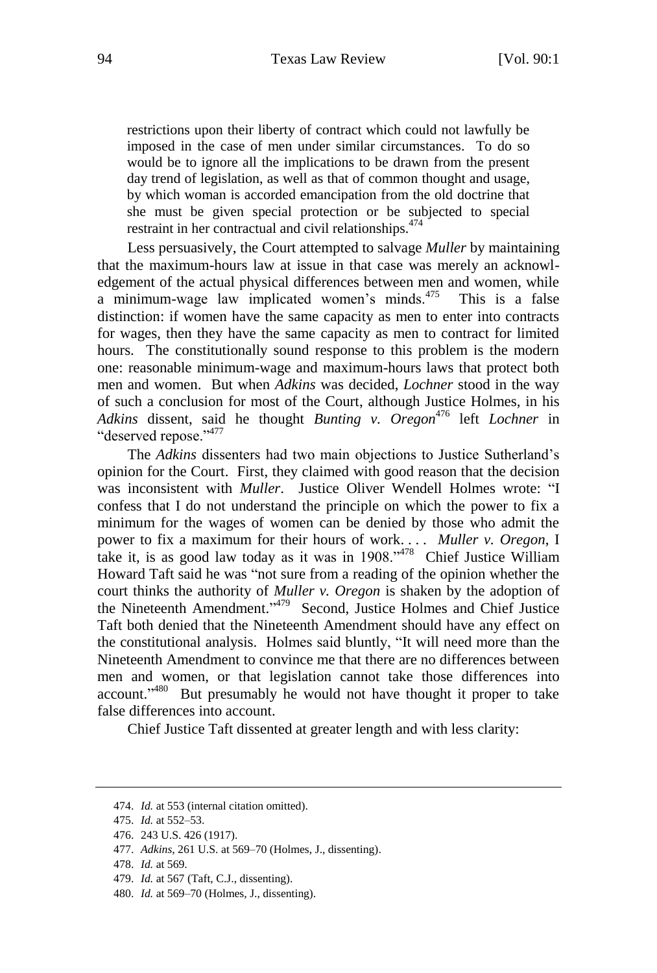restrictions upon their liberty of contract which could not lawfully be imposed in the case of men under similar circumstances. To do so would be to ignore all the implications to be drawn from the present day trend of legislation, as well as that of common thought and usage, by which woman is accorded emancipation from the old doctrine that she must be given special protection or be subjected to special restraint in her contractual and civil relationships.<sup>474</sup>

Less persuasively, the Court attempted to salvage *Muller* by maintaining that the maximum-hours law at issue in that case was merely an acknowledgement of the actual physical differences between men and women, while a minimum-wage law implicated women's minds.<sup>475</sup> This is a false distinction: if women have the same capacity as men to enter into contracts for wages, then they have the same capacity as men to contract for limited hours. The constitutionally sound response to this problem is the modern one: reasonable minimum-wage and maximum-hours laws that protect both men and women. But when *Adkins* was decided, *Lochner* stood in the way of such a conclusion for most of the Court, although Justice Holmes, in his *Adkins* dissent, said he thought *Bunting v. Oregon*<sup>476</sup> left *Lochner* in "deserved repose."<sup>477</sup>

The *Adkins* dissenters had two main objections to Justice Sutherland's opinion for the Court. First, they claimed with good reason that the decision was inconsistent with *Muller*. Justice Oliver Wendell Holmes wrote: "I confess that I do not understand the principle on which the power to fix a minimum for the wages of women can be denied by those who admit the power to fix a maximum for their hours of work. . . . *Muller v. Oregon*, I take it, is as good law today as it was in  $1908.^{478}$  Chief Justice William Howard Taft said he was "not sure from a reading of the opinion whether the court thinks the authority of *Muller v. Oregon* is shaken by the adoption of the Nineteenth Amendment."<sup>479</sup> Second, Justice Holmes and Chief Justice Taft both denied that the Nineteenth Amendment should have any effect on the constitutional analysis. Holmes said bluntly, "It will need more than the Nineteenth Amendment to convince me that there are no differences between men and women, or that legislation cannot take those differences into account."<sup>480</sup> But presumably he would not have thought it proper to take false differences into account.

Chief Justice Taft dissented at greater length and with less clarity:

477. *Adkins*, 261 U.S. at 569–70 (Holmes, J., dissenting).

479. *Id.* at 567 (Taft, C.J., dissenting).

<sup>474.</sup> *Id.* at 553 (internal citation omitted).

<sup>475.</sup> *Id.* at 552–53.

<sup>476.</sup> 243 U.S. 426 (1917).

<sup>478.</sup> *Id.* at 569.

<sup>480.</sup> *Id.* at 569–70 (Holmes, J., dissenting).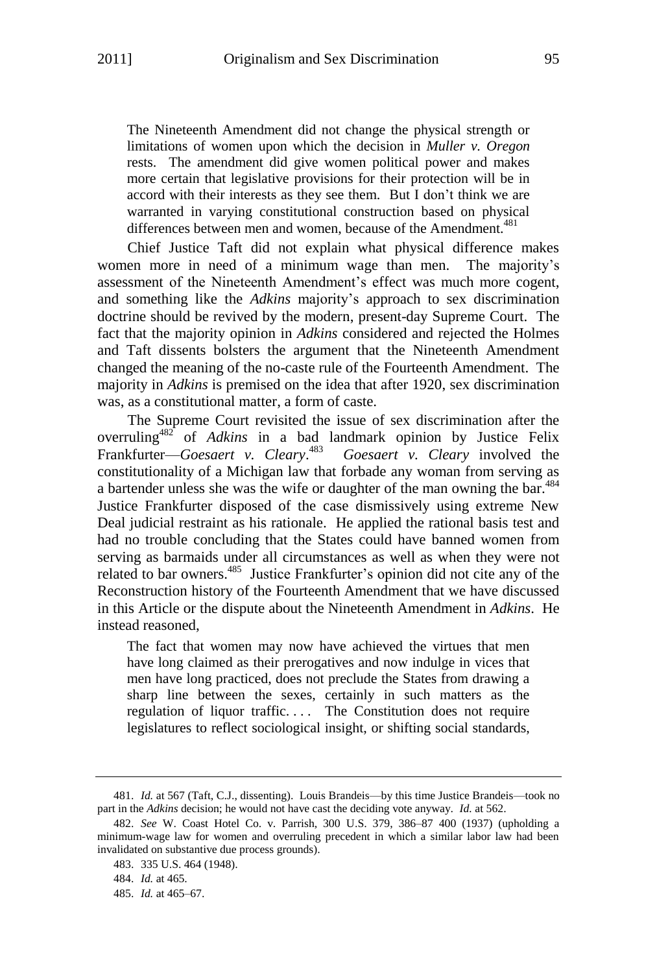The Nineteenth Amendment did not change the physical strength or limitations of women upon which the decision in *Muller v. Oregon* rests. The amendment did give women political power and makes more certain that legislative provisions for their protection will be in accord with their interests as they see them. But I don't think we are warranted in varying constitutional construction based on physical differences between men and women, because of the Amendment.<sup>481</sup>

Chief Justice Taft did not explain what physical difference makes women more in need of a minimum wage than men. The majority's assessment of the Nineteenth Amendment's effect was much more cogent, and something like the *Adkins* majority's approach to sex discrimination doctrine should be revived by the modern, present-day Supreme Court. The fact that the majority opinion in *Adkins* considered and rejected the Holmes and Taft dissents bolsters the argument that the Nineteenth Amendment changed the meaning of the no-caste rule of the Fourteenth Amendment. The majority in *Adkins* is premised on the idea that after 1920, sex discrimination was, as a constitutional matter, a form of caste.

The Supreme Court revisited the issue of sex discrimination after the overruling<sup>482</sup> of *Adkins* in a bad landmark opinion by Justice Felix Frankfurter—*Goesaert v. Cleary*. 483 *Goesaert v. Cleary* involved the constitutionality of a Michigan law that forbade any woman from serving as a bartender unless she was the wife or daughter of the man owning the bar.<sup>484</sup> Justice Frankfurter disposed of the case dismissively using extreme New Deal judicial restraint as his rationale. He applied the rational basis test and had no trouble concluding that the States could have banned women from serving as barmaids under all circumstances as well as when they were not related to bar owners.<sup>485</sup> Justice Frankfurter's opinion did not cite any of the Reconstruction history of the Fourteenth Amendment that we have discussed in this Article or the dispute about the Nineteenth Amendment in *Adkins*. He instead reasoned,

The fact that women may now have achieved the virtues that men have long claimed as their prerogatives and now indulge in vices that men have long practiced, does not preclude the States from drawing a sharp line between the sexes, certainly in such matters as the regulation of liquor traffic.... The Constitution does not require legislatures to reflect sociological insight, or shifting social standards,

<sup>481.</sup> *Id.* at 567 (Taft, C.J., dissenting). Louis Brandeis—by this time Justice Brandeis—took no part in the *Adkins* decision; he would not have cast the deciding vote anyway. *Id.* at 562.

<sup>482.</sup> *See* W. Coast Hotel Co. v. Parrish, 300 U.S. 379, 386–87 400 (1937) (upholding a minimum-wage law for women and overruling precedent in which a similar labor law had been invalidated on substantive due process grounds).

<sup>483.</sup> 335 U.S. 464 (1948).

<sup>484.</sup> *Id.* at 465.

<sup>485.</sup> *Id.* at 465–67.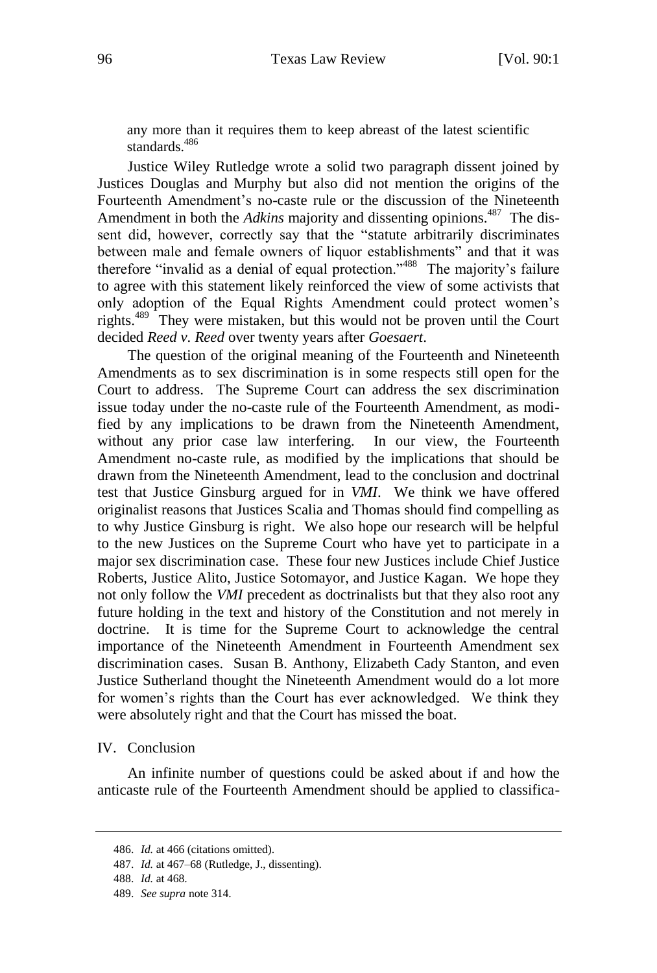any more than it requires them to keep abreast of the latest scientific standards<sup>486</sup>

Justice Wiley Rutledge wrote a solid two paragraph dissent joined by Justices Douglas and Murphy but also did not mention the origins of the Fourteenth Amendment's no-caste rule or the discussion of the Nineteenth Amendment in both the *Adkins* majority and dissenting opinions.<sup>487</sup> The dissent did, however, correctly say that the "statute arbitrarily discriminates between male and female owners of liquor establishments" and that it was therefore "invalid as a denial of equal protection."<sup>488</sup> The majority's failure to agree with this statement likely reinforced the view of some activists that only adoption of the Equal Rights Amendment could protect women's rights.<sup>489</sup> They were mistaken, but this would not be proven until the Court decided *Reed v. Reed* over twenty years after *Goesaert*.

The question of the original meaning of the Fourteenth and Nineteenth Amendments as to sex discrimination is in some respects still open for the Court to address. The Supreme Court can address the sex discrimination issue today under the no-caste rule of the Fourteenth Amendment, as modified by any implications to be drawn from the Nineteenth Amendment, without any prior case law interfering. In our view, the Fourteenth Amendment no-caste rule, as modified by the implications that should be drawn from the Nineteenth Amendment, lead to the conclusion and doctrinal test that Justice Ginsburg argued for in *VMI*.We think we have offered originalist reasons that Justices Scalia and Thomas should find compelling as to why Justice Ginsburg is right. We also hope our research will be helpful to the new Justices on the Supreme Court who have yet to participate in a major sex discrimination case. These four new Justices include Chief Justice Roberts, Justice Alito, Justice Sotomayor, and Justice Kagan. We hope they not only follow the *VMI* precedent as doctrinalists but that they also root any future holding in the text and history of the Constitution and not merely in doctrine. It is time for the Supreme Court to acknowledge the central importance of the Nineteenth Amendment in Fourteenth Amendment sex discrimination cases. Susan B. Anthony, Elizabeth Cady Stanton, and even Justice Sutherland thought the Nineteenth Amendment would do a lot more for women's rights than the Court has ever acknowledged. We think they were absolutely right and that the Court has missed the boat.

## IV. Conclusion

An infinite number of questions could be asked about if and how the anticaste rule of the Fourteenth Amendment should be applied to classifica-

<sup>486.</sup> *Id.* at 466 (citations omitted).

<sup>487.</sup> *Id.* at 467–68 (Rutledge, J., dissenting).

<sup>488.</sup> *Id.* at 468.

<sup>489.</sup> *See supra* note 314.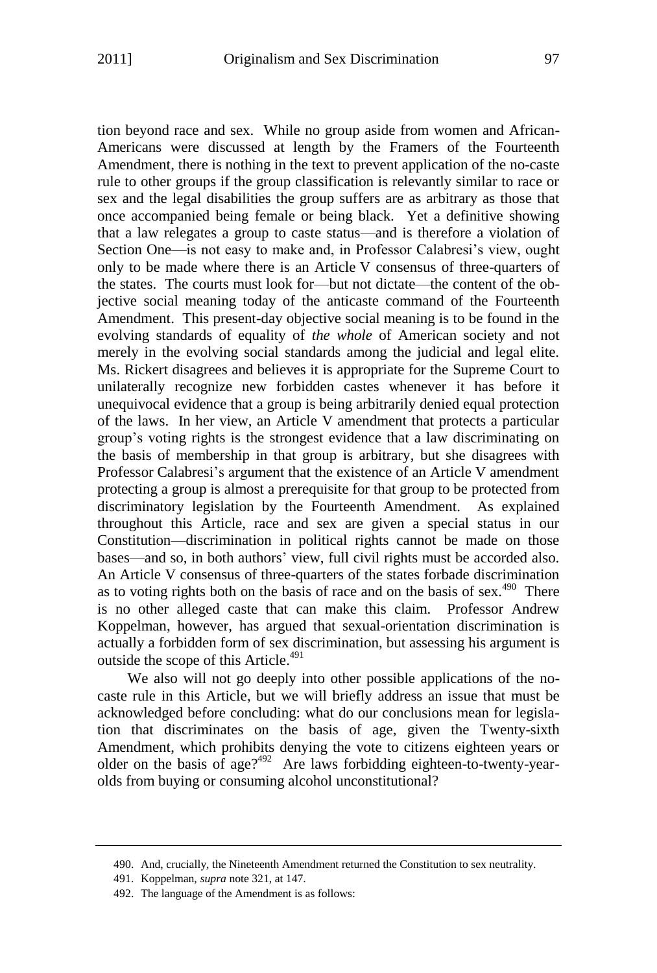tion beyond race and sex. While no group aside from women and African-Americans were discussed at length by the Framers of the Fourteenth Amendment, there is nothing in the text to prevent application of the no-caste rule to other groups if the group classification is relevantly similar to race or sex and the legal disabilities the group suffers are as arbitrary as those that once accompanied being female or being black. Yet a definitive showing that a law relegates a group to caste status—and is therefore a violation of Section One—is not easy to make and, in Professor Calabresi's view, ought only to be made where there is an Article V consensus of three-quarters of the states. The courts must look for—but not dictate—the content of the objective social meaning today of the anticaste command of the Fourteenth Amendment. This present-day objective social meaning is to be found in the evolving standards of equality of *the whole* of American society and not merely in the evolving social standards among the judicial and legal elite. Ms. Rickert disagrees and believes it is appropriate for the Supreme Court to unilaterally recognize new forbidden castes whenever it has before it unequivocal evidence that a group is being arbitrarily denied equal protection of the laws. In her view, an Article V amendment that protects a particular group's voting rights is the strongest evidence that a law discriminating on the basis of membership in that group is arbitrary, but she disagrees with Professor Calabresi's argument that the existence of an Article V amendment protecting a group is almost a prerequisite for that group to be protected from discriminatory legislation by the Fourteenth Amendment. As explained throughout this Article, race and sex are given a special status in our Constitution—discrimination in political rights cannot be made on those bases—and so, in both authors' view, full civil rights must be accorded also. An Article V consensus of three-quarters of the states forbade discrimination as to voting rights both on the basis of race and on the basis of sex.<sup>490</sup> There is no other alleged caste that can make this claim. Professor Andrew Koppelman, however, has argued that sexual-orientation discrimination is actually a forbidden form of sex discrimination, but assessing his argument is outside the scope of this Article.<sup>491</sup>

We also will not go deeply into other possible applications of the nocaste rule in this Article, but we will briefly address an issue that must be acknowledged before concluding: what do our conclusions mean for legislation that discriminates on the basis of age, given the Twenty-sixth Amendment, which prohibits denying the vote to citizens eighteen years or older on the basis of age?<sup>492</sup> Are laws forbidding eighteen-to-twenty-yearolds from buying or consuming alcohol unconstitutional?

<sup>490.</sup> And, crucially, the Nineteenth Amendment returned the Constitution to sex neutrality.

<sup>491.</sup> Koppelman, *supra* note 321, at 147.

<sup>492.</sup> The language of the Amendment is as follows: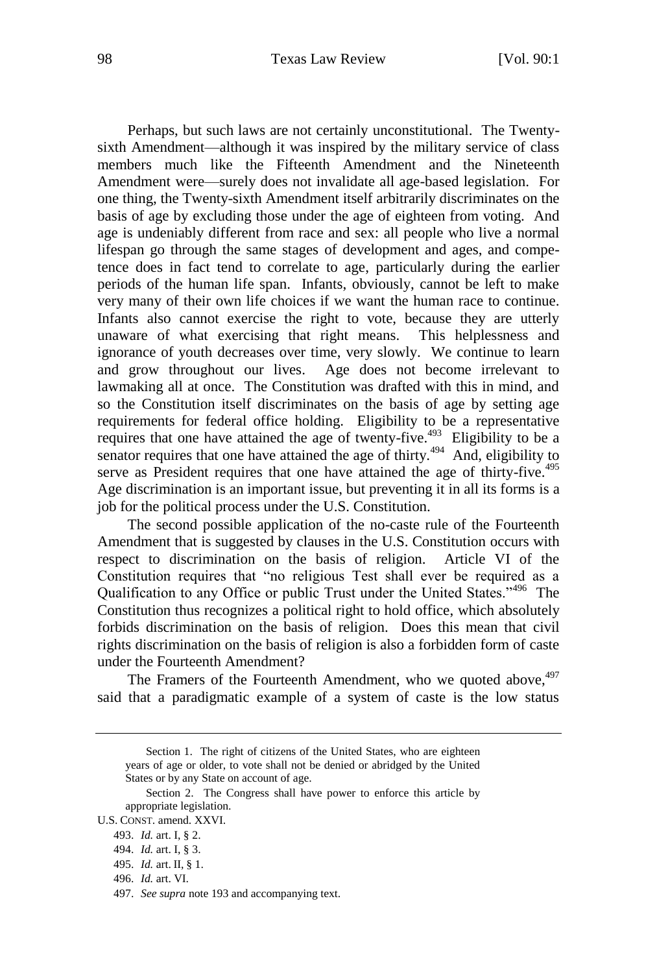## 98 Texas Law Review [Vol. 90:1

Perhaps, but such laws are not certainly unconstitutional. The Twentysixth Amendment—although it was inspired by the military service of class members much like the Fifteenth Amendment and the Nineteenth Amendment were—surely does not invalidate all age-based legislation. For one thing, the Twenty-sixth Amendment itself arbitrarily discriminates on the basis of age by excluding those under the age of eighteen from voting. And age is undeniably different from race and sex: all people who live a normal lifespan go through the same stages of development and ages, and competence does in fact tend to correlate to age, particularly during the earlier periods of the human life span. Infants, obviously, cannot be left to make very many of their own life choices if we want the human race to continue. Infants also cannot exercise the right to vote, because they are utterly unaware of what exercising that right means. This helplessness and ignorance of youth decreases over time, very slowly. We continue to learn and grow throughout our lives. Age does not become irrelevant to lawmaking all at once. The Constitution was drafted with this in mind, and so the Constitution itself discriminates on the basis of age by setting age requirements for federal office holding. Eligibility to be a representative requires that one have attained the age of twenty-five.<sup>493</sup> Eligibility to be a senator requires that one have attained the age of thirty. $494$  And, eligibility to serve as President requires that one have attained the age of thirty-five.<sup>495</sup> Age discrimination is an important issue, but preventing it in all its forms is a job for the political process under the U.S. Constitution.

The second possible application of the no-caste rule of the Fourteenth Amendment that is suggested by clauses in the U.S. Constitution occurs with respect to discrimination on the basis of religion. Article VI of the Constitution requires that "no religious Test shall ever be required as a Qualification to any Office or public Trust under the United States."<sup>496</sup> The Constitution thus recognizes a political right to hold office, which absolutely forbids discrimination on the basis of religion. Does this mean that civil rights discrimination on the basis of religion is also a forbidden form of caste under the Fourteenth Amendment?

The Framers of the Fourteenth Amendment, who we quoted above, <sup>497</sup> said that a paradigmatic example of a system of caste is the low status

U.S. CONST. amend. XXVI.

Section 1. The right of citizens of the United States, who are eighteen years of age or older, to vote shall not be denied or abridged by the United States or by any State on account of age.

Section 2. The Congress shall have power to enforce this article by appropriate legislation.

<sup>493.</sup> *Id.* art. I, § 2.

<sup>494.</sup> *Id.* art. I, § 3.

<sup>495.</sup> *Id.* art. II, § 1.

<sup>496.</sup> *Id.* art. VI.

<sup>497.</sup> *See supra* note 193 and accompanying text.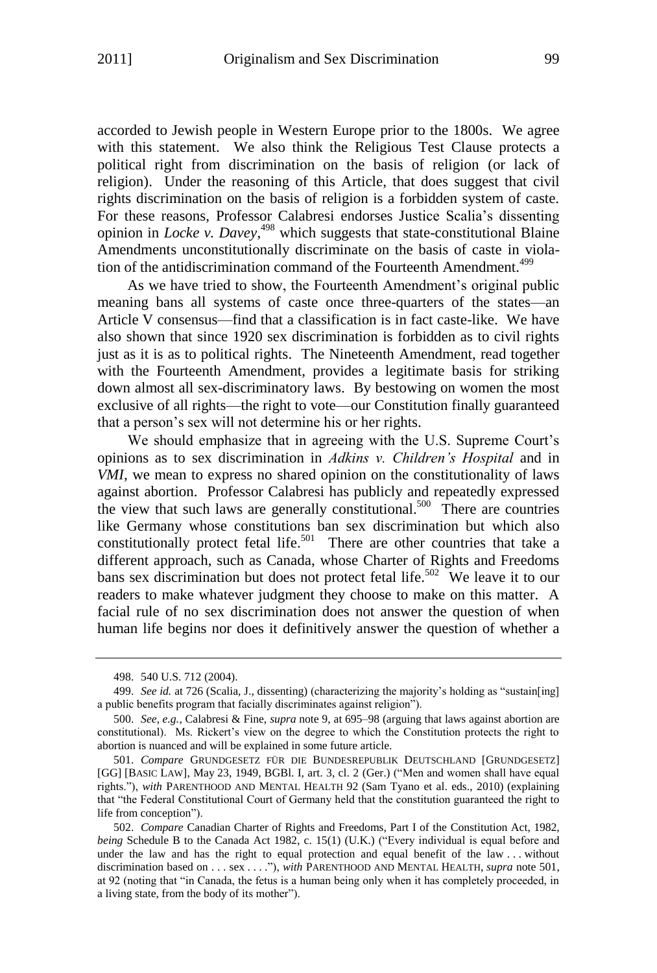accorded to Jewish people in Western Europe prior to the 1800s. We agree with this statement. We also think the Religious Test Clause protects a political right from discrimination on the basis of religion (or lack of religion). Under the reasoning of this Article, that does suggest that civil rights discrimination on the basis of religion is a forbidden system of caste. For these reasons, Professor Calabresi endorses Justice Scalia's dissenting opinion in *Locke v. Davey*, <sup>498</sup> which suggests that state-constitutional Blaine Amendments unconstitutionally discriminate on the basis of caste in violation of the antidiscrimination command of the Fourteenth Amendment.<sup>499</sup>

As we have tried to show, the Fourteenth Amendment's original public meaning bans all systems of caste once three-quarters of the states—an Article V consensus—find that a classification is in fact caste-like. We have also shown that since 1920 sex discrimination is forbidden as to civil rights just as it is as to political rights. The Nineteenth Amendment, read together with the Fourteenth Amendment, provides a legitimate basis for striking down almost all sex-discriminatory laws. By bestowing on women the most exclusive of all rights—the right to vote—our Constitution finally guaranteed that a person's sex will not determine his or her rights.

We should emphasize that in agreeing with the U.S. Supreme Court's opinions as to sex discrimination in *Adkins v. Children's Hospital* and in *VMI*, we mean to express no shared opinion on the constitutionality of laws against abortion. Professor Calabresi has publicly and repeatedly expressed the view that such laws are generally constitutional.<sup>500</sup> There are countries like Germany whose constitutions ban sex discrimination but which also constitutionally protect fetal life.<sup>501</sup> There are other countries that take a different approach, such as Canada, whose Charter of Rights and Freedoms bans sex discrimination but does not protect fetal life.<sup>502</sup> We leave it to our readers to make whatever judgment they choose to make on this matter. A facial rule of no sex discrimination does not answer the question of when human life begins nor does it definitively answer the question of whether a

502. *Compare* Canadian Charter of Rights and Freedoms, Part I of the Constitution Act, 1982, *being* Schedule B to the Canada Act 1982, c. 15(1) (U.K.) ("Every individual is equal before and under the law and has the right to equal protection and equal benefit of the law . . . without discrimination based on . . . sex . . . .<sup>"</sup>), *with PARENTHOOD AND MENTAL HEALTH, supra* note 501, at 92 (noting that "in Canada, the fetus is a human being only when it has completely proceeded, in a living state, from the body of its mother").

<sup>498.</sup> 540 U.S. 712 (2004).

<sup>499.</sup> *See id.* at 726 (Scalia, J., dissenting) (characterizing the majority's holding as "sustain[ing] a public benefits program that facially discriminates against religion").

<sup>500.</sup> *See, e.g.*, Calabresi & Fine, *supra* note 9, at 695–98 (arguing that laws against abortion are constitutional). Ms. Rickert's view on the degree to which the Constitution protects the right to abortion is nuanced and will be explained in some future article.

<sup>501.</sup> *Compare* GRUNDGESETZ FÜR DIE BUNDESREPUBLIK DEUTSCHLAND [GRUNDGESETZ] [GG] [BASIC LAW], May 23, 1949, BGBl. I, art. 3, cl. 2 (Ger.) ("Men and women shall have equal rights.‖), *with* PARENTHOOD AND MENTAL HEALTH 92 (Sam Tyano et al. eds., 2010) (explaining that "the Federal Constitutional Court of Germany held that the constitution guaranteed the right to life from conception").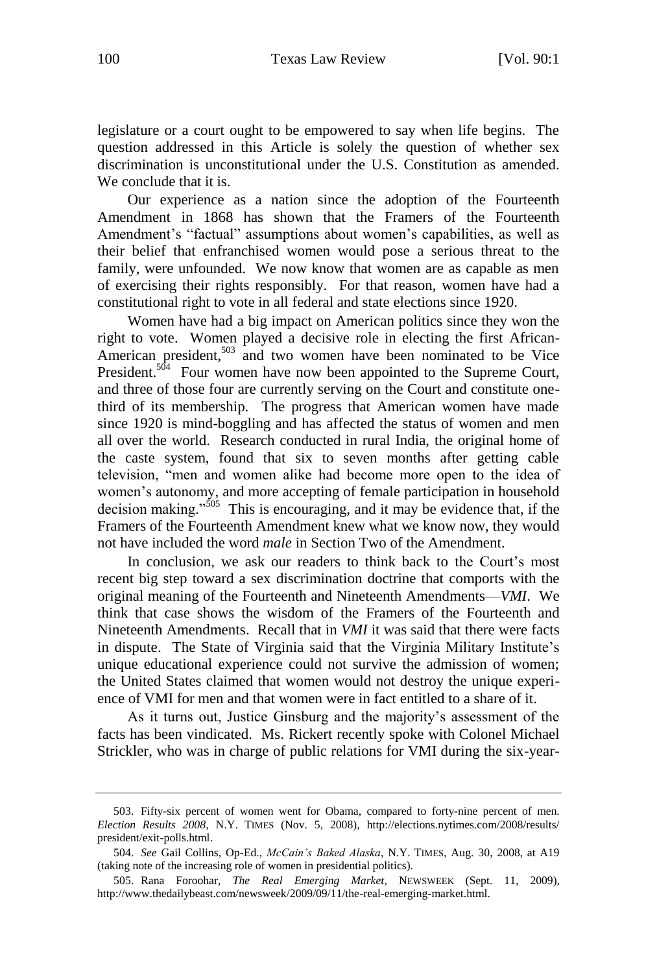legislature or a court ought to be empowered to say when life begins. The question addressed in this Article is solely the question of whether sex discrimination is unconstitutional under the U.S. Constitution as amended. We conclude that it is.

Our experience as a nation since the adoption of the Fourteenth Amendment in 1868 has shown that the Framers of the Fourteenth Amendment's "factual" assumptions about women's capabilities, as well as their belief that enfranchised women would pose a serious threat to the family, were unfounded. We now know that women are as capable as men of exercising their rights responsibly. For that reason, women have had a constitutional right to vote in all federal and state elections since 1920.

Women have had a big impact on American politics since they won the right to vote. Women played a decisive role in electing the first African-American president,<sup>503</sup> and two women have been nominated to be Vice President.<sup>504</sup> Four women have now been appointed to the Supreme Court, and three of those four are currently serving on the Court and constitute onethird of its membership. The progress that American women have made since 1920 is mind-boggling and has affected the status of women and men all over the world. Research conducted in rural India, the original home of the caste system, found that six to seven months after getting cable television, "men and women alike had become more open to the idea of women's autonomy, and more accepting of female participation in household decision making."<sup>505</sup> This is encouraging, and it may be evidence that, if the Framers of the Fourteenth Amendment knew what we know now, they would not have included the word *male* in Section Two of the Amendment.

In conclusion, we ask our readers to think back to the Court's most recent big step toward a sex discrimination doctrine that comports with the original meaning of the Fourteenth and Nineteenth Amendments—*VMI*. We think that case shows the wisdom of the Framers of the Fourteenth and Nineteenth Amendments. Recall that in *VMI* it was said that there were facts in dispute. The State of Virginia said that the Virginia Military Institute's unique educational experience could not survive the admission of women; the United States claimed that women would not destroy the unique experience of VMI for men and that women were in fact entitled to a share of it.

As it turns out, Justice Ginsburg and the majority's assessment of the facts has been vindicated. Ms. Rickert recently spoke with Colonel Michael Strickler, who was in charge of public relations for VMI during the six-year-

<sup>503.</sup> Fifty-six percent of women went for Obama, compared to forty-nine percent of men. *Election Results 2008*, N.Y. TIMES (Nov. 5, 2008), http://elections.nytimes.com/2008/results/ president/exit-polls.html.

<sup>504.</sup> *See* Gail Collins, Op-Ed., *McCain's Baked Alaska*, N.Y. TIMES, Aug. 30, 2008, at A19 (taking note of the increasing role of women in presidential politics).

<sup>505.</sup> Rana Foroohar, *The Real Emerging Market*, NEWSWEEK (Sept. 11, 2009), http://www.thedailybeast.com/newsweek/2009/09/11/the-real-emerging-market.html.